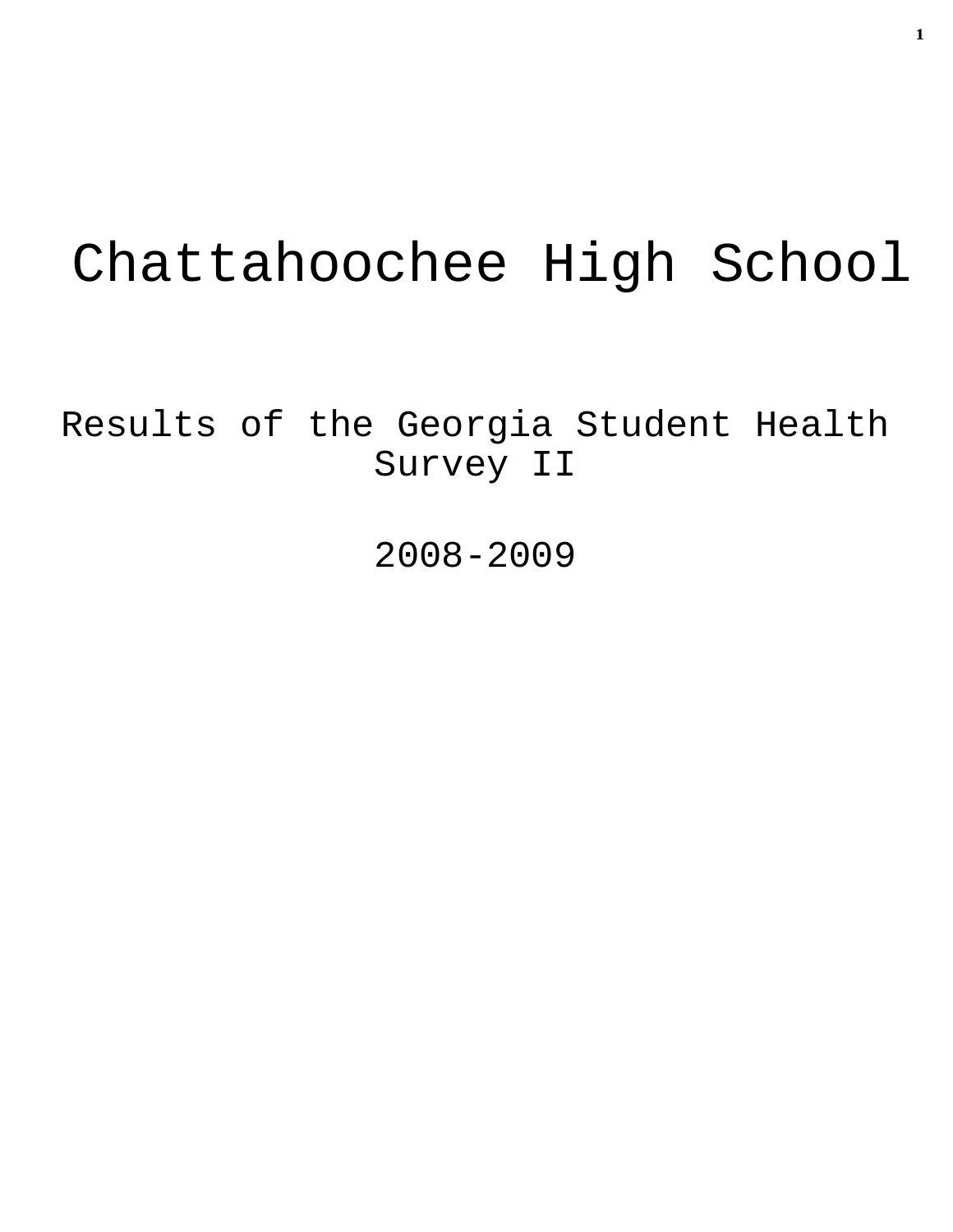# Chattahoochee High School

Results of the Georgia Student Health Survey II

2008-2009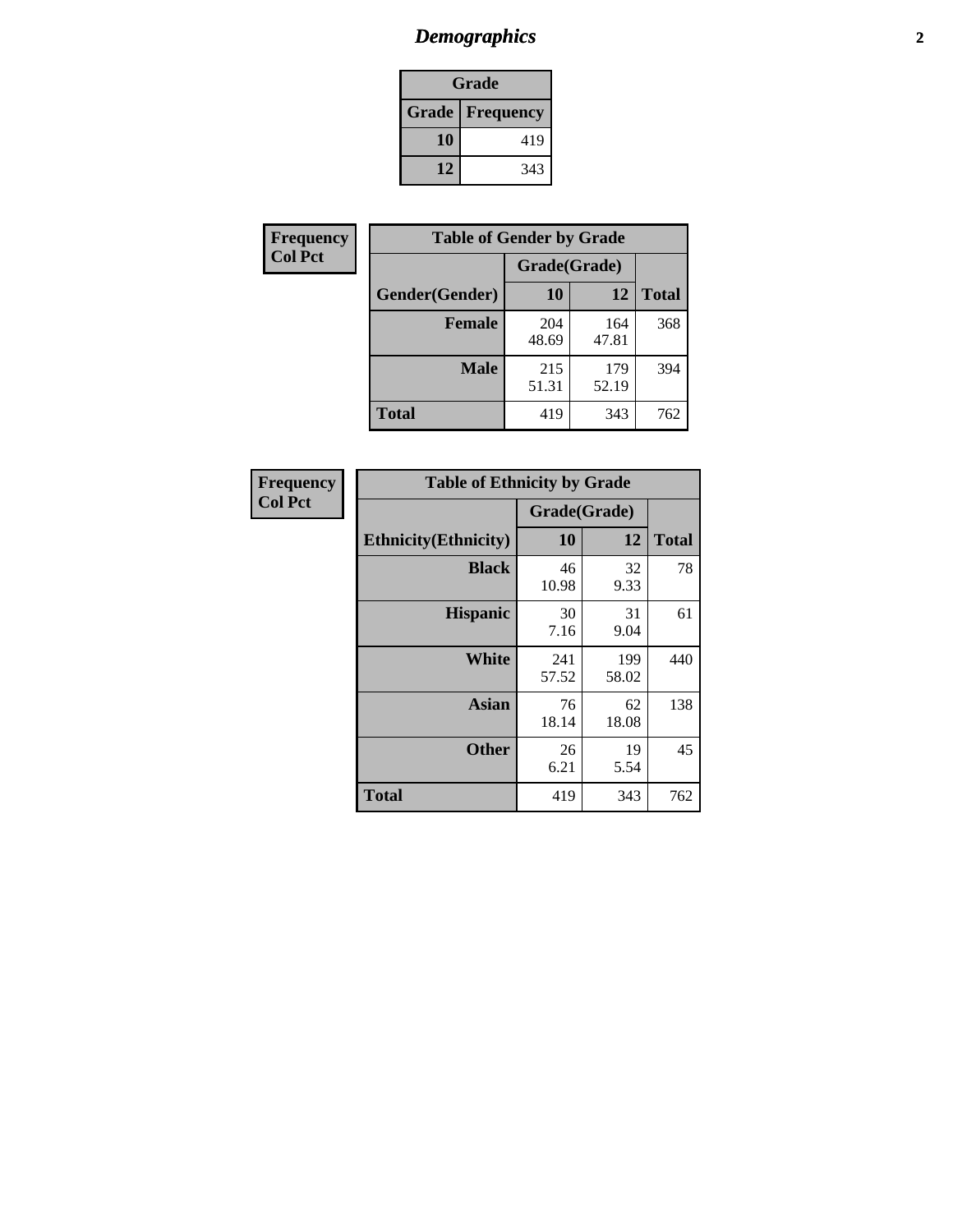# *Demographics* **2**

| Grade                    |     |  |  |  |
|--------------------------|-----|--|--|--|
| <b>Grade   Frequency</b> |     |  |  |  |
| 10                       | 419 |  |  |  |
| 12                       | 343 |  |  |  |

| Frequency      | <b>Table of Gender by Grade</b> |              |              |              |  |  |
|----------------|---------------------------------|--------------|--------------|--------------|--|--|
| <b>Col Pct</b> |                                 | Grade(Grade) |              |              |  |  |
|                | Gender(Gender)                  | 10           | 12           | <b>Total</b> |  |  |
|                | <b>Female</b>                   | 204<br>48.69 | 164<br>47.81 | 368          |  |  |
|                | <b>Male</b>                     | 215<br>51.31 | 179<br>52.19 | 394          |  |  |
|                | <b>Total</b>                    | 419          | 343          | 762          |  |  |

| Frequency<br>Col Pct |
|----------------------|

| <b>Table of Ethnicity by Grade</b> |              |              |              |  |  |  |
|------------------------------------|--------------|--------------|--------------|--|--|--|
|                                    | Grade(Grade) |              |              |  |  |  |
| <b>Ethnicity</b> (Ethnicity)       | 10           | 12           | <b>Total</b> |  |  |  |
| <b>Black</b>                       | 46<br>10.98  | 32<br>9.33   | 78           |  |  |  |
| <b>Hispanic</b>                    | 30<br>7.16   | 31<br>9.04   | 61           |  |  |  |
| <b>White</b>                       | 241<br>57.52 | 199<br>58.02 | 440          |  |  |  |
| <b>Asian</b>                       | 76<br>18.14  | 62<br>18.08  | 138          |  |  |  |
| <b>Other</b>                       | 26<br>6.21   | 19<br>5.54   | 45           |  |  |  |
| <b>Total</b>                       | 419          | 343          | 762          |  |  |  |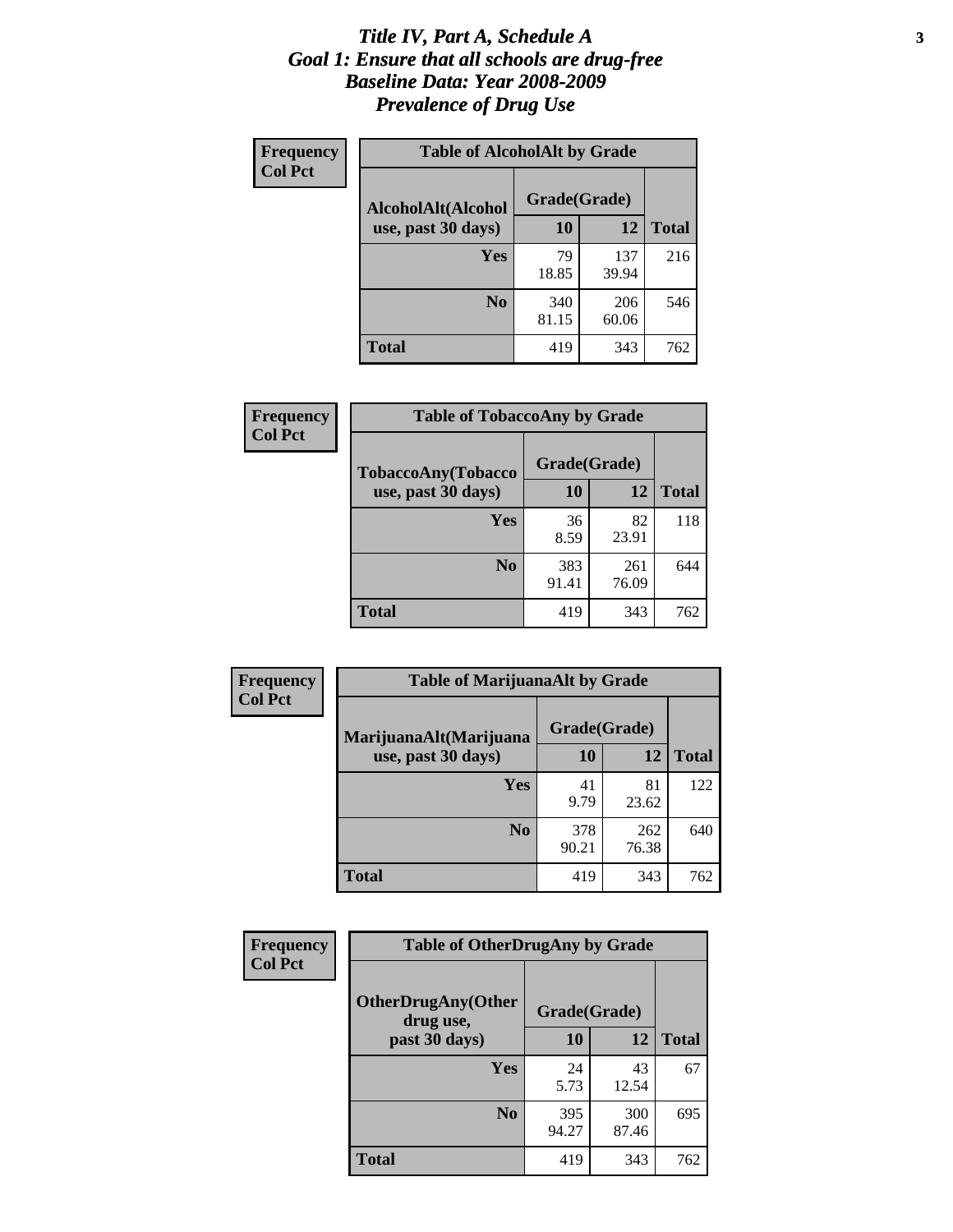### *Title IV, Part A, Schedule A* **3** *Goal 1: Ensure that all schools are drug-free Baseline Data: Year 2008-2009 Prevalence of Drug Use*

| Frequency<br><b>Col Pct</b> | <b>Table of AlcoholAlt by Grade</b> |              |              |              |  |
|-----------------------------|-------------------------------------|--------------|--------------|--------------|--|
|                             | AlcoholAlt(Alcohol                  | Grade(Grade) |              |              |  |
|                             | use, past 30 days)                  | <b>10</b>    | 12           | <b>Total</b> |  |
|                             | <b>Yes</b>                          | 79<br>18.85  | 137<br>39.94 | 216          |  |
|                             | N <sub>0</sub>                      | 340<br>81.15 | 206<br>60.06 | 546          |  |
|                             | Total                               | 419          | 343          | 762          |  |

| Frequency<br><b>Col Pct</b> | <b>Table of TobaccoAny by Grade</b> |              |              |              |  |  |
|-----------------------------|-------------------------------------|--------------|--------------|--------------|--|--|
|                             | TobaccoAny(Tobacco                  | Grade(Grade) |              |              |  |  |
|                             | use, past 30 days)                  | 10           | 12           | <b>Total</b> |  |  |
|                             | <b>Yes</b>                          | 36<br>8.59   | 82<br>23.91  | 118          |  |  |
|                             | N <sub>0</sub>                      | 383<br>91.41 | 261<br>76.09 | 644          |  |  |
|                             | <b>Total</b>                        | 419          | 343          | 762          |  |  |

| Frequency<br><b>Col Pct</b> | <b>Table of MarijuanaAlt by Grade</b> |              |              |     |  |
|-----------------------------|---------------------------------------|--------------|--------------|-----|--|
|                             | MarijuanaAlt(Marijuana                | Grade(Grade) |              |     |  |
| use, past 30 days)          | <b>10</b>                             | 12           | <b>Total</b> |     |  |
|                             | <b>Yes</b>                            | 41<br>9.79   | 81<br>23.62  | 122 |  |
|                             | N <sub>0</sub>                        | 378<br>90.21 | 262<br>76.38 | 640 |  |
|                             | <b>Total</b>                          | 419          | 343          | 762 |  |

| <b>Frequency</b><br><b>Col Pct</b> | <b>Table of OtherDrugAny by Grade</b>  |              |              |              |  |
|------------------------------------|----------------------------------------|--------------|--------------|--------------|--|
|                                    | <b>OtherDrugAny(Other</b><br>drug use, | Grade(Grade) |              |              |  |
|                                    | past 30 days)                          | 10           | 12           | <b>Total</b> |  |
|                                    | Yes                                    | 24<br>5.73   | 43<br>12.54  | 67           |  |
|                                    | N <sub>0</sub>                         | 395<br>94.27 | 300<br>87.46 | 695          |  |
|                                    | <b>Total</b>                           | 419          | 343          | 762          |  |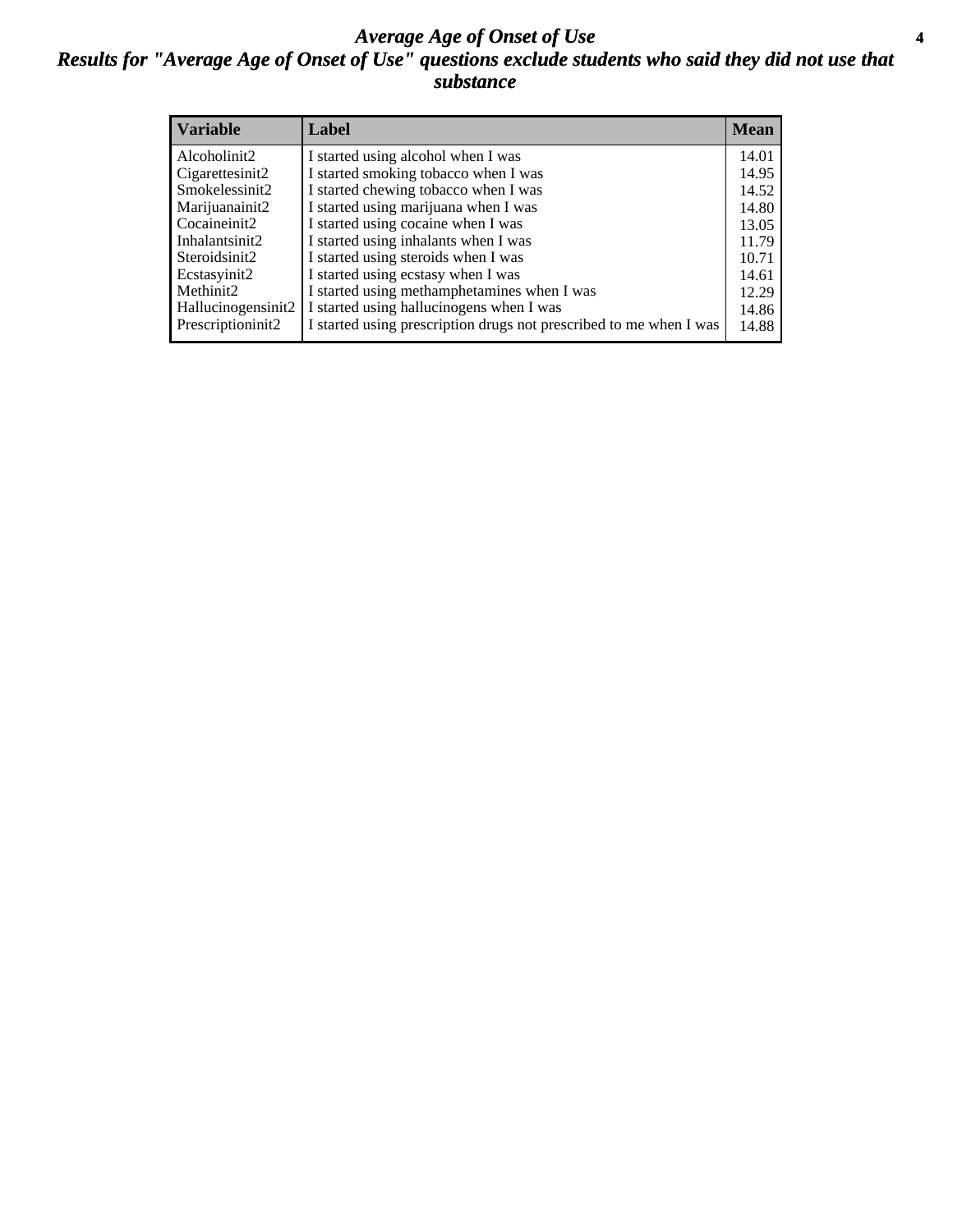### *Average Age of Onset of Use* **4** *Results for "Average Age of Onset of Use" questions exclude students who said they did not use that substance*

| <b>Variable</b>    | Label                                                              | <b>Mean</b> |
|--------------------|--------------------------------------------------------------------|-------------|
| Alcoholinit2       | I started using alcohol when I was                                 | 14.01       |
| Cigarettesinit2    | I started smoking tobacco when I was                               | 14.95       |
| Smokelessinit2     | I started chewing tobacco when I was                               | 14.52       |
| Marijuanainit2     | I started using marijuana when I was                               | 14.80       |
| Cocaineinit2       | I started using cocaine when I was                                 | 13.05       |
| Inhalantsinit2     | I started using inhalants when I was                               | 11.79       |
| Steroidsinit2      | I started using steroids when I was                                | 10.71       |
| Ecstasyinit2       | I started using ecstasy when I was                                 | 14.61       |
| Methinit2          | I started using methamphetamines when I was                        | 12.29       |
| Hallucinogensinit2 | I started using hallucinogens when I was                           | 14.86       |
| Prescriptioninit2  | I started using prescription drugs not prescribed to me when I was | 14.88       |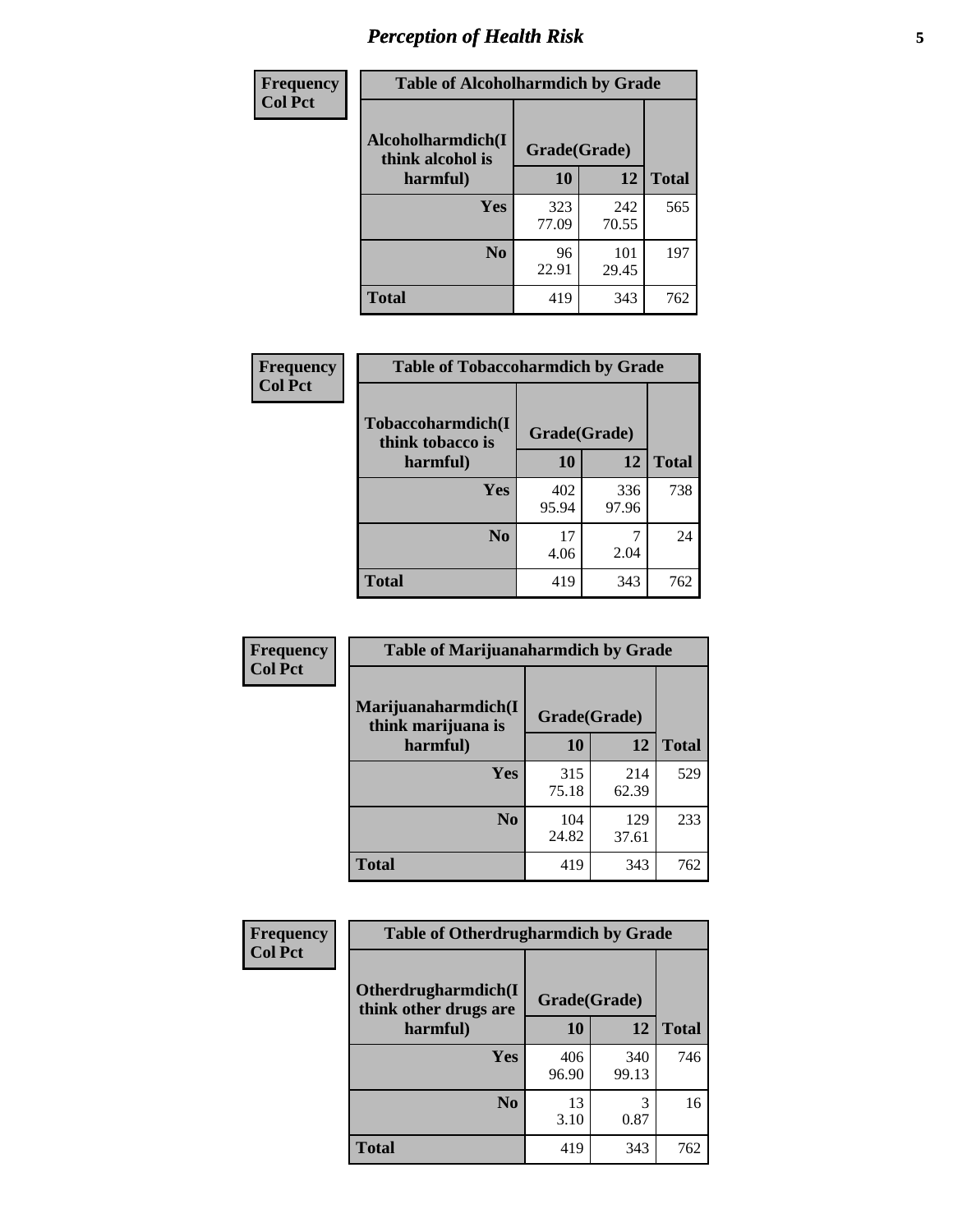# *Perception of Health Risk* **5**

| Frequency      | <b>Table of Alcoholharmdich by Grade</b> |              |              |              |  |
|----------------|------------------------------------------|--------------|--------------|--------------|--|
| <b>Col Pct</b> | Alcoholharmdich(I<br>think alcohol is    | Grade(Grade) |              |              |  |
|                | harmful)                                 | 10           | 12           | <b>Total</b> |  |
|                | <b>Yes</b>                               | 323<br>77.09 | 242<br>70.55 | 565          |  |
|                | N <sub>0</sub>                           | 96<br>22.91  | 101<br>29.45 | 197          |  |
|                | <b>Total</b>                             | 419          | 343          | 762          |  |

| Frequency      | <b>Table of Tobaccoharmdich by Grade</b> |              |              |              |  |
|----------------|------------------------------------------|--------------|--------------|--------------|--|
| <b>Col Pct</b> | Tobaccoharmdich(I<br>think tobacco is    | Grade(Grade) |              |              |  |
|                | harmful)                                 | 10           | 12           | <b>Total</b> |  |
|                | <b>Yes</b>                               | 402<br>95.94 | 336<br>97.96 | 738          |  |
|                | N <sub>0</sub>                           | 17<br>4.06   | 2.04         | 24           |  |
|                | <b>Total</b>                             | 419          | 343          | 762          |  |

| Frequency      | <b>Table of Marijuanaharmdich by Grade</b> |              |              |              |  |  |
|----------------|--------------------------------------------|--------------|--------------|--------------|--|--|
| <b>Col Pct</b> | Marijuanaharmdich(I<br>think marijuana is  | Grade(Grade) |              |              |  |  |
|                | harmful)                                   | 10           | 12           | <b>Total</b> |  |  |
|                | Yes                                        | 315<br>75.18 | 214<br>62.39 | 529          |  |  |
|                | N <sub>0</sub>                             | 104<br>24.82 | 129<br>37.61 | 233          |  |  |
|                | <b>Total</b>                               | 419          | 343          | 762          |  |  |

| <b>Frequency</b> | <b>Table of Otherdrugharmdich by Grade</b>                   |              |              |              |  |  |  |  |
|------------------|--------------------------------------------------------------|--------------|--------------|--------------|--|--|--|--|
| <b>Col Pct</b>   | Otherdrugharmdich(I<br>Grade(Grade)<br>think other drugs are |              |              |              |  |  |  |  |
|                  | harmful)                                                     | 10           | 12           | <b>Total</b> |  |  |  |  |
|                  | Yes                                                          | 406<br>96.90 | 340<br>99.13 | 746          |  |  |  |  |
|                  | N <sub>0</sub>                                               | 13<br>3.10   | 0.87         | 16           |  |  |  |  |
|                  | <b>Total</b>                                                 | 419          | 343          | 762          |  |  |  |  |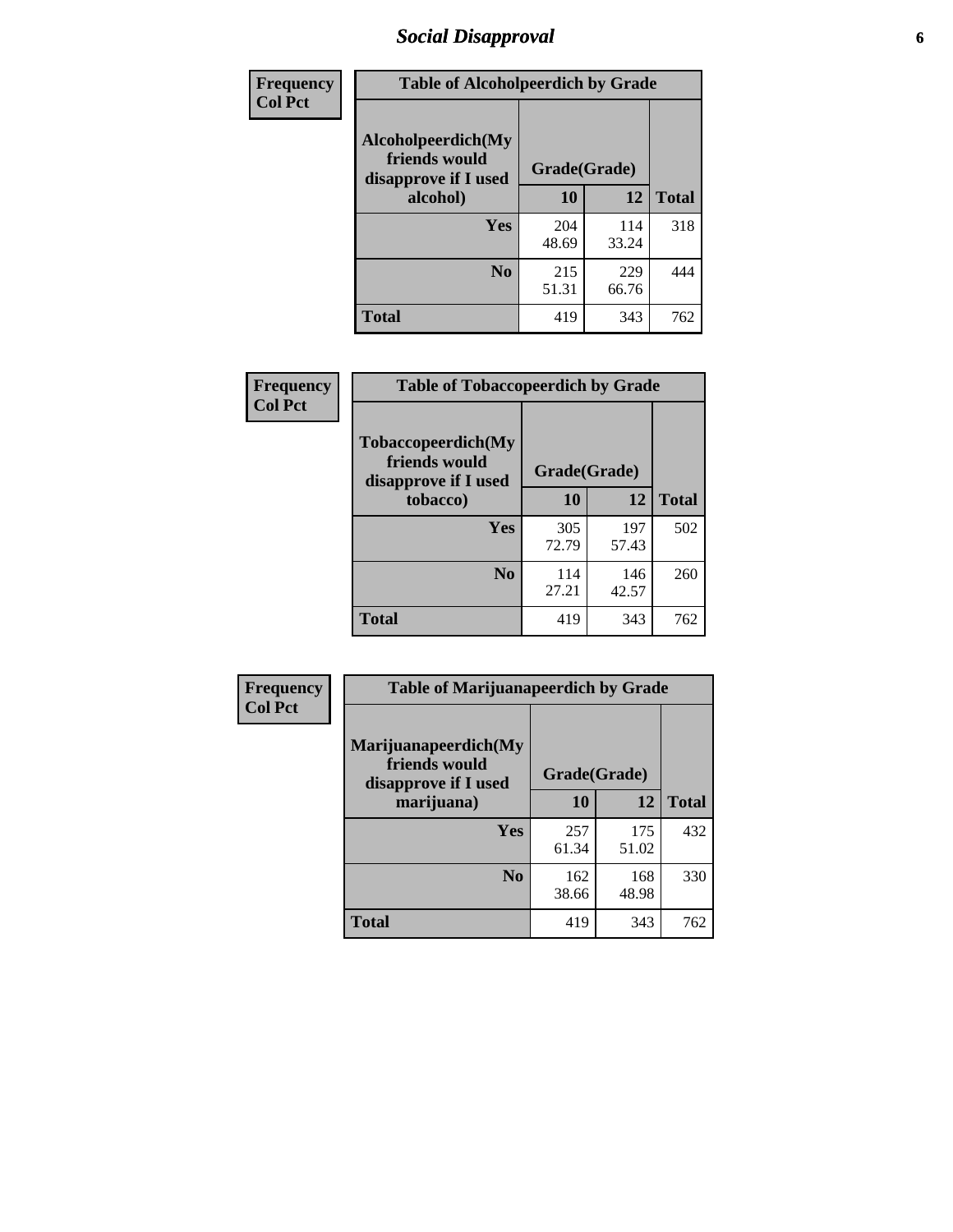# *Social Disapproval* **6**

| Frequency      | <b>Table of Alcoholpeerdich by Grade</b>                    |              |              |              |
|----------------|-------------------------------------------------------------|--------------|--------------|--------------|
| <b>Col Pct</b> | Alcoholpeerdich(My<br>friends would<br>disapprove if I used | Grade(Grade) |              |              |
|                | alcohol)                                                    |              | 12           | <b>Total</b> |
|                | <b>Yes</b>                                                  | 204<br>48.69 | 114<br>33.24 | 318          |
|                | N <sub>0</sub>                                              | 215<br>51.31 | 229<br>66.76 | 444          |
|                | <b>Total</b>                                                | 419          | 343          | 762          |

| <b>Frequency</b> |
|------------------|
| <b>Col Pct</b>   |

| <b>Table of Tobaccopeerdich by Grade</b>                            |              |              |              |  |  |  |  |
|---------------------------------------------------------------------|--------------|--------------|--------------|--|--|--|--|
| <b>Tobaccopeerdich</b> (My<br>friends would<br>disapprove if I used | Grade(Grade) |              |              |  |  |  |  |
| tobacco)                                                            | 10           | 12           | <b>Total</b> |  |  |  |  |
| Yes                                                                 | 305<br>72.79 | 197<br>57.43 | 502          |  |  |  |  |
| N <sub>0</sub>                                                      | 114<br>27.21 | 146<br>42.57 | 260          |  |  |  |  |
| <b>Total</b>                                                        | 419          | 343          | 762          |  |  |  |  |

| Frequency      | <b>Table of Marijuanapeerdich by Grade</b>                    |              |              |              |  |  |  |  |
|----------------|---------------------------------------------------------------|--------------|--------------|--------------|--|--|--|--|
| <b>Col Pct</b> | Marijuanapeerdich(My<br>friends would<br>disapprove if I used | Grade(Grade) |              |              |  |  |  |  |
|                | marijuana)                                                    | 10           | 12           | <b>Total</b> |  |  |  |  |
|                | <b>Yes</b>                                                    | 257<br>61.34 | 175<br>51.02 | 432          |  |  |  |  |
|                | N <sub>0</sub>                                                | 162<br>38.66 | 168<br>48.98 | 330          |  |  |  |  |
|                | <b>Total</b>                                                  | 419          | 343          | 762          |  |  |  |  |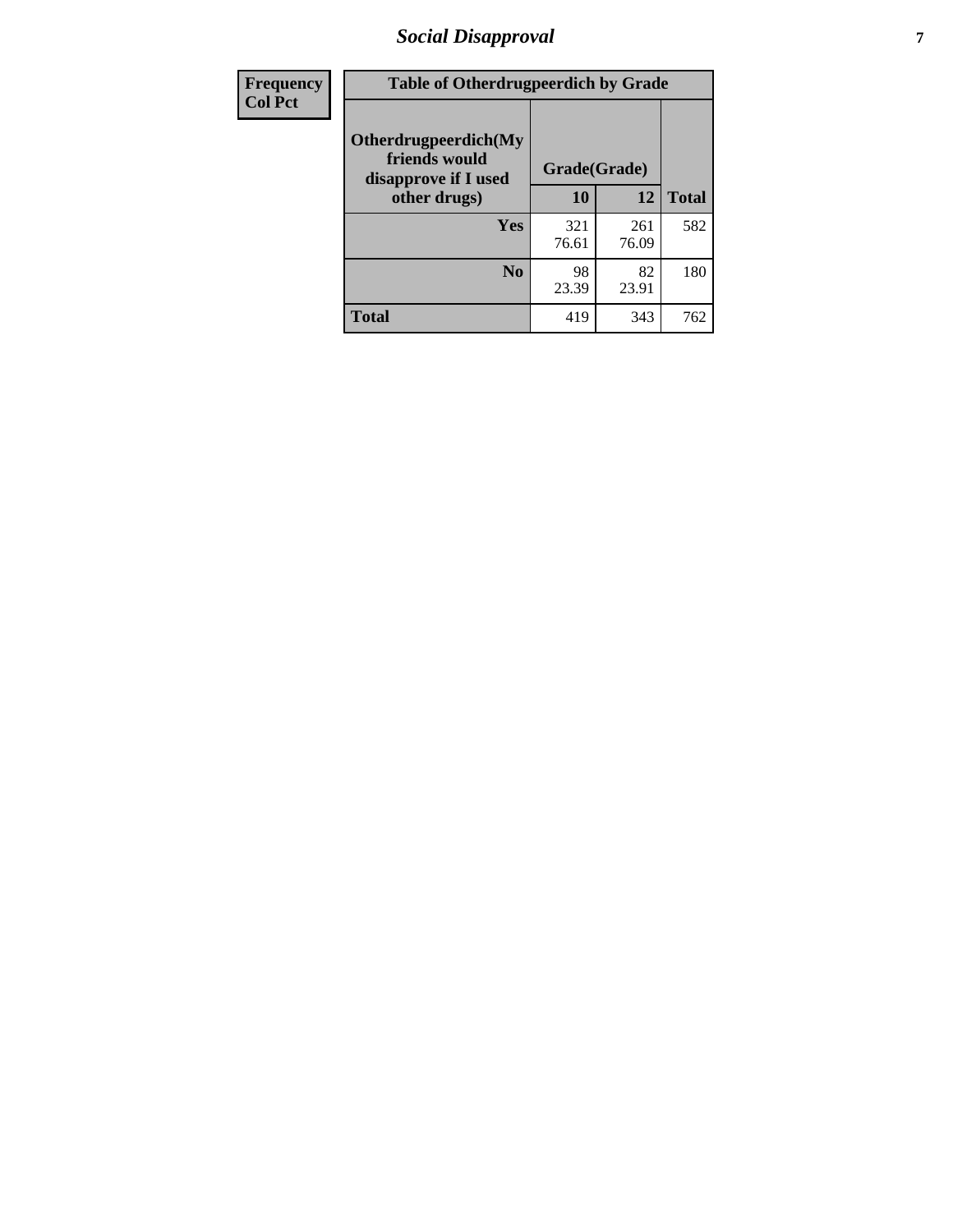# *Social Disapproval* **7**

| Frequency      | <b>Table of Otherdrugpeerdich by Grade</b>                    |              |              |              |  |  |  |  |
|----------------|---------------------------------------------------------------|--------------|--------------|--------------|--|--|--|--|
| <b>Col Pct</b> | Otherdrugpeerdich(My<br>friends would<br>disapprove if I used | Grade(Grade) |              |              |  |  |  |  |
|                | other drugs)                                                  | 10           | 12           | <b>Total</b> |  |  |  |  |
|                | Yes                                                           | 321<br>76.61 | 261<br>76.09 | 582          |  |  |  |  |
|                | N <sub>0</sub>                                                | 98<br>23.39  | 82<br>23.91  | 180          |  |  |  |  |
|                | <b>Total</b>                                                  | 419          | 343          | 762          |  |  |  |  |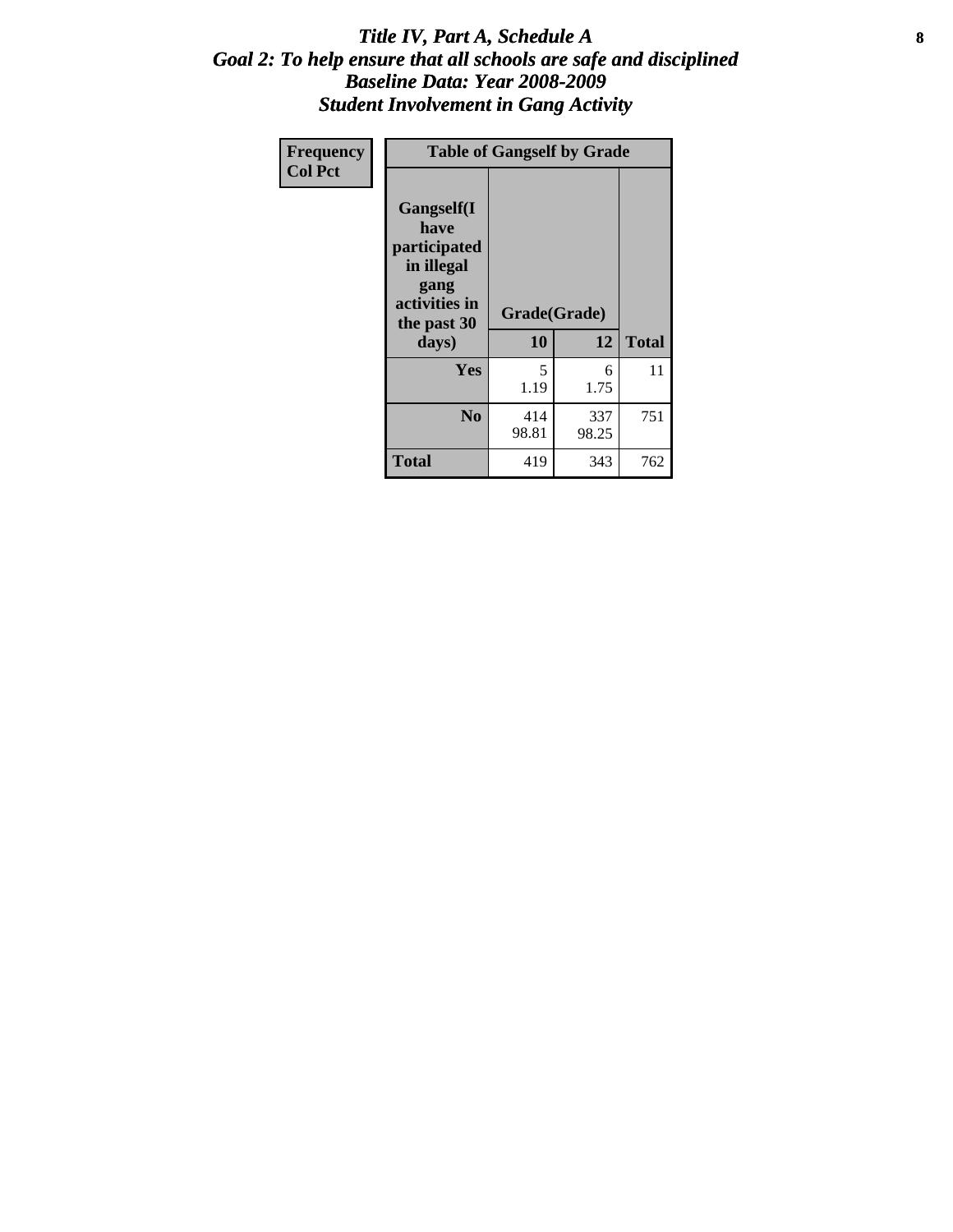### Title IV, Part A, Schedule A **8** *Goal 2: To help ensure that all schools are safe and disciplined Baseline Data: Year 2008-2009 Student Involvement in Gang Activity*

| Frequency      | <b>Table of Gangself by Grade</b>                                                                 |                    |              |              |
|----------------|---------------------------------------------------------------------------------------------------|--------------------|--------------|--------------|
| <b>Col Pct</b> | Gangself(I<br>have<br>participated<br>in illegal<br>gang<br>activities in<br>the past 30<br>days) | Grade(Grade)<br>10 | 12           | <b>Total</b> |
|                | Yes                                                                                               | 5<br>1.19          | 6<br>1.75    | 11           |
|                | N <sub>0</sub>                                                                                    | 414<br>98.81       | 337<br>98.25 | 751          |
|                | <b>Total</b>                                                                                      | 419                | 343          | 762          |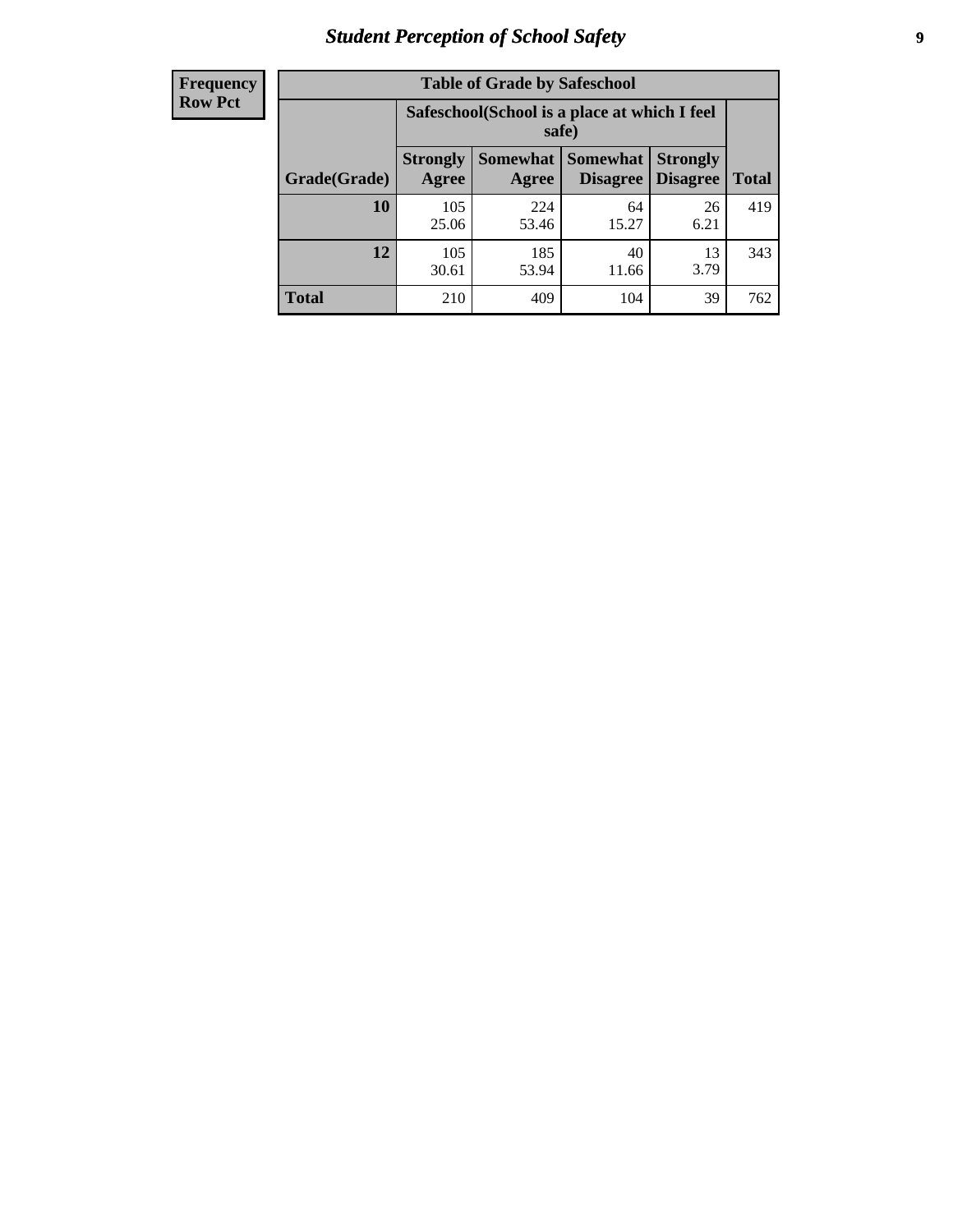# *Student Perception of School Safety* **9**

| <b>Frequency</b><br>Row Pct |
|-----------------------------|
|                             |

| <b>Table of Grade by Safeschool</b> |                          |                                                        |                                    |                                    |              |  |  |
|-------------------------------------|--------------------------|--------------------------------------------------------|------------------------------------|------------------------------------|--------------|--|--|
|                                     |                          | Safeschool (School is a place at which I feel<br>safe) |                                    |                                    |              |  |  |
| Grade(Grade)                        | <b>Strongly</b><br>Agree | <b>Somewhat</b><br>Agree                               | <b>Somewhat</b><br><b>Disagree</b> | <b>Strongly</b><br><b>Disagree</b> | <b>Total</b> |  |  |
| 10                                  | 105<br>25.06             | 224<br>53.46                                           | 64<br>15.27                        | 26<br>6.21                         | 419          |  |  |
| 12                                  | 105<br>30.61             | 185<br>53.94                                           | 40<br>11.66                        | 13<br>3.79                         | 343          |  |  |
| <b>Total</b>                        | 210                      | 409                                                    | 104                                | 39                                 | 762          |  |  |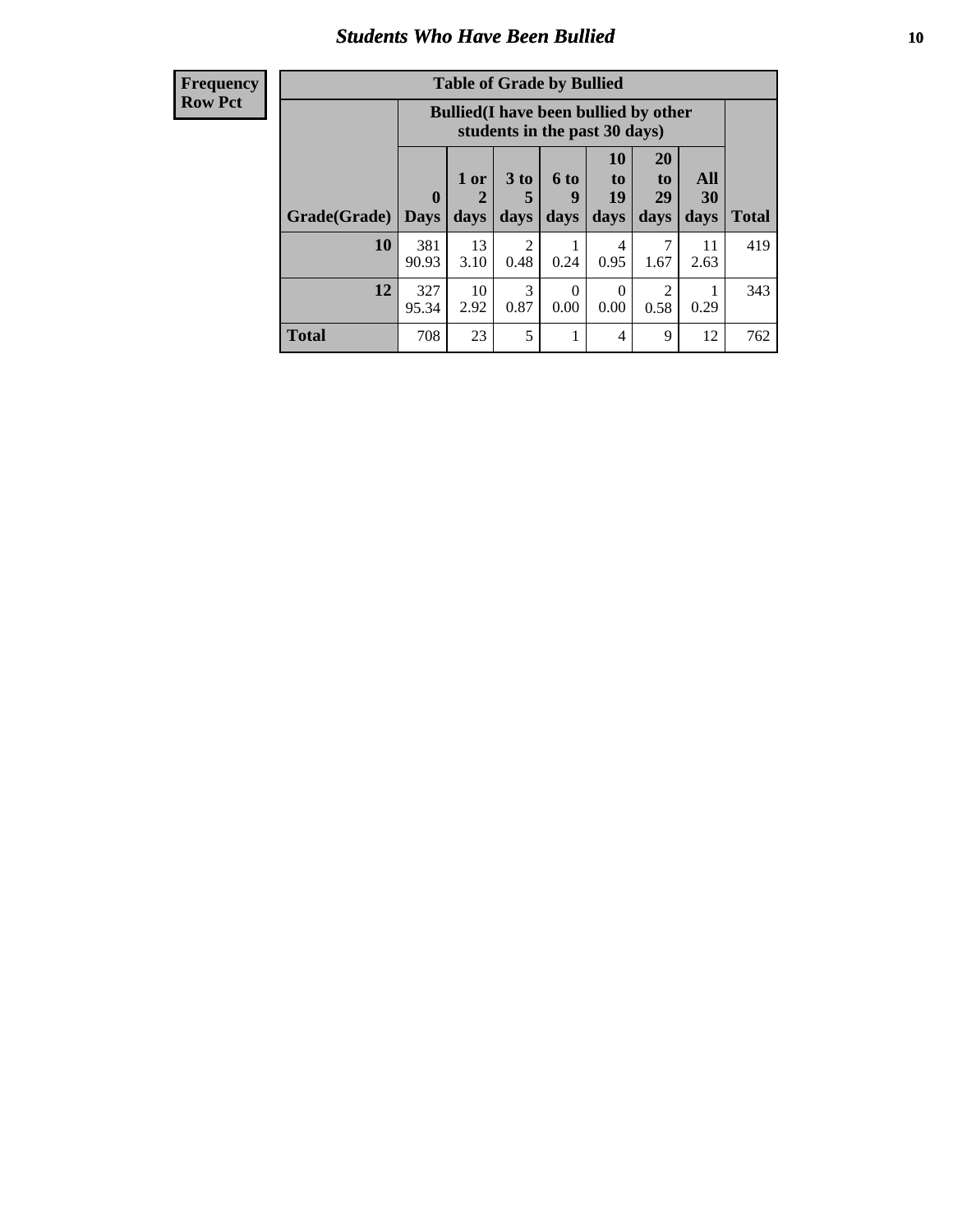### *Students Who Have Been Bullied* **10**

| <b>Frequency</b> |
|------------------|
| Row Pct          |

| <b>Table of Grade by Bullied</b> |                             |                                                                               |                              |                   |                        |                        |                                 |              |
|----------------------------------|-----------------------------|-------------------------------------------------------------------------------|------------------------------|-------------------|------------------------|------------------------|---------------------------------|--------------|
|                                  |                             | <b>Bullied</b> (I have been bullied by other<br>students in the past 30 days) |                              |                   |                        |                        |                                 |              |
| Grade(Grade)                     | $\mathbf{0}$<br><b>Days</b> | 1 or<br>2<br>days                                                             | 3 <sub>to</sub><br>5<br>days | 6 to<br>9<br>days | 10<br>to<br>19<br>days | 20<br>to<br>29<br>days | <b>All</b><br><b>30</b><br>days | <b>Total</b> |
| 10                               | 381<br>90.93                | 13<br>3.10                                                                    | 2<br>0.48                    | 0.24              | 4<br>0.95              | 7<br>1.67              | 11<br>2.63                      | 419          |
| 12                               | 327<br>95.34                | 10<br>2.92                                                                    | 3<br>0.87                    | $\Omega$<br>0.00  | $\theta$<br>0.00       | 2<br>0.58              | 0.29                            | 343          |
| <b>Total</b>                     | 708                         | 23                                                                            | 5                            |                   | 4                      | 9                      | 12                              | 762          |

 $\blacksquare$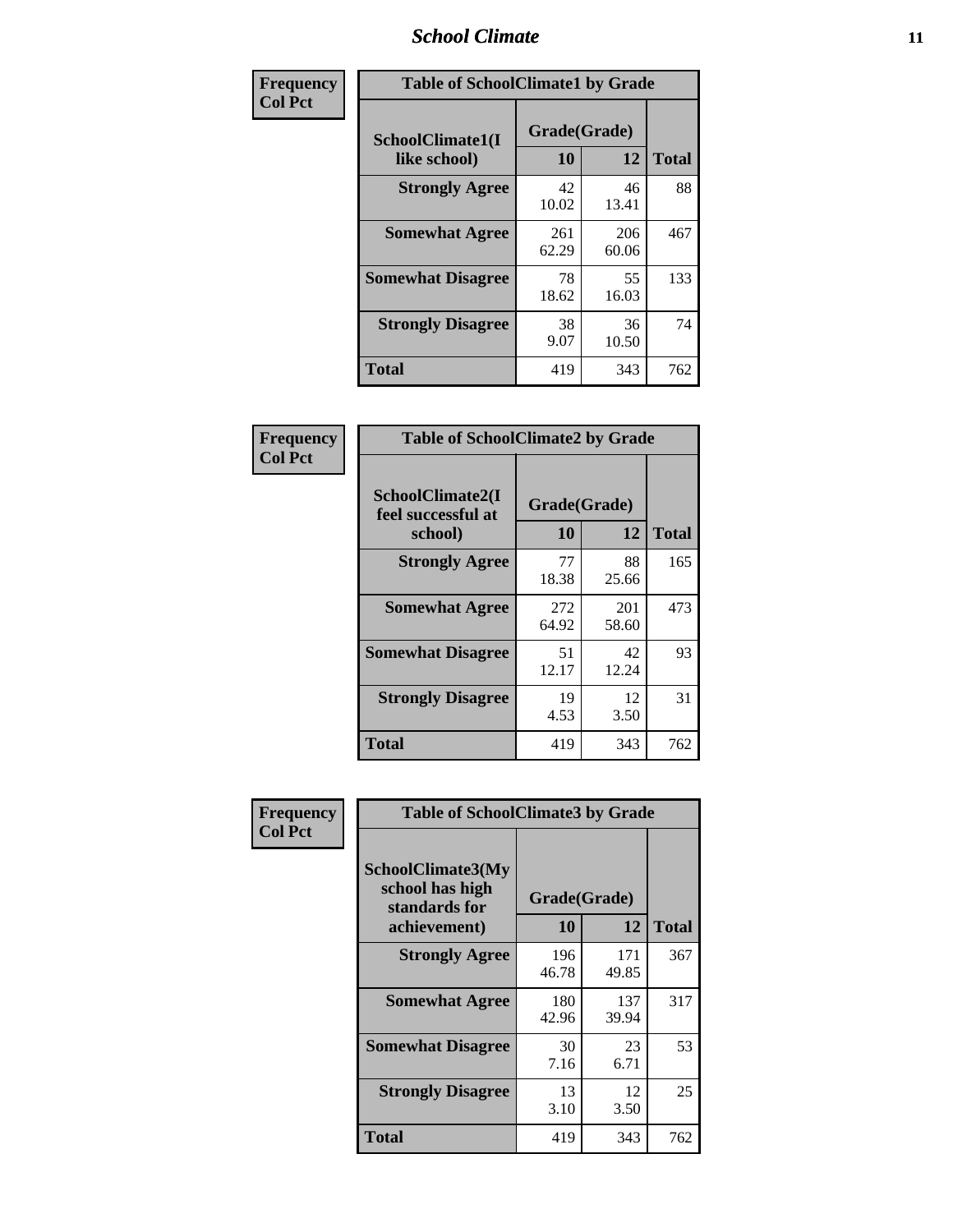### *School Climate* **11**

| Frequency      | <b>Table of SchoolClimate1 by Grade</b> |                    |              |              |  |  |  |
|----------------|-----------------------------------------|--------------------|--------------|--------------|--|--|--|
| <b>Col Pct</b> | SchoolClimate1(I<br>like school)        | Grade(Grade)<br>10 | 12           | <b>Total</b> |  |  |  |
|                | <b>Strongly Agree</b>                   | 42<br>10.02        | 46<br>13.41  | 88           |  |  |  |
|                | <b>Somewhat Agree</b>                   | 261<br>62.29       | 206<br>60.06 | 467          |  |  |  |
|                | <b>Somewhat Disagree</b>                | 78<br>18.62        | 55<br>16.03  | 133          |  |  |  |
|                | <b>Strongly Disagree</b>                | 38<br>9.07         | 36<br>10.50  | 74           |  |  |  |
|                | <b>Total</b>                            | 419                | 343          | 762          |  |  |  |

| Frequency<br>Col Pct |  |
|----------------------|--|

| <b>Table of SchoolClimate2 by Grade</b>           |                    |              |              |  |
|---------------------------------------------------|--------------------|--------------|--------------|--|
| SchoolClimate2(I<br>feel successful at<br>school) | Grade(Grade)<br>10 | 12           | <b>Total</b> |  |
| <b>Strongly Agree</b>                             | 77<br>18.38        | 88<br>25.66  | 165          |  |
| <b>Somewhat Agree</b>                             | 272<br>64.92       | 201<br>58.60 | 473          |  |
| <b>Somewhat Disagree</b>                          | 51<br>12.17        | 42<br>12.24  | 93           |  |
| <b>Strongly Disagree</b>                          | 19<br>4.53         | 12<br>3.50   | 31           |  |
| <b>Total</b>                                      | 419                | 343          | 762          |  |

| Frequency      | <b>Table of SchoolClimate3 by Grade</b>               |              |              |              |  |  |
|----------------|-------------------------------------------------------|--------------|--------------|--------------|--|--|
| <b>Col Pct</b> | SchoolClimate3(My<br>school has high<br>standards for | Grade(Grade) |              |              |  |  |
|                | achievement)                                          | <b>10</b>    | 12           | <b>Total</b> |  |  |
|                | <b>Strongly Agree</b>                                 | 196<br>46.78 | 171<br>49.85 | 367          |  |  |
|                | <b>Somewhat Agree</b>                                 | 180<br>42.96 | 137<br>39.94 | 317          |  |  |
|                | <b>Somewhat Disagree</b>                              | 30<br>7.16   | 23<br>6.71   | 53           |  |  |
|                | <b>Strongly Disagree</b>                              | 13<br>3.10   | 12<br>3.50   | 25           |  |  |
|                | Total                                                 | 419          | 343          | 762          |  |  |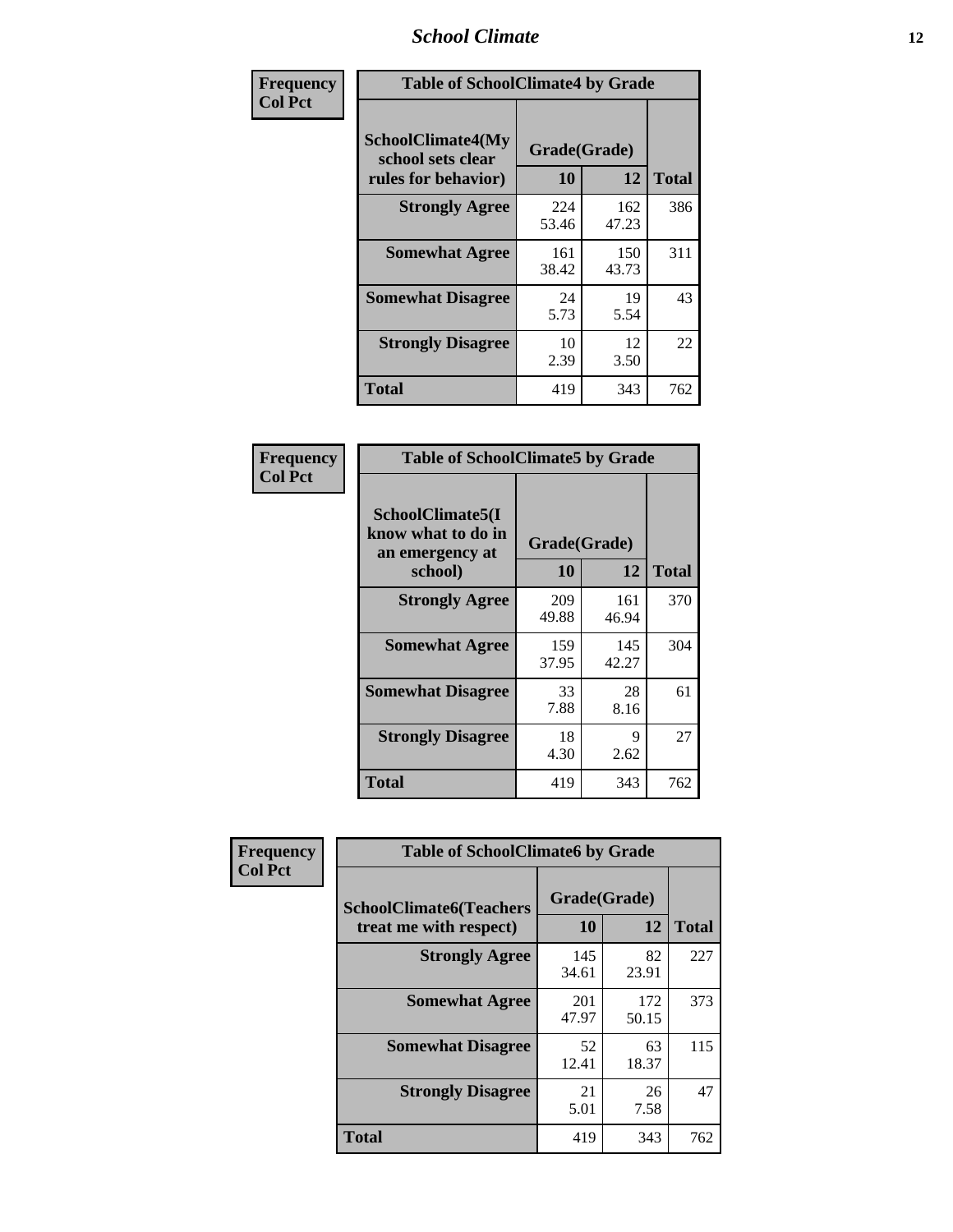### *School Climate* **12**

| Frequency      | <b>Table of SchoolClimate4 by Grade</b>                       |                    |              |              |
|----------------|---------------------------------------------------------------|--------------------|--------------|--------------|
| <b>Col Pct</b> | SchoolClimate4(My<br>school sets clear<br>rules for behavior) | Grade(Grade)<br>10 | 12           | <b>Total</b> |
|                | <b>Strongly Agree</b>                                         | 224<br>53.46       | 162<br>47.23 | 386          |
|                | <b>Somewhat Agree</b>                                         | 161<br>38.42       | 150<br>43.73 | 311          |
|                | <b>Somewhat Disagree</b>                                      | 24<br>5.73         | 19<br>5.54   | 43           |
|                | <b>Strongly Disagree</b>                                      | 10<br>2.39         | 12<br>3.50   | 22           |
|                | <b>Total</b>                                                  | 419                | 343          | 762          |

| <b>Table of SchoolClimate5 by Grade</b>                              |                    |              |              |  |
|----------------------------------------------------------------------|--------------------|--------------|--------------|--|
| SchoolClimate5(I<br>know what to do in<br>an emergency at<br>school) | Grade(Grade)<br>10 | 12           | <b>Total</b> |  |
| <b>Strongly Agree</b>                                                | 209                | 161          | 370          |  |
|                                                                      | 49.88              | 46.94        |              |  |
| <b>Somewhat Agree</b>                                                | 159                | 145<br>42.27 | 304          |  |
|                                                                      | 37.95              |              |              |  |
| <b>Somewhat Disagree</b>                                             | 33                 | 28           | 61           |  |
|                                                                      | 7.88               | 8.16         |              |  |
| <b>Strongly Disagree</b>                                             | 18                 | 9            | 27           |  |
|                                                                      | 4.30               | 2.62         |              |  |
| Total                                                                | 419                | 343          | 762          |  |

| Frequency      | <b>Table of SchoolClimate6 by Grade</b>                  |                    |              |              |  |
|----------------|----------------------------------------------------------|--------------------|--------------|--------------|--|
| <b>Col Pct</b> | <b>SchoolClimate6(Teachers</b><br>treat me with respect) | Grade(Grade)<br>10 | 12           | <b>Total</b> |  |
|                | <b>Strongly Agree</b>                                    | 145<br>34.61       | 82<br>23.91  | 227          |  |
|                | <b>Somewhat Agree</b>                                    | 201<br>47.97       | 172<br>50.15 | 373          |  |
|                | <b>Somewhat Disagree</b>                                 | 52<br>12.41        | 63<br>18.37  | 115          |  |
|                | <b>Strongly Disagree</b>                                 | 21<br>5.01         | 26<br>7.58   | 47           |  |
|                | <b>Total</b>                                             | 419                | 343          | 762          |  |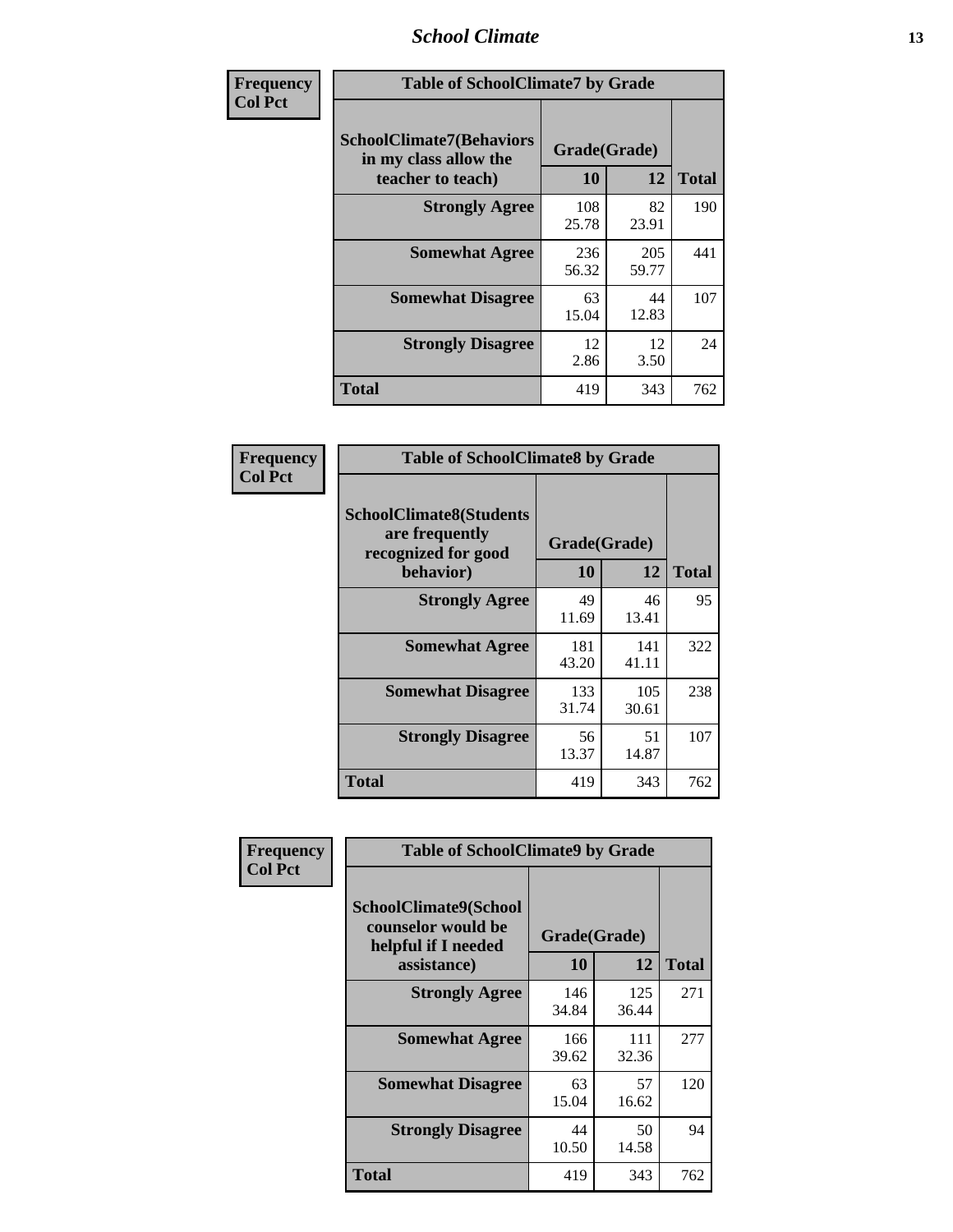### *School Climate* **13**

| Frequency      | <b>Table of SchoolClimate7 by Grade</b>                                       |                    |              |              |
|----------------|-------------------------------------------------------------------------------|--------------------|--------------|--------------|
| <b>Col Pct</b> | <b>SchoolClimate7(Behaviors</b><br>in my class allow the<br>teacher to teach) | Grade(Grade)<br>10 | 12           | <b>Total</b> |
|                | <b>Strongly Agree</b>                                                         | 108<br>25.78       | 82<br>23.91  | 190          |
|                | <b>Somewhat Agree</b>                                                         | 236<br>56.32       | 205<br>59.77 | 441          |
|                | <b>Somewhat Disagree</b>                                                      | 63<br>15.04        | 44<br>12.83  | 107          |
|                | <b>Strongly Disagree</b>                                                      | 12<br>2.86         | 12<br>3.50   | 24           |
|                | <b>Total</b>                                                                  | 419                | 343          | 762          |

| Frequency      | <b>Table of SchoolClimate8 by Grade</b>                                              |                    |              |              |  |
|----------------|--------------------------------------------------------------------------------------|--------------------|--------------|--------------|--|
| <b>Col Pct</b> | <b>SchoolClimate8(Students</b><br>are frequently<br>recognized for good<br>behavior) | Grade(Grade)<br>10 | 12           | <b>Total</b> |  |
|                | <b>Strongly Agree</b>                                                                | 49<br>11.69        | 46<br>13.41  | 95           |  |
|                | <b>Somewhat Agree</b>                                                                | 181<br>43.20       | 141<br>41.11 | 322          |  |
|                | <b>Somewhat Disagree</b>                                                             | 133<br>31.74       | 105<br>30.61 | 238          |  |
|                | <b>Strongly Disagree</b>                                                             | 56<br>13.37        | 51<br>14.87  | 107          |  |
|                | <b>Total</b>                                                                         | 419                | 343          | 762          |  |

| Frequency      | <b>Table of SchoolClimate9 by Grade</b>                                           |                    |              |              |
|----------------|-----------------------------------------------------------------------------------|--------------------|--------------|--------------|
| <b>Col Pct</b> | SchoolClimate9(School<br>counselor would be<br>helpful if I needed<br>assistance) | Grade(Grade)<br>10 | 12           | <b>Total</b> |
|                | <b>Strongly Agree</b>                                                             | 146<br>34.84       | 125<br>36.44 | 271          |
|                | <b>Somewhat Agree</b>                                                             | 166<br>39.62       | 111<br>32.36 | 277          |
|                | <b>Somewhat Disagree</b>                                                          | 63<br>15.04        | 57<br>16.62  | 120          |
|                | <b>Strongly Disagree</b>                                                          | 44<br>10.50        | 50<br>14.58  | 94           |
|                | Total                                                                             | 419                | 343          | 762          |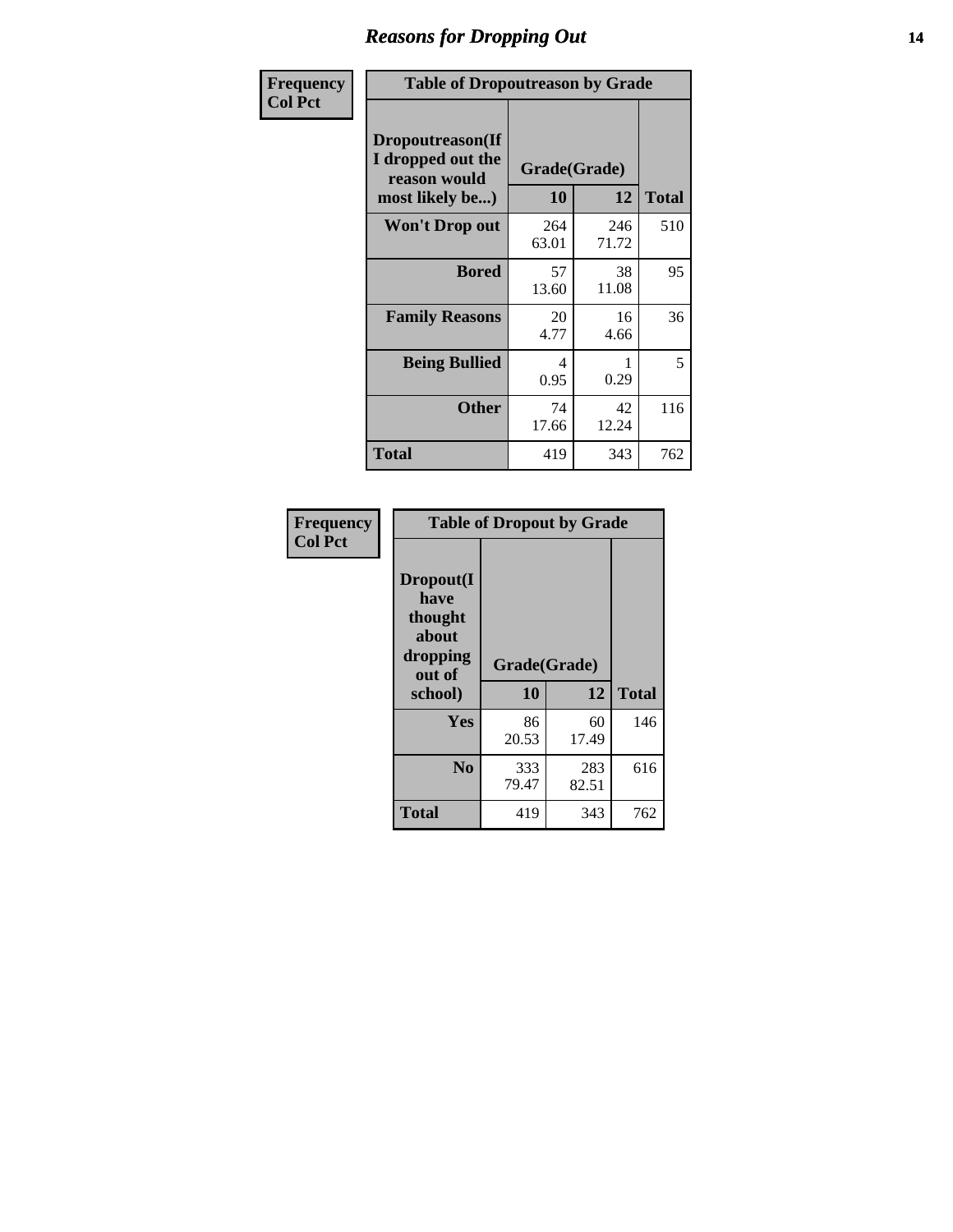### *Reasons for Dropping Out* **14**

| Frequency      | <b>Table of Dropoutreason by Grade</b>                                   |              |                    |              |
|----------------|--------------------------------------------------------------------------|--------------|--------------------|--------------|
| <b>Col Pct</b> | Dropoutreason(If<br>I dropped out the<br>reason would<br>most likely be) | <b>10</b>    | Grade(Grade)<br>12 | <b>Total</b> |
|                | Won't Drop out                                                           | 264<br>63.01 | 246<br>71.72       | 510          |
|                | <b>Bored</b>                                                             | 57<br>13.60  | 38<br>11.08        | 95           |
|                | <b>Family Reasons</b>                                                    | 20<br>4.77   | 16<br>4.66         | 36           |
|                | <b>Being Bullied</b>                                                     | 4<br>0.95    | 0.29               | 5            |
|                | <b>Other</b>                                                             | 74<br>17.66  | 42<br>12.24        | 116          |
|                | Total                                                                    | 419          | 343                | 762          |

| Frequency      | <b>Table of Dropout by Grade</b>                                       |                    |              |              |  |  |
|----------------|------------------------------------------------------------------------|--------------------|--------------|--------------|--|--|
| <b>Col Pct</b> | Dropout(I<br>have<br>thought<br>about<br>dropping<br>out of<br>school) | Grade(Grade)<br>10 | 12           | <b>Total</b> |  |  |
|                | <b>Yes</b>                                                             | 86                 | 60           | 146          |  |  |
|                |                                                                        | 20.53              | 17.49        |              |  |  |
|                | N <sub>0</sub>                                                         | 333<br>79.47       | 283<br>82.51 | 616          |  |  |
|                | <b>Total</b>                                                           | 419                | 343          | 762          |  |  |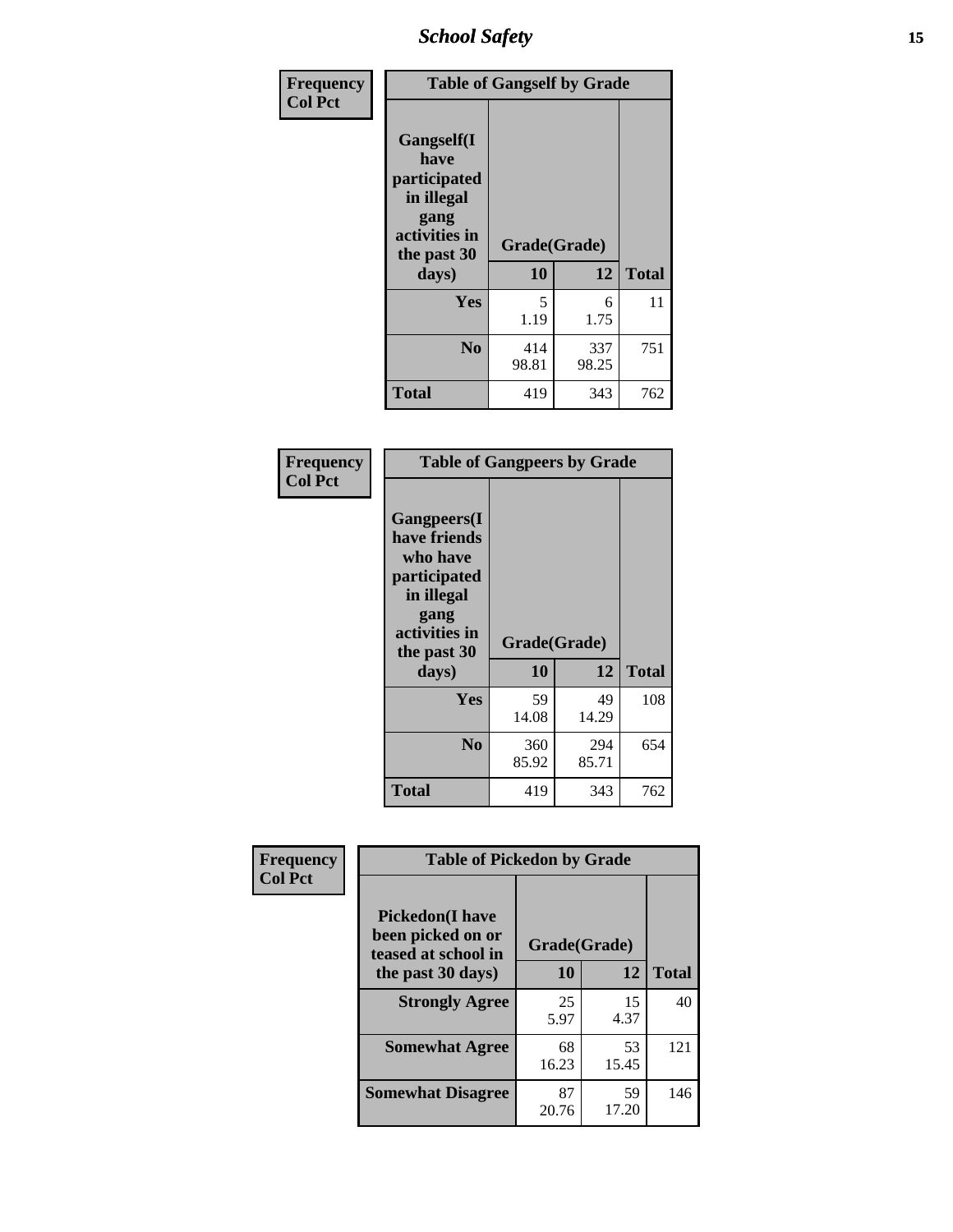*School Safety* **15**

| Frequency      | <b>Table of Gangself by Grade</b>                                                                 |                    |              |              |
|----------------|---------------------------------------------------------------------------------------------------|--------------------|--------------|--------------|
| <b>Col Pct</b> | Gangself(I<br>have<br>participated<br>in illegal<br>gang<br>activities in<br>the past 30<br>days) | Grade(Grade)<br>10 | 12           | <b>Total</b> |
|                | Yes                                                                                               | 5<br>1.19          | 6<br>1.75    | 11           |
|                | N <sub>o</sub>                                                                                    | 414<br>98.81       | 337<br>98.25 | 751          |
|                | Total                                                                                             | 419                | 343          | 762          |

| Frequency<br><b>Col Pct</b> | <b>Table of Gangpeers by Grade</b>                                                                                             |                    |              |              |  |  |  |  |  |  |
|-----------------------------|--------------------------------------------------------------------------------------------------------------------------------|--------------------|--------------|--------------|--|--|--|--|--|--|
|                             | <b>Gangpeers</b> (I<br>have friends<br>who have<br>participated<br>in illegal<br>gang<br>activities in<br>the past 30<br>days) | Grade(Grade)<br>10 | 12           | <b>Total</b> |  |  |  |  |  |  |
|                             | Yes                                                                                                                            | 59<br>14.08        | 49<br>14.29  | 108          |  |  |  |  |  |  |
|                             | N <sub>0</sub>                                                                                                                 | 360<br>85.92       | 294<br>85.71 | 654          |  |  |  |  |  |  |
|                             | <b>Total</b>                                                                                                                   | 419                | 343          | 762          |  |  |  |  |  |  |

| Frequency      | <b>Table of Pickedon by Grade</b>                                                       |                    |              |     |  |  |  |  |  |
|----------------|-----------------------------------------------------------------------------------------|--------------------|--------------|-----|--|--|--|--|--|
| <b>Col Pct</b> | <b>Pickedon(I have</b><br>been picked on or<br>teased at school in<br>the past 30 days) | Grade(Grade)<br>10 | <b>Total</b> |     |  |  |  |  |  |
|                | <b>Strongly Agree</b>                                                                   | 25<br>5.97         | 15<br>4.37   | 40  |  |  |  |  |  |
|                | <b>Somewhat Agree</b>                                                                   | 68<br>16.23        | 53<br>15.45  | 121 |  |  |  |  |  |
|                | <b>Somewhat Disagree</b>                                                                | 87<br>20.76        | 59<br>17.20  | 146 |  |  |  |  |  |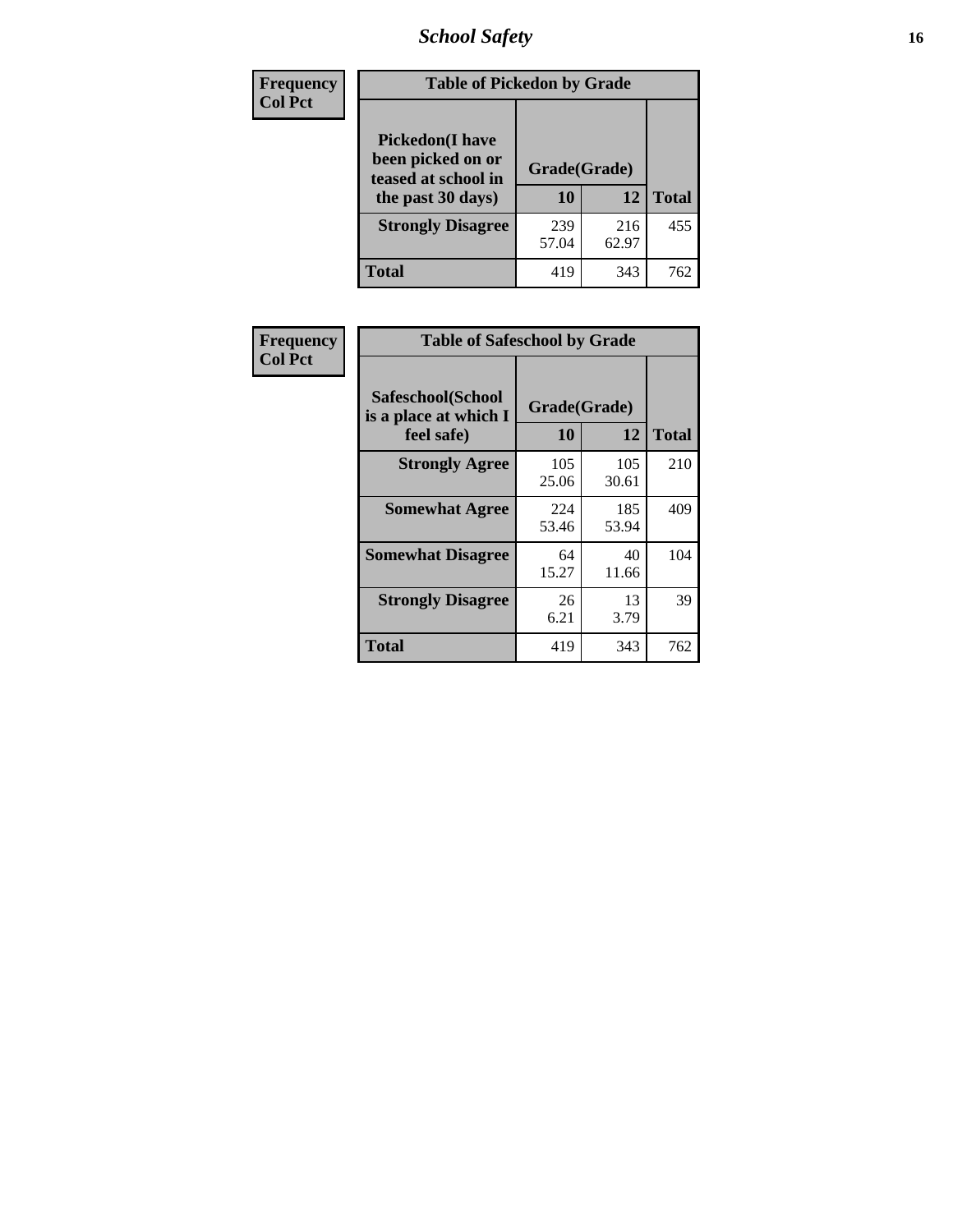# *School Safety* **16**

| <b>Frequency</b> | <b>Table of Pickedon by Grade</b>                                                       |                    |              |              |
|------------------|-----------------------------------------------------------------------------------------|--------------------|--------------|--------------|
| <b>Col Pct</b>   | <b>Pickedon(I have</b><br>been picked on or<br>teased at school in<br>the past 30 days) | Grade(Grade)<br>10 | 12           | <b>Total</b> |
|                  | <b>Strongly Disagree</b>                                                                | 239<br>57.04       | 216<br>62.97 | 455          |
|                  | Total                                                                                   | 419                | 343          | 762          |

| Frequency      | <b>Table of Safeschool by Grade</b>                      |                           |              |     |  |  |  |  |  |
|----------------|----------------------------------------------------------|---------------------------|--------------|-----|--|--|--|--|--|
| <b>Col Pct</b> | Safeschool(School<br>is a place at which I<br>feel safe) | Grade(Grade)<br><b>10</b> | <b>Total</b> |     |  |  |  |  |  |
|                | <b>Strongly Agree</b>                                    | 105<br>25.06              | 105<br>30.61 | 210 |  |  |  |  |  |
|                | <b>Somewhat Agree</b>                                    | 224<br>53.46              | 185<br>53.94 | 409 |  |  |  |  |  |
|                | <b>Somewhat Disagree</b>                                 | 64<br>15.27               | 40<br>11.66  | 104 |  |  |  |  |  |
|                | <b>Strongly Disagree</b>                                 | 26<br>6.21                | 13<br>3.79   | 39  |  |  |  |  |  |
|                | <b>Total</b>                                             | 419                       | 343          | 762 |  |  |  |  |  |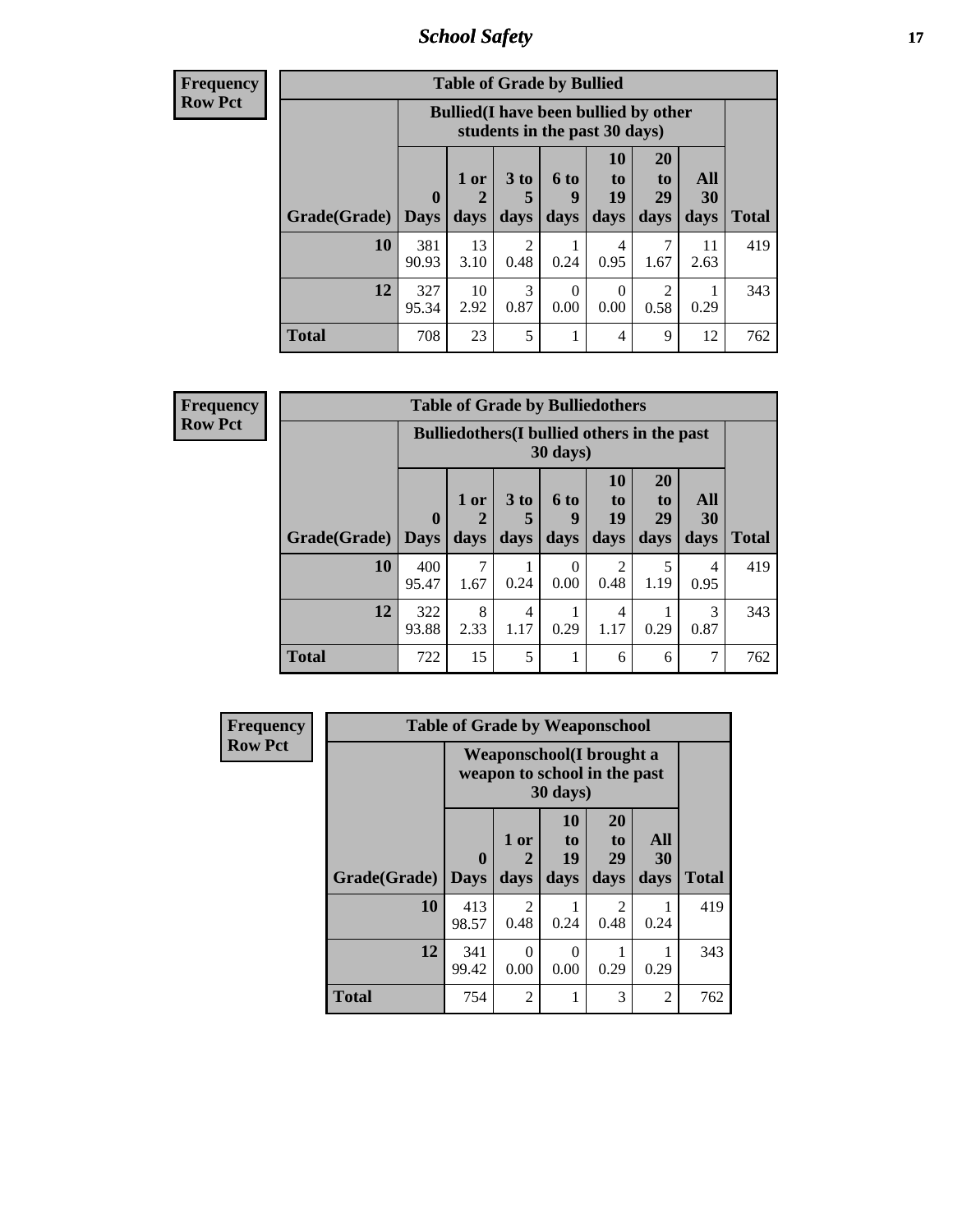*School Safety* **17**

| <b>Table of Grade by Bullied</b> |              |                                                                               |                   |                   |                               |                               |                          |              |  |  |
|----------------------------------|--------------|-------------------------------------------------------------------------------|-------------------|-------------------|-------------------------------|-------------------------------|--------------------------|--------------|--|--|
|                                  |              | <b>Bullied</b> (I have been bullied by other<br>students in the past 30 days) |                   |                   |                               |                               |                          |              |  |  |
| Grade(Grade)   Days              | $\bf{0}$     | $1$ or<br>2<br>days                                                           | 3 to<br>5<br>days | 6 to<br>9<br>days | <b>10</b><br>to<br>19<br>days | <b>20</b><br>to<br>29<br>days | All<br><b>30</b><br>days | <b>Total</b> |  |  |
| 10                               | 381<br>90.93 | 13<br>3.10                                                                    | 2<br>0.48         | 0.24              | 4<br>0.95                     | 1.67                          | 11<br>2.63               | 419          |  |  |
| 12                               | 327<br>95.34 | 10<br>2.92                                                                    | 3<br>0.87         | 0<br>0.00         | 0<br>0.00                     | 2<br>0.58                     | 0.29                     | 343          |  |  |
| <b>Total</b>                     | 708          | 23                                                                            | 5                 |                   | 4                             | 9                             | 12                       | 762          |  |  |

| <b>Frequency</b> |
|------------------|
| <b>Row Pct</b>   |

| <b>Table of Grade by Bulliedothers</b> |                                                                |                   |                              |                   |                        |                               |                   |              |  |  |
|----------------------------------------|----------------------------------------------------------------|-------------------|------------------------------|-------------------|------------------------|-------------------------------|-------------------|--------------|--|--|
|                                        | <b>Bulliedothers</b> (I bullied others in the past<br>30 days) |                   |                              |                   |                        |                               |                   |              |  |  |
| Grade(Grade)   Days                    | $\mathbf 0$                                                    | 1 or<br>2<br>days | 3 <sub>to</sub><br>5<br>days | 6 to<br>9<br>days | 10<br>to<br>19<br>days | <b>20</b><br>to<br>29<br>days | All<br>30<br>days | <b>Total</b> |  |  |
| 10                                     | 400<br>95.47                                                   | 1.67              | 0.24                         | 0<br>0.00         | $\mathfrak{D}$<br>0.48 | 5<br>1.19                     | 4<br>0.95         | 419          |  |  |
| 12                                     | 322<br>93.88                                                   | 8<br>2.33         | 4<br>1.17                    | 0.29              | 4<br>1.17              | 0.29                          | 3<br>0.87         | 343          |  |  |
| Total                                  | 722                                                            | 15                | 5                            |                   | 6                      | 6                             |                   | 762          |  |  |

| Frequency      |              | <b>Table of Grade by Weaponschool</b>                            |                   |                               |                               |                          |              |
|----------------|--------------|------------------------------------------------------------------|-------------------|-------------------------------|-------------------------------|--------------------------|--------------|
| <b>Row Pct</b> |              | <b>Weaponschool</b> (I brought a<br>weapon to school in the past |                   |                               |                               |                          |              |
|                | Grade(Grade) | $\bf{0}$<br><b>Days</b>                                          | 1 or<br>2<br>days | <b>10</b><br>to<br>19<br>days | <b>20</b><br>to<br>29<br>days | All<br><b>30</b><br>days | <b>Total</b> |
|                | 10           | 413<br>98.57                                                     | 2<br>0.48         | 0.24                          | $\mathfrak{D}$<br>0.48        | 0.24                     | 419          |
|                | 12           | 341<br>99.42                                                     | $\Omega$<br>0.00  | 0<br>0.00                     | 0.29                          | 0.29                     | 343          |
|                | <b>Total</b> | 754                                                              | $\overline{2}$    |                               | 3                             | 2                        | 762          |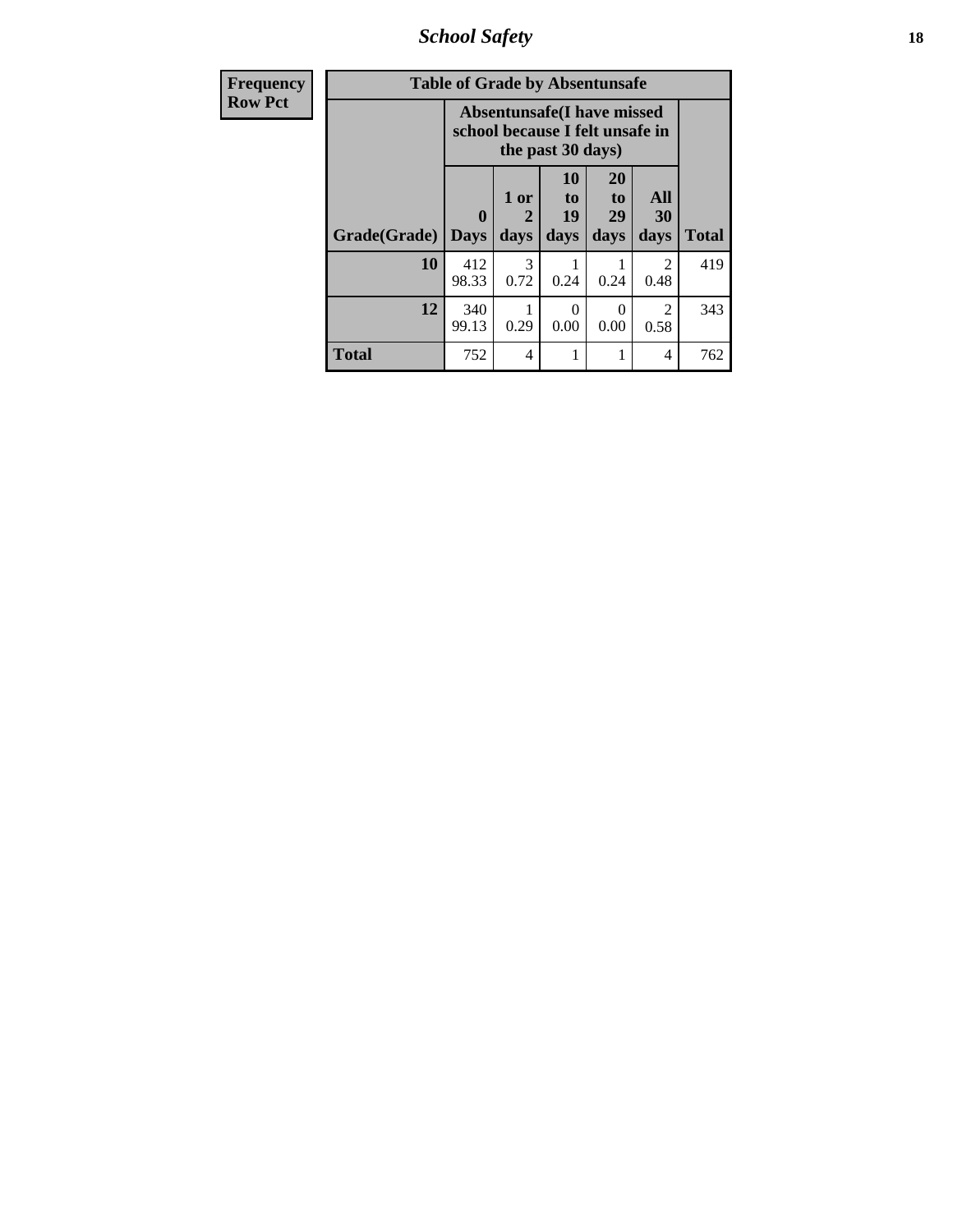*School Safety* **18**

| Frequency      | <b>Table of Grade by Absentunsafe</b> |                                                                      |                   |                                           |                        |                        |              |  |  |
|----------------|---------------------------------------|----------------------------------------------------------------------|-------------------|-------------------------------------------|------------------------|------------------------|--------------|--|--|
| <b>Row Pct</b> |                                       | <b>Absentunsafe(I have missed</b><br>school because I felt unsafe in |                   |                                           |                        |                        |              |  |  |
|                | Grade(Grade)                          | $\mathbf{0}$<br><b>Days</b>                                          | 1 or<br>2<br>days | <b>10</b><br>t <sub>o</sub><br>19<br>days | 20<br>to<br>29<br>days | All<br>30<br>days      | <b>Total</b> |  |  |
|                | 10                                    | 412<br>98.33                                                         | 3<br>0.72         | 0.24                                      | 0.24                   | $\overline{2}$<br>0.48 | 419          |  |  |
|                | 12                                    | 340<br>99.13                                                         | 0.29              | 0<br>0.00                                 | $\Omega$<br>0.00       | 2<br>0.58              | 343          |  |  |
|                | <b>Total</b>                          | 752                                                                  | $\overline{4}$    |                                           | 1                      | $\overline{4}$         | 762          |  |  |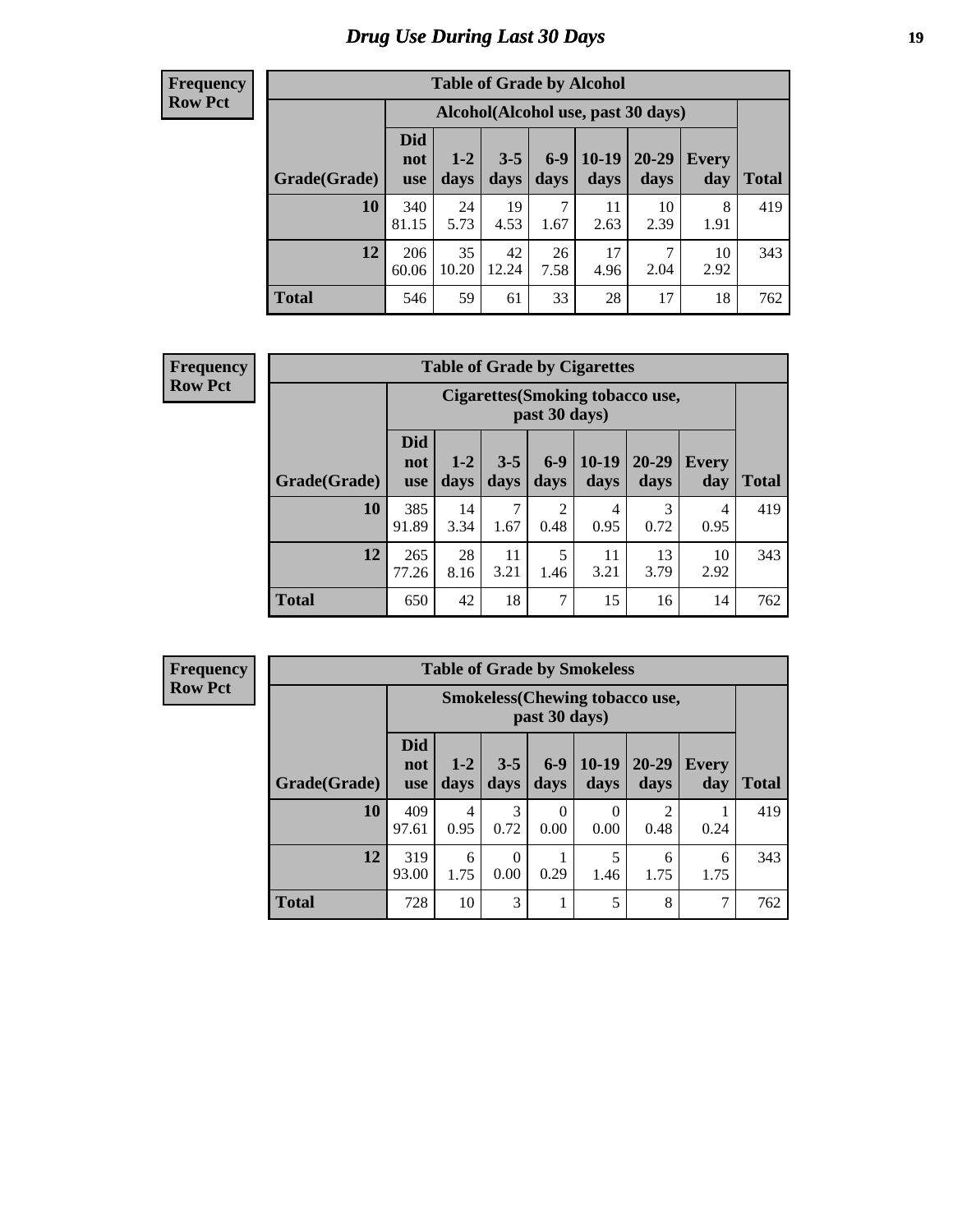# *Drug Use During Last 30 Days* **19**

#### **Frequency Row Pct**

| <b>Table of Grade by Alcohol</b> |                                 |                                    |                 |               |                 |                   |              |       |  |  |  |
|----------------------------------|---------------------------------|------------------------------------|-----------------|---------------|-----------------|-------------------|--------------|-------|--|--|--|
|                                  |                                 | Alcohol(Alcohol use, past 30 days) |                 |               |                 |                   |              |       |  |  |  |
| Grade(Grade)                     | <b>Did</b><br>not<br><b>use</b> | $1 - 2$<br>days                    | $3 - 5$<br>days | $6-9$<br>days | $10-19$<br>days | $20 - 29$<br>days | Every<br>day | Total |  |  |  |
| 10                               | 340<br>81.15                    | 24<br>5.73                         | 19<br>4.53      | 7<br>1.67     | 11<br>2.63      | 10<br>2.39        | 8<br>1.91    | 419   |  |  |  |
| 12                               | 206<br>60.06                    | 35<br>10.20                        | 42<br>12.24     | 26<br>7.58    | 17<br>4.96      | 7<br>2.04         | 10<br>2.92   | 343   |  |  |  |
| <b>Total</b>                     | 546                             | 59                                 | 61              | 33            | 28              | 17                | 18           | 762   |  |  |  |

#### **Frequency Row Pct**

| <b>Table of Grade by Cigarettes</b> |                                 |                                                   |                 |               |                 |                   |                     |       |  |  |  |
|-------------------------------------|---------------------------------|---------------------------------------------------|-----------------|---------------|-----------------|-------------------|---------------------|-------|--|--|--|
|                                     |                                 | Cigarettes (Smoking tobacco use,<br>past 30 days) |                 |               |                 |                   |                     |       |  |  |  |
| Grade(Grade)                        | <b>Did</b><br>not<br><b>use</b> | $1 - 2$<br>days                                   | $3 - 5$<br>days | $6-9$<br>days | $10-19$<br>days | $20 - 29$<br>days | <b>Every</b><br>day | Total |  |  |  |
| 10                                  | 385<br>91.89                    | 14<br>3.34                                        | 7<br>1.67       | 2<br>0.48     | 4<br>0.95       | 3<br>0.72         | 4<br>0.95           | 419   |  |  |  |
| 12                                  | 265<br>77.26                    | 28<br>8.16                                        | 11<br>3.21      | 5<br>1.46     | 11<br>3.21      | 13<br>3.79        | 10<br>2.92          | 343   |  |  |  |
| <b>Total</b>                        | 650                             | 42                                                | 18              | 7             | 15              | 16                | 14                  | 762   |  |  |  |

| <b>Table of Grade by Smokeless</b> |                                 |                                                        |                  |                 |                 |                   |              |              |  |  |
|------------------------------------|---------------------------------|--------------------------------------------------------|------------------|-----------------|-----------------|-------------------|--------------|--------------|--|--|
|                                    |                                 | <b>Smokeless</b> (Chewing tobaccouse,<br>past 30 days) |                  |                 |                 |                   |              |              |  |  |
| Grade(Grade)                       | <b>Did</b><br>not<br><b>use</b> | $1 - 2$<br>days                                        | $3 - 5$<br>days  | $6 - 9$<br>days | $10-19$<br>days | $20 - 29$<br>days | Every<br>day | <b>Total</b> |  |  |
| 10                                 | 409<br>97.61                    | 4<br>0.95                                              | 3<br>0.72        | 0<br>0.00       | 0.00            | 0.48              | 0.24         | 419          |  |  |
| 12                                 | 319<br>93.00                    | 6<br>1.75                                              | $\Omega$<br>0.00 | 0.29            | 5<br>1.46       | 6<br>1.75         | 6<br>1.75    | 343          |  |  |
| <b>Total</b>                       | 728                             | 10                                                     | 3                |                 | 5               | 8                 | 7            | 762          |  |  |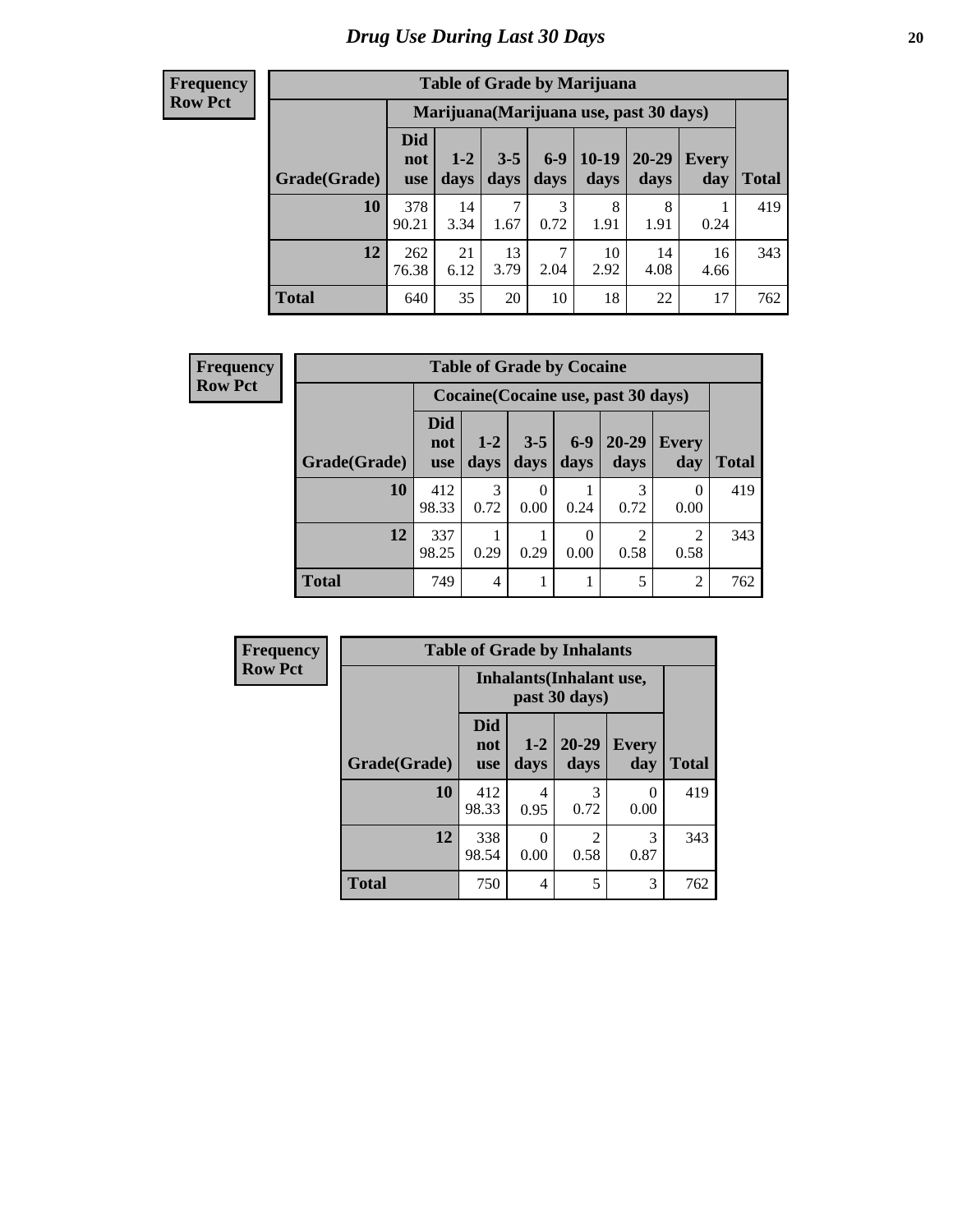| <b>Table of Grade by Marijuana</b> |                                 |                                         |                 |                 |                 |                   |              |              |  |
|------------------------------------|---------------------------------|-----------------------------------------|-----------------|-----------------|-----------------|-------------------|--------------|--------------|--|
|                                    |                                 | Marijuana (Marijuana use, past 30 days) |                 |                 |                 |                   |              |              |  |
| Grade(Grade)                       | <b>Did</b><br>not<br><b>use</b> | $1 - 2$<br>days                         | $3 - 5$<br>days | $6 - 9$<br>days | $10-19$<br>days | $20 - 29$<br>days | Every<br>day | <b>Total</b> |  |
| <b>10</b>                          | 378<br>90.21                    | 14<br>3.34                              | 7<br>1.67       | 3<br>0.72       | 8<br>1.91       | 8<br>1.91         | 0.24         | 419          |  |
| 12                                 | 262<br>76.38                    | 21<br>6.12                              | 13<br>3.79      | 7<br>2.04       | 10<br>2.92      | 14<br>4.08        | 16<br>4.66   | 343          |  |
| <b>Total</b>                       | 640                             | 35                                      | 20              | 10              | 18              | 22                | 17           | 762          |  |

| <b>Frequency</b> | <b>Table of Grade by Cocaine</b> |                                     |               |                 |                 |                   |                     |              |  |
|------------------|----------------------------------|-------------------------------------|---------------|-----------------|-----------------|-------------------|---------------------|--------------|--|
| <b>Row Pct</b>   |                                  | Cocaine (Cocaine use, past 30 days) |               |                 |                 |                   |                     |              |  |
|                  | Grade(Grade)                     | <b>Did</b><br>not<br><b>use</b>     | $1-2$<br>days | $3 - 5$<br>days | $6 - 9$<br>days | $20 - 29$<br>days | <b>Every</b><br>day | <b>Total</b> |  |
|                  | 10                               | 412<br>98.33                        | 3<br>0.72     | 0<br>0.00       | 0.24            | 3<br>0.72         | 0<br>0.00           | 419          |  |
|                  | 12                               | 337<br>98.25                        | 0.29          | 0.29            | 0<br>0.00       | 2<br>0.58         | 2<br>0.58           | 343          |  |
|                  | <b>Total</b>                     | 749                                 | 4             |                 |                 | 5                 | $\overline{2}$      | 762          |  |

| Frequency      | <b>Table of Grade by Inhalants</b> |                                 |                 |                                                                                                                                                                         |              |              |  |  |
|----------------|------------------------------------|---------------------------------|-----------------|-------------------------------------------------------------------------------------------------------------------------------------------------------------------------|--------------|--------------|--|--|
| <b>Row Pct</b> |                                    |                                 |                 | <b>Inhalants</b> (Inhalant use,<br>past 30 days)                                                                                                                        |              |              |  |  |
|                | Grade(Grade)                       | <b>Did</b><br>not<br><b>use</b> | $1 - 2$<br>days | $20 - 29$<br>days                                                                                                                                                       | Every<br>day | <b>Total</b> |  |  |
|                | 10                                 | 412<br>98.33                    | 4<br>0.95       | 3<br>0.72                                                                                                                                                               | 0<br>0.00    | 419          |  |  |
|                | 12                                 | 338<br>98.54                    | 0<br>0.00       | $\mathcal{D}_{\mathcal{A}}^{\mathcal{A}}(\mathcal{A})=\mathcal{D}_{\mathcal{A}}^{\mathcal{A}}(\mathcal{A})\mathcal{D}_{\mathcal{A}}^{\mathcal{A}}(\mathcal{A})$<br>0.58 | 3<br>0.87    | 343          |  |  |
|                | <b>Total</b>                       | 750                             | 4               | 5                                                                                                                                                                       | 3            | 762          |  |  |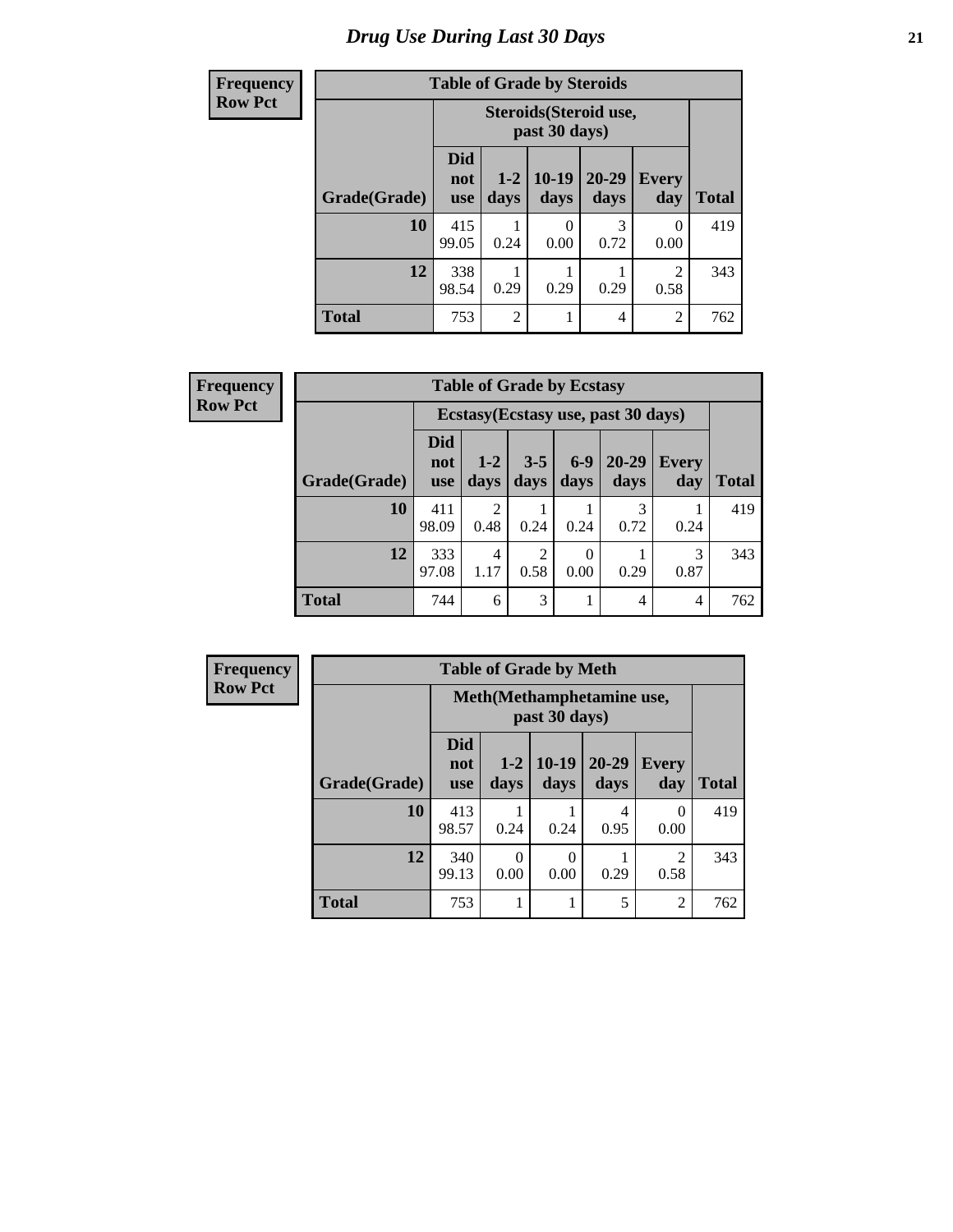#### **Frequency Row Pct Table of Grade by Steroids Grade(Grade) Steroids(Steroid use, past 30 days) Total Did not use 1-2 days 10-19 days 20-29 days Every day**  $10 | 415$ 99.05 1 0.24 0 0.00 3 0.72 0 0.00 419 **12** 338 98.54 1 0.29 1 0.29 1 0.29 2 0.58 343 **Total** 753 2 1 4 2 762

| <b>Frequency</b> | <b>Table of Grade by Ecstasy</b> |                          |               |                 |                  |                                     |                     |              |
|------------------|----------------------------------|--------------------------|---------------|-----------------|------------------|-------------------------------------|---------------------|--------------|
| <b>Row Pct</b>   |                                  |                          |               |                 |                  | Ecstasy (Ecstasy use, past 30 days) |                     |              |
|                  | Grade(Grade)                     | Did<br>not<br><b>use</b> | $1-2$<br>days | $3 - 5$<br>days | $6-9$<br>days    | $20 - 29$<br>days                   | <b>Every</b><br>day | <b>Total</b> |
|                  | 10                               | 411<br>98.09             | 0.48          | 0.24            | 0.24             | 3<br>0.72                           | 0.24                | 419          |
|                  | 12                               | 333<br>97.08             | 4<br>1.17     | 2<br>0.58       | $\Omega$<br>0.00 | 0.29                                | 3<br>0.87           | 343          |
|                  | <b>Total</b>                     | 744                      | 6             | 3               |                  | 4                                   | $\overline{4}$      | 762          |

| <b>Frequency</b> | <b>Table of Grade by Meth</b> |                                 |                  |                  |                   |                        |              |  |
|------------------|-------------------------------|---------------------------------|------------------|------------------|-------------------|------------------------|--------------|--|
| <b>Row Pct</b>   |                               | Meth(Methamphetamine use,       |                  |                  |                   |                        |              |  |
|                  | Grade(Grade)                  | <b>Did</b><br>not<br><b>use</b> | $1 - 2$<br>days  | $10-19$<br>days  | $20 - 29$<br>days | <b>Every</b><br>day    | <b>Total</b> |  |
|                  | 10                            | 413<br>98.57                    | 0.24             | 0.24             | 4<br>0.95         | $\Omega$<br>0.00       | 419          |  |
|                  | 12                            | 340<br>99.13                    | $\Omega$<br>0.00 | $\theta$<br>0.00 | 0.29              | $\mathfrak{D}$<br>0.58 | 343          |  |
|                  | <b>Total</b>                  | 753                             |                  |                  | 5                 | $\overline{2}$         | 762          |  |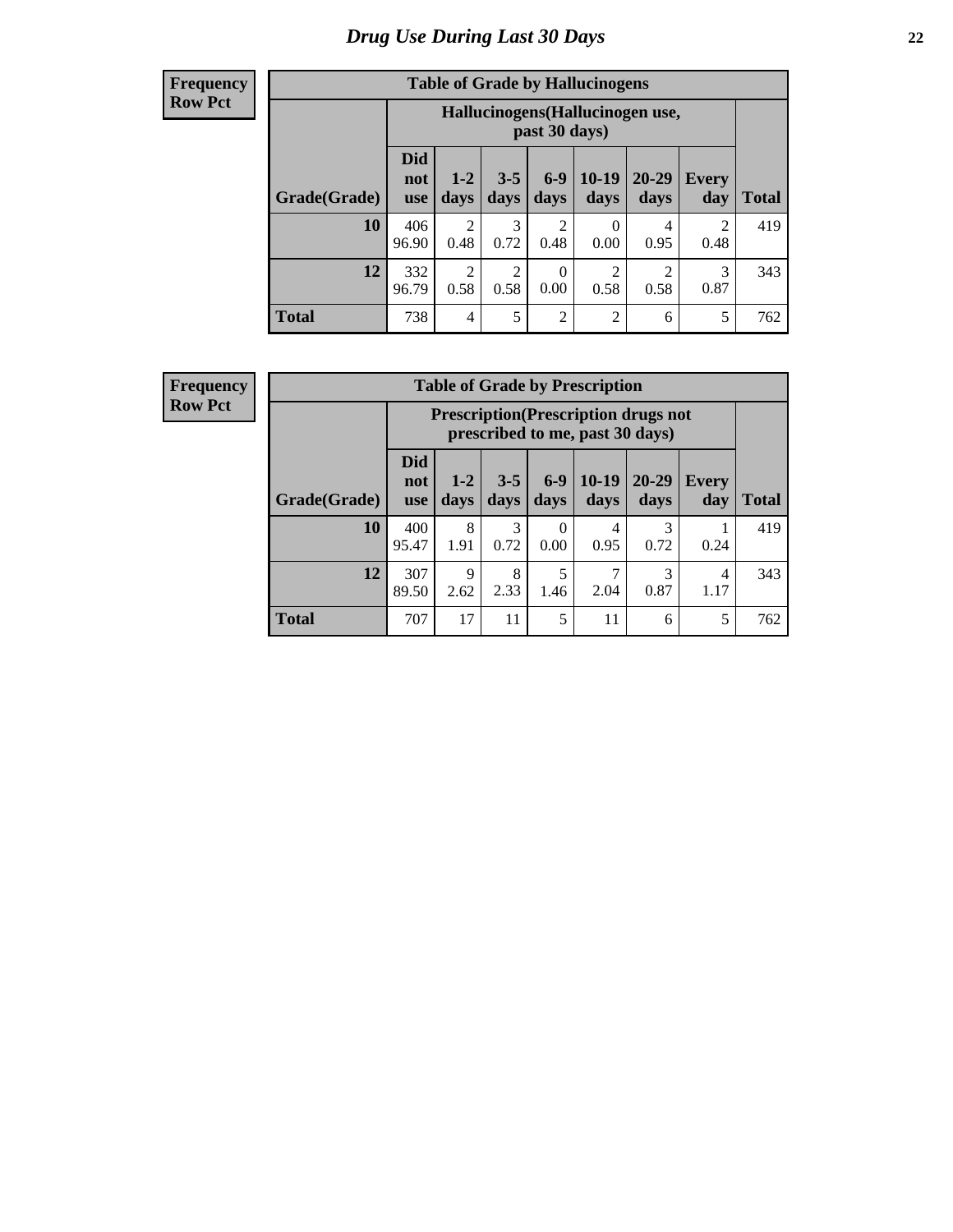#### **Frequency Row Pct**

| <b>Table of Grade by Hallucinogens</b> |                                 |                                                   |                 |                        |                 |                   |                        |              |  |
|----------------------------------------|---------------------------------|---------------------------------------------------|-----------------|------------------------|-----------------|-------------------|------------------------|--------------|--|
|                                        |                                 | Hallucinogens (Hallucinogen use,<br>past 30 days) |                 |                        |                 |                   |                        |              |  |
| Grade(Grade)                           | <b>Did</b><br>not<br><b>use</b> | $1 - 2$<br>days                                   | $3 - 5$<br>days | $6 - 9$<br>days        | $10-19$<br>days | $20 - 29$<br>days | Every<br>day           | <b>Total</b> |  |
| 10                                     | 406<br>96.90                    | $\overline{2}$<br>0.48                            | 3<br>0.72       | $\overline{c}$<br>0.48 | 0<br>0.00       | 4<br>0.95         | $\mathfrak{D}$<br>0.48 | 419          |  |
| 12                                     | 332<br>96.79                    | $\overline{2}$<br>0.58                            | 2<br>0.58       | $\theta$<br>0.00       | 2<br>0.58       | റ<br>0.58         | 3<br>0.87              | 343          |  |
| <b>Total</b>                           | 738                             | $\overline{4}$                                    | 5               | $\overline{2}$         | $\overline{2}$  | 6                 | 5                      | 762          |  |

| <b>Table of Grade by Prescription</b> |                                 |                                                                                |                 |                  |                 |               |              |       |
|---------------------------------------|---------------------------------|--------------------------------------------------------------------------------|-----------------|------------------|-----------------|---------------|--------------|-------|
|                                       |                                 | <b>Prescription</b> (Prescription drugs not<br>prescribed to me, past 30 days) |                 |                  |                 |               |              |       |
| Grade(Grade)                          | <b>Did</b><br>not<br><b>use</b> | $1 - 2$<br>days                                                                | $3 - 5$<br>days | $6 - 9$<br>days  | $10-19$<br>days | 20-29<br>days | Every<br>day | Total |
| 10                                    | 400<br>95.47                    | 8<br>1.91                                                                      | 3<br>0.72       | $\Omega$<br>0.00 | 4<br>0.95       | 3<br>0.72     | 0.24         | 419   |
| 12                                    | 307<br>89.50                    | Q<br>2.62                                                                      | 8<br>2.33       | 5<br>1.46        | 7<br>2.04       | 3<br>0.87     | 4<br>1.17    | 343   |
| <b>Total</b>                          | 707                             | 17                                                                             | 11              | 5                | 11              | 6             | 5            | 762   |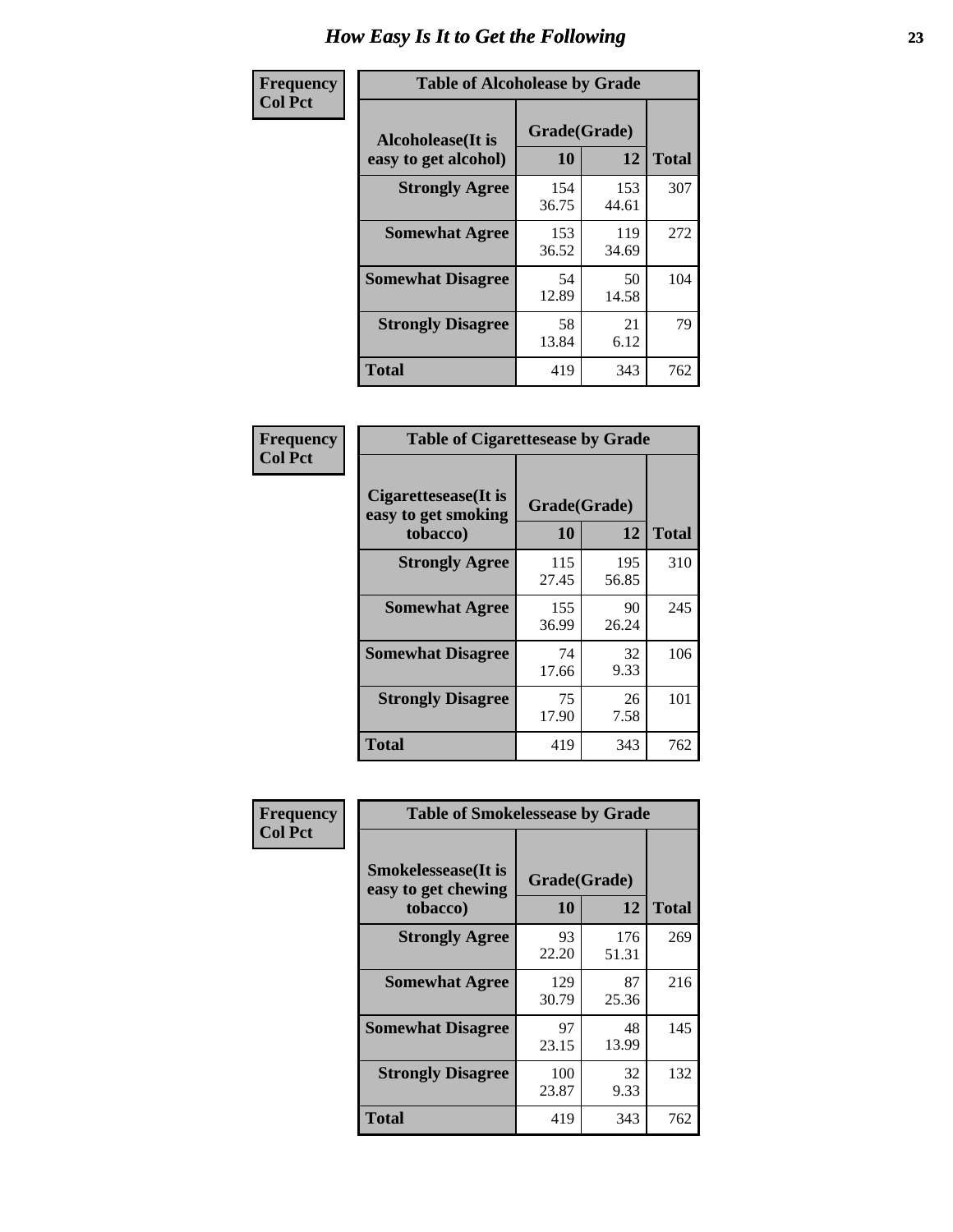| Frequency      | <b>Table of Alcoholease by Grade</b>              |                    |              |     |  |  |  |  |
|----------------|---------------------------------------------------|--------------------|--------------|-----|--|--|--|--|
| <b>Col Pct</b> | <b>Alcoholease</b> (It is<br>easy to get alcohol) | Grade(Grade)<br>10 | <b>Total</b> |     |  |  |  |  |
|                | <b>Strongly Agree</b>                             | 154<br>36.75       | 153<br>44.61 | 307 |  |  |  |  |
|                | <b>Somewhat Agree</b>                             | 153<br>36.52       | 119<br>34.69 | 272 |  |  |  |  |
|                | <b>Somewhat Disagree</b>                          | 54<br>12.89        | 50<br>14.58  | 104 |  |  |  |  |
|                | <b>Strongly Disagree</b>                          | 58<br>13.84        | 21<br>6.12   | 79  |  |  |  |  |
|                | <b>Total</b>                                      | 419                | 343          | 762 |  |  |  |  |

| Frequency      | <b>Table of Cigarettesease by Grade</b>                  |                    |              |              |  |  |  |
|----------------|----------------------------------------------------------|--------------------|--------------|--------------|--|--|--|
| <b>Col Pct</b> | Cigarettesease (It is<br>easy to get smoking<br>tobacco) | Grade(Grade)<br>10 | 12           | <b>Total</b> |  |  |  |
|                | <b>Strongly Agree</b>                                    | 115<br>27.45       | 195<br>56.85 | 310          |  |  |  |
|                | <b>Somewhat Agree</b>                                    | 155<br>36.99       | 90<br>26.24  | 245          |  |  |  |
|                | <b>Somewhat Disagree</b>                                 | 74<br>17.66        | 32<br>9.33   | 106          |  |  |  |
|                | <b>Strongly Disagree</b>                                 | 75<br>17.90        | 26<br>7.58   | 101          |  |  |  |
|                | <b>Total</b>                                             | 419                | 343          | 762          |  |  |  |

| Frequency      | <b>Table of Smokelessease by Grade</b>                         |                    |                    |     |
|----------------|----------------------------------------------------------------|--------------------|--------------------|-----|
| <b>Col Pct</b> | <b>Smokelessease</b> (It is<br>easy to get chewing<br>tobacco) | Grade(Grade)<br>10 | <b>Total</b>       |     |
|                | <b>Strongly Agree</b>                                          | 93<br>22.20        | 12<br>176<br>51.31 | 269 |
|                | <b>Somewhat Agree</b>                                          | 129<br>30.79       | 87<br>25.36        | 216 |
|                | <b>Somewhat Disagree</b>                                       | 97<br>23.15        | 48<br>13.99        | 145 |
|                | <b>Strongly Disagree</b>                                       | 100<br>23.87       | 32<br>9.33         | 132 |
|                | <b>Total</b>                                                   | 419                | 343                | 762 |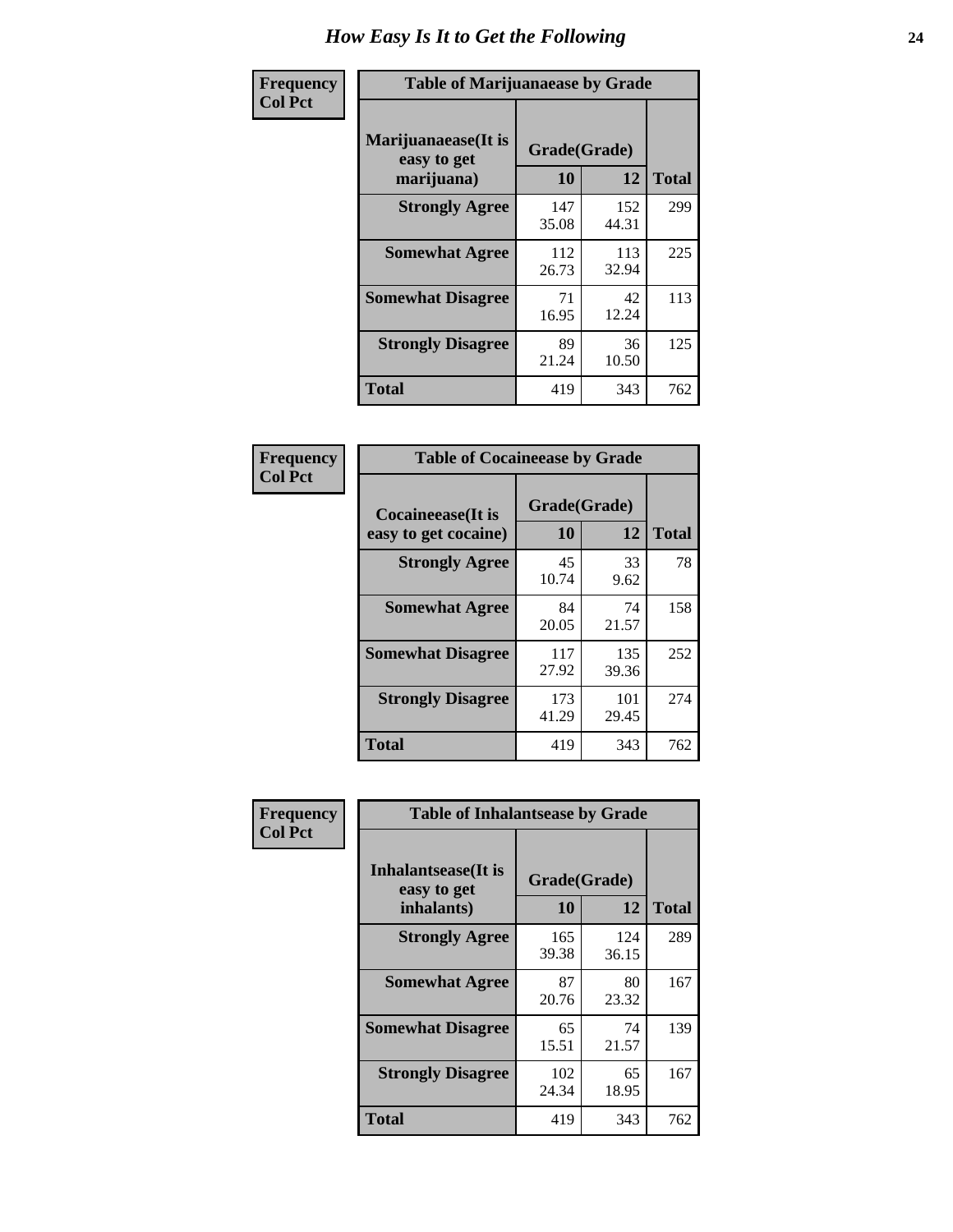| Frequency      | <b>Table of Marijuanaease by Grade</b>           |                    |              |              |  |  |  |  |
|----------------|--------------------------------------------------|--------------------|--------------|--------------|--|--|--|--|
| <b>Col Pct</b> | Marijuanaease(It is<br>easy to get<br>marijuana) | Grade(Grade)<br>10 | 12           | <b>Total</b> |  |  |  |  |
|                | <b>Strongly Agree</b>                            | 147<br>35.08       | 152<br>44.31 | 299          |  |  |  |  |
|                | <b>Somewhat Agree</b>                            | 112<br>26.73       | 113<br>32.94 | 225          |  |  |  |  |
|                | <b>Somewhat Disagree</b>                         | 71<br>16.95        | 42<br>12.24  | 113          |  |  |  |  |
|                | <b>Strongly Disagree</b>                         | 89<br>21.24        | 36<br>10.50  | 125          |  |  |  |  |
|                | <b>Total</b>                                     | 419                | 343          | 762          |  |  |  |  |

| <b>Table of Cocaineease by Grade</b> |              |              |              |  |  |  |  |  |
|--------------------------------------|--------------|--------------|--------------|--|--|--|--|--|
| Cocaineease(It is                    | 10           | Grade(Grade) |              |  |  |  |  |  |
| easy to get cocaine)                 |              | 12           | <b>Total</b> |  |  |  |  |  |
| <b>Strongly Agree</b>                | 45<br>10.74  | 33<br>9.62   | 78           |  |  |  |  |  |
| <b>Somewhat Agree</b>                | 84<br>20.05  | 74<br>21.57  | 158          |  |  |  |  |  |
| <b>Somewhat Disagree</b>             | 117<br>27.92 | 135<br>39.36 | 252          |  |  |  |  |  |
| <b>Strongly Disagree</b>             | 173<br>41.29 | 101<br>29.45 | 274          |  |  |  |  |  |
| <b>Total</b>                         | 419          | 343          | 762          |  |  |  |  |  |

| Frequency      | <b>Table of Inhalantsease by Grade</b>     |              |              |              |
|----------------|--------------------------------------------|--------------|--------------|--------------|
| <b>Col Pct</b> | <b>Inhalantsease</b> (It is<br>easy to get | Grade(Grade) |              |              |
|                | inhalants)                                 | <b>10</b>    | 12           | <b>Total</b> |
|                | <b>Strongly Agree</b>                      | 165<br>39.38 | 124<br>36.15 | 289          |
|                | <b>Somewhat Agree</b>                      | 87<br>20.76  | 80<br>23.32  | 167          |
|                | <b>Somewhat Disagree</b>                   | 65<br>15.51  | 74<br>21.57  | 139          |
|                | <b>Strongly Disagree</b>                   | 102<br>24.34 | 65<br>18.95  | 167          |
|                | <b>Total</b>                               | 419          | 343          | 762          |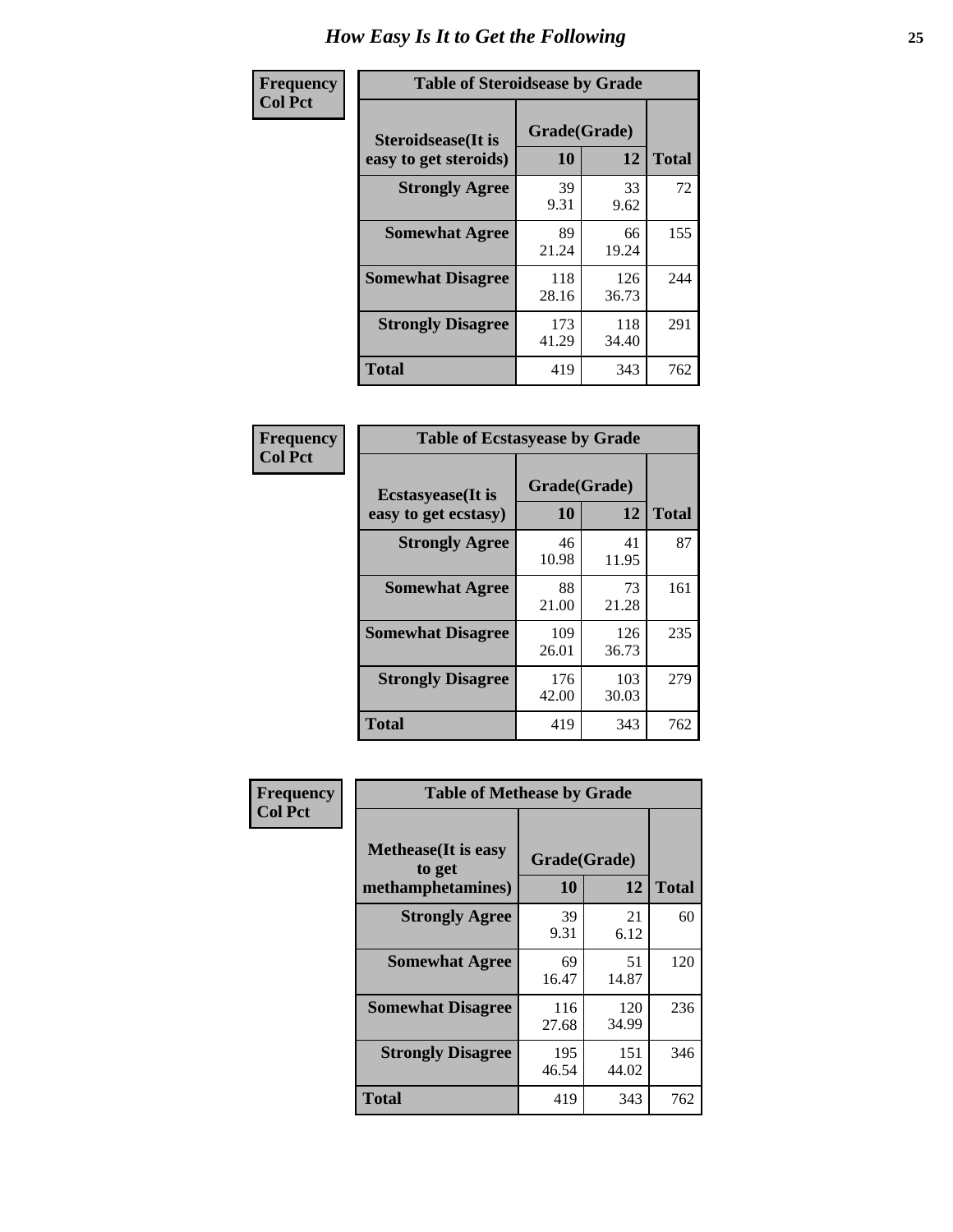| Frequency      |                                                     | <b>Table of Steroidsease by Grade</b> |              |              |  |  |  |  |  |  |  |  |
|----------------|-----------------------------------------------------|---------------------------------------|--------------|--------------|--|--|--|--|--|--|--|--|
| <b>Col Pct</b> | <b>Steroidsease</b> (It is<br>easy to get steroids) | Grade(Grade)<br>10                    | 12           | <b>Total</b> |  |  |  |  |  |  |  |  |
|                | <b>Strongly Agree</b>                               | 39<br>9.31                            | 33<br>9.62   | 72           |  |  |  |  |  |  |  |  |
|                | <b>Somewhat Agree</b>                               | 89<br>21.24                           | 66<br>19.24  | 155          |  |  |  |  |  |  |  |  |
|                | <b>Somewhat Disagree</b>                            | 118<br>28.16                          | 126<br>36.73 | 244          |  |  |  |  |  |  |  |  |
|                | <b>Strongly Disagree</b>                            | 173<br>41.29                          | 118<br>34.40 | 291          |  |  |  |  |  |  |  |  |
|                | <b>Total</b>                                        | 419                                   | 343          | 762          |  |  |  |  |  |  |  |  |

| Frequency      | <b>Table of Ecstasyease by Grade</b>              |                           |              |              |
|----------------|---------------------------------------------------|---------------------------|--------------|--------------|
| <b>Col Pct</b> | <b>Ecstasyease</b> (It is<br>easy to get ecstasy) | Grade(Grade)<br><b>10</b> | 12           | <b>Total</b> |
|                | <b>Strongly Agree</b>                             | 46<br>10.98               | 41<br>11.95  | 87           |
|                | <b>Somewhat Agree</b>                             | 88<br>21.00               | 73<br>21.28  | 161          |
|                | <b>Somewhat Disagree</b>                          | 109<br>26.01              | 126<br>36.73 | 235          |
|                | <b>Strongly Disagree</b>                          | 176<br>42.00              | 103<br>30.03 | 279          |
|                | <b>Total</b>                                      | 419                       | 343          | 762          |

| Frequency      | <b>Table of Methease by Grade</b>                          |                    |              |     |
|----------------|------------------------------------------------------------|--------------------|--------------|-----|
| <b>Col Pct</b> | <b>Methease</b> (It is easy<br>to get<br>methamphetamines) | Grade(Grade)<br>10 | <b>Total</b> |     |
|                | <b>Strongly Agree</b>                                      | 39<br>9.31         | 21<br>6.12   | 60  |
|                | <b>Somewhat Agree</b>                                      | 69<br>16.47        | 51<br>14.87  | 120 |
|                | <b>Somewhat Disagree</b>                                   | 116<br>27.68       | 120<br>34.99 | 236 |
|                | <b>Strongly Disagree</b>                                   | 195<br>46.54       | 151<br>44.02 | 346 |
|                | Total                                                      | 419                | 343          | 762 |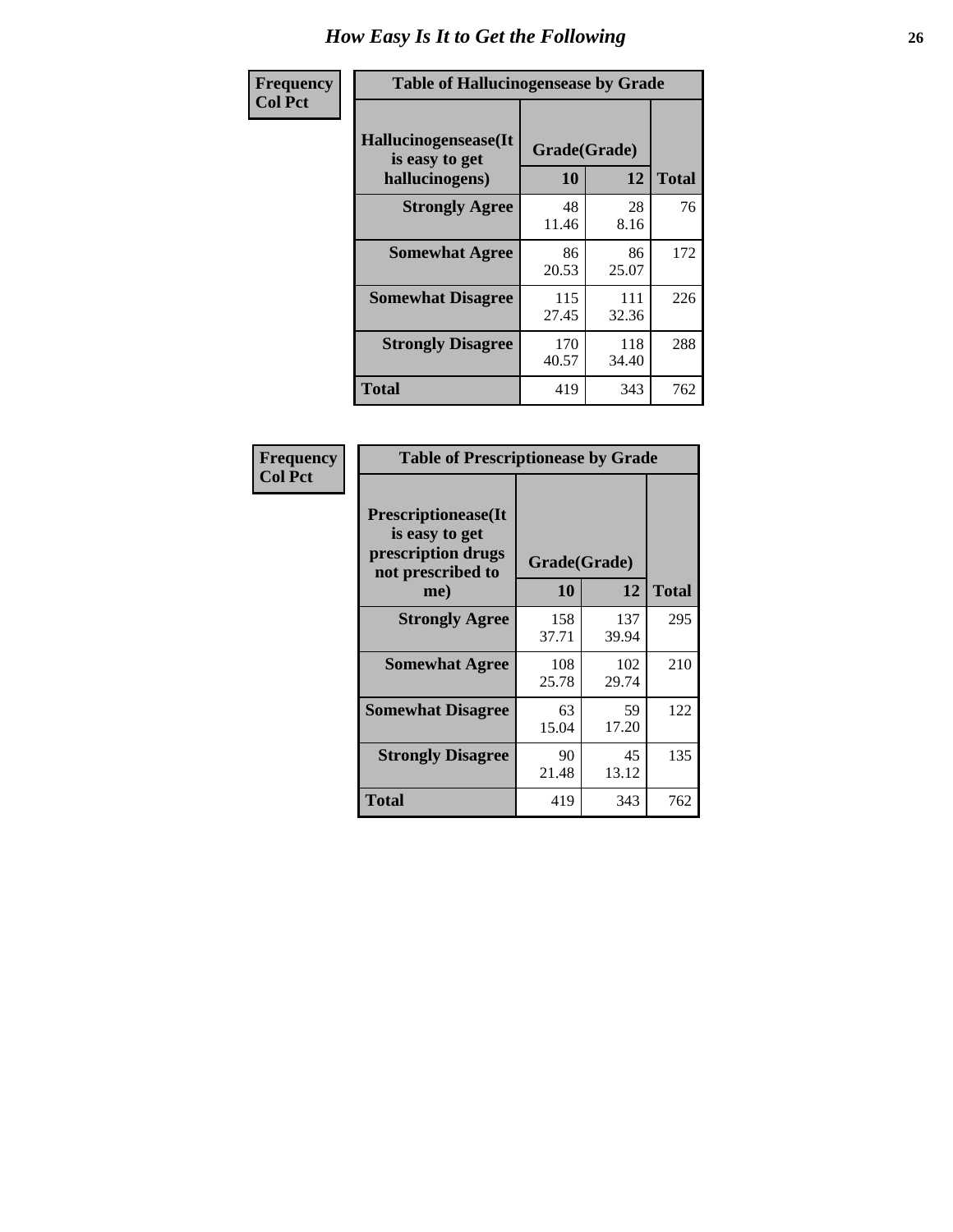| <b>Frequency</b> | <b>Table of Hallucinogensease by Grade</b>               |                    |              |              |
|------------------|----------------------------------------------------------|--------------------|--------------|--------------|
| <b>Col Pct</b>   | Hallucinogensease(It<br>is easy to get<br>hallucinogens) | Grade(Grade)<br>10 | 12           | <b>Total</b> |
|                  | <b>Strongly Agree</b>                                    | 48<br>11.46        | 28<br>8.16   | 76           |
|                  | <b>Somewhat Agree</b>                                    | 86<br>20.53        | 86<br>25.07  | 172          |
|                  | <b>Somewhat Disagree</b>                                 | 115<br>27.45       | 111<br>32.36 | 226          |
|                  | <b>Strongly Disagree</b>                                 | 170<br>40.57       | 118<br>34.40 | 288          |
|                  | <b>Total</b>                                             | 419                | 343          | 762          |

| <b>Frequency</b><br>Col Pct |
|-----------------------------|
|                             |

| <b>Table of Prescriptionease by Grade</b>                                                |              |              |              |  |  |  |  |  |  |  |
|------------------------------------------------------------------------------------------|--------------|--------------|--------------|--|--|--|--|--|--|--|
| <b>Prescriptionease</b> (It<br>is easy to get<br>prescription drugs<br>not prescribed to |              | Grade(Grade) |              |  |  |  |  |  |  |  |
| me)                                                                                      | 10           | 12           | <b>Total</b> |  |  |  |  |  |  |  |
| <b>Strongly Agree</b>                                                                    | 158<br>37.71 | 137<br>39.94 | 295          |  |  |  |  |  |  |  |
| <b>Somewhat Agree</b>                                                                    | 108<br>25.78 | 102<br>29.74 | 210          |  |  |  |  |  |  |  |
| <b>Somewhat Disagree</b>                                                                 | 63<br>15.04  | 59<br>17.20  | 122          |  |  |  |  |  |  |  |
| <b>Strongly Disagree</b>                                                                 | 90<br>21.48  | 45<br>13.12  | 135          |  |  |  |  |  |  |  |
| Total                                                                                    | 419          | 343          | 762          |  |  |  |  |  |  |  |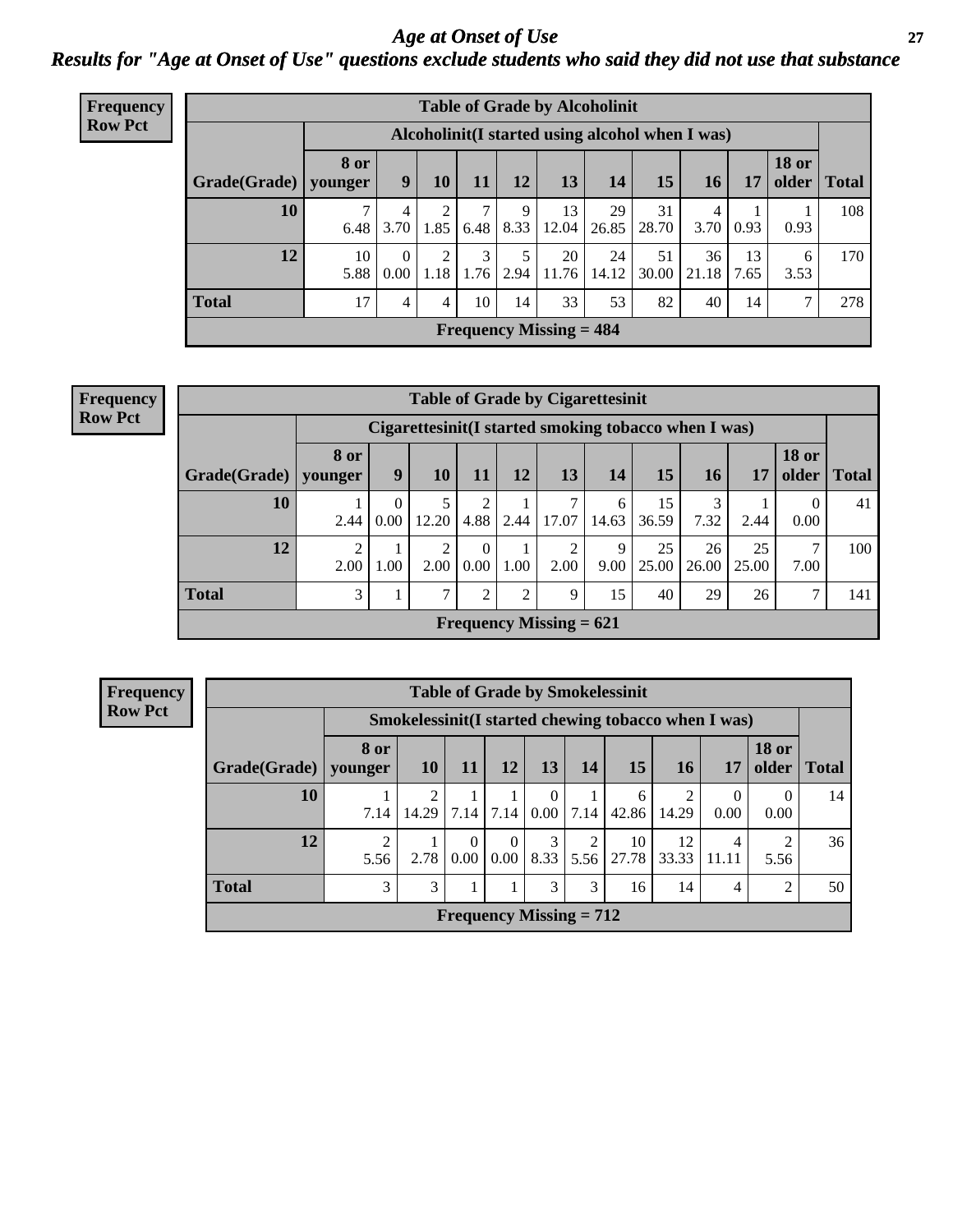*Age at Onset of Use* **27** *Results for "Age at Onset of Use" questions exclude students who said they did not use that substance*

| Frequency      |              |                        |                  |                        |           |                     | <b>Table of Grade by Alcoholinit</b>             |             |             |             |                         |                       |              |
|----------------|--------------|------------------------|------------------|------------------------|-----------|---------------------|--------------------------------------------------|-------------|-------------|-------------|-------------------------|-----------------------|--------------|
| <b>Row Pct</b> |              |                        |                  |                        |           |                     | Alcoholinit (I started using alcohol when I was) |             |             |             |                         |                       |              |
|                | Grade(Grade) | <b>8 or</b><br>vounger | 9                | 10                     | 11        | 12                  | 13                                               | 14          | 15          | 16          | 17                      | <b>18 or</b><br>older | <b>Total</b> |
|                | 10           | 7<br>6.48              | 4<br>3.70        | $\overline{2}$<br>1.85 | 7<br>6.48 | 9                   | 13<br>$8.33$   12.04                             | 29<br>26.85 | 31<br>28.70 | 4<br>3.70   | 0.93                    | 0.93                  | 108          |
|                | 12           | 10<br>5.88             | $\theta$<br>0.00 | $\overline{2}$<br>1.18 | 3<br>1.76 | $5^{\circ}$<br>2.94 | 20<br>11.76                                      | 24<br>14.12 | 51<br>30.00 | 36<br>21.18 | 13 <sup>1</sup><br>7.65 | 6<br>3.53             | 170          |
|                | <b>Total</b> | 17                     | 4                | 4                      | 10        | 14                  | 33                                               | 53          | 82          | 40          | 14                      | ⇁                     | 278          |
|                |              |                        |                  |                        |           |                     | Frequency Missing $= 484$                        |             |             |             |                         |                       |              |

#### **Frequency Row Pct**

|              | <b>Table of Grade by Cigarettesinit</b> |                                                      |                        |                  |                |                           |            |             |             |             |                       |              |  |
|--------------|-----------------------------------------|------------------------------------------------------|------------------------|------------------|----------------|---------------------------|------------|-------------|-------------|-------------|-----------------------|--------------|--|
|              |                                         | Cigarettesinit(I started smoking tobacco when I was) |                        |                  |                |                           |            |             |             |             |                       |              |  |
| Grade(Grade) | 8 or<br>younger                         | 9                                                    | 10                     | 11               | 12             | 13                        | 14         | 15          | 16          | 17          | <b>18 or</b><br>older | <b>Total</b> |  |
| 10           | 2.44                                    | 0<br>0.00                                            | 12.20                  | 2<br>4.88        | 2.44           | 7<br>17.07                | 6<br>14.63 | 15<br>36.59 | 7.32        | 2.44        | 0<br>0.00             | 41           |  |
| 12           | 2<br>2.00                               | 1.00                                                 | $\overline{c}$<br>2.00 | $\Omega$<br>0.00 | 1.00           | $\overline{2}$<br>2.00    | 9<br>9.00  | 25<br>25.00 | 26<br>26.00 | 25<br>25.00 | $\mathcal{I}$<br>7.00 | 100          |  |
| <b>Total</b> | 3                                       |                                                      | 7                      | $\overline{2}$   | $\overline{2}$ | 9                         | 15         | 40          | 29          | 26          | $\mathcal{L}$         | 141          |  |
|              |                                         |                                                      |                        |                  |                | Frequency Missing $= 621$ |            |             |             |             |                       |              |  |

| <b>Table of Grade by Smokelessinit</b> |                           |                                                     |                  |                  |           |           |             |             |            |                       |              |  |
|----------------------------------------|---------------------------|-----------------------------------------------------|------------------|------------------|-----------|-----------|-------------|-------------|------------|-----------------------|--------------|--|
|                                        |                           | Smokelessinit(I started chewing tobacco when I was) |                  |                  |           |           |             |             |            |                       |              |  |
| Grade(Grade)                           | 8 or<br>younger           | <b>10</b>                                           | 11               | 12               | 13        | <b>14</b> | <b>15</b>   | <b>16</b>   | 17         | <b>18 or</b><br>older | <b>Total</b> |  |
| 10                                     | 7.14                      | 2<br>14.29   7.14                                   |                  | 7.14             | 0<br>0.00 | 7.14      | 6<br>42.86  | 2<br>14.29  | 0.00       | $\Omega$<br>0.00      | 14           |  |
| 12                                     | $\overline{2}$<br>5.56    | 2.78                                                | $\theta$<br>0.00 | $\theta$<br>0.00 | 3<br>8.33 | 2<br>5.56 | 10<br>27.78 | 12<br>33.33 | 4<br>11.11 | 5.56                  | 36           |  |
| <b>Total</b>                           | 3                         | 3                                                   |                  |                  | 3         | 3         | 16          | 14          | 4          | 2                     | 50           |  |
|                                        | Frequency Missing $= 712$ |                                                     |                  |                  |           |           |             |             |            |                       |              |  |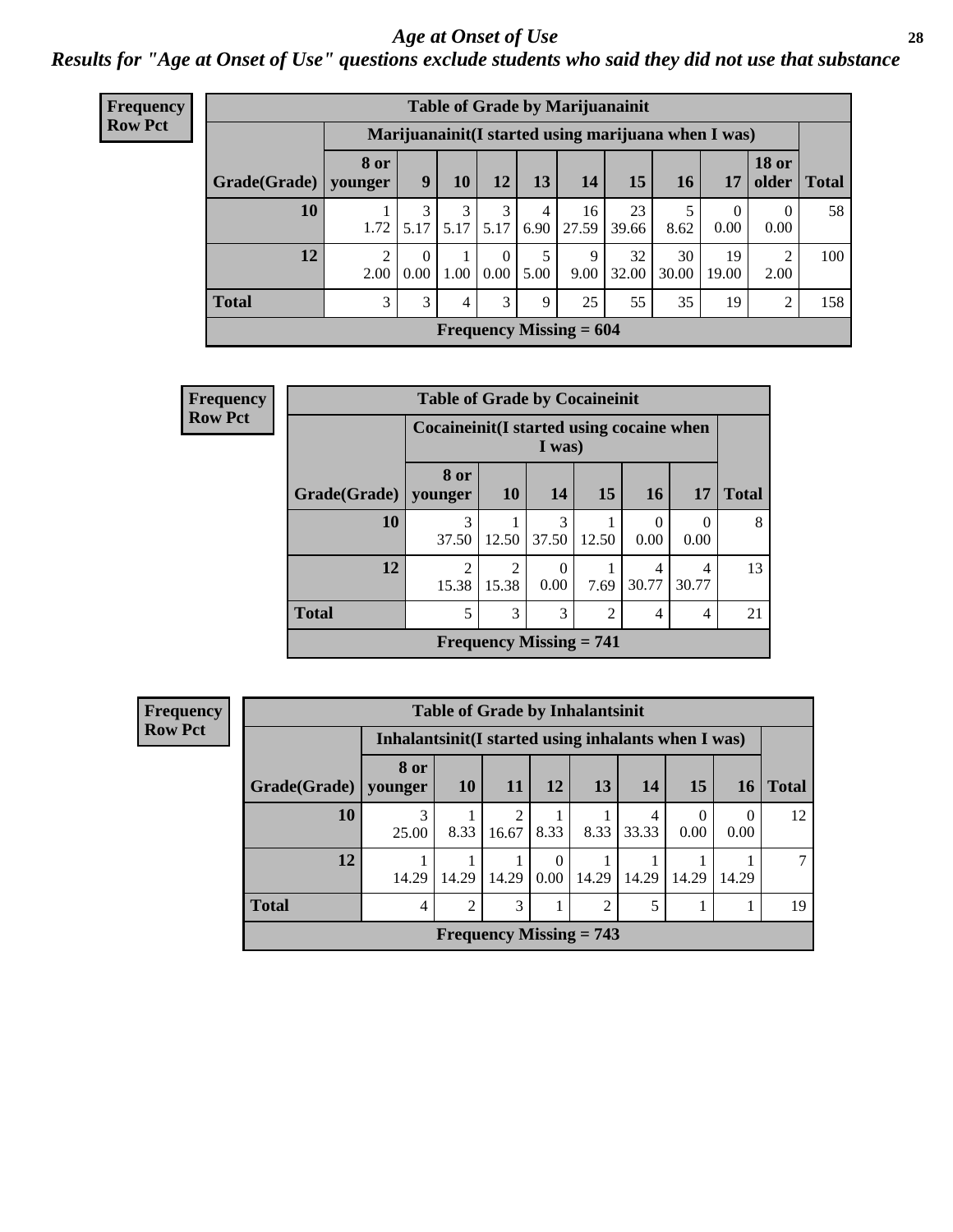#### *Age at Onset of Use* **28**

*Results for "Age at Onset of Use" questions exclude students who said they did not use that substance*

| Frequency      |              |                        |                  |           |                  |           |                           | <b>Table of Grade by Marijuanainit</b>               |             |                  |                       |              |
|----------------|--------------|------------------------|------------------|-----------|------------------|-----------|---------------------------|------------------------------------------------------|-------------|------------------|-----------------------|--------------|
| <b>Row Pct</b> |              |                        |                  |           |                  |           |                           | Marijuanainit (I started using marijuana when I was) |             |                  |                       |              |
|                | Grade(Grade) | <b>8 or</b><br>younger | 9                | 10        | 12               | 13        | 14                        | 15                                                   | 16          | 17               | <b>18 or</b><br>older | <b>Total</b> |
|                | 10           | 1.72                   | 3<br>5.17        | 3<br>5.17 | 3<br>5.17        | 4<br>6.90 | 16<br>27.59               | 23<br>39.66                                          | 5<br>8.62   | $\Omega$<br>0.00 | $\Omega$<br>0.00      | 58           |
|                | 12           | $\mathcal{D}$<br>2.00  | $\theta$<br>0.00 | 1.00      | $\theta$<br>0.00 | 5<br>5.00 | 9<br>9.00                 | 32<br>32.00                                          | 30<br>30.00 | 19<br>19.00      | 2<br>2.00             | 100          |
|                | <b>Total</b> | 3                      | 3                | 4         | 3                | 9         | 25                        | 55                                                   | 35          | 19               | $\overline{2}$        | 158          |
|                |              |                        |                  |           |                  |           | Frequency Missing $= 604$ |                                                      |             |                  |                       |              |

| <b>Frequency</b> |              | <b>Table of Grade by Cocaineinit</b>     |                         |                                             |                |                  |                  |              |
|------------------|--------------|------------------------------------------|-------------------------|---------------------------------------------|----------------|------------------|------------------|--------------|
| <b>Row Pct</b>   |              | Cocaineinit(I started using cocaine when |                         | I was)                                      |                |                  |                  |              |
|                  | Grade(Grade) | 8 or<br>younger                          | <b>10</b>               | 14                                          | 15             | 16               | 17               | <b>Total</b> |
|                  | 10           | 3<br>37.50                               | 12.50                   | 3<br>37.50                                  | 12.50          | $\Omega$<br>0.00 | $\Omega$<br>0.00 | 8            |
|                  | 12           | $\mathfrak{D}$<br>15.38                  | $\mathfrak{D}$<br>15.38 | $\Omega$<br>0.00                            | 7.69           | 4<br>30.77       | 4<br>30.77       | 13           |
|                  | <b>Total</b> | 5                                        | 3                       | 3                                           | $\overline{2}$ | $\overline{4}$   | 4                | 21           |
|                  |              |                                          |                         | <b>Frequency Missing <math>= 741</math></b> |                |                  |                  |              |

| <b>Frequency</b> | <b>Table of Grade by Inhalantsinit</b> |                                                      |                                |       |                  |                 |            |           |       |              |
|------------------|----------------------------------------|------------------------------------------------------|--------------------------------|-------|------------------|-----------------|------------|-----------|-------|--------------|
| <b>Row Pct</b>   |                                        | Inhalantsinit (I started using inhalants when I was) |                                |       |                  |                 |            |           |       |              |
|                  | Grade(Grade)   younger                 | 8 or                                                 | <b>10</b>                      | -11   | <b>12</b>        | 13 <sup>1</sup> | <b>14</b>  | 15        | 16    | <b>Total</b> |
|                  | 10                                     | 3<br>25.00                                           | 8.33                           | 16.67 | 8.33             | 8.33            | 4<br>33.33 | 0<br>0.00 | 0.00  | 12           |
|                  | 12                                     | 14.29                                                | 14.29                          | 14.29 | $\Omega$<br>0.00 | 14.29           | 14.29      | 14.29     | 14.29 |              |
|                  | <b>Total</b>                           | $\overline{4}$                                       | $\overline{2}$                 | 3     |                  | 2               | 5          |           |       | 19           |
|                  |                                        |                                                      | <b>Frequency Missing = 743</b> |       |                  |                 |            |           |       |              |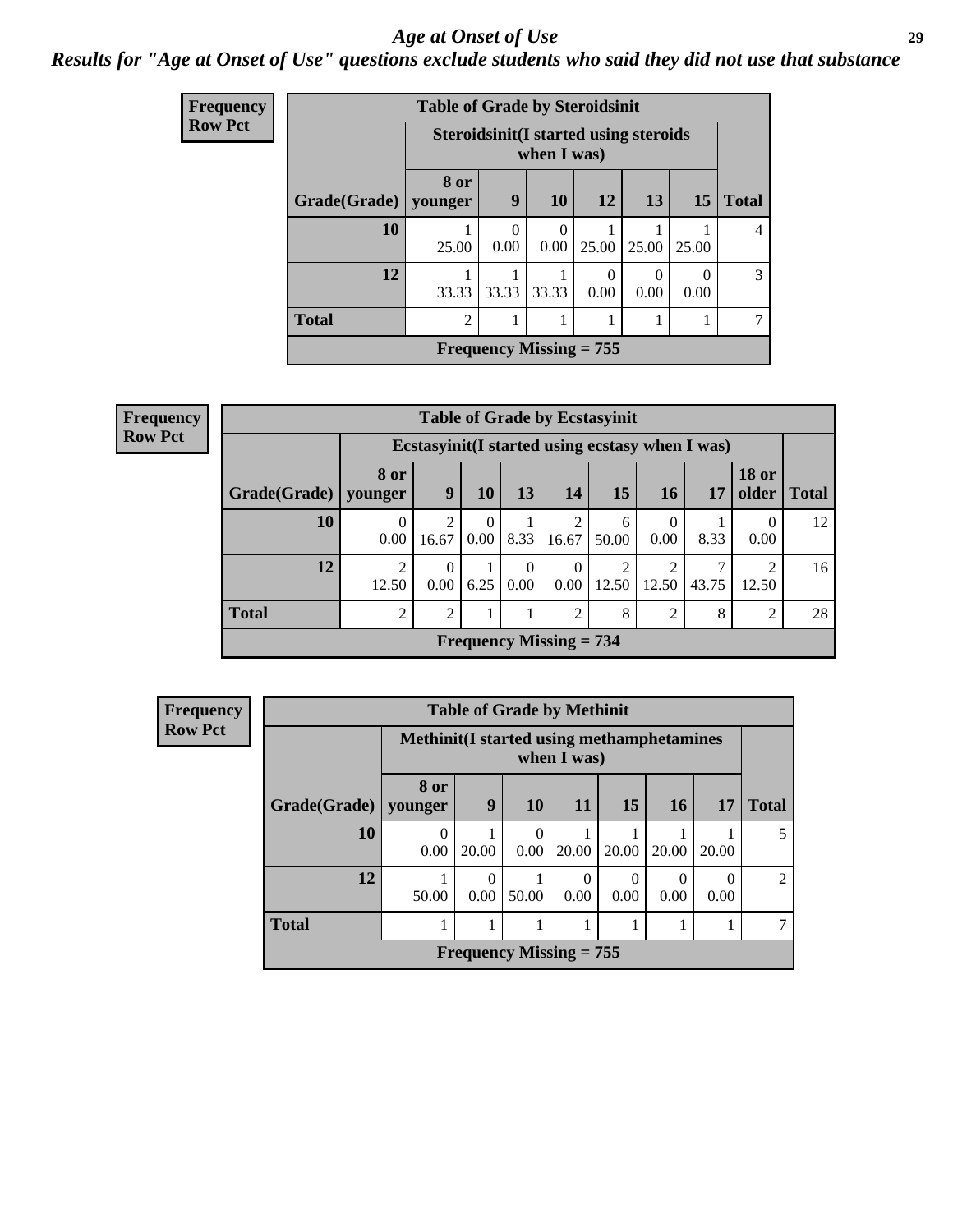### *Age at Onset of Use* **29**

### *Results for "Age at Onset of Use" questions exclude students who said they did not use that substance*

| Frequency      |              | <b>Table of Grade by Steroidsinit</b> |                  |                                                             |                  |                  |                  |                |
|----------------|--------------|---------------------------------------|------------------|-------------------------------------------------------------|------------------|------------------|------------------|----------------|
| <b>Row Pct</b> |              |                                       |                  | <b>Steroidsinit(I started using steroids</b><br>when I was) |                  |                  |                  |                |
|                | Grade(Grade) | 8 or<br>younger                       | 9                | 10                                                          | 12               | 13               | <b>15</b>        | <b>Total</b>   |
|                | 10           | 25.00                                 | $\Omega$<br>0.00 | $\Omega$<br>0.00                                            | 25.00            | 25.00            | 25.00            | $\overline{4}$ |
|                | 12           | 33.33                                 | 33.33            | 33.33                                                       | $\Omega$<br>0.00 | $\Omega$<br>0.00 | $\Omega$<br>0.00 | 3              |
|                | <b>Total</b> | $\overline{2}$                        | 1                | 1                                                           |                  |                  |                  | 7              |
|                |              |                                       |                  | Frequency Missing $= 755$                                   |                  |                  |                  |                |
|                |              |                                       |                  |                                                             |                  |                  |                  |                |

| <b>Frequency</b> | <b>Table of Grade by Ecstasyinit</b> |                                                  |                  |                           |                  |                           |            |                  |       |                         |              |
|------------------|--------------------------------------|--------------------------------------------------|------------------|---------------------------|------------------|---------------------------|------------|------------------|-------|-------------------------|--------------|
| <b>Row Pct</b>   |                                      | Ecstasyinit (I started using ecstasy when I was) |                  |                           |                  |                           |            |                  |       |                         |              |
|                  | Grade(Grade)                         | 8 or<br>younger                                  | 9                | 10                        | 13               | 14                        | 15         | 16 <sup>1</sup>  | 17    | <b>18 or</b><br>older   | <b>Total</b> |
|                  | 10                                   | 0.00                                             | 2<br>16.67       | $\Omega$<br>$0.00\degree$ | 8.33             | 16.67                     | 6<br>50.00 | $\theta$<br>0.00 | 8.33  | $\theta$<br>0.00        | 12           |
|                  | 12                                   | ∍<br>12.50                                       | $\Omega$<br>0.00 | 6.25                      | $\theta$<br>0.00 | 0.00                      | 12.50      | 12.50            | 43.75 | $\mathfrak{D}$<br>12.50 | 16           |
|                  | <b>Total</b>                         | $\overline{c}$                                   | $\overline{2}$   | 1                         |                  | 2                         | 8          | 2                | 8     | 2                       | 28           |
|                  |                                      |                                                  |                  |                           |                  | Frequency Missing $= 734$ |            |                  |       |                         |              |

| <b>Frequency</b> |                        |                                                                 | <b>Table of Grade by Methinit</b> |           |           |          |       |       |                |
|------------------|------------------------|-----------------------------------------------------------------|-----------------------------------|-----------|-----------|----------|-------|-------|----------------|
| <b>Row Pct</b>   |                        | <b>Methinit(I started using methamphetamines</b><br>when I was) |                                   |           |           |          |       |       |                |
|                  | Grade(Grade)   younger | <b>8 or</b>                                                     | 9                                 | 10        | <b>11</b> | 15       | 16    | 17    | <b>Total</b>   |
|                  | 10                     | $\theta$<br>0.00                                                | 20.00                             | 0<br>0.00 | 20.00     | 20.00    | 20.00 | 20.00 | 5              |
|                  | 12                     | 50.00                                                           | $\theta$<br>0.00                  | 50.00     | 0.00      | $0.00\,$ | 0.00  | 0.00  | $\overline{2}$ |
|                  | <b>Total</b>           |                                                                 |                                   |           |           |          |       |       | 7              |
|                  |                        | Frequency Missing $= 755$                                       |                                   |           |           |          |       |       |                |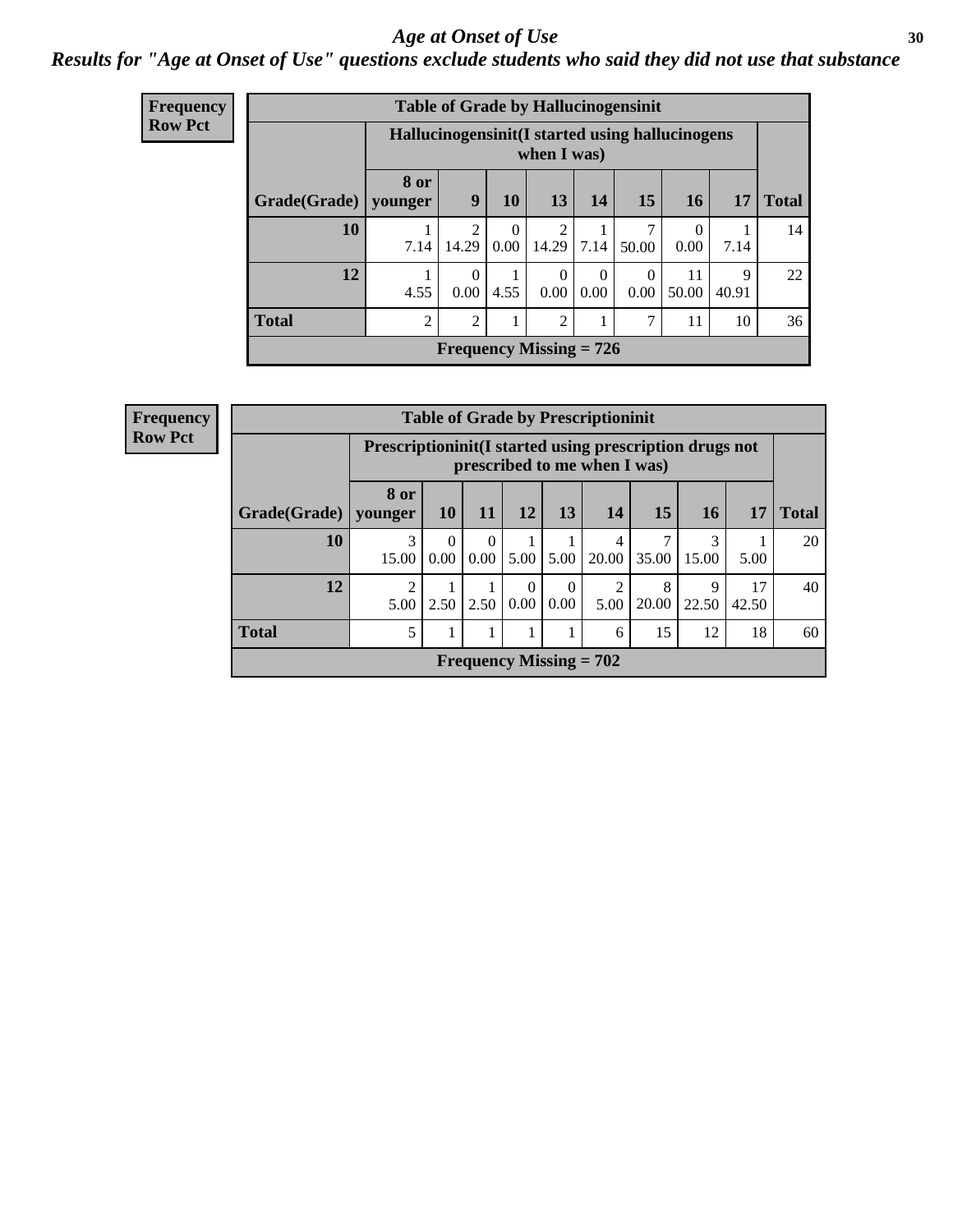#### Age at Onset of Use **30**

### *Results for "Age at Onset of Use" questions exclude students who said they did not use that substance*

| <b>Frequency</b> |              |                 |                                                                 |                  | <b>Table of Grade by Hallucinogensinit</b> |                  |                  |                  |            |              |  |
|------------------|--------------|-----------------|-----------------------------------------------------------------|------------------|--------------------------------------------|------------------|------------------|------------------|------------|--------------|--|
| <b>Row Pct</b>   |              |                 | Hallucinogensinit (I started using hallucinogens<br>when I was) |                  |                                            |                  |                  |                  |            |              |  |
|                  | Grade(Grade) | 8 or<br>younger | 9                                                               | <b>10</b>        | 13                                         | 14               | 15               | 16               | 17         | <b>Total</b> |  |
|                  | 10           | 7.14            | $\overline{2}$<br>14.29                                         | $\Omega$<br>0.00 | 2<br>14.29                                 | 7.14             | 50.00            | $\Omega$<br>0.00 | 7.14       | 14           |  |
|                  | 12           | 4.55            | $\Omega$<br>0.00                                                | 4.55             | $\Omega$<br>0.00                           | $\Omega$<br>0.00 | $\Omega$<br>0.00 | 11<br>50.00      | 9<br>40.91 | 22           |  |
|                  | <b>Total</b> | $\overline{2}$  | $\overline{2}$                                                  |                  | 2                                          |                  | 7                | 11               | 10         | 36           |  |
|                  |              |                 |                                                                 |                  | Frequency Missing $= 726$                  |                  |                  |                  |            |              |  |

| <b>Table of Grade by Prescriptioninit</b> |                        |                                                                                            |                  |      |                  |            |            |                 |             |              |
|-------------------------------------------|------------------------|--------------------------------------------------------------------------------------------|------------------|------|------------------|------------|------------|-----------------|-------------|--------------|
|                                           |                        | Prescription in it (I started using prescription drugs not<br>prescribed to me when I was) |                  |      |                  |            |            |                 |             |              |
| Grade(Grade)                              | 8 or<br>younger        | <b>10</b>                                                                                  | <b>11</b>        | 12   | 13               | 14         | <b>15</b>  | 16 <sup>1</sup> | 17          | <b>Total</b> |
| 10                                        | 3<br>15.00             | 0<br>0.00                                                                                  | $\Omega$<br>0.00 | 5.00 | 5.00             | 4<br>20.00 | 35.00      | 3<br>15.00      | 5.00        | 20           |
| 12                                        | $\overline{c}$<br>5.00 | 2.50                                                                                       | 2.50             | 0.00 | $\Omega$<br>0.00 | 5.00       | 8<br>20.00 | 9<br>22.50      | 17<br>42.50 | 40           |
| <b>Total</b><br>5<br>12<br>18<br>15<br>6  |                        |                                                                                            |                  |      |                  |            |            |                 |             | 60           |
| Frequency Missing $= 702$                 |                        |                                                                                            |                  |      |                  |            |            |                 |             |              |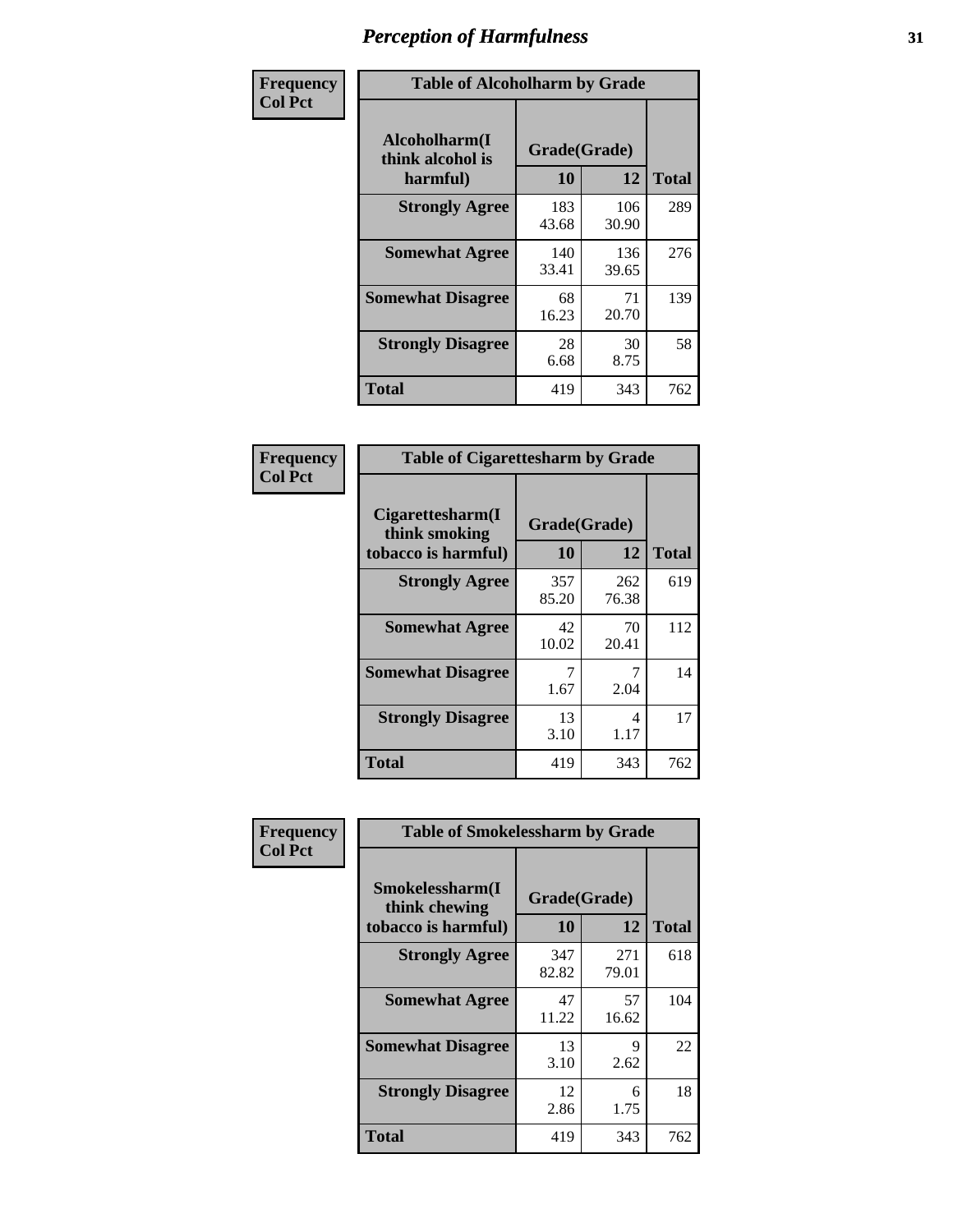| Frequency      | <b>Table of Alcoholharm by Grade</b>          |                    |              |              |  |  |  |  |
|----------------|-----------------------------------------------|--------------------|--------------|--------------|--|--|--|--|
| <b>Col Pct</b> | Alcoholharm(I<br>think alcohol is<br>harmful) | Grade(Grade)<br>10 | 12           | <b>Total</b> |  |  |  |  |
|                | <b>Strongly Agree</b>                         | 183<br>43.68       | 106<br>30.90 | 289          |  |  |  |  |
|                | <b>Somewhat Agree</b>                         | 140<br>33.41       | 136<br>39.65 | 276          |  |  |  |  |
|                | <b>Somewhat Disagree</b>                      | 68<br>16.23        | 71<br>20.70  | 139          |  |  |  |  |
|                | <b>Strongly Disagree</b>                      | 28<br>6.68         | 30<br>8.75   | 58           |  |  |  |  |
|                | <b>Total</b>                                  | 419                | 343          | 762          |  |  |  |  |

| <b>Table of Cigarettesharm by Grade</b>                  |                    |              |              |  |  |  |  |  |  |  |
|----------------------------------------------------------|--------------------|--------------|--------------|--|--|--|--|--|--|--|
| Cigarettesharm(I<br>think smoking<br>tobacco is harmful) | Grade(Grade)<br>10 | 12           | <b>Total</b> |  |  |  |  |  |  |  |
| <b>Strongly Agree</b>                                    | 357<br>85.20       | 262<br>76.38 | 619          |  |  |  |  |  |  |  |
| <b>Somewhat Agree</b>                                    | 42<br>10.02        | 70<br>20.41  | 112          |  |  |  |  |  |  |  |
| <b>Somewhat Disagree</b>                                 | 7<br>1.67          | 7<br>2.04    | 14           |  |  |  |  |  |  |  |
| <b>Strongly Disagree</b>                                 | 13<br>3.10         | 4<br>1.17    | 17           |  |  |  |  |  |  |  |
| <b>Total</b>                                             | 419                | 343          | 762          |  |  |  |  |  |  |  |

| Frequency      |                                                         | <b>Table of Smokelessharm by Grade</b> |              |              |  |  |  |  |  |
|----------------|---------------------------------------------------------|----------------------------------------|--------------|--------------|--|--|--|--|--|
| <b>Col Pct</b> | Smokelessharm(I<br>think chewing<br>tobacco is harmful) | Grade(Grade)<br>10                     | 12           | <b>Total</b> |  |  |  |  |  |
|                | <b>Strongly Agree</b>                                   | 347<br>82.82                           | 271<br>79.01 | 618          |  |  |  |  |  |
|                | <b>Somewhat Agree</b>                                   | 47<br>11.22                            | 57<br>16.62  | 104          |  |  |  |  |  |
|                | <b>Somewhat Disagree</b>                                | 13<br>3.10                             | 9<br>2.62    | 22           |  |  |  |  |  |
|                | <b>Strongly Disagree</b>                                | 12<br>2.86                             | 6<br>1.75    | 18           |  |  |  |  |  |
|                | <b>Total</b>                                            | 419                                    | 343          | 762          |  |  |  |  |  |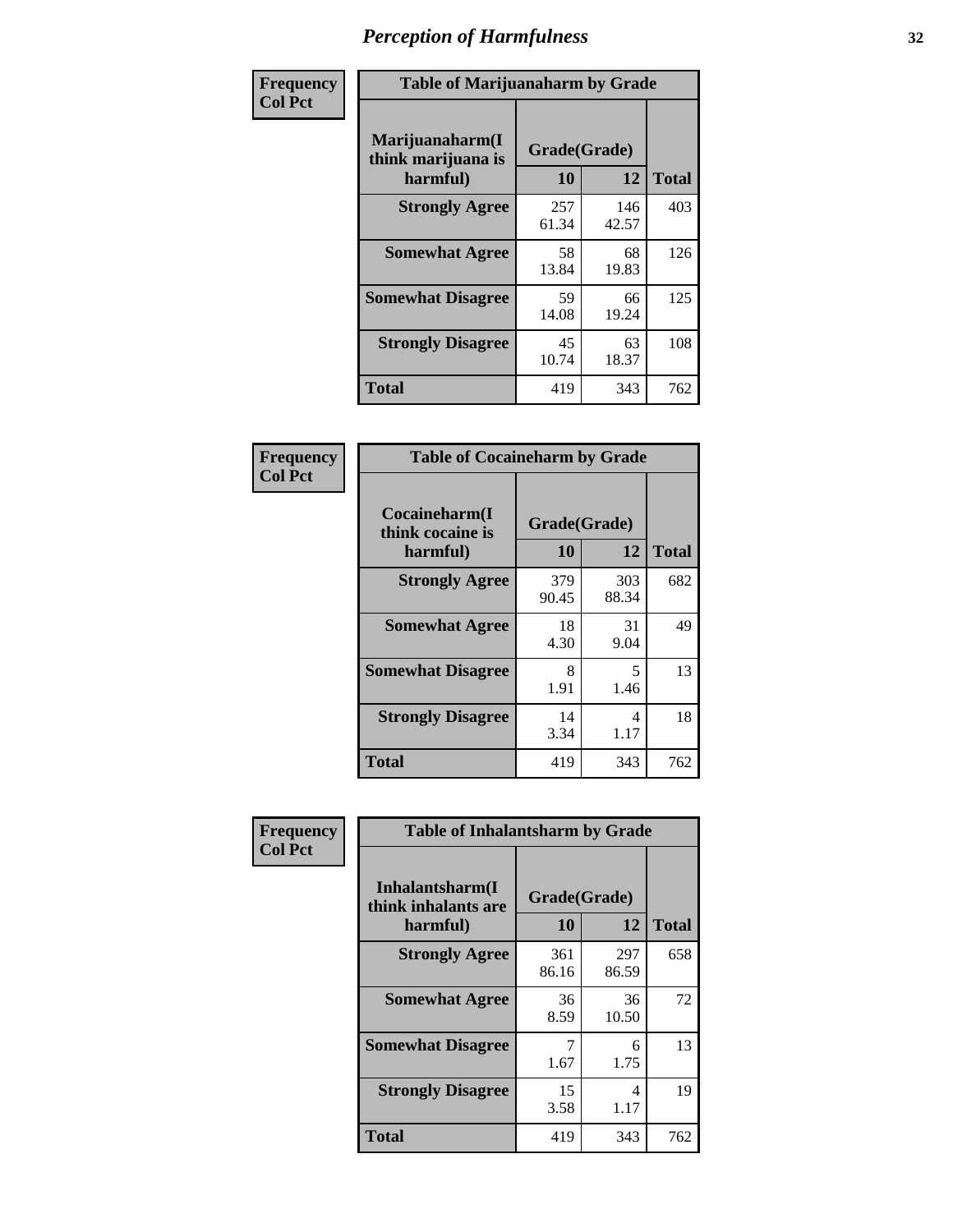| Frequency      |                                                   | <b>Table of Marijuanaharm by Grade</b> |              |              |  |  |  |  |  |
|----------------|---------------------------------------------------|----------------------------------------|--------------|--------------|--|--|--|--|--|
| <b>Col Pct</b> | Marijuanaharm(I<br>think marijuana is<br>harmful) | Grade(Grade)<br>10                     | 12           | <b>Total</b> |  |  |  |  |  |
|                | <b>Strongly Agree</b>                             | 257<br>61.34                           | 146<br>42.57 | 403          |  |  |  |  |  |
|                | <b>Somewhat Agree</b>                             | 58<br>13.84                            | 68<br>19.83  | 126          |  |  |  |  |  |
|                | <b>Somewhat Disagree</b>                          | 59<br>14.08                            | 66<br>19.24  | 125          |  |  |  |  |  |
|                | <b>Strongly Disagree</b>                          | 45<br>10.74                            | 63<br>18.37  | 108          |  |  |  |  |  |
|                | <b>Total</b>                                      | 419                                    | 343          | 762          |  |  |  |  |  |

| <b>Table of Cocaineharm by Grade</b>          |                    |              |              |  |  |  |  |  |  |  |
|-----------------------------------------------|--------------------|--------------|--------------|--|--|--|--|--|--|--|
| Cocaineharm(I<br>think cocaine is<br>harmful) | Grade(Grade)<br>10 | 12           | <b>Total</b> |  |  |  |  |  |  |  |
| <b>Strongly Agree</b>                         | 379<br>90.45       | 303<br>88.34 | 682          |  |  |  |  |  |  |  |
| <b>Somewhat Agree</b>                         | 18<br>4.30         | 31<br>9.04   | 49           |  |  |  |  |  |  |  |
| <b>Somewhat Disagree</b>                      | 8<br>1.91          | 5<br>1.46    | 13           |  |  |  |  |  |  |  |
| <b>Strongly Disagree</b>                      | 14<br>3.34         | 4<br>1.17    | 18           |  |  |  |  |  |  |  |
| <b>Total</b>                                  | 419                | 343          | 762          |  |  |  |  |  |  |  |

| Frequency      | <b>Table of Inhalantsharm by Grade</b>              |                    |              |     |
|----------------|-----------------------------------------------------|--------------------|--------------|-----|
| <b>Col Pct</b> | Inhalantsharm(I)<br>think inhalants are<br>harmful) | Grade(Grade)<br>10 | <b>Total</b> |     |
|                | <b>Strongly Agree</b>                               | 361<br>86.16       | 297<br>86.59 | 658 |
|                | <b>Somewhat Agree</b>                               | 36<br>8.59         | 36<br>10.50  | 72  |
|                | <b>Somewhat Disagree</b>                            | 1.67               | 6<br>1.75    | 13  |
|                | <b>Strongly Disagree</b>                            | 15<br>3.58         | 4<br>1.17    | 19  |
|                | <b>Total</b>                                        | 419                | 343          | 762 |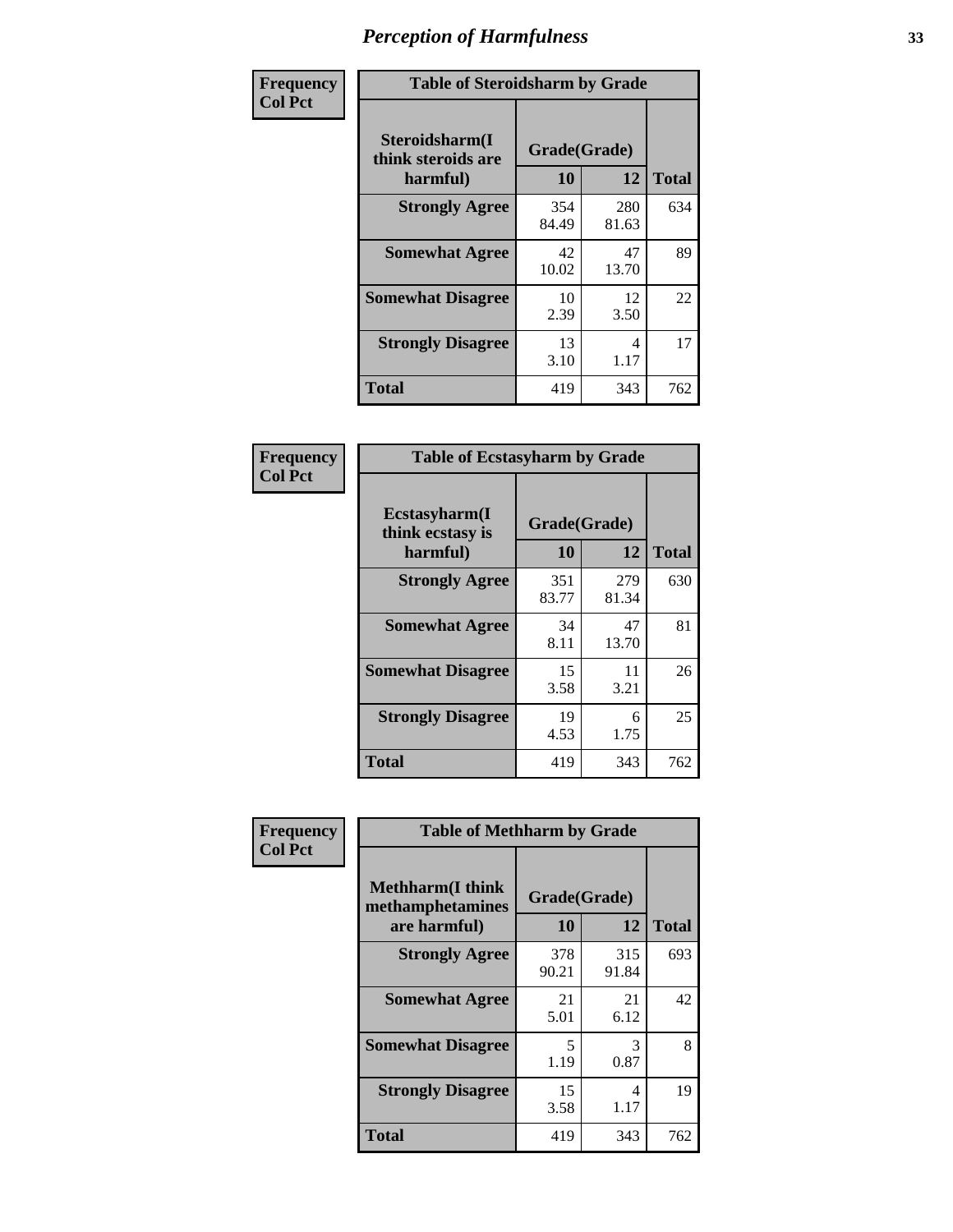| Frequency      | <b>Table of Steroidsharm by Grade</b>            |                    |              |              |
|----------------|--------------------------------------------------|--------------------|--------------|--------------|
| <b>Col Pct</b> | Steroidsharm(I<br>think steroids are<br>harmful) | Grade(Grade)<br>10 | 12           | <b>Total</b> |
|                | <b>Strongly Agree</b>                            | 354<br>84.49       | 280<br>81.63 | 634          |
|                | <b>Somewhat Agree</b>                            | 42<br>10.02        | 47<br>13.70  | 89           |
|                | <b>Somewhat Disagree</b>                         | 10<br>2.39         | 12<br>3.50   | 22           |
|                | <b>Strongly Disagree</b>                         | 13<br>3.10         | 4<br>1.17    | 17           |
|                | <b>Total</b>                                     | 419                | 343          | 762          |

| <b>Table of Ecstasyharm by Grade</b>          |                    |              |     |  |  |
|-----------------------------------------------|--------------------|--------------|-----|--|--|
| Ecstasyharm(I<br>think ecstasy is<br>harmful) | Grade(Grade)<br>10 | <b>Total</b> |     |  |  |
| <b>Strongly Agree</b>                         | 351<br>83.77       | 279<br>81.34 | 630 |  |  |
| <b>Somewhat Agree</b>                         | 34<br>8.11         | 47<br>13.70  | 81  |  |  |
| <b>Somewhat Disagree</b>                      | 15<br>3.58         | 11<br>3.21   | 26  |  |  |
| <b>Strongly Disagree</b>                      | 19<br>4.53         | 6<br>1.75    | 25  |  |  |
| <b>Total</b>                                  | 419                | 343          | 762 |  |  |

| Frequency      | <b>Table of Methharm by Grade</b>                            |                           |              |              |
|----------------|--------------------------------------------------------------|---------------------------|--------------|--------------|
| <b>Col Pct</b> | <b>Methharm</b> (I think<br>methamphetamines<br>are harmful) | Grade(Grade)<br><b>10</b> | 12           | <b>Total</b> |
|                | <b>Strongly Agree</b>                                        | 378<br>90.21              | 315<br>91.84 | 693          |
|                | <b>Somewhat Agree</b>                                        | 21<br>5.01                | 21<br>6.12   | 42           |
|                | <b>Somewhat Disagree</b>                                     | 5<br>1.19                 | 3<br>0.87    | 8            |
|                | <b>Strongly Disagree</b>                                     | 15<br>3.58                | 4<br>1.17    | 19           |
|                | <b>Total</b>                                                 | 419                       | 343          | 762          |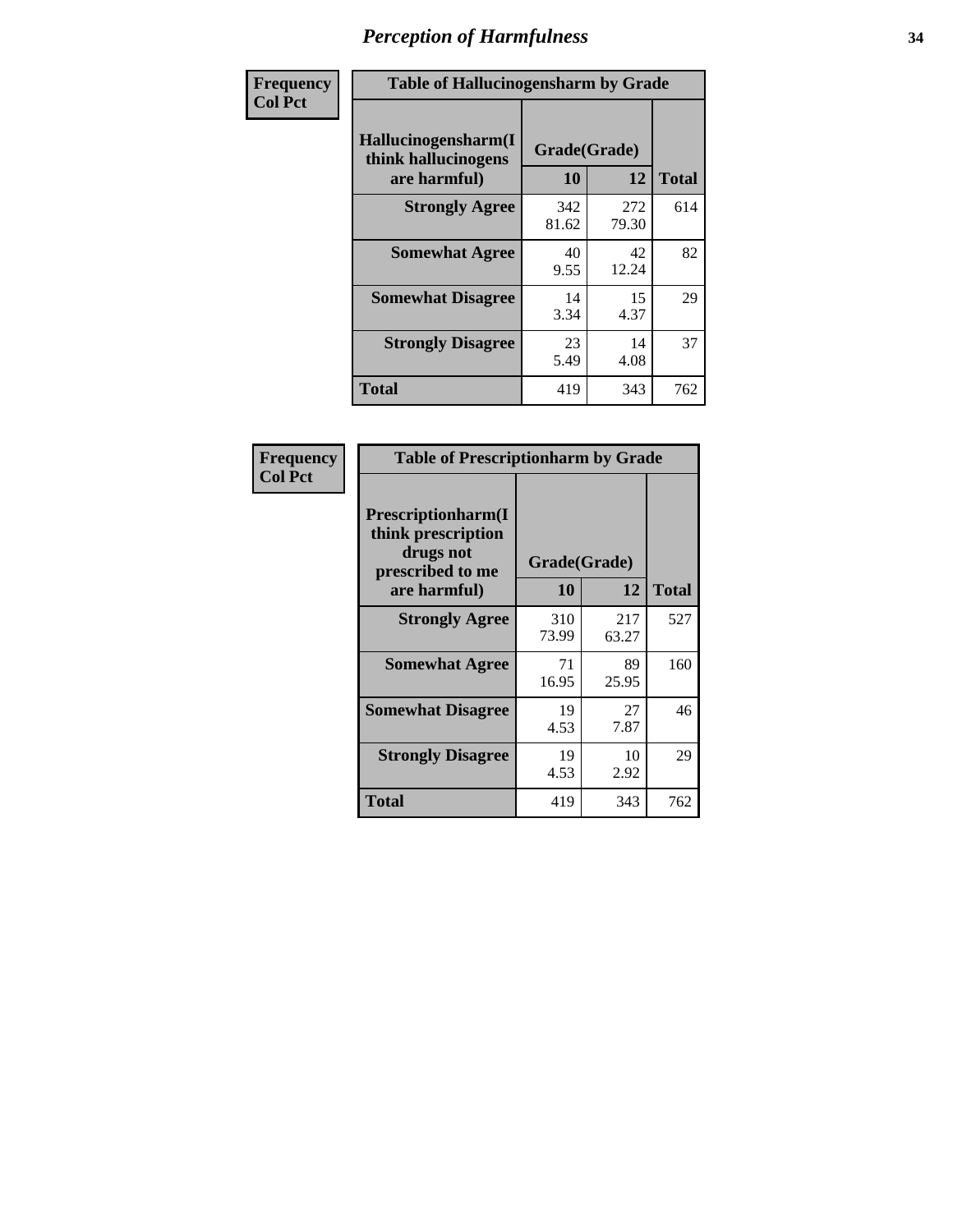| Frequency      | <b>Table of Hallucinogensharm by Grade</b>                 |                           |              |              |
|----------------|------------------------------------------------------------|---------------------------|--------------|--------------|
| <b>Col Pct</b> | Hallucinogensharm(I<br>think hallucinogens<br>are harmful) | Grade(Grade)<br><b>10</b> | 12           | <b>Total</b> |
|                | <b>Strongly Agree</b>                                      | 342<br>81.62              | 272<br>79.30 | 614          |
|                | <b>Somewhat Agree</b>                                      | 40<br>9.55                | 42<br>12.24  | 82           |
|                | <b>Somewhat Disagree</b>                                   | 14<br>3.34                | 15<br>4.37   | 29           |
|                | <b>Strongly Disagree</b>                                   | 23<br>5.49                | 14<br>4.08   | 37           |
|                | <b>Total</b>                                               | 419                       | 343          | 762          |

| <b>Table of Prescriptionharm by Grade</b>                                         |              |              |              |  |
|-----------------------------------------------------------------------------------|--------------|--------------|--------------|--|
| <b>Prescriptionharm(I)</b><br>think prescription<br>drugs not<br>prescribed to me | Grade(Grade) |              |              |  |
| are harmful)                                                                      | 10           | 12           | <b>Total</b> |  |
| <b>Strongly Agree</b>                                                             | 310<br>73.99 | 217<br>63.27 | 527          |  |
| <b>Somewhat Agree</b>                                                             | 71<br>16.95  | 89<br>25.95  | 160          |  |
| <b>Somewhat Disagree</b>                                                          | 19<br>4.53   | 27<br>7.87   | 46           |  |
| <b>Strongly Disagree</b>                                                          | 19<br>4.53   | 10<br>2.92   | 29           |  |
| Total                                                                             | 419          | 343          | 762          |  |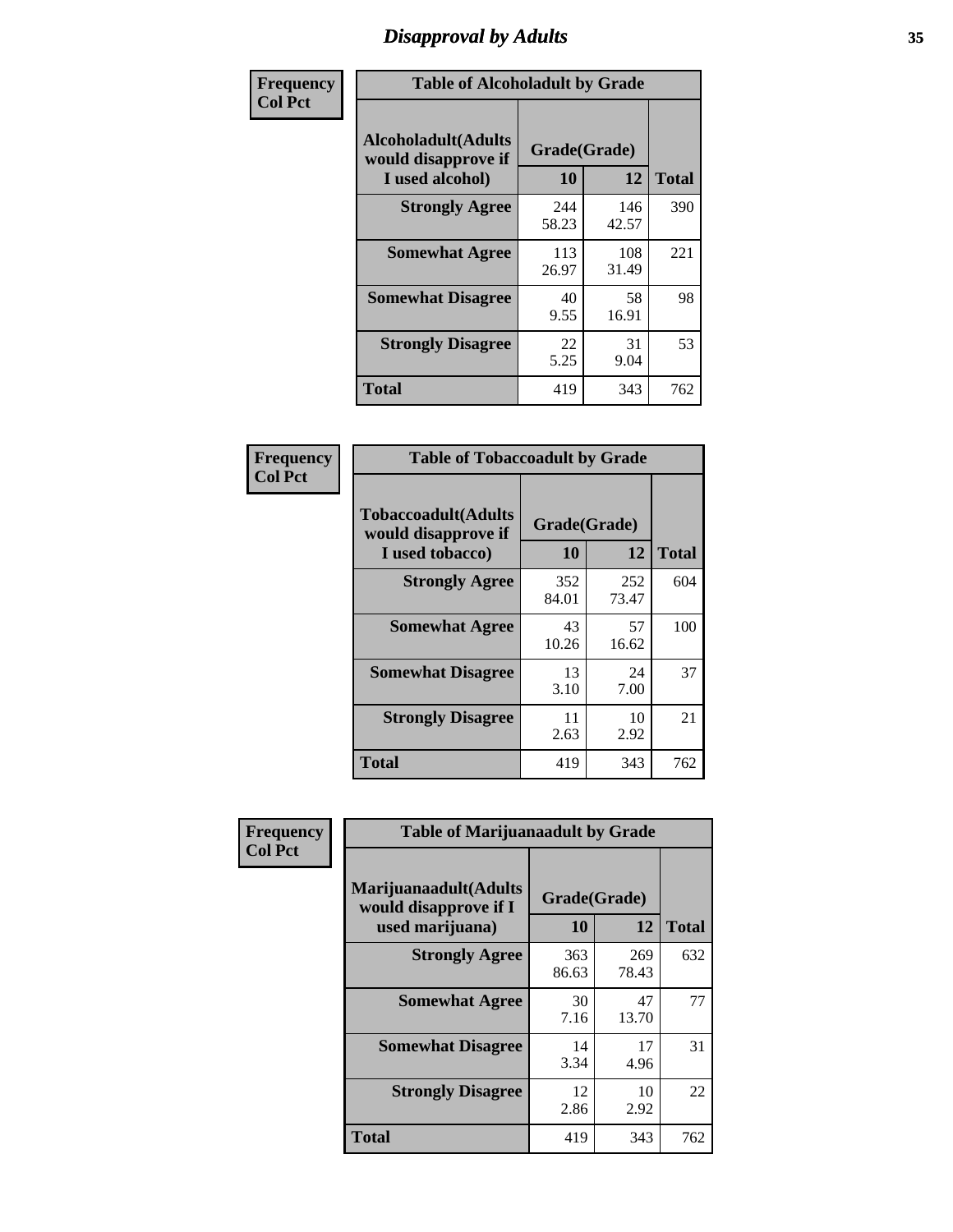# *Disapproval by Adults* **35**

| Frequency      | <b>Table of Alcoholadult by Grade</b>                                 |                    |              |              |
|----------------|-----------------------------------------------------------------------|--------------------|--------------|--------------|
| <b>Col Pct</b> | <b>Alcoholadult</b> (Adults<br>would disapprove if<br>I used alcohol) | Grade(Grade)<br>10 | 12           | <b>Total</b> |
|                | <b>Strongly Agree</b>                                                 | 244<br>58.23       | 146<br>42.57 | 390          |
|                | <b>Somewhat Agree</b>                                                 | 113<br>26.97       | 108<br>31.49 | 221          |
|                | <b>Somewhat Disagree</b>                                              | 40<br>9.55         | 58<br>16.91  | 98           |
|                | <b>Strongly Disagree</b>                                              | 22<br>5.25         | 31<br>9.04   | 53           |
|                | <b>Total</b>                                                          | 419                | 343          | 762          |

| <b>Table of Tobaccoadult by Grade</b>                                                             |              |              |     |  |  |
|---------------------------------------------------------------------------------------------------|--------------|--------------|-----|--|--|
| <b>Tobaccoadult</b> (Adults<br>Grade(Grade)<br>would disapprove if<br>10<br>12<br>I used tobacco) |              |              |     |  |  |
| <b>Strongly Agree</b>                                                                             | 352<br>84.01 | 252<br>73.47 | 604 |  |  |
| <b>Somewhat Agree</b>                                                                             | 43<br>10.26  | 57<br>16.62  | 100 |  |  |
| <b>Somewhat Disagree</b>                                                                          | 13<br>3.10   | 24<br>7.00   | 37  |  |  |
| <b>Strongly Disagree</b>                                                                          | 11<br>2.63   | 10<br>2.92   | 21  |  |  |
| <b>Total</b>                                                                                      | 419          | 343          | 762 |  |  |

| Frequency      | <b>Table of Marijuanaadult by Grade</b>                           |                    |              |              |
|----------------|-------------------------------------------------------------------|--------------------|--------------|--------------|
| <b>Col Pct</b> | Marijuanaadult(Adults<br>would disapprove if I<br>used marijuana) | Grade(Grade)<br>10 | 12           | <b>Total</b> |
|                | <b>Strongly Agree</b>                                             | 363<br>86.63       | 269<br>78.43 | 632          |
|                | <b>Somewhat Agree</b>                                             | 30<br>7.16         | 47<br>13.70  | 77           |
|                | <b>Somewhat Disagree</b>                                          | 14<br>3.34         | 17<br>4.96   | 31           |
|                | <b>Strongly Disagree</b>                                          | 12<br>2.86         | 10<br>2.92   | 22           |
|                | <b>Total</b>                                                      | 419                | 343          | 762          |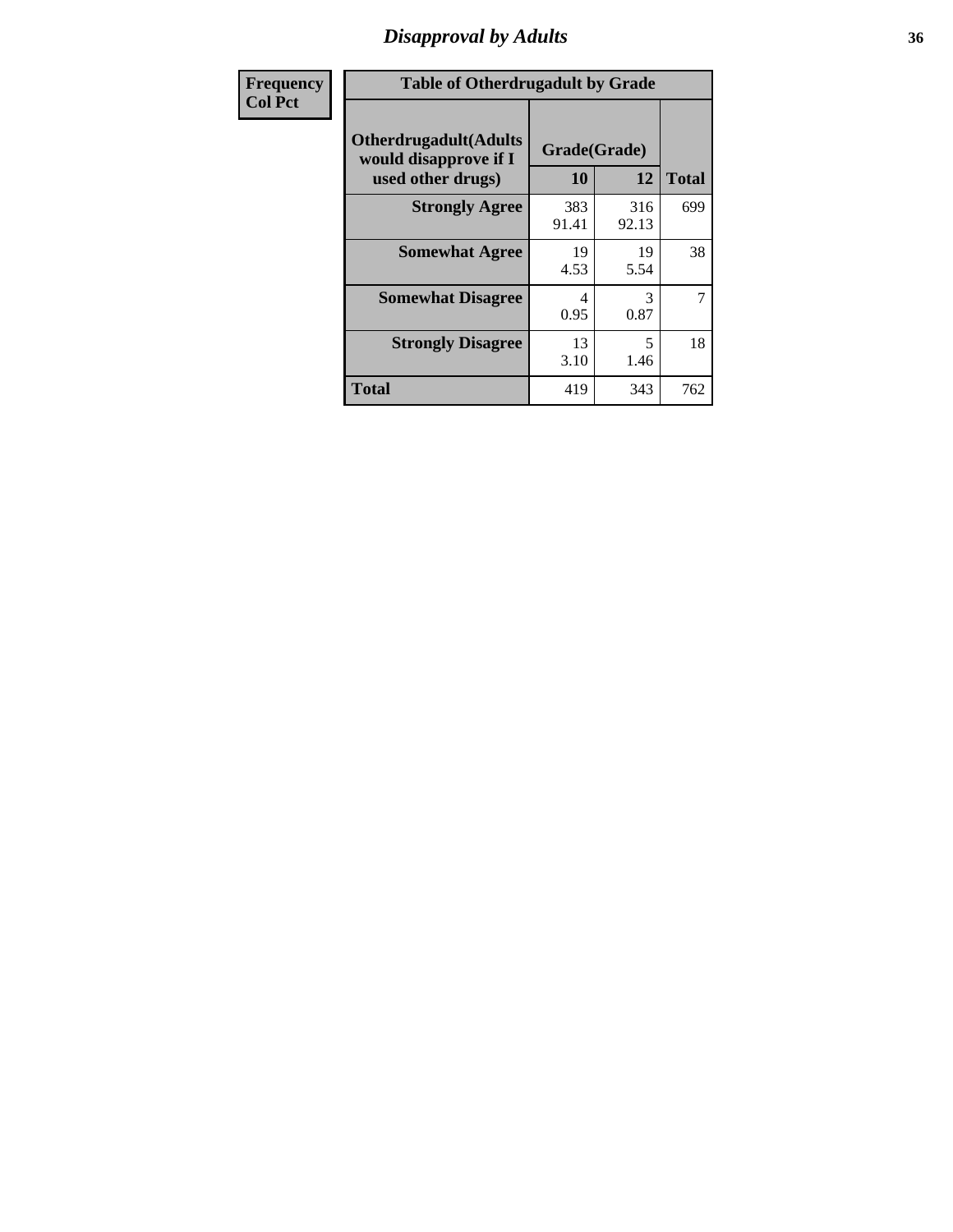### *Disapproval by Adults* **36**

| <b>Frequency</b> | <b>Table of Otherdrugadult by Grade</b>                |                    |              |              |
|------------------|--------------------------------------------------------|--------------------|--------------|--------------|
| <b>Col Pct</b>   | <b>Otherdrugadult</b> (Adults<br>would disapprove if I | Grade(Grade)<br>10 | 12           | <b>Total</b> |
|                  | used other drugs)<br><b>Strongly Agree</b>             | 383<br>91.41       | 316<br>92.13 | 699          |
|                  | <b>Somewhat Agree</b>                                  | 19<br>4.53         | 19<br>5.54   | 38           |
|                  | <b>Somewhat Disagree</b>                               | 4<br>0.95          | 3<br>0.87    | 7            |
|                  | <b>Strongly Disagree</b>                               | 13<br>3.10         | 5<br>1.46    | 18           |
|                  | <b>Total</b>                                           | 419                | 343          | 762          |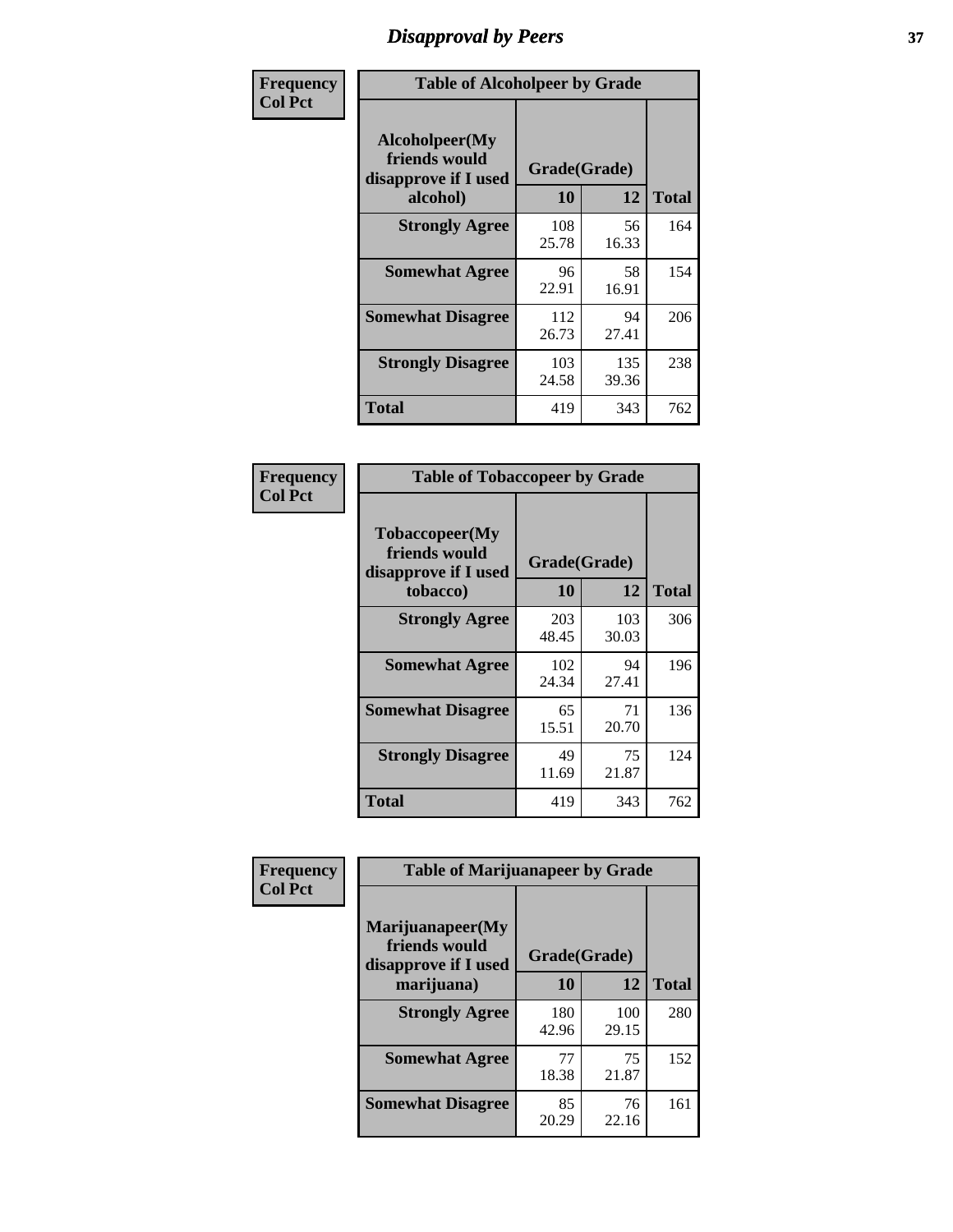# *Disapproval by Peers* **37**

| Frequency      | <b>Table of Alcoholpeer by Grade</b>                    |              |              |              |
|----------------|---------------------------------------------------------|--------------|--------------|--------------|
| <b>Col Pct</b> | Alcoholpeer(My<br>friends would<br>disapprove if I used | Grade(Grade) |              |              |
|                | alcohol)                                                | 10           | 12           | <b>Total</b> |
|                | <b>Strongly Agree</b>                                   | 108<br>25.78 | 56<br>16.33  | 164          |
|                | <b>Somewhat Agree</b>                                   | 96<br>22.91  | 58<br>16.91  | 154          |
|                | <b>Somewhat Disagree</b>                                | 112<br>26.73 | 94<br>27.41  | 206          |
|                | <b>Strongly Disagree</b>                                | 103<br>24.58 | 135<br>39.36 | 238          |
|                | Total                                                   | 419          | 343          | 762          |

| Frequency      | <b>Table of Tobaccopeer by Grade</b>                                |                    |              |              |  |
|----------------|---------------------------------------------------------------------|--------------------|--------------|--------------|--|
| <b>Col Pct</b> | Tobaccopeer(My<br>friends would<br>disapprove if I used<br>tobacco) | Grade(Grade)<br>10 | 12           | <b>Total</b> |  |
|                | <b>Strongly Agree</b>                                               | 203<br>48.45       | 103<br>30.03 | 306          |  |
|                | <b>Somewhat Agree</b>                                               | 102<br>24.34       | 94<br>27.41  | 196          |  |
|                | <b>Somewhat Disagree</b>                                            | 65<br>15.51        | 71<br>20.70  | 136          |  |
|                | <b>Strongly Disagree</b>                                            | 49<br>11.69        | 75<br>21.87  | 124          |  |
|                | Total                                                               | 419                | 343          | 762          |  |

| Frequency      | <b>Table of Marijuanapeer by Grade</b>                    |              |              |              |
|----------------|-----------------------------------------------------------|--------------|--------------|--------------|
| <b>Col Pct</b> | Marijuanapeer(My<br>friends would<br>disapprove if I used | Grade(Grade) |              |              |
|                | marijuana)                                                | 10           | 12           | <b>Total</b> |
|                | <b>Strongly Agree</b>                                     | 180<br>42.96 | 100<br>29.15 | 280          |
|                | <b>Somewhat Agree</b>                                     | 77<br>18.38  | 75<br>21.87  | 152          |
|                | <b>Somewhat Disagree</b>                                  | 85<br>20.29  | 76<br>22.16  | 161          |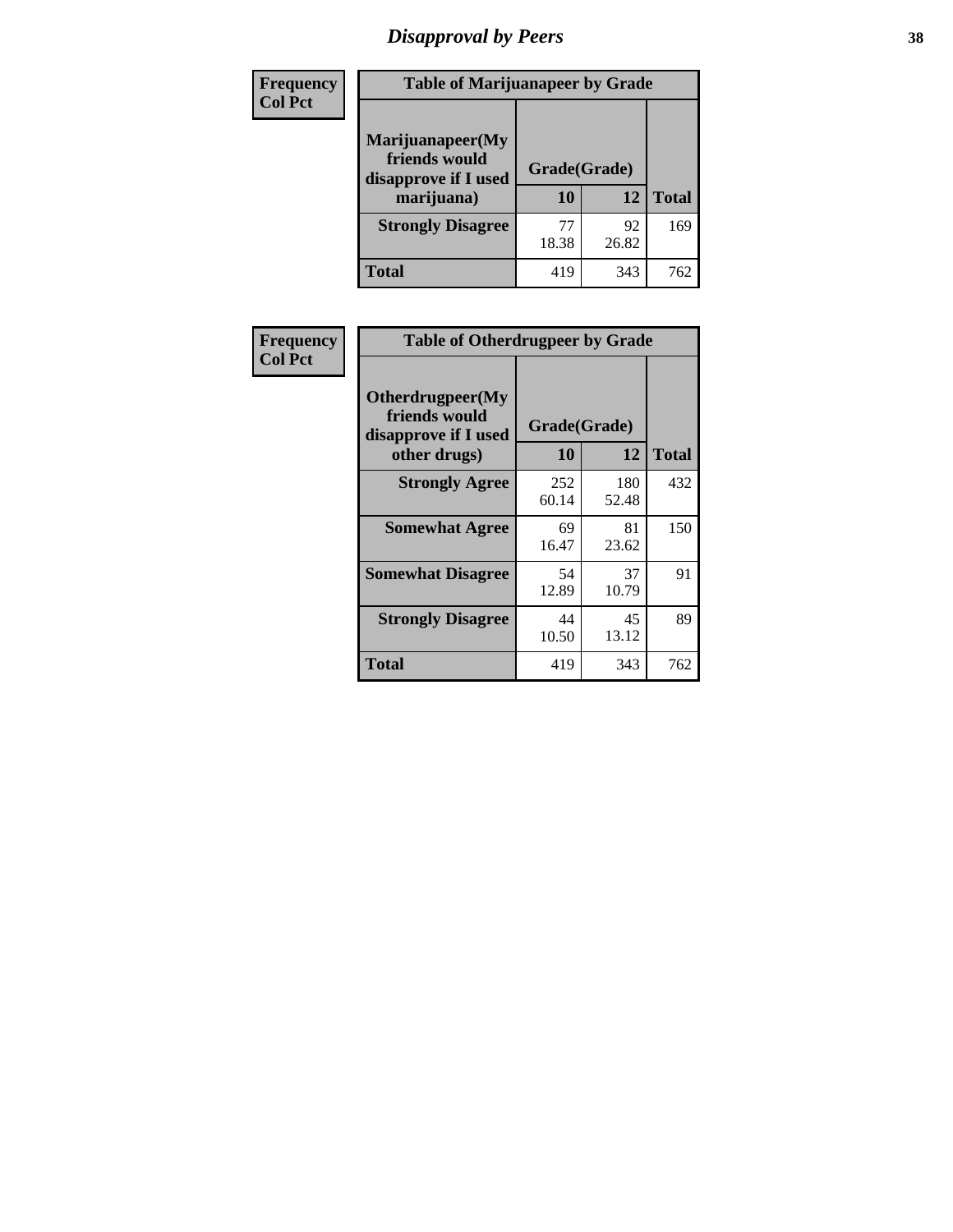# *Disapproval by Peers* **38**

| <b>Frequency</b> | <b>Table of Marijuanapeer by Grade</b>                                  |                    |             |              |  |
|------------------|-------------------------------------------------------------------------|--------------------|-------------|--------------|--|
| <b>Col Pct</b>   | Marijuanapeer(My<br>friends would<br>disapprove if I used<br>marijuana) | Grade(Grade)<br>10 | 12          | <b>Total</b> |  |
|                  | <b>Strongly Disagree</b>                                                | 77<br>18.38        | 92<br>26.82 | 169          |  |
|                  | <b>Total</b>                                                            | 419                | 343         | 762          |  |

| <b>Frequency</b> | <b>Table of Otherdrugpeer by Grade</b>                                    |                    |              |              |
|------------------|---------------------------------------------------------------------------|--------------------|--------------|--------------|
| <b>Col Pct</b>   | Otherdrugpeer(My<br>friends would<br>disapprove if I used<br>other drugs) | Grade(Grade)<br>10 | 12           | <b>Total</b> |
|                  | <b>Strongly Agree</b>                                                     | 252<br>60.14       | 180<br>52.48 | 432          |
|                  | <b>Somewhat Agree</b>                                                     | 69<br>16.47        | 81<br>23.62  | 150          |
|                  | <b>Somewhat Disagree</b>                                                  | 54<br>12.89        | 37<br>10.79  | 91           |
|                  | <b>Strongly Disagree</b>                                                  | 44<br>10.50        | 45<br>13.12  | 89           |
|                  | Total                                                                     | 419                | 343          | 762          |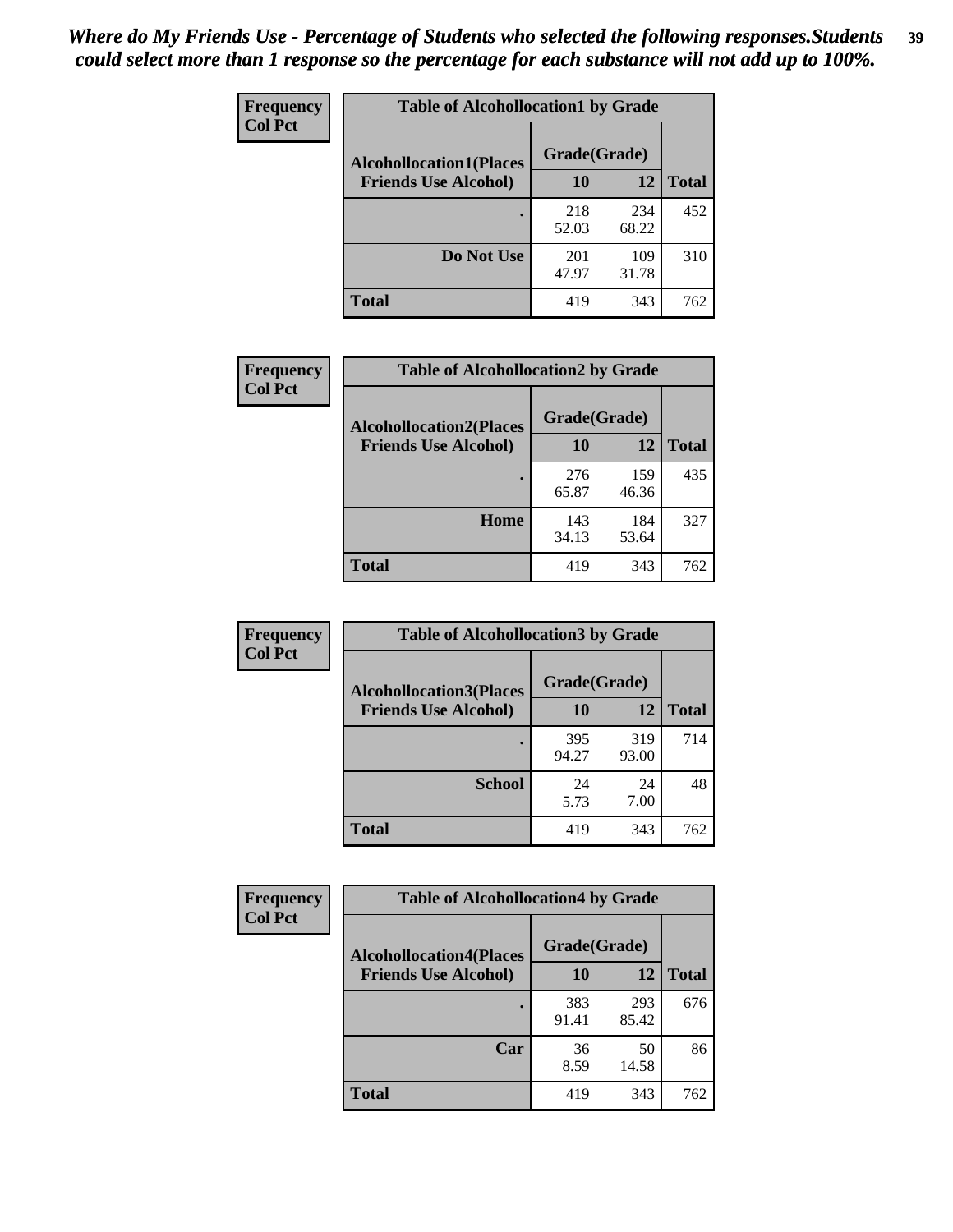| Frequency<br><b>Col Pct</b> | <b>Table of Alcohollocation1 by Grade</b> |              |              |              |
|-----------------------------|-------------------------------------------|--------------|--------------|--------------|
|                             | <b>Alcohollocation1(Places</b>            | Grade(Grade) |              |              |
|                             | <b>Friends Use Alcohol)</b>               | 10           | 12           | <b>Total</b> |
|                             |                                           | 218<br>52.03 | 234<br>68.22 | 452          |
|                             | Do Not Use                                | 201<br>47.97 | 109<br>31.78 | 310          |
|                             | <b>Total</b>                              | 419          | 343          | 762          |

| Frequency      | <b>Table of Alcohollocation2 by Grade</b>                     |                    |              |              |
|----------------|---------------------------------------------------------------|--------------------|--------------|--------------|
| <b>Col Pct</b> | <b>Alcohollocation2(Places</b><br><b>Friends Use Alcohol)</b> | Grade(Grade)<br>10 | 12           | <b>Total</b> |
|                |                                                               | 276<br>65.87       | 159<br>46.36 | 435          |
|                | Home                                                          | 143<br>34.13       | 184<br>53.64 | 327          |
|                | Total                                                         | 419                | 343          | 762          |

| <b>Frequency</b> | <b>Table of Alcohollocation 3 by Grade</b> |              |              |              |
|------------------|--------------------------------------------|--------------|--------------|--------------|
| <b>Col Pct</b>   | <b>Alcohollocation3(Places</b>             | Grade(Grade) |              |              |
|                  | <b>Friends Use Alcohol)</b>                | 10           | 12           | <b>Total</b> |
|                  |                                            | 395<br>94.27 | 319<br>93.00 | 714          |
|                  | <b>School</b>                              | 24<br>5.73   | 24<br>7.00   | 48           |
|                  | <b>Total</b>                               | 419          | 343          | 762          |

| Frequency      | <b>Table of Alcohollocation4 by Grade</b> |              |              |              |  |
|----------------|-------------------------------------------|--------------|--------------|--------------|--|
| <b>Col Pct</b> | <b>Alcohollocation4(Places</b>            | Grade(Grade) |              |              |  |
|                | <b>Friends Use Alcohol)</b>               | 10           | 12           | <b>Total</b> |  |
|                |                                           | 383<br>91.41 | 293<br>85.42 | 676          |  |
|                | Car                                       | 36<br>8.59   | 50<br>14.58  | 86           |  |
|                | <b>Total</b>                              | 419          | 343          | 762          |  |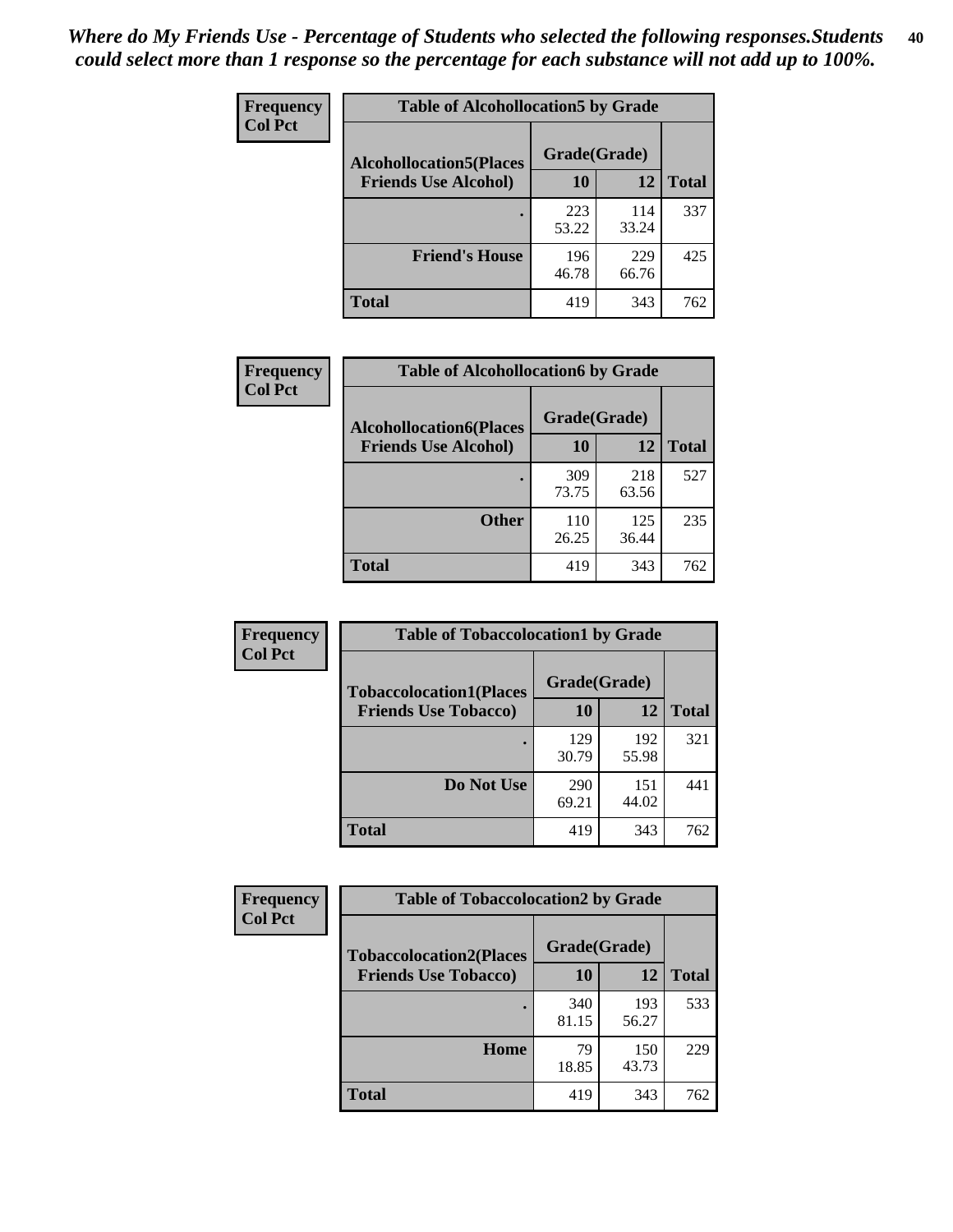| <b>Frequency</b><br><b>Col Pct</b> | <b>Table of Alcohollocation5 by Grade</b> |              |              |              |
|------------------------------------|-------------------------------------------|--------------|--------------|--------------|
|                                    | <b>Alcohollocation5(Places</b>            | Grade(Grade) |              |              |
|                                    | <b>Friends Use Alcohol)</b>               | 10           | 12           | <b>Total</b> |
|                                    |                                           | 223<br>53.22 | 114<br>33.24 | 337          |
|                                    | <b>Friend's House</b>                     | 196<br>46.78 | 229<br>66.76 | 425          |
|                                    | Total                                     | 419          | 343          | 762          |

| Frequency      | <b>Table of Alcohollocation6 by Grade</b>                     |                    |              |              |
|----------------|---------------------------------------------------------------|--------------------|--------------|--------------|
| <b>Col Pct</b> | <b>Alcohollocation6(Places</b><br><b>Friends Use Alcohol)</b> | Grade(Grade)<br>10 | 12           | <b>Total</b> |
|                |                                                               |                    |              |              |
|                |                                                               | 309<br>73.75       | 218<br>63.56 | 527          |
|                | <b>Other</b>                                                  | 110<br>26.25       | 125<br>36.44 | 235          |
|                | Total                                                         | 419                | 343          | 762          |

| Frequency      | <b>Table of Tobaccolocation1 by Grade</b> |              |              |              |
|----------------|-------------------------------------------|--------------|--------------|--------------|
| <b>Col Pct</b> | <b>Tobaccolocation1(Places</b>            | Grade(Grade) |              |              |
|                | <b>Friends Use Tobacco)</b>               | 10           | <b>12</b>    | <b>Total</b> |
|                |                                           | 129<br>30.79 | 192<br>55.98 | 321          |
|                | Do Not Use                                | 290<br>69.21 | 151<br>44.02 | 441          |
|                | <b>Total</b>                              | 419          | 343          | 762          |

| <b>Frequency</b> | <b>Table of Tobaccolocation2 by Grade</b> |              |              |              |  |
|------------------|-------------------------------------------|--------------|--------------|--------------|--|
| <b>Col Pct</b>   | <b>Tobaccolocation2(Places</b>            | Grade(Grade) |              |              |  |
|                  | <b>Friends Use Tobacco)</b>               | 10           | 12           | <b>Total</b> |  |
|                  |                                           | 340<br>81.15 | 193<br>56.27 | 533          |  |
|                  | Home                                      | 79<br>18.85  | 150<br>43.73 | 229          |  |
|                  | <b>Total</b>                              | 419          | 343          | 762          |  |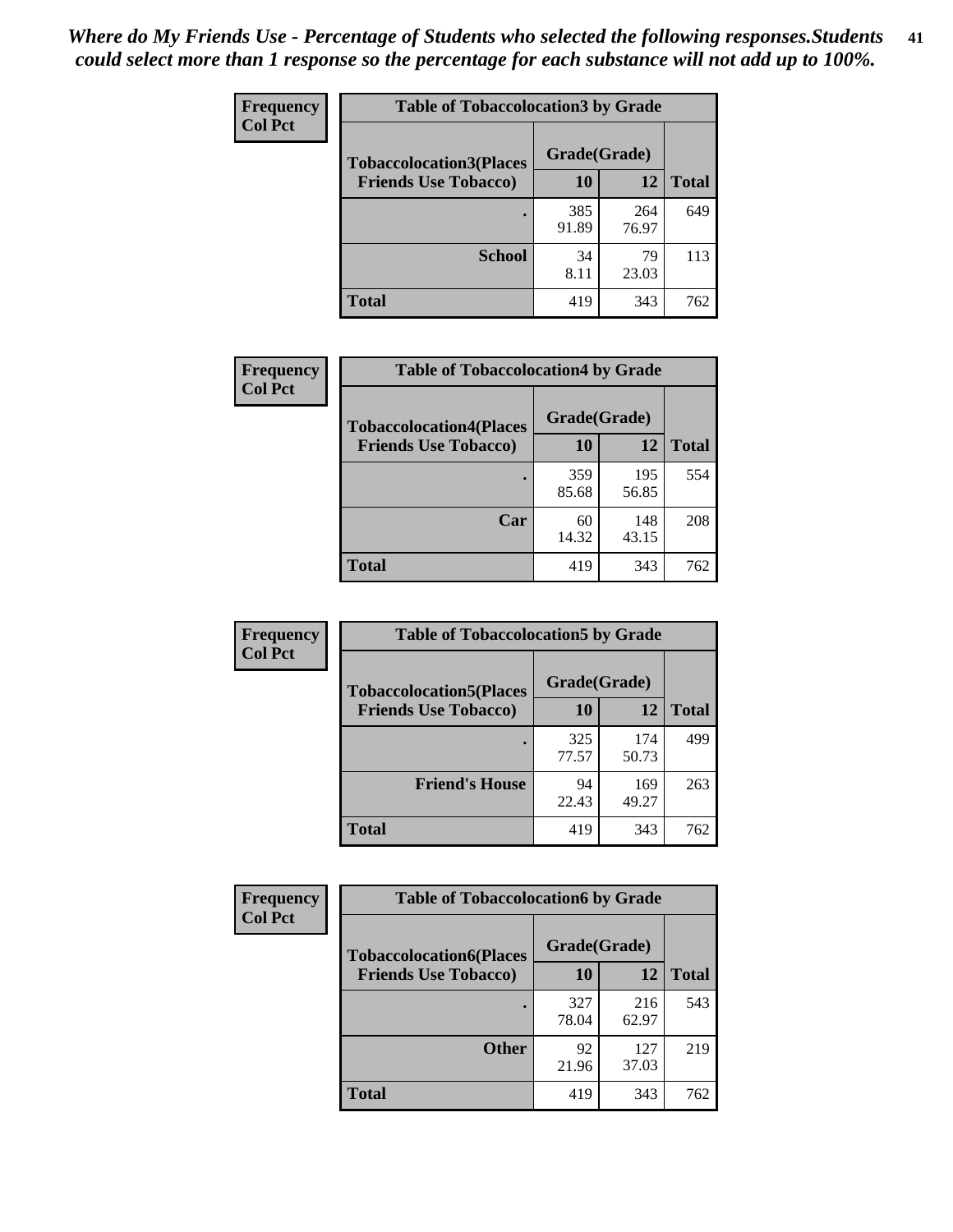| Frequency      | <b>Table of Tobaccolocation3 by Grade</b> |              |              |              |  |
|----------------|-------------------------------------------|--------------|--------------|--------------|--|
| <b>Col Pct</b> | <b>Tobaccolocation3(Places</b>            | Grade(Grade) |              |              |  |
|                | <b>Friends Use Tobacco)</b>               | 10           | 12           | <b>Total</b> |  |
|                |                                           | 385<br>91.89 | 264<br>76.97 | 649          |  |
|                | <b>School</b>                             | 34<br>8.11   | 79<br>23.03  | 113          |  |
|                | <b>Total</b>                              | 419          | 343          | 762          |  |

| Frequency      | <b>Table of Tobaccolocation4 by Grade</b> |              |              |              |
|----------------|-------------------------------------------|--------------|--------------|--------------|
| <b>Col Pct</b> | <b>Tobaccolocation4(Places</b>            | Grade(Grade) |              |              |
|                | <b>Friends Use Tobacco)</b>               | 10           | <b>12</b>    | <b>Total</b> |
|                |                                           | 359<br>85.68 | 195<br>56.85 | 554          |
|                | Car                                       | 60<br>14.32  | 148<br>43.15 | 208          |
|                | <b>Total</b>                              | 419          | 343          | 762          |

| Frequency<br><b>Col Pct</b> | <b>Table of Tobaccolocation5 by Grade</b> |              |              |              |
|-----------------------------|-------------------------------------------|--------------|--------------|--------------|
|                             | <b>Tobaccolocation5(Places</b>            | Grade(Grade) |              |              |
|                             | <b>Friends Use Tobacco)</b>               | 10           | 12           | <b>Total</b> |
|                             |                                           | 325<br>77.57 | 174<br>50.73 | 499          |
|                             | <b>Friend's House</b>                     | 94<br>22.43  | 169<br>49.27 | 263          |
|                             | <b>Total</b>                              | 419          | 343          | 762          |

| <b>Frequency</b> | <b>Table of Tobaccolocation6 by Grade</b> |              |              |              |  |
|------------------|-------------------------------------------|--------------|--------------|--------------|--|
| <b>Col Pct</b>   | <b>Tobaccolocation6(Places</b>            | Grade(Grade) |              |              |  |
|                  | <b>Friends Use Tobacco)</b>               | 10           | 12           | <b>Total</b> |  |
|                  |                                           | 327<br>78.04 | 216<br>62.97 | 543          |  |
|                  | <b>Other</b>                              | 92<br>21.96  | 127<br>37.03 | 219          |  |
|                  | <b>Total</b>                              | 419          | 343          | 762          |  |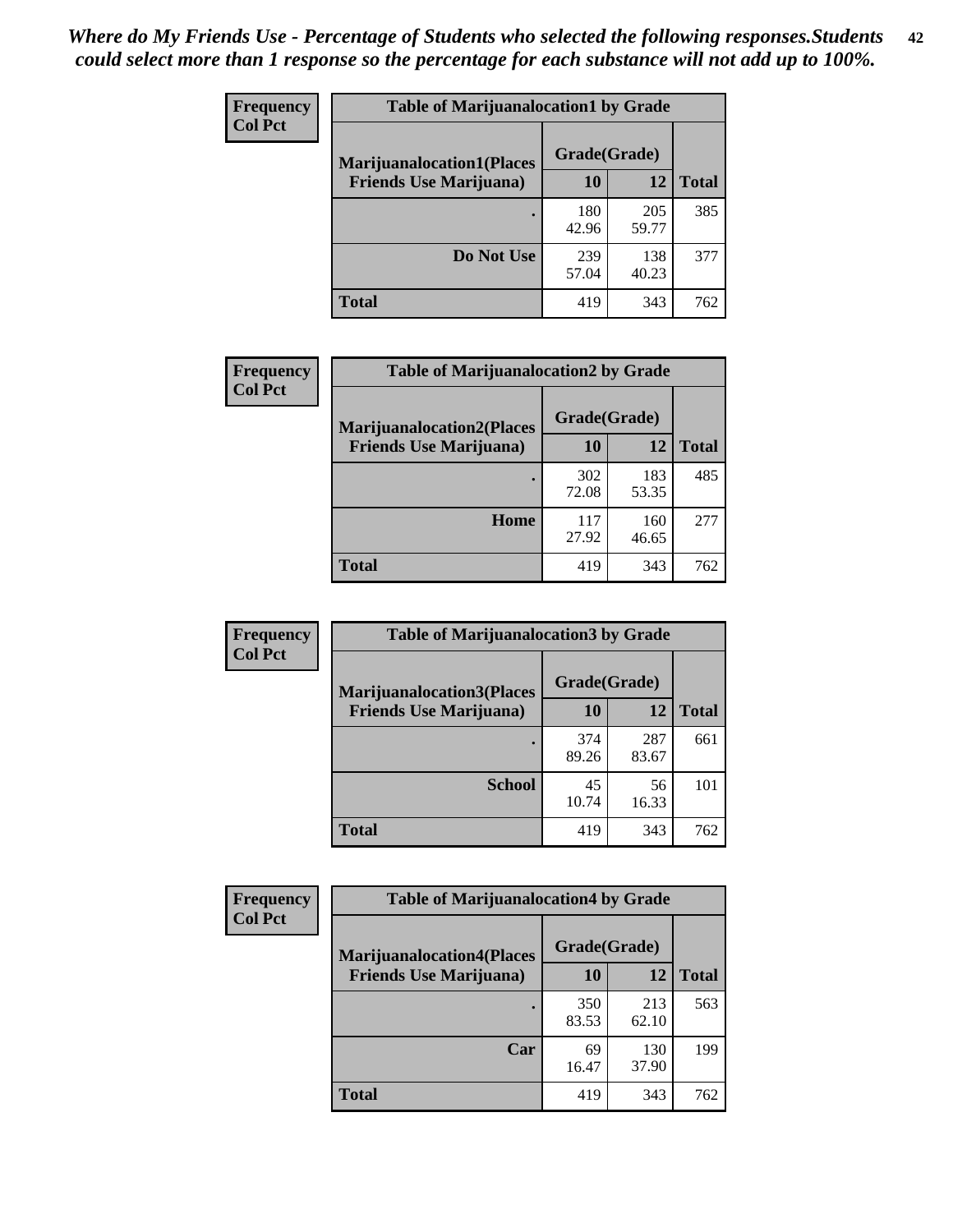| Frequency<br><b>Col Pct</b> | <b>Table of Marijuanalocation1 by Grade</b> |              |              |              |
|-----------------------------|---------------------------------------------|--------------|--------------|--------------|
|                             | <b>Marijuanalocation1(Places</b>            | Grade(Grade) |              |              |
|                             | <b>Friends Use Marijuana</b> )              | 10           | 12           | <b>Total</b> |
|                             |                                             | 180<br>42.96 | 205<br>59.77 | 385          |
|                             | Do Not Use                                  | 239<br>57.04 | 138<br>40.23 | 377          |
|                             | <b>Total</b>                                | 419          | 343          | 762          |

| <b>Frequency</b> | <b>Table of Marijuanalocation2 by Grade</b>                        |                    |              |              |
|------------------|--------------------------------------------------------------------|--------------------|--------------|--------------|
| <b>Col Pct</b>   | <b>Marijuanalocation2(Places</b><br><b>Friends Use Marijuana</b> ) | Grade(Grade)<br>10 | 12           | <b>Total</b> |
|                  |                                                                    | 302<br>72.08       | 183<br>53.35 | 485          |
|                  | Home                                                               | 117<br>27.92       | 160<br>46.65 | 277          |
|                  | <b>Total</b>                                                       | 419                | 343          | 762          |

| <b>Frequency</b><br><b>Col Pct</b> | <b>Table of Marijuanalocation3 by Grade</b> |              |              |              |
|------------------------------------|---------------------------------------------|--------------|--------------|--------------|
|                                    | <b>Marijuanalocation3</b> (Places           | Grade(Grade) |              |              |
|                                    | <b>Friends Use Marijuana</b> )              | <b>10</b>    | 12           | <b>Total</b> |
|                                    |                                             | 374<br>89.26 | 287<br>83.67 | 661          |
|                                    | <b>School</b>                               | 45<br>10.74  | 56<br>16.33  | 101          |
|                                    | <b>Total</b>                                | 419          | 343          | 762          |

| <b>Frequency</b> | <b>Table of Marijuanalocation4 by Grade</b> |              |              |              |  |
|------------------|---------------------------------------------|--------------|--------------|--------------|--|
| <b>Col Pct</b>   | <b>Marijuanalocation4(Places</b>            | Grade(Grade) |              |              |  |
|                  | <b>Friends Use Marijuana</b> )              | <b>10</b>    | 12           | <b>Total</b> |  |
|                  |                                             | 350<br>83.53 | 213<br>62.10 | 563          |  |
|                  | Car                                         | 69<br>16.47  | 130<br>37.90 | 199          |  |
|                  | <b>Total</b>                                | 419          | 343          | 762          |  |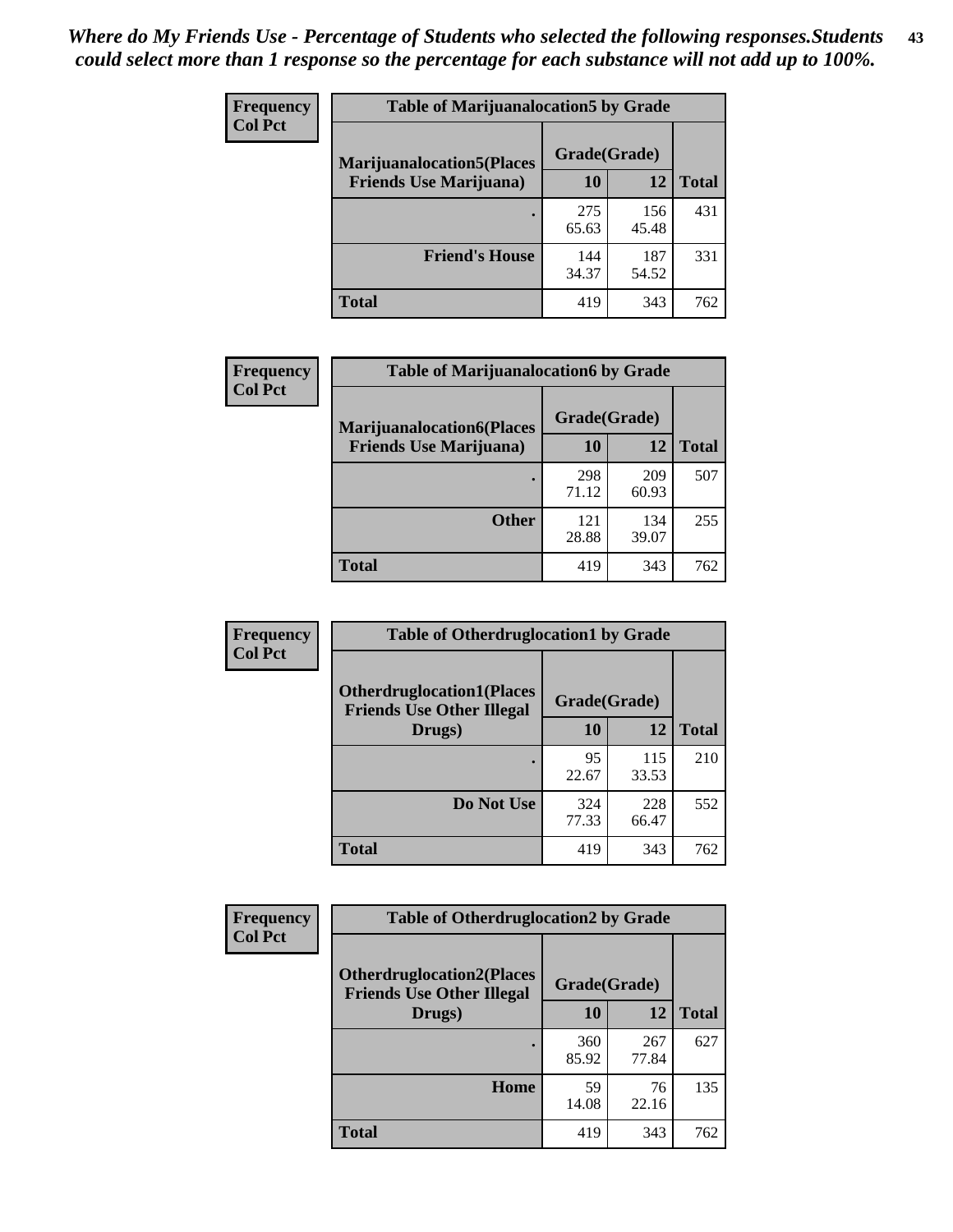| <b>Frequency</b> | <b>Table of Marijuanalocation5 by Grade</b> |              |              |              |
|------------------|---------------------------------------------|--------------|--------------|--------------|
| <b>Col Pct</b>   | <b>Marijuanalocation5</b> (Places           | Grade(Grade) |              |              |
|                  | <b>Friends Use Marijuana</b> )              | 10           | 12           | <b>Total</b> |
|                  |                                             | 275<br>65.63 | 156<br>45.48 | 431          |
|                  | <b>Friend's House</b>                       | 144<br>34.37 | 187<br>54.52 | 331          |
|                  | Total                                       | 419          | 343          | 762          |

| <b>Frequency</b> | <b>Table of Marijuanalocation6 by Grade</b>                        |                    |              |              |
|------------------|--------------------------------------------------------------------|--------------------|--------------|--------------|
| <b>Col Pct</b>   | <b>Marijuanalocation6(Places</b><br><b>Friends Use Marijuana</b> ) | Grade(Grade)<br>10 | 12           | <b>Total</b> |
|                  |                                                                    | 298<br>71.12       | 209<br>60.93 | 507          |
|                  | <b>Other</b>                                                       | 121<br>28.88       | 134<br>39.07 | 255          |
|                  | <b>Total</b>                                                       | 419                | 343          | 762          |

| <b>Frequency</b> | <b>Table of Otherdruglocation1 by Grade</b>                          |              |              |              |
|------------------|----------------------------------------------------------------------|--------------|--------------|--------------|
| <b>Col Pct</b>   | <b>Otherdruglocation1(Places</b><br><b>Friends Use Other Illegal</b> | Grade(Grade) |              |              |
|                  | Drugs)                                                               | 10           | 12           | <b>Total</b> |
|                  |                                                                      | 95<br>22.67  | 115<br>33.53 | 210          |
|                  | Do Not Use                                                           | 324<br>77.33 | 228<br>66.47 | 552          |
|                  | <b>Total</b>                                                         | 419          | 343          | 762          |

| <b>Frequency</b>                                                                       | <b>Table of Otherdruglocation2 by Grade</b> |              |              |              |
|----------------------------------------------------------------------------------------|---------------------------------------------|--------------|--------------|--------------|
| <b>Col Pct</b><br><b>Otherdruglocation2(Places</b><br><b>Friends Use Other Illegal</b> |                                             | Grade(Grade) |              |              |
|                                                                                        | Drugs)                                      | 10           | 12           | <b>Total</b> |
|                                                                                        |                                             | 360<br>85.92 | 267<br>77.84 | 627          |
|                                                                                        | <b>Home</b>                                 | 59<br>14.08  | 76<br>22.16  | 135          |
|                                                                                        | <b>Total</b>                                | 419          | 343          | 762          |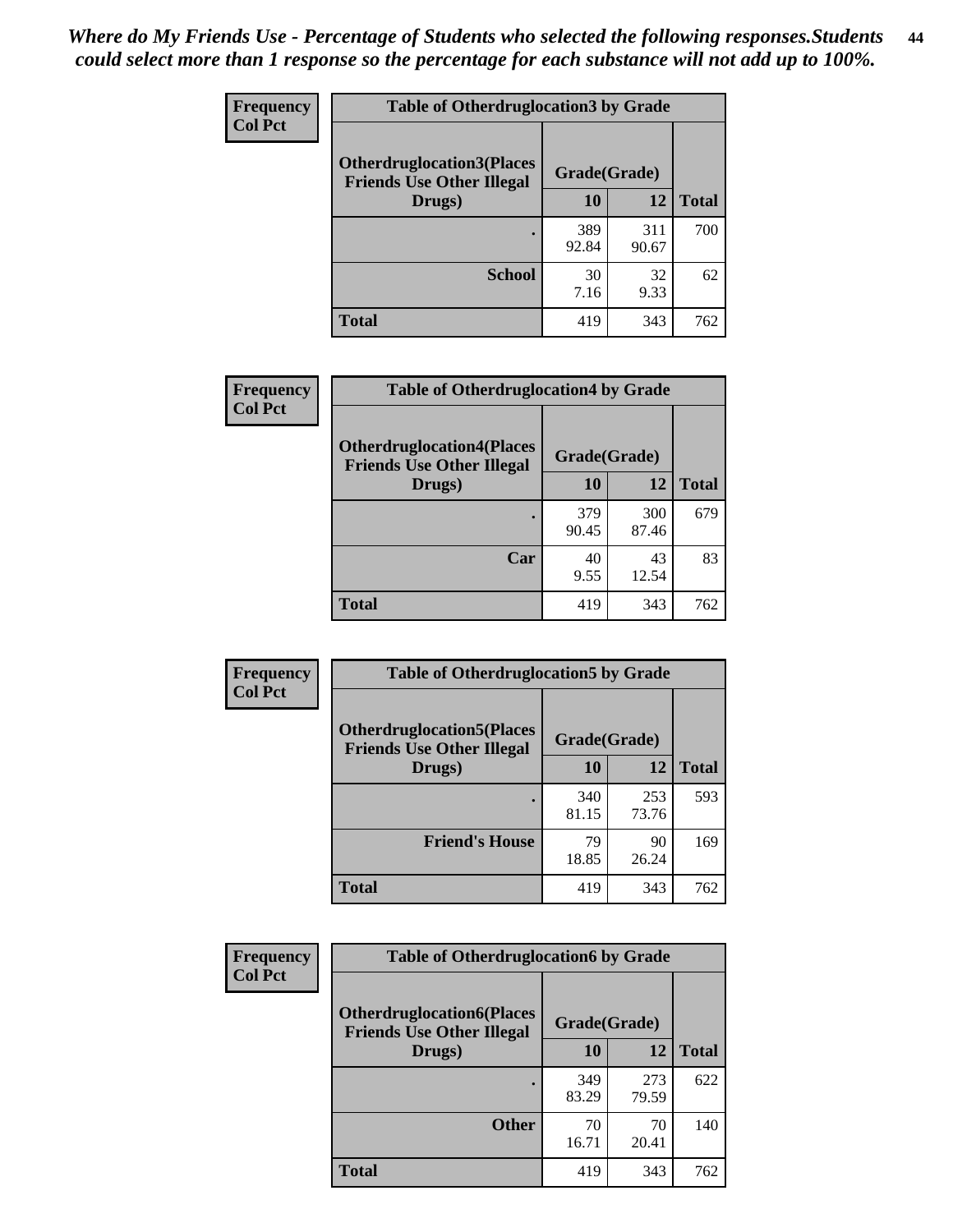| <b>Frequency</b> | <b>Table of Otherdruglocation 3 by Grade</b>                          |              |              |              |
|------------------|-----------------------------------------------------------------------|--------------|--------------|--------------|
| <b>Col Pct</b>   | <b>Otherdruglocation3(Places)</b><br><b>Friends Use Other Illegal</b> | Grade(Grade) |              |              |
|                  | Drugs)                                                                | 10           | 12           | <b>Total</b> |
|                  |                                                                       | 389<br>92.84 | 311<br>90.67 | 700          |
|                  | <b>School</b>                                                         | 30<br>7.16   | 32<br>9.33   | 62           |
|                  | <b>Total</b>                                                          | 419          | 343          | 762          |

| Frequency      | <b>Table of Otherdruglocation4 by Grade</b>                          |              |              |              |
|----------------|----------------------------------------------------------------------|--------------|--------------|--------------|
| <b>Col Pct</b> | <b>Otherdruglocation4(Places</b><br><b>Friends Use Other Illegal</b> | Grade(Grade) |              |              |
|                | Drugs)                                                               | 10           | 12           | <b>Total</b> |
|                |                                                                      | 379<br>90.45 | 300<br>87.46 | 679          |
|                | Car                                                                  | 40<br>9.55   | 43<br>12.54  | 83           |
|                | <b>Total</b>                                                         | 419          | 343          | 762          |

| <b>Frequency</b><br><b>Col Pct</b> | <b>Table of Otherdruglocation5 by Grade</b>                          |              |              |              |
|------------------------------------|----------------------------------------------------------------------|--------------|--------------|--------------|
|                                    | <b>Otherdruglocation5(Places</b><br><b>Friends Use Other Illegal</b> | Grade(Grade) |              |              |
|                                    | Drugs)                                                               | <b>10</b>    | 12           | <b>Total</b> |
|                                    |                                                                      | 340<br>81.15 | 253<br>73.76 | 593          |
|                                    | <b>Friend's House</b>                                                | 79<br>18.85  | 90<br>26.24  | 169          |
|                                    | <b>Total</b>                                                         | 419          | 343          | 762          |

| <b>Frequency</b> | <b>Table of Otherdruglocation6 by Grade</b>                          |              |              |              |
|------------------|----------------------------------------------------------------------|--------------|--------------|--------------|
| <b>Col Pct</b>   | <b>Otherdruglocation6(Places</b><br><b>Friends Use Other Illegal</b> | Grade(Grade) |              |              |
|                  | Drugs)                                                               | 10           | 12           | <b>Total</b> |
|                  |                                                                      | 349<br>83.29 | 273<br>79.59 | 622          |
|                  | <b>Other</b>                                                         | 70<br>16.71  | 70<br>20.41  | 140          |
|                  | Total                                                                | 419          | 343          | 762          |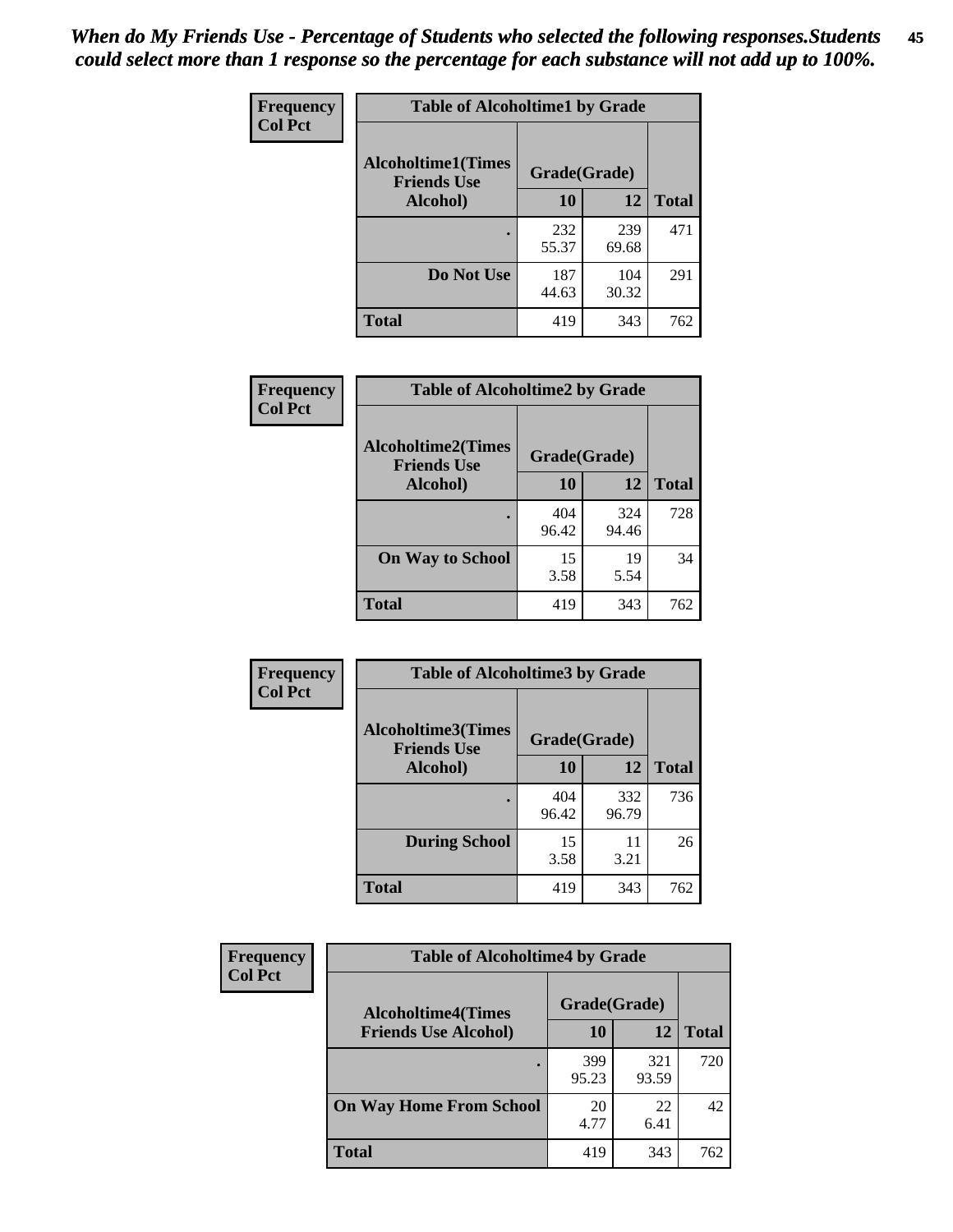| Frequency      | <b>Table of Alcoholtime1 by Grade</b> |              |              |              |
|----------------|---------------------------------------|--------------|--------------|--------------|
| <b>Col Pct</b> | <b>Alcoholtime1(Times</b>             | Grade(Grade) |              |              |
|                | <b>Friends Use</b><br>Alcohol)        | 10           | 12           | <b>Total</b> |
|                |                                       | 232<br>55.37 | 239<br>69.68 | 471          |
|                | Do Not Use                            | 187<br>44.63 | 104<br>30.32 | 291          |
|                | <b>Total</b>                          | 419          | 343          | 762          |

| Frequency      | <b>Table of Alcoholtime2 by Grade</b>           |              |              |              |
|----------------|-------------------------------------------------|--------------|--------------|--------------|
| <b>Col Pct</b> | <b>Alcoholtime2(Times</b><br><b>Friends Use</b> | Grade(Grade) |              |              |
|                | Alcohol)                                        | 10           | 12           | <b>Total</b> |
|                |                                                 | 404<br>96.42 | 324<br>94.46 | 728          |
|                | <b>On Way to School</b>                         | 15<br>3.58   | 19<br>5.54   | 34           |
|                | <b>Total</b>                                    | 419          | 343          | 762          |

| Frequency<br><b>Col Pct</b> | <b>Table of Alcoholtime3 by Grade</b>           |              |              |              |
|-----------------------------|-------------------------------------------------|--------------|--------------|--------------|
|                             | <b>Alcoholtime3(Times</b><br><b>Friends Use</b> | Grade(Grade) |              |              |
|                             | Alcohol)                                        | 10           | 12           | <b>Total</b> |
|                             |                                                 | 404<br>96.42 | 332<br>96.79 | 736          |
|                             | <b>During School</b>                            | 15<br>3.58   | 11<br>3.21   | 26           |
|                             | Total                                           | 419          | 343          | 762          |

| <b>Frequency</b><br><b>Col Pct</b> | <b>Table of Alcoholtime4 by Grade</b> |              |              |              |
|------------------------------------|---------------------------------------|--------------|--------------|--------------|
|                                    | <b>Alcoholtime4(Times</b>             | Grade(Grade) |              |              |
|                                    | <b>Friends Use Alcohol)</b>           | 10           | 12           | <b>Total</b> |
|                                    |                                       | 399<br>95.23 | 321<br>93.59 | 720          |
|                                    | <b>On Way Home From School</b>        | 20<br>4.77   | 22<br>6.41   | 42           |
|                                    | <b>Total</b>                          | 419          | 343          | 762          |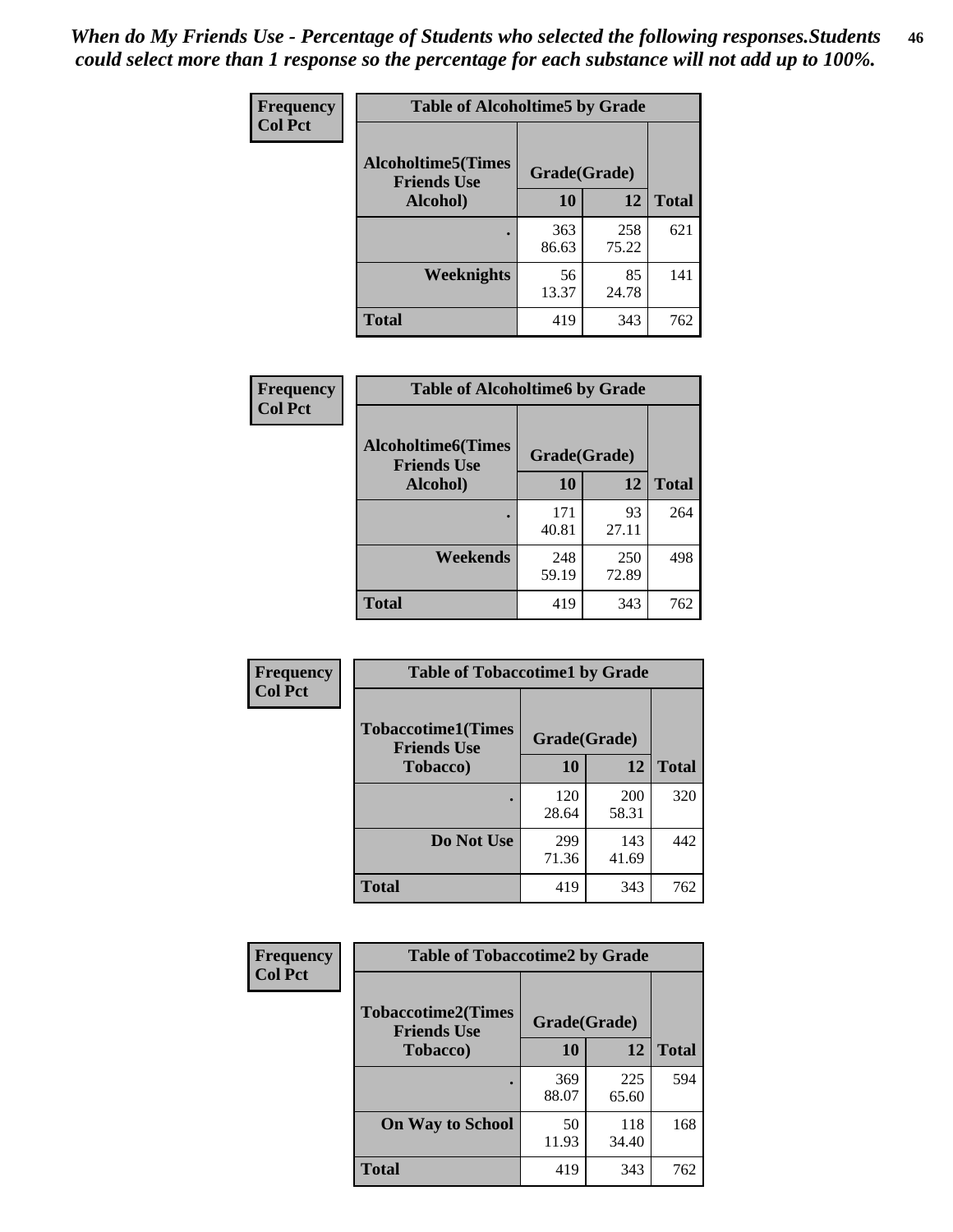*When do My Friends Use - Percentage of Students who selected the following responses.Students could select more than 1 response so the percentage for each substance will not add up to 100%.* **46**

| Frequency      | <b>Table of Alcoholtime5 by Grade</b>            |              |              |              |
|----------------|--------------------------------------------------|--------------|--------------|--------------|
| <b>Col Pct</b> | <b>Alcoholtime5</b> (Times<br><b>Friends Use</b> | Grade(Grade) |              |              |
|                | Alcohol)                                         | 10           | 12           | <b>Total</b> |
|                |                                                  | 363<br>86.63 | 258<br>75.22 | 621          |
|                | Weeknights                                       | 56<br>13.37  | 85<br>24.78  | 141          |
|                | <b>Total</b>                                     | 419          | 343          | 762          |

| Frequency      | <b>Table of Alcoholtime6 by Grade</b>           |              |              |              |
|----------------|-------------------------------------------------|--------------|--------------|--------------|
| <b>Col Pct</b> | <b>Alcoholtime6(Times</b><br><b>Friends Use</b> | Grade(Grade) |              |              |
|                | Alcohol)                                        | 10           | 12           | <b>Total</b> |
|                |                                                 | 171<br>40.81 | 93<br>27.11  | 264          |
|                | Weekends                                        | 248<br>59.19 | 250<br>72.89 | 498          |
|                | <b>Total</b>                                    | 419          | 343          | 762          |

| Frequency      | <b>Table of Tobaccotime1 by Grade</b>           |              |              |              |
|----------------|-------------------------------------------------|--------------|--------------|--------------|
| <b>Col Pct</b> | <b>Tobaccotime1(Times</b><br><b>Friends Use</b> | Grade(Grade) |              |              |
|                | <b>Tobacco</b> )                                | 10           | 12           | <b>Total</b> |
|                |                                                 | 120<br>28.64 | 200<br>58.31 | 320          |
|                | Do Not Use                                      | 299<br>71.36 | 143<br>41.69 | 442          |
|                | <b>Total</b>                                    | 419          | 343          | 762          |

| Frequency      | <b>Table of Tobaccotime2 by Grade</b>           |              |              |              |
|----------------|-------------------------------------------------|--------------|--------------|--------------|
| <b>Col Pct</b> | <b>Tobaccotime2(Times</b><br><b>Friends Use</b> | Grade(Grade) |              |              |
|                | <b>Tobacco</b> )                                | 10           | 12           | <b>Total</b> |
|                | ٠                                               | 369<br>88.07 | 225<br>65.60 | 594          |
|                | <b>On Way to School</b>                         | 50<br>11.93  | 118<br>34.40 | 168          |
|                | Total                                           | 419          | 343          | 762          |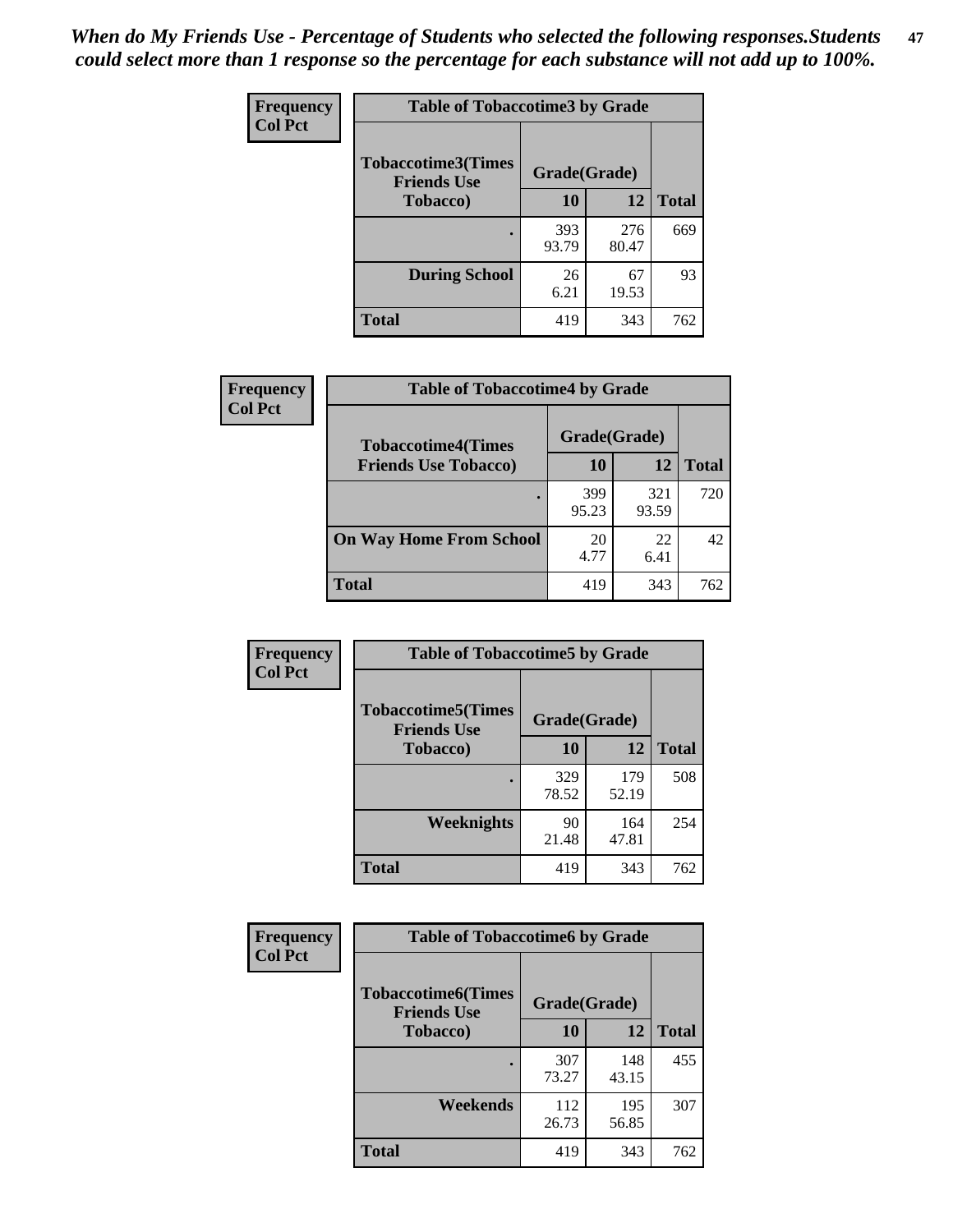*When do My Friends Use - Percentage of Students who selected the following responses.Students could select more than 1 response so the percentage for each substance will not add up to 100%.* **47**

| <b>Frequency</b> | <b>Table of Tobaccotime3 by Grade</b>           |              |              |              |  |
|------------------|-------------------------------------------------|--------------|--------------|--------------|--|
| <b>Col Pct</b>   | <b>Tobaccotime3(Times</b><br><b>Friends Use</b> | Grade(Grade) |              |              |  |
|                  | <b>Tobacco</b> )                                | 10           | 12           | <b>Total</b> |  |
|                  |                                                 | 393<br>93.79 | 276<br>80.47 | 669          |  |
|                  | <b>During School</b>                            | 26<br>6.21   | 67<br>19.53  | 93           |  |
|                  | <b>Total</b>                                    | 419          | 343          | 762          |  |

| <b>Frequency</b> | <b>Table of Tobaccotime4 by Grade</b> |              |              |              |
|------------------|---------------------------------------|--------------|--------------|--------------|
| <b>Col Pct</b>   | <b>Tobaccotime4(Times</b>             | Grade(Grade) |              |              |
|                  | <b>Friends Use Tobacco)</b>           | 10           | 12           | <b>Total</b> |
|                  |                                       | 399<br>95.23 | 321<br>93.59 | 720          |
|                  | <b>On Way Home From School</b>        | 20<br>4.77   | 22<br>6.41   | 42           |
|                  | <b>Total</b>                          | 419          | 343          | 762          |

| Frequency      | <b>Table of Tobaccotime5 by Grade</b>                            |              |              |              |
|----------------|------------------------------------------------------------------|--------------|--------------|--------------|
| <b>Col Pct</b> | <b>Tobaccotime5</b> (Times<br>Grade(Grade)<br><b>Friends Use</b> |              |              |              |
|                | <b>Tobacco</b> )                                                 | 10           | 12           | <b>Total</b> |
|                |                                                                  | 329<br>78.52 | 179<br>52.19 | 508          |
|                | Weeknights                                                       | 90<br>21.48  | 164<br>47.81 | 254          |
|                | <b>Total</b>                                                     | 419          | 343          | 762          |

| Frequency      | <b>Table of Tobaccotime6 by Grade</b>           |              |              |              |  |
|----------------|-------------------------------------------------|--------------|--------------|--------------|--|
| <b>Col Pct</b> | <b>Tobaccotime6(Times</b><br><b>Friends Use</b> | Grade(Grade) |              |              |  |
|                | <b>Tobacco</b> )                                | 10           | 12           | <b>Total</b> |  |
|                |                                                 | 307<br>73.27 | 148<br>43.15 | 455          |  |
|                | Weekends                                        | 112<br>26.73 | 195<br>56.85 | 307          |  |
|                | Total                                           | 419          | 343          | 762          |  |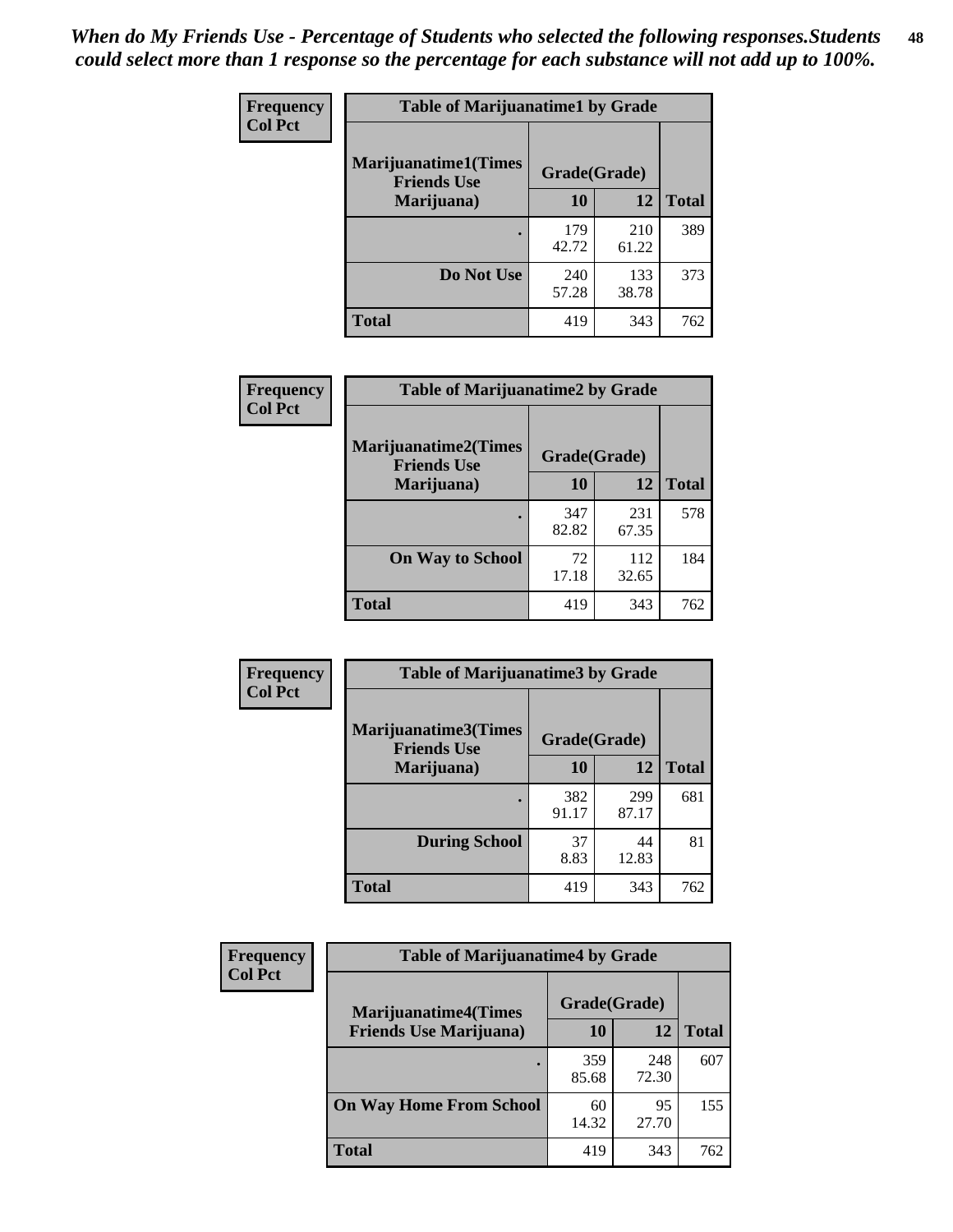| Frequency      | <b>Table of Marijuanatime1 by Grade</b>           |              |              |              |
|----------------|---------------------------------------------------|--------------|--------------|--------------|
| <b>Col Pct</b> | <b>Marijuanatime1(Times</b><br><b>Friends Use</b> | Grade(Grade) |              |              |
|                | Marijuana)                                        | 10           | 12           | <b>Total</b> |
|                |                                                   | 179<br>42.72 | 210<br>61.22 | 389          |
|                | Do Not Use                                        | 240<br>57.28 | 133<br>38.78 | 373          |
|                | <b>Total</b>                                      | 419          | 343          | 762          |

| <b>Frequency</b> | <b>Table of Marijuanatime2 by Grade</b>           |              |              |              |
|------------------|---------------------------------------------------|--------------|--------------|--------------|
| <b>Col Pct</b>   | <b>Marijuanatime2(Times</b><br><b>Friends Use</b> | Grade(Grade) |              |              |
|                  | Marijuana)                                        | 10           | 12           | <b>Total</b> |
|                  |                                                   | 347<br>82.82 | 231<br>67.35 | 578          |
|                  | <b>On Way to School</b>                           | 72<br>17.18  | 112<br>32.65 | 184          |
|                  | <b>Total</b>                                      | 419          | 343          | 762          |

| Frequency      | <b>Table of Marijuanatime3 by Grade</b>    |              |              |              |
|----------------|--------------------------------------------|--------------|--------------|--------------|
| <b>Col Pct</b> | Marijuanatime3(Times<br><b>Friends Use</b> | Grade(Grade) |              |              |
|                | Marijuana)                                 | 10           | 12           | <b>Total</b> |
|                |                                            | 382<br>91.17 | 299<br>87.17 | 681          |
|                | <b>During School</b>                       | 37<br>8.83   | 44<br>12.83  | 81           |
|                | <b>Total</b>                               | 419          | 343          | 762          |

| <b>Frequency</b><br><b>Col Pct</b> | <b>Table of Marijuanatime4 by Grade</b> |              |              |              |
|------------------------------------|-----------------------------------------|--------------|--------------|--------------|
|                                    | <b>Marijuanatime4(Times</b>             | Grade(Grade) |              |              |
|                                    | <b>Friends Use Marijuana</b> )          | 10           | 12           | <b>Total</b> |
|                                    |                                         | 359<br>85.68 | 248<br>72.30 | 607          |
|                                    | <b>On Way Home From School</b>          | 60<br>14.32  | 95<br>27.70  | 155          |
|                                    | <b>Total</b>                            | 419          | 343          | 762          |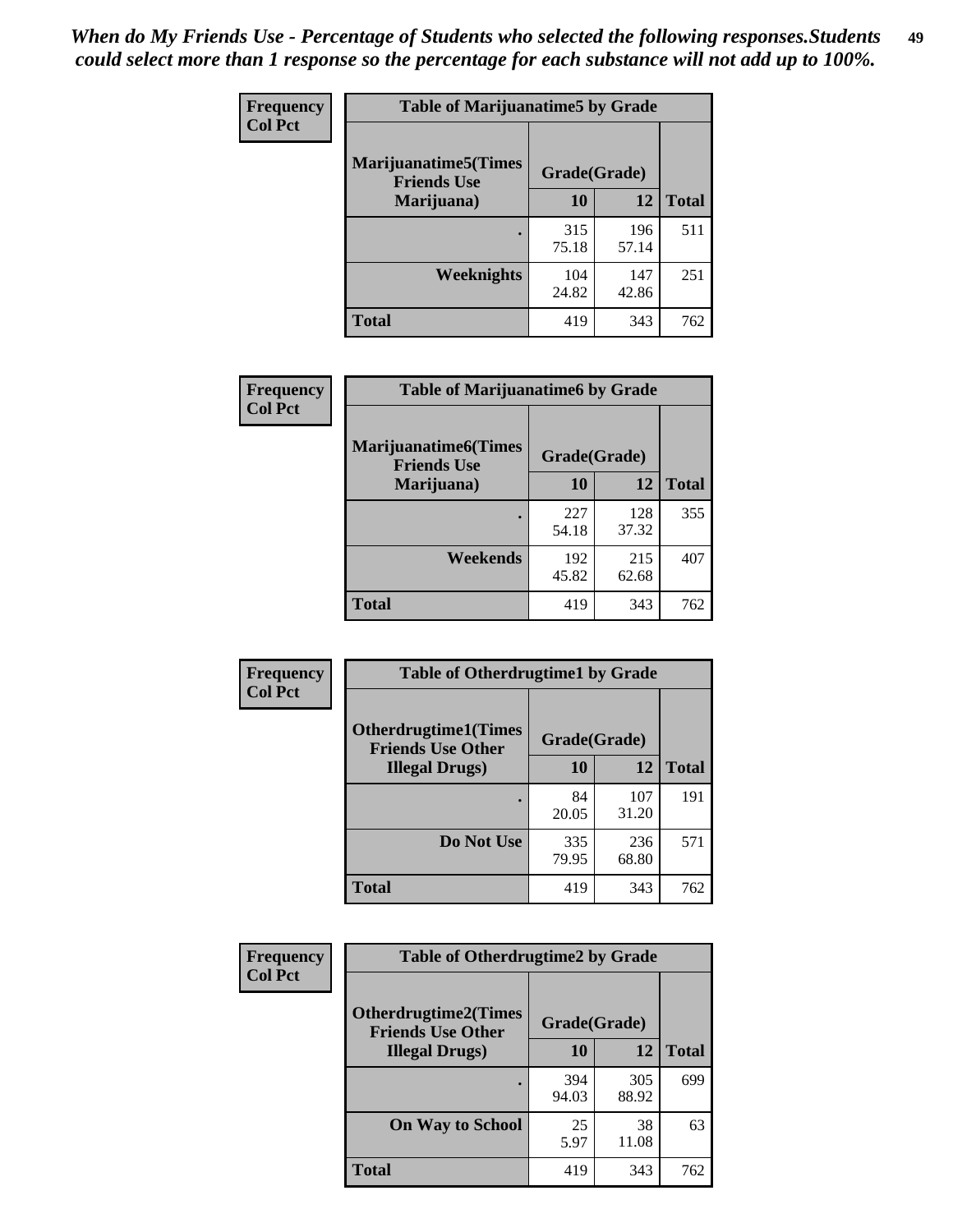| Frequency      | <b>Table of Marijuanatime5 by Grade</b>            |              |              |              |  |
|----------------|----------------------------------------------------|--------------|--------------|--------------|--|
| <b>Col Pct</b> | <b>Marijuanatime5</b> (Times<br><b>Friends Use</b> | Grade(Grade) |              |              |  |
|                | Marijuana)                                         | 10           | 12           | <b>Total</b> |  |
|                |                                                    | 315<br>75.18 | 196<br>57.14 | 511          |  |
|                | Weeknights                                         | 104<br>24.82 | 147<br>42.86 | 251          |  |
|                | <b>Total</b>                                       | 419          | 343          | 762          |  |

| Frequency      | <b>Table of Marijuanatime6 by Grade</b>    |              |              |              |
|----------------|--------------------------------------------|--------------|--------------|--------------|
| <b>Col Pct</b> | Marijuanatime6(Times<br><b>Friends Use</b> | Grade(Grade) |              |              |
|                | Marijuana)                                 | 10           | 12           | <b>Total</b> |
|                |                                            | 227<br>54.18 | 128<br>37.32 | 355          |
|                | Weekends                                   | 192<br>45.82 | 215<br>62.68 | 407          |
|                | <b>Total</b>                               | 419          | 343          | 762          |

| <b>Frequency</b> | <b>Table of Otherdrugtime1 by Grade</b>                 |              |              |              |  |
|------------------|---------------------------------------------------------|--------------|--------------|--------------|--|
| <b>Col Pct</b>   | <b>Otherdrugtime1(Times</b><br><b>Friends Use Other</b> | Grade(Grade) |              |              |  |
|                  | <b>Illegal Drugs</b> )                                  | 10           | 12           | <b>Total</b> |  |
|                  |                                                         | 84<br>20.05  | 107<br>31.20 | 191          |  |
|                  | Do Not Use                                              | 335<br>79.95 | 236<br>68.80 | 571          |  |
|                  | <b>Total</b>                                            | 419          | 343          | 762          |  |

| Frequency      | <b>Table of Otherdrugtime2 by Grade</b>                 |              |              |              |  |  |  |
|----------------|---------------------------------------------------------|--------------|--------------|--------------|--|--|--|
| <b>Col Pct</b> | <b>Otherdrugtime2(Times</b><br><b>Friends Use Other</b> | Grade(Grade) |              |              |  |  |  |
|                | <b>Illegal Drugs</b> )                                  | 10           | 12           | <b>Total</b> |  |  |  |
|                |                                                         | 394<br>94.03 | 305<br>88.92 | 699          |  |  |  |
|                | <b>On Way to School</b>                                 | 25<br>5.97   | 38<br>11.08  | 63           |  |  |  |
|                | Total                                                   | 419          | 343          | 762          |  |  |  |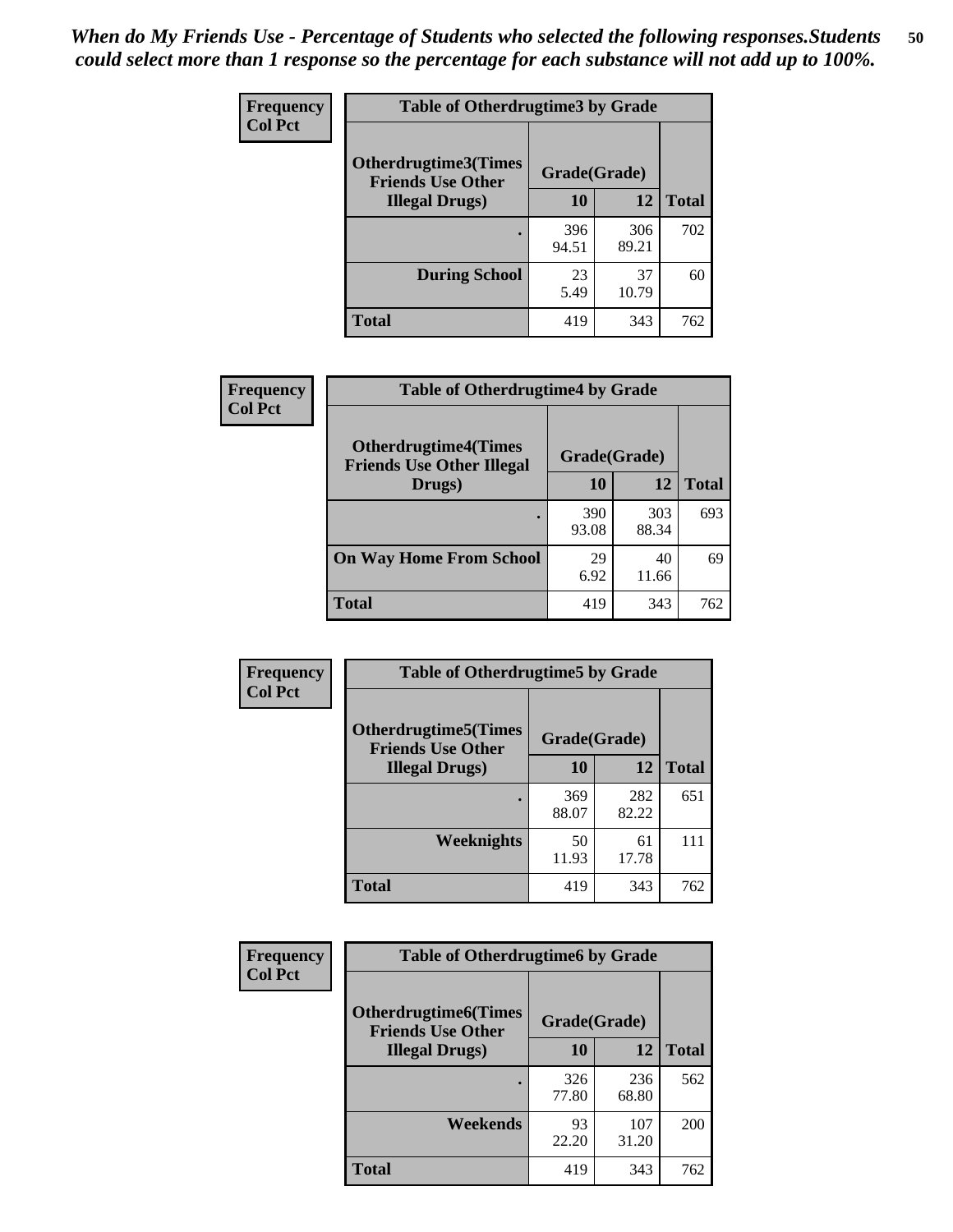| <b>Frequency</b> | <b>Table of Otherdrugtime3 by Grade</b>                                 |              |              |              |  |  |
|------------------|-------------------------------------------------------------------------|--------------|--------------|--------------|--|--|
| <b>Col Pct</b>   | <b>Otherdrugtime3(Times</b><br>Grade(Grade)<br><b>Friends Use Other</b> |              |              |              |  |  |
|                  | <b>Illegal Drugs</b> )                                                  | 10           | 12           | <b>Total</b> |  |  |
|                  |                                                                         | 396<br>94.51 | 306<br>89.21 | 702          |  |  |
|                  | <b>During School</b>                                                    | 23<br>5.49   | 37<br>10.79  | 60           |  |  |
|                  | Total                                                                   | 419          | 343          | 762          |  |  |

| <b>Frequency</b> | <b>Table of Otherdrugtime4 by Grade</b>                         |              |              |              |  |  |
|------------------|-----------------------------------------------------------------|--------------|--------------|--------------|--|--|
| <b>Col Pct</b>   | <b>Otherdrugtime4(Times</b><br><b>Friends Use Other Illegal</b> | Grade(Grade) |              |              |  |  |
|                  | Drugs)                                                          | 10           | 12           | <b>Total</b> |  |  |
|                  |                                                                 | 390<br>93.08 | 303<br>88.34 | 693          |  |  |
|                  | <b>On Way Home From School</b>                                  | 29<br>6.92   | 40<br>11.66  | 69           |  |  |
|                  | <b>Total</b>                                                    | 419          | 343          | 762          |  |  |

| Frequency<br><b>Col Pct</b> | <b>Table of Otherdrugtime5 by Grade</b>                  |              |              |              |  |  |  |
|-----------------------------|----------------------------------------------------------|--------------|--------------|--------------|--|--|--|
|                             | <b>Otherdrugtime5</b> (Times<br><b>Friends Use Other</b> | Grade(Grade) |              |              |  |  |  |
|                             | <b>Illegal Drugs</b> )                                   | 10           | 12           | <b>Total</b> |  |  |  |
|                             |                                                          | 369<br>88.07 | 282<br>82.22 | 651          |  |  |  |
|                             | Weeknights                                               | 50<br>11.93  | 61<br>17.78  | 111          |  |  |  |
|                             | Total                                                    | 419          | 343          | 762          |  |  |  |

| Frequency      | <b>Table of Otherdrugtime6 by Grade</b>                 |              |              |              |  |  |
|----------------|---------------------------------------------------------|--------------|--------------|--------------|--|--|
| <b>Col Pct</b> | <b>Otherdrugtime6(Times</b><br><b>Friends Use Other</b> | Grade(Grade) |              |              |  |  |
|                | <b>Illegal Drugs</b> )                                  | 10           | 12           | <b>Total</b> |  |  |
|                |                                                         | 326<br>77.80 | 236<br>68.80 | 562          |  |  |
|                | Weekends                                                | 93<br>22.20  | 107<br>31.20 | 200          |  |  |
|                | Total                                                   | 419          | 343          | 762          |  |  |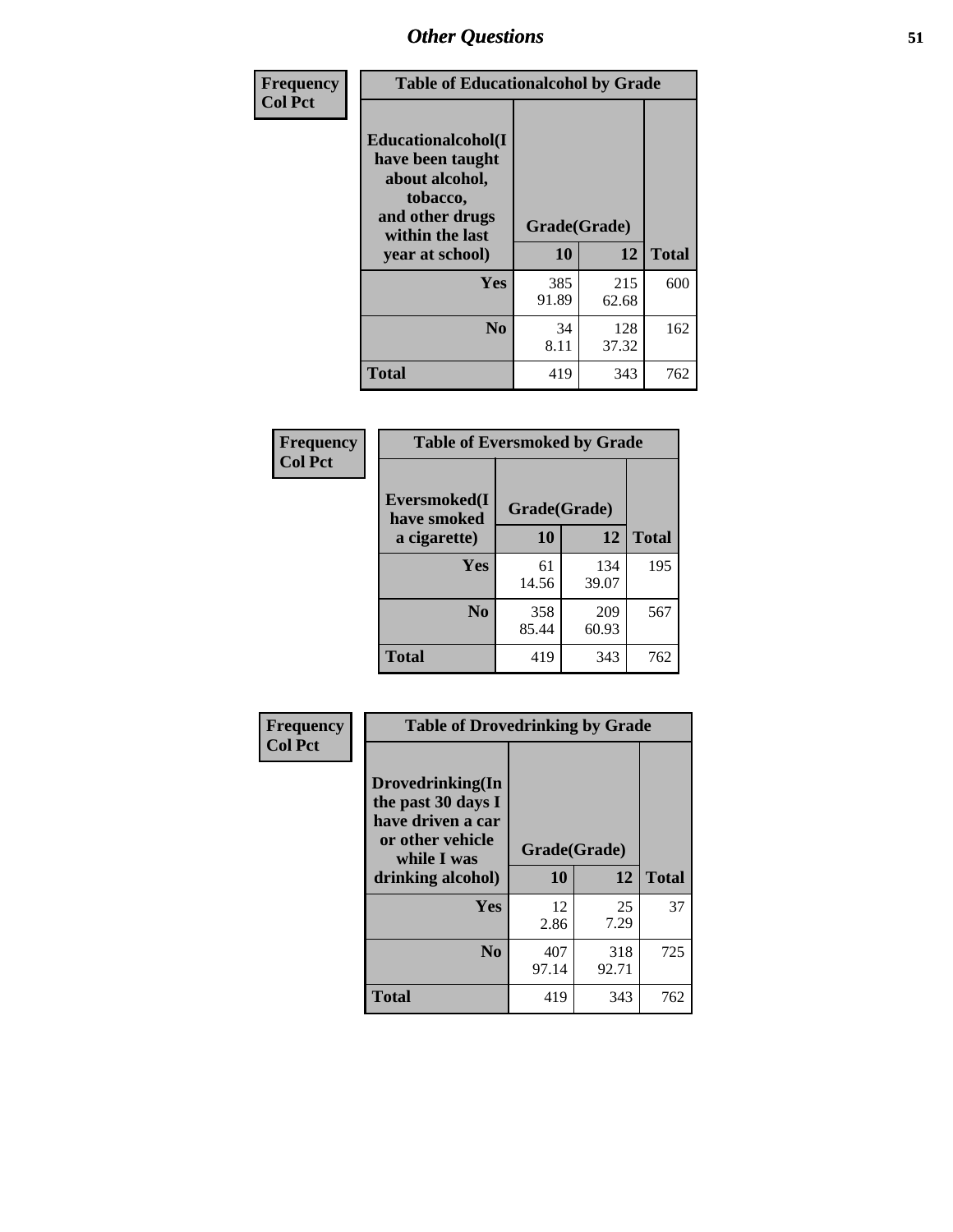| Frequency<br><b>Col Pct</b> | <b>Table of Educationalcohol by Grade</b>                                                                  |              |              |              |  |  |
|-----------------------------|------------------------------------------------------------------------------------------------------------|--------------|--------------|--------------|--|--|
|                             | Educationalcohol(I<br>have been taught<br>about alcohol,<br>tobacco,<br>and other drugs<br>within the last | Grade(Grade) |              |              |  |  |
|                             | year at school)                                                                                            | 10           | 12           | <b>Total</b> |  |  |
|                             | Yes                                                                                                        | 385<br>91.89 | 215<br>62.68 | 600          |  |  |
|                             | N <sub>0</sub>                                                                                             | 34<br>8.11   | 128<br>37.32 | 162          |  |  |
|                             | <b>Total</b>                                                                                               | 419          | 343          | 762          |  |  |

| Frequency      | <b>Table of Eversmoked by Grade</b> |              |              |              |  |  |  |
|----------------|-------------------------------------|--------------|--------------|--------------|--|--|--|
| <b>Col Pct</b> | Eversmoked(I<br>have smoked         | Grade(Grade) |              |              |  |  |  |
|                | a cigarette)                        | 10           | 12           | <b>Total</b> |  |  |  |
|                | Yes                                 | 61<br>14.56  | 134<br>39.07 | 195          |  |  |  |
|                | N <sub>0</sub>                      | 358<br>85.44 | 209<br>60.93 | 567          |  |  |  |
|                | <b>Total</b>                        | 419          | 343          | 762          |  |  |  |

| Frequency      | <b>Table of Drovedrinking by Grade</b>                                                                                                          |              |              |     |  |  |
|----------------|-------------------------------------------------------------------------------------------------------------------------------------------------|--------------|--------------|-----|--|--|
| <b>Col Pct</b> | Drovedrinking(In<br>the past 30 days I<br>have driven a car<br>or other vehicle<br>Grade(Grade)<br>while I was<br>10<br>12<br>drinking alcohol) |              | <b>Total</b> |     |  |  |
|                | <b>Yes</b>                                                                                                                                      | 12<br>2.86   | 25<br>7.29   | 37  |  |  |
|                | N <sub>0</sub>                                                                                                                                  | 407<br>97.14 | 318<br>92.71 | 725 |  |  |
|                | <b>Total</b>                                                                                                                                    | 419          | 343          | 762 |  |  |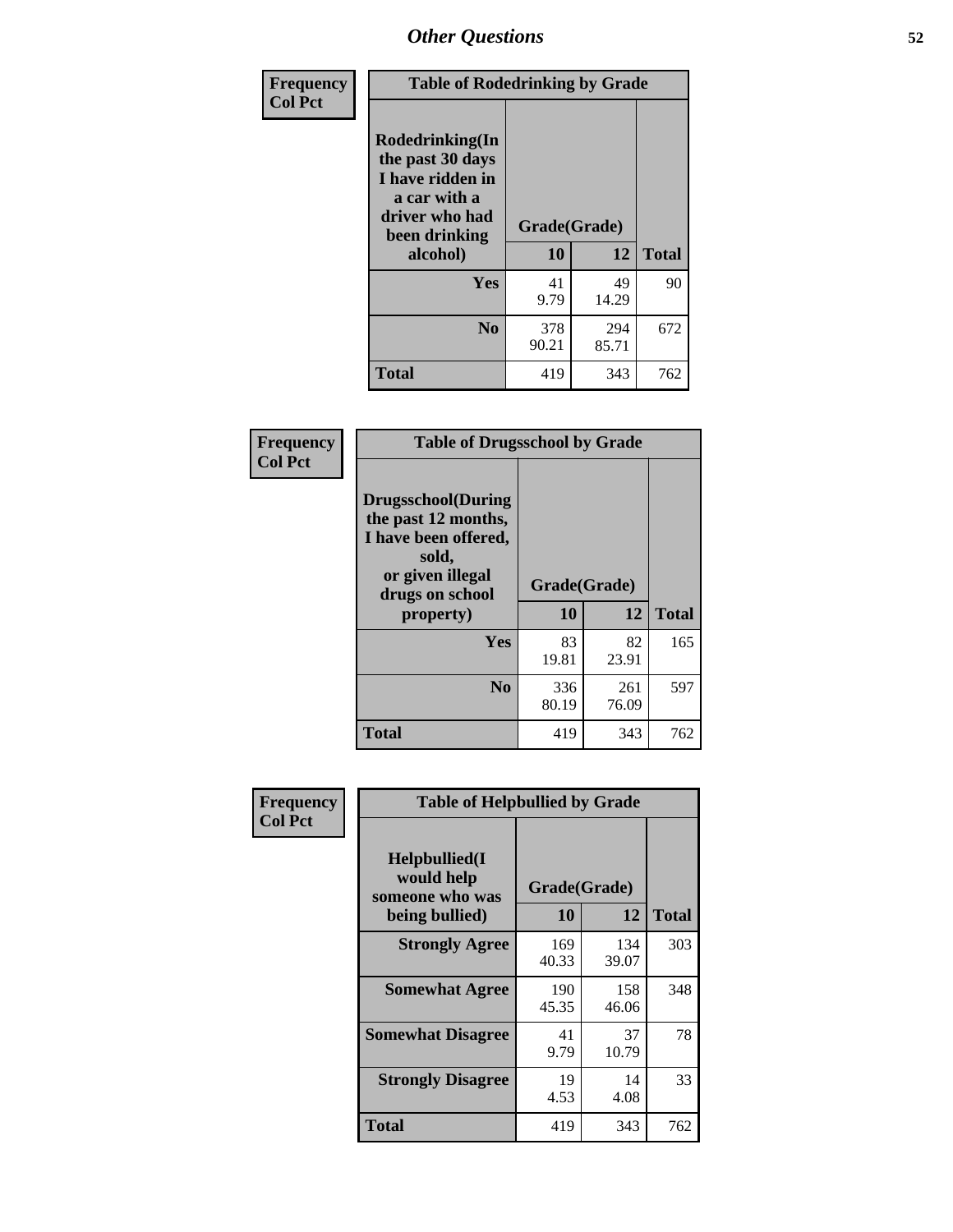| Frequency<br><b>Col Pct</b> | <b>Table of Rodedrinking by Grade</b>                                                                      |              |              |              |  |  |  |
|-----------------------------|------------------------------------------------------------------------------------------------------------|--------------|--------------|--------------|--|--|--|
|                             | Rodedrinking(In<br>the past 30 days<br>I have ridden in<br>a car with a<br>driver who had<br>been drinking | Grade(Grade) |              |              |  |  |  |
|                             | alcohol)                                                                                                   | 10           | 12           | <b>Total</b> |  |  |  |
|                             | <b>Yes</b>                                                                                                 | 41<br>9.79   | 49<br>14.29  | 90           |  |  |  |
|                             | N <sub>0</sub>                                                                                             | 378<br>90.21 | 294<br>85.71 | 672          |  |  |  |
|                             | <b>Total</b>                                                                                               | 419          | 343          | 762          |  |  |  |

#### **Frequency Col Pct**

| <b>Table of Drugsschool by Grade</b>                                                                                      |              |              |              |  |  |  |  |
|---------------------------------------------------------------------------------------------------------------------------|--------------|--------------|--------------|--|--|--|--|
| <b>Drugsschool</b> (During<br>the past 12 months,<br>I have been offered,<br>sold,<br>or given illegal<br>drugs on school | Grade(Grade) |              |              |  |  |  |  |
| property)                                                                                                                 | 10           | 12           | <b>Total</b> |  |  |  |  |
| Yes                                                                                                                       | 83<br>19.81  | 82<br>23.91  | 165          |  |  |  |  |
|                                                                                                                           |              |              |              |  |  |  |  |
| N <sub>0</sub>                                                                                                            | 336<br>80.19 | 261<br>76.09 | 597          |  |  |  |  |

| Frequency      | <b>Table of Helpbullied by Grade</b>                 |              |              |              |  |  |  |
|----------------|------------------------------------------------------|--------------|--------------|--------------|--|--|--|
| <b>Col Pct</b> | $Helpb$ ullied $(I$<br>would help<br>someone who was | Grade(Grade) |              |              |  |  |  |
|                | being bullied)                                       | <b>10</b>    | 12           | <b>Total</b> |  |  |  |
|                | <b>Strongly Agree</b>                                | 169<br>40.33 | 134<br>39.07 | 303          |  |  |  |
|                | <b>Somewhat Agree</b>                                | 190<br>45.35 | 158<br>46.06 | 348          |  |  |  |
|                | <b>Somewhat Disagree</b>                             | 41<br>9.79   | 37<br>10.79  | 78           |  |  |  |
|                | <b>Strongly Disagree</b>                             | 19<br>4.53   | 14<br>4.08   | 33           |  |  |  |
|                | Total                                                | 419          | 343          | 762          |  |  |  |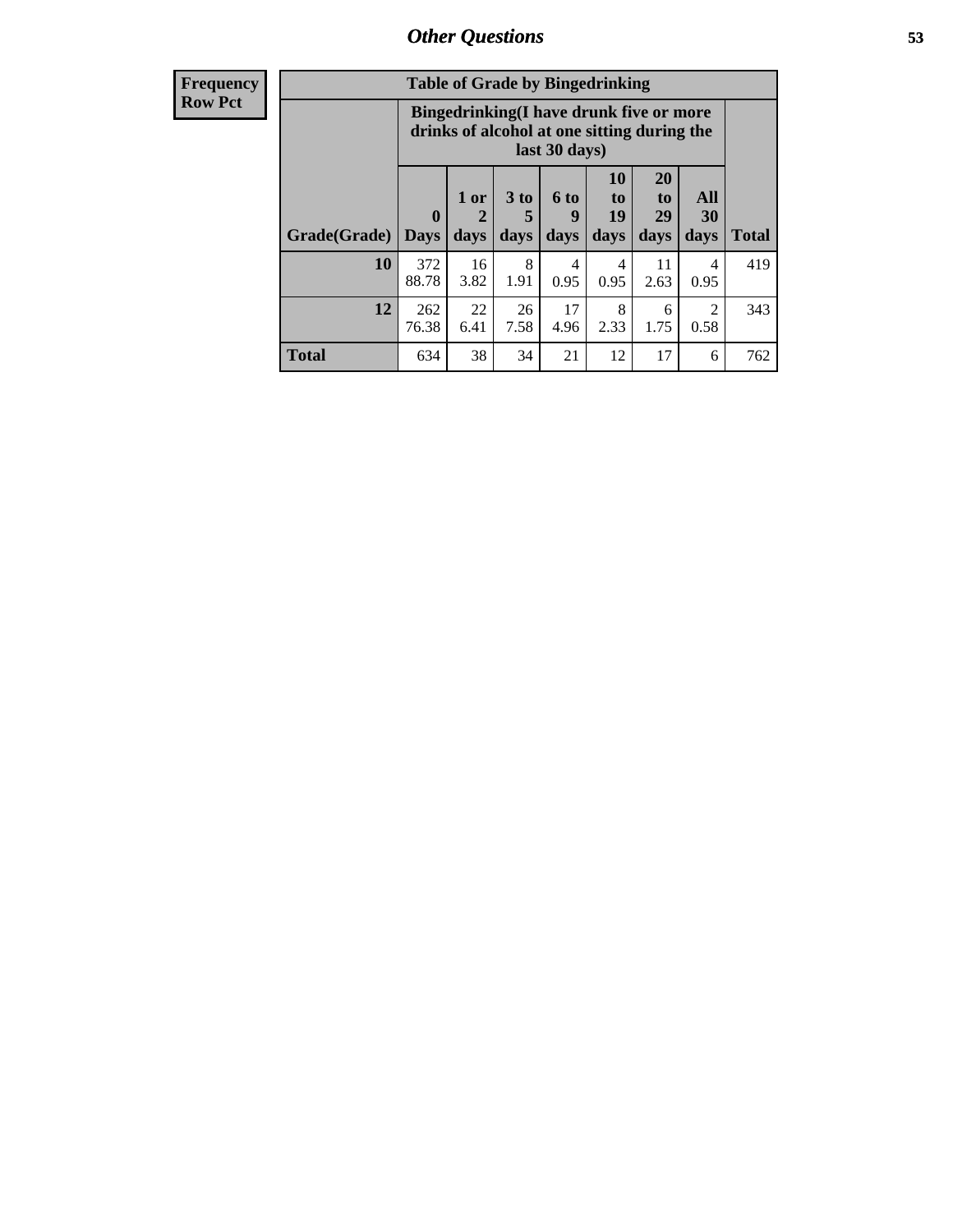| <b>Frequency</b> | <b>Table of Grade by Bingedrinking</b> |                                                                                                         |                   |                   |                   |                               |                               |                   |              |
|------------------|----------------------------------------|---------------------------------------------------------------------------------------------------------|-------------------|-------------------|-------------------|-------------------------------|-------------------------------|-------------------|--------------|
| Row Pct          |                                        | Bingedrinking(I have drunk five or more<br>drinks of alcohol at one sitting during the<br>last 30 days) |                   |                   |                   |                               |                               |                   |              |
|                  | Grade(Grade)                           | $\bf{0}$<br><b>Days</b>                                                                                 | 1 or<br>2<br>days | 3 to<br>5<br>days | 6 to<br>Y<br>days | <b>10</b><br>to<br>19<br>days | <b>20</b><br>to<br>29<br>days | All<br>30<br>days | <b>Total</b> |
|                  | 10                                     | 372<br>88.78                                                                                            | 16<br>3.82        | 8<br>1.91         | 4<br>0.95         | 4<br>0.95                     | 11<br>2.63                    | 4<br>0.95         | 419          |
|                  | 12                                     | 262<br>76.38                                                                                            | 22<br>6.41        | 26<br>7.58        | 17<br>4.96        | 8<br>2.33                     | 6<br>1.75                     | 2<br>0.58         | 343          |
|                  | <b>Total</b>                           | 634                                                                                                     | 38                | 34                | 21                | 12                            | 17                            | 6                 | 762          |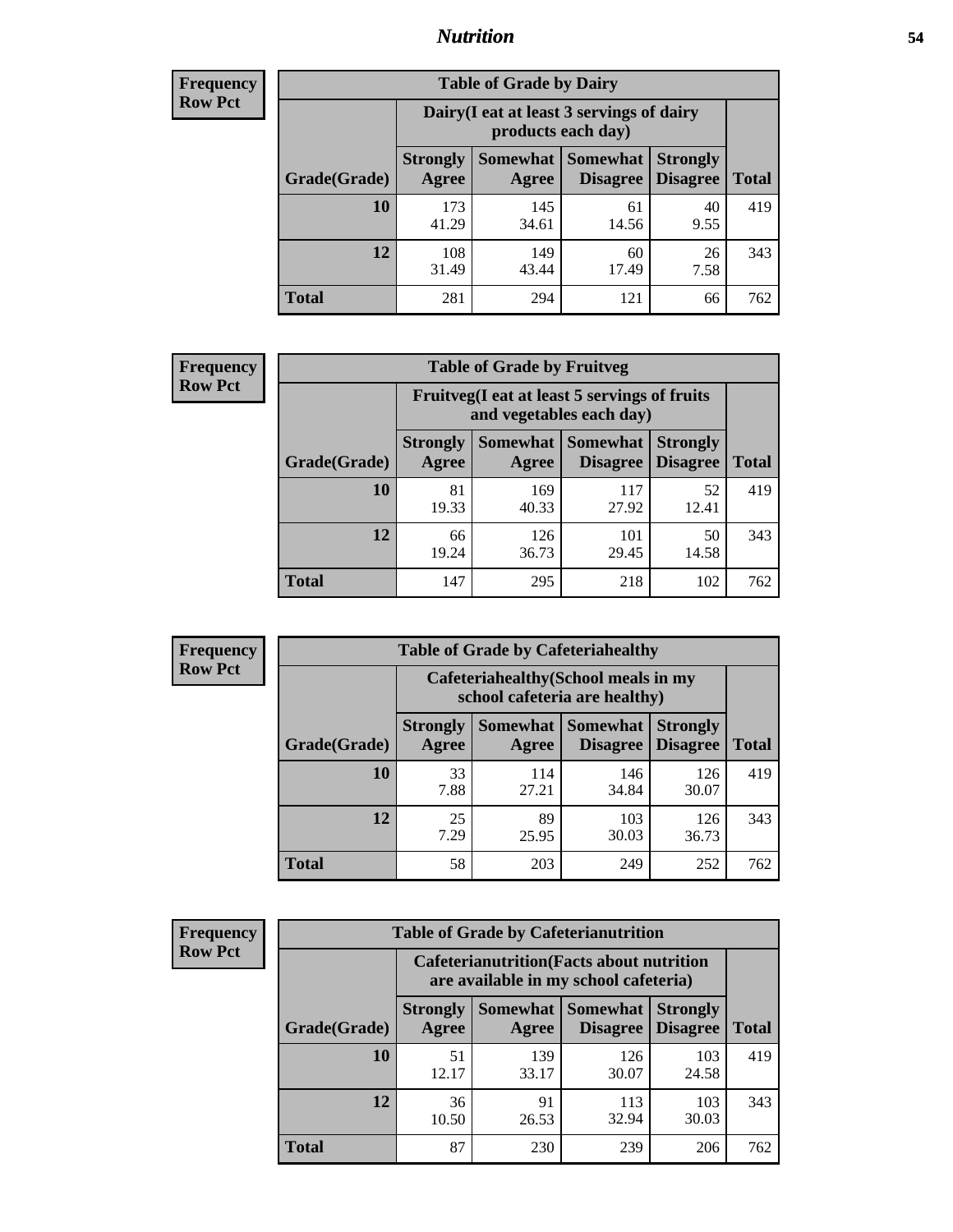### *Nutrition* **54**

| <b>Frequency</b><br>Row Pct |
|-----------------------------|
|                             |

| <b>Table of Grade by Dairy</b> |                          |                                                                 |                             |                                    |              |
|--------------------------------|--------------------------|-----------------------------------------------------------------|-----------------------------|------------------------------------|--------------|
|                                |                          | Dairy (I eat at least 3 servings of dairy<br>products each day) |                             |                                    |              |
| Grade(Grade)                   | <b>Strongly</b><br>Agree | Somewhat<br>Agree                                               | <b>Somewhat</b><br>Disagree | <b>Strongly</b><br><b>Disagree</b> | <b>Total</b> |
| 10                             | 173<br>41.29             | 145<br>34.61                                                    | 61<br>14.56                 | 40<br>9.55                         | 419          |
| 12                             | 108<br>31.49             | 149<br>43.44                                                    | 60<br>17.49                 | 26<br>7.58                         | 343          |
| <b>Total</b>                   | 281                      | 294                                                             | 121                         | 66                                 | 762          |

| <b>Frequency</b> |  |
|------------------|--|
| <b>Row Pct</b>   |  |

| <b>Table of Grade by Fruitveg</b> |                          |                                                                          |                                               |                                    |              |
|-----------------------------------|--------------------------|--------------------------------------------------------------------------|-----------------------------------------------|------------------------------------|--------------|
|                                   |                          | Fruitveg(I eat at least 5 servings of fruits<br>and vegetables each day) |                                               |                                    |              |
| Grade(Grade)                      | <b>Strongly</b><br>Agree | Agree                                                                    | <b>Somewhat   Somewhat</b><br><b>Disagree</b> | <b>Strongly</b><br><b>Disagree</b> | <b>Total</b> |
| 10                                | 81<br>19.33              | 169<br>40.33                                                             | 117<br>27.92                                  | 52<br>12.41                        | 419          |
| 12                                | 66<br>19.24              | 126<br>36.73                                                             | 101<br>29.45                                  | 50<br>14.58                        | 343          |
| <b>Total</b>                      | 147                      | 295                                                                      | 218                                           | 102                                | 762          |

| <b>Frequency</b> |
|------------------|
| <b>Row Pct</b>   |

| <b>Table of Grade by Cafeteriahealthy</b> |                          |                                                                       |                             |                                    |              |  |
|-------------------------------------------|--------------------------|-----------------------------------------------------------------------|-----------------------------|------------------------------------|--------------|--|
|                                           |                          | Cafeteriahealthy (School meals in my<br>school cafeteria are healthy) |                             |                                    |              |  |
| Grade(Grade)                              | <b>Strongly</b><br>Agree | Somewhat  <br>Agree                                                   | <b>Somewhat</b><br>Disagree | <b>Strongly</b><br><b>Disagree</b> | <b>Total</b> |  |
| 10                                        | 33<br>7.88               | 114<br>27.21                                                          | 146<br>34.84                | 126<br>30.07                       | 419          |  |
| 12                                        | 25<br>7.29               | 89<br>25.95                                                           | 103<br>30.03                | 126<br>36.73                       | 343          |  |
| Total                                     | 58                       | 203                                                                   | 249                         | 252                                | 762          |  |

**Frequency Row Pct**

| <b>Table of Grade by Cafeterianutrition</b>                                               |                          |                          |                             |                                    |              |
|-------------------------------------------------------------------------------------------|--------------------------|--------------------------|-----------------------------|------------------------------------|--------------|
| <b>Cafeterianutrition</b> (Facts about nutrition<br>are available in my school cafeteria) |                          |                          |                             |                                    |              |
| Grade(Grade)                                                                              | <b>Strongly</b><br>Agree | <b>Somewhat</b><br>Agree | <b>Somewhat</b><br>Disagree | <b>Strongly</b><br><b>Disagree</b> | <b>Total</b> |
| 10                                                                                        | 51<br>12.17              | 139<br>33.17             | 126<br>30.07                | 103<br>24.58                       | 419          |
| 12                                                                                        | 36<br>10.50              | 91<br>26.53              | 113<br>32.94                | 103<br>30.03                       | 343          |
| <b>Total</b>                                                                              | 87                       | 230                      | 239                         | 206                                | 762          |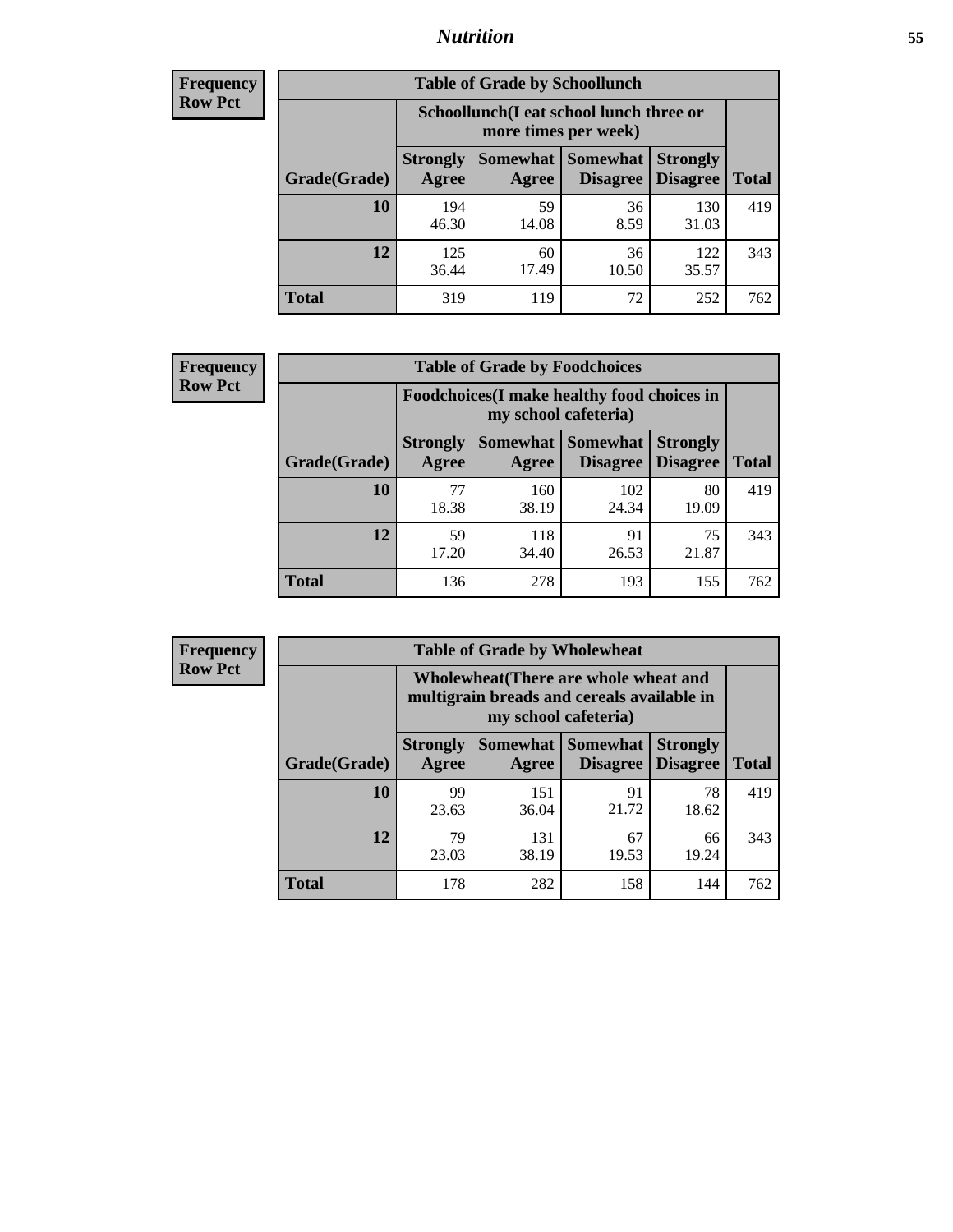### *Nutrition* **55**

| <b>Frequency</b><br>Row Pct |
|-----------------------------|
|                             |

| <b>Table of Grade by Schoollunch</b> |                          |                                                                 |                             |                                    |       |
|--------------------------------------|--------------------------|-----------------------------------------------------------------|-----------------------------|------------------------------------|-------|
|                                      |                          | Schoollunch(I eat school lunch three or<br>more times per week) |                             |                                    |       |
| Grade(Grade)                         | <b>Strongly</b><br>Agree | Somewhat  <br>Agree                                             | <b>Somewhat</b><br>Disagree | <b>Strongly</b><br><b>Disagree</b> | Total |
| 10                                   | 194<br>46.30             | 59<br>14.08                                                     | 36<br>8.59                  | 130<br>31.03                       | 419   |
| 12                                   | 125<br>36.44             | 60<br>17.49                                                     | 36<br>10.50                 | 122<br>35.57                       | 343   |
| <b>Total</b>                         | 319                      | 119                                                             | 72                          | 252                                | 762   |

| <b>Frequency</b> |  |
|------------------|--|
| <b>Row Pct</b>   |  |

| <b>Table of Grade by Foodchoices</b>                                |                          |              |                                        |                                    |              |
|---------------------------------------------------------------------|--------------------------|--------------|----------------------------------------|------------------------------------|--------------|
| Foodchoices (I make healthy food choices in<br>my school cafeteria) |                          |              |                                        |                                    |              |
| Grade(Grade)                                                        | <b>Strongly</b><br>Agree | Agree        | <b>Somewhat   Somewhat</b><br>Disagree | <b>Strongly</b><br><b>Disagree</b> | <b>Total</b> |
| 10                                                                  | 77<br>18.38              | 160<br>38.19 | 102<br>24.34                           | 80<br>19.09                        | 419          |
| 12                                                                  | 59<br>17.20              | 118<br>34.40 | 91<br>26.53                            | 75<br>21.87                        | 343          |
| <b>Total</b>                                                        | 136                      | 278          | 193                                    | 155                                | 762          |

| <b>Frequency</b> |
|------------------|
| <b>Row Pct</b>   |

F

| <b>Table of Grade by Wholewheat</b> |                                                                                                             |                     |                             |                                    |              |  |
|-------------------------------------|-------------------------------------------------------------------------------------------------------------|---------------------|-----------------------------|------------------------------------|--------------|--|
|                                     | Wholewheat (There are whole wheat and<br>multigrain breads and cereals available in<br>my school cafeteria) |                     |                             |                                    |              |  |
| Grade(Grade)                        | <b>Strongly</b><br>Agree                                                                                    | Somewhat  <br>Agree | Somewhat<br><b>Disagree</b> | <b>Strongly</b><br><b>Disagree</b> | <b>Total</b> |  |
| 10                                  | 99<br>23.63                                                                                                 | 151<br>36.04        | 91<br>21.72                 | 78<br>18.62                        | 419          |  |
| 12                                  | 79<br>23.03                                                                                                 | 131<br>38.19        | 67<br>19.53                 | 66<br>19.24                        | 343          |  |
| <b>Total</b>                        | 178                                                                                                         | 282                 | 158                         | 144                                | 762          |  |

٦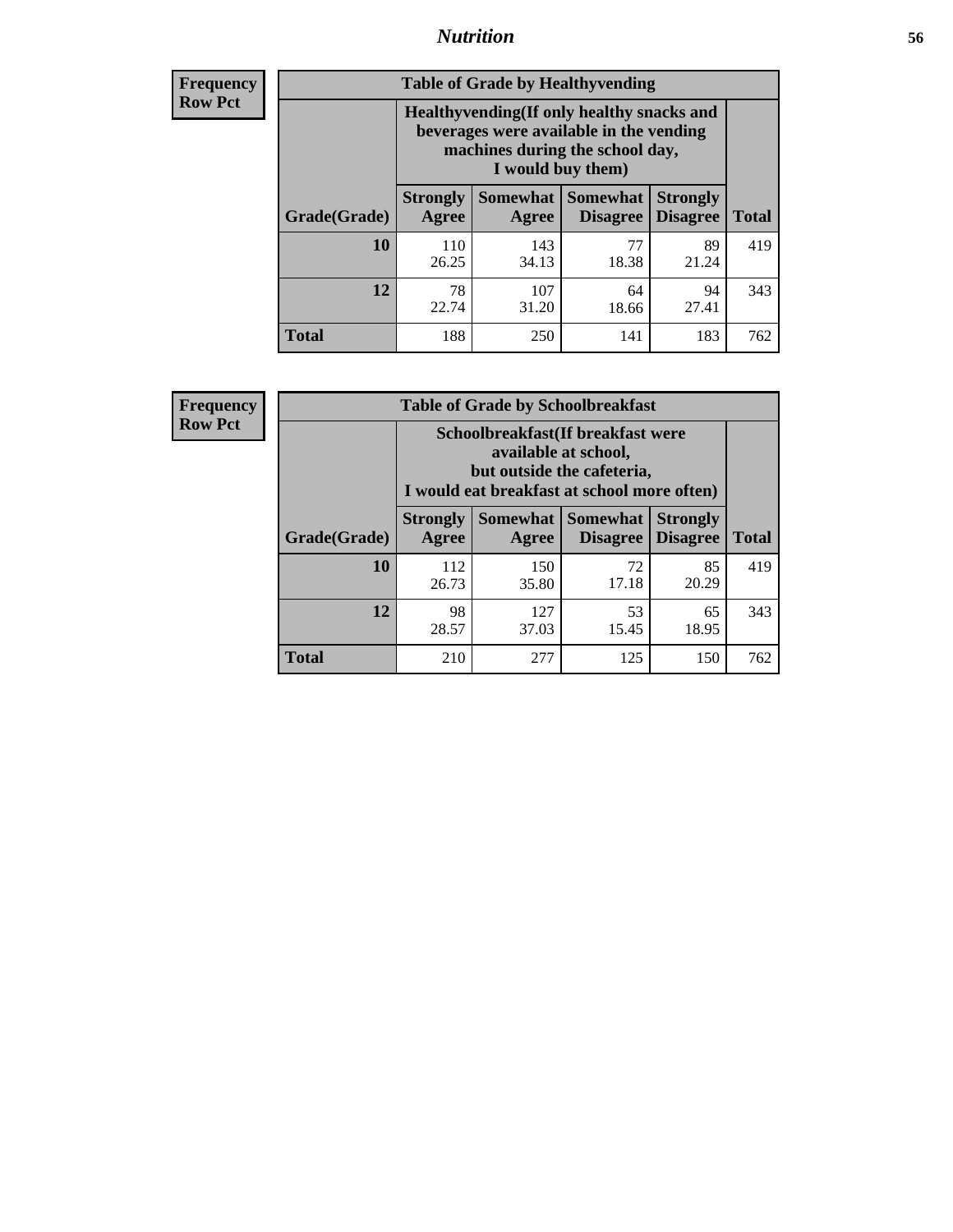### *Nutrition* **56**

**Frequency Row Pct**

| <b>Table of Grade by Healthyvending</b> |                                                                                                                                               |                          |                                    |                                    |              |  |
|-----------------------------------------|-----------------------------------------------------------------------------------------------------------------------------------------------|--------------------------|------------------------------------|------------------------------------|--------------|--|
|                                         | Healthyvending (If only healthy snacks and<br>beverages were available in the vending<br>machines during the school day,<br>I would buy them) |                          |                                    |                                    |              |  |
| Grade(Grade)                            | <b>Strongly</b><br>Agree                                                                                                                      | <b>Somewhat</b><br>Agree | <b>Somewhat</b><br><b>Disagree</b> | <b>Strongly</b><br><b>Disagree</b> | <b>Total</b> |  |
| 10                                      | 110<br>26.25                                                                                                                                  | 143<br>34.13             | 77<br>18.38                        | 89<br>21.24                        | 419          |  |
| 12                                      | 78<br>22.74                                                                                                                                   | 107<br>31.20             | 64<br>18.66                        | 94<br>27.41                        | 343          |  |
| Total                                   | 188                                                                                                                                           | 250                      | 141                                | 183                                | 762          |  |

**Frequency Row Pct**

| <b>Table of Grade by Schoolbreakfast</b> |                                                                                                                                         |                   |                                    |                                    |              |  |
|------------------------------------------|-----------------------------------------------------------------------------------------------------------------------------------------|-------------------|------------------------------------|------------------------------------|--------------|--|
|                                          | Schoolbreakfast (If breakfast were<br>available at school,<br>but outside the cafeteria,<br>I would eat breakfast at school more often) |                   |                                    |                                    |              |  |
| Grade(Grade)                             | <b>Strongly</b><br>Agree                                                                                                                | Somewhat<br>Agree | <b>Somewhat</b><br><b>Disagree</b> | <b>Strongly</b><br><b>Disagree</b> | <b>Total</b> |  |
| 10                                       | 112<br>26.73                                                                                                                            | 150<br>35.80      | 72<br>17.18                        | 85<br>20.29                        | 419          |  |
| 12                                       | 98<br>28.57                                                                                                                             | 127<br>37.03      | 53<br>15.45                        | 65<br>18.95                        | 343          |  |
| <b>Total</b>                             | 210                                                                                                                                     | 277               | 125                                | 150                                | 762          |  |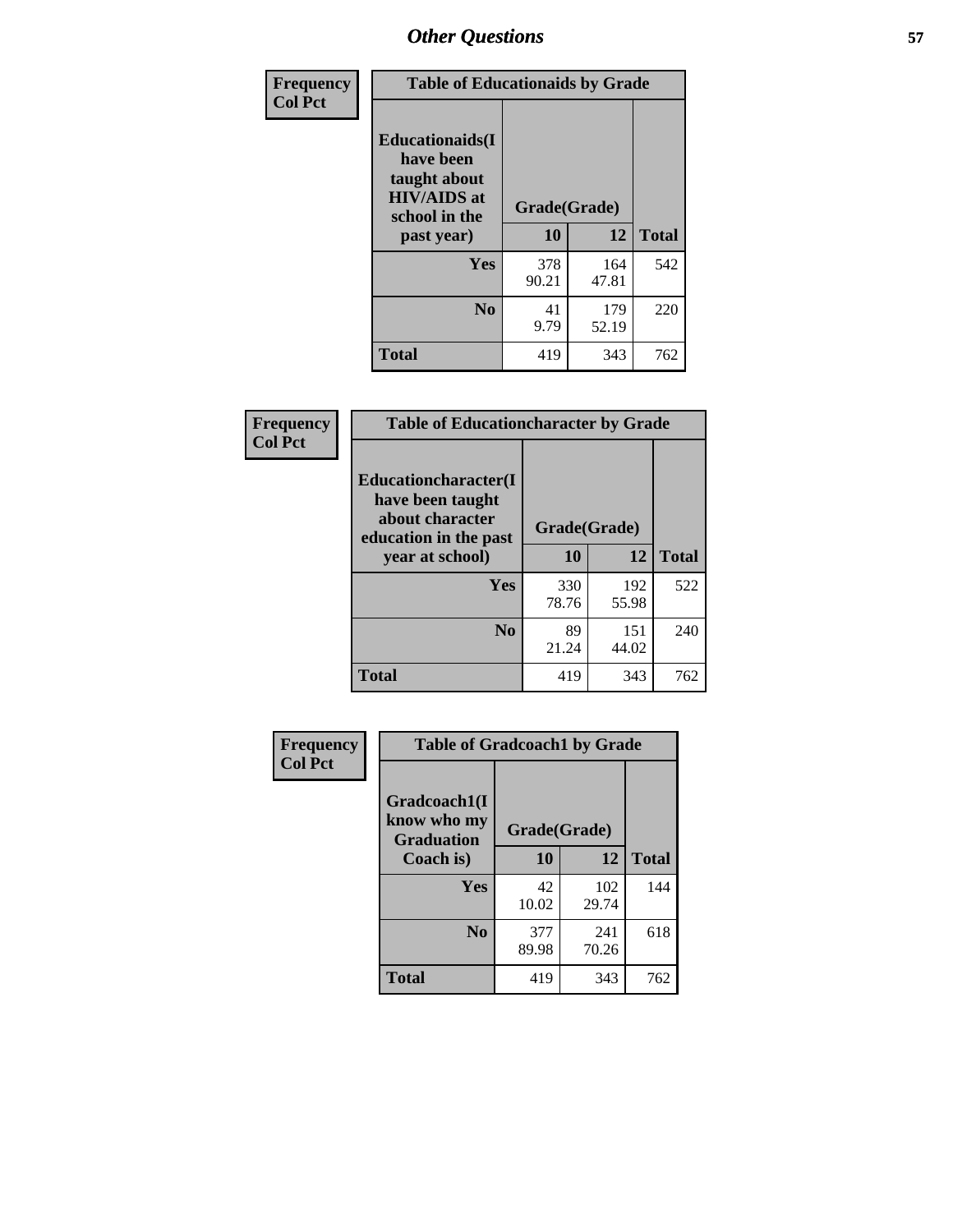| Frequency<br><b>Col Pct</b> | <b>Table of Educationaids by Grade</b>                                                                    |                    |              |              |
|-----------------------------|-----------------------------------------------------------------------------------------------------------|--------------------|--------------|--------------|
|                             | <b>Educationaids</b> (I<br>have been<br>taught about<br><b>HIV/AIDS</b> at<br>school in the<br>past year) | Grade(Grade)<br>10 | 12           | <b>Total</b> |
|                             | Yes                                                                                                       | 378<br>90.21       | 164<br>47.81 | 542          |
|                             | N <sub>0</sub>                                                                                            | 41<br>9.79         | 179<br>52.19 | 220          |
|                             | <b>Total</b>                                                                                              | 419                | 343          | 762          |

| Frequency      | <b>Table of Educationcharacter by Grade</b>                 |              |              |              |
|----------------|-------------------------------------------------------------|--------------|--------------|--------------|
| <b>Col Pct</b> | Educationcharacter(I<br>have been taught<br>about character |              |              |              |
|                | education in the past                                       | Grade(Grade) |              |              |
|                | year at school)                                             | 10           | 12           | <b>Total</b> |
|                | <b>Yes</b>                                                  | 330<br>78.76 | 192<br>55.98 | 522          |
|                | N <sub>0</sub>                                              | 89<br>21.24  | 151<br>44.02 | 240          |
|                | <b>Total</b>                                                | 419          | 343          | 762          |

| Frequency      | <b>Table of Gradcoach1 by Grade</b>              |              |              |              |
|----------------|--------------------------------------------------|--------------|--------------|--------------|
| <b>Col Pct</b> | Gradcoach1(I<br>know who my<br><b>Graduation</b> | Grade(Grade) |              |              |
|                | Coach is)                                        | 10           | 12           | <b>Total</b> |
|                | <b>Yes</b>                                       | 42<br>10.02  | 102<br>29.74 | 144          |
|                | N <sub>0</sub>                                   | 377<br>89.98 | 241<br>70.26 | 618          |
|                | <b>Total</b>                                     | 419          | 343          | 762          |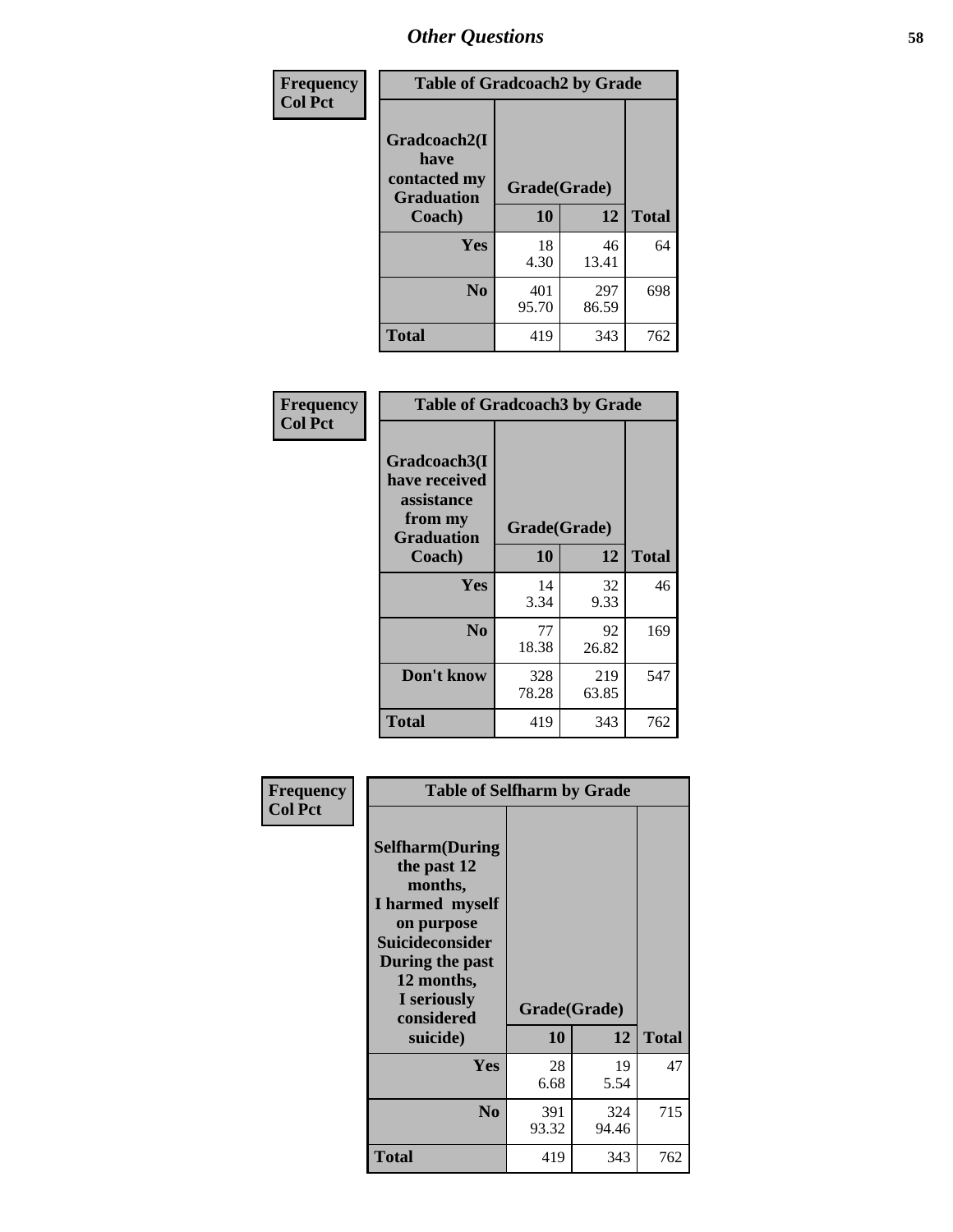| Frequency      | <b>Table of Gradcoach2 by Grade</b> |              |              |              |
|----------------|-------------------------------------|--------------|--------------|--------------|
| <b>Col Pct</b> |                                     |              |              |              |
|                | Gradcoach2(I<br>have                |              |              |              |
|                | contacted my<br><b>Graduation</b>   | Grade(Grade) |              |              |
|                | Coach)                              | 10           | 12           | <b>Total</b> |
|                | Yes                                 | 18<br>4.30   | 46<br>13.41  | 64           |
|                | N <sub>0</sub>                      | 401<br>95.70 | 297<br>86.59 | 698          |
|                | <b>Total</b>                        | 419          | 343          | 762          |

| Frequency<br><b>Col Pct</b> | <b>Table of Gradcoach3 by Grade</b>                                         |              |              |              |  |
|-----------------------------|-----------------------------------------------------------------------------|--------------|--------------|--------------|--|
|                             | Gradcoach3(I<br>have received<br>assistance<br>from my<br><b>Graduation</b> | Grade(Grade) |              |              |  |
|                             | Coach)                                                                      | 10           | 12           | <b>Total</b> |  |
|                             | <b>Yes</b>                                                                  | 14<br>3.34   | 32<br>9.33   | 46           |  |
|                             | N <sub>0</sub>                                                              | 77<br>18.38  | 92<br>26.82  | 169          |  |
|                             | Don't know                                                                  | 328<br>78.28 | 219<br>63.85 | 547          |  |
|                             | <b>Total</b>                                                                | 419          | 343          | 762          |  |

| Frequency      | <b>Table of Selfharm by Grade</b>                                                                                                                                                      |                    |              |              |
|----------------|----------------------------------------------------------------------------------------------------------------------------------------------------------------------------------------|--------------------|--------------|--------------|
| <b>Col Pct</b> | <b>Selfharm</b> (During<br>the past 12<br>months,<br>I harmed myself<br>on purpose<br><b>Suicideconsider</b><br>During the past<br>12 months,<br>I seriously<br>considered<br>suicide) | Grade(Grade)<br>10 | 12           | <b>Total</b> |
|                | Yes                                                                                                                                                                                    | 28<br>6.68         | 19<br>5.54   | 47           |
|                | N <sub>0</sub>                                                                                                                                                                         | 391<br>93.32       | 324<br>94.46 | 715          |
|                | <b>Total</b>                                                                                                                                                                           | 419                | 343          | 762          |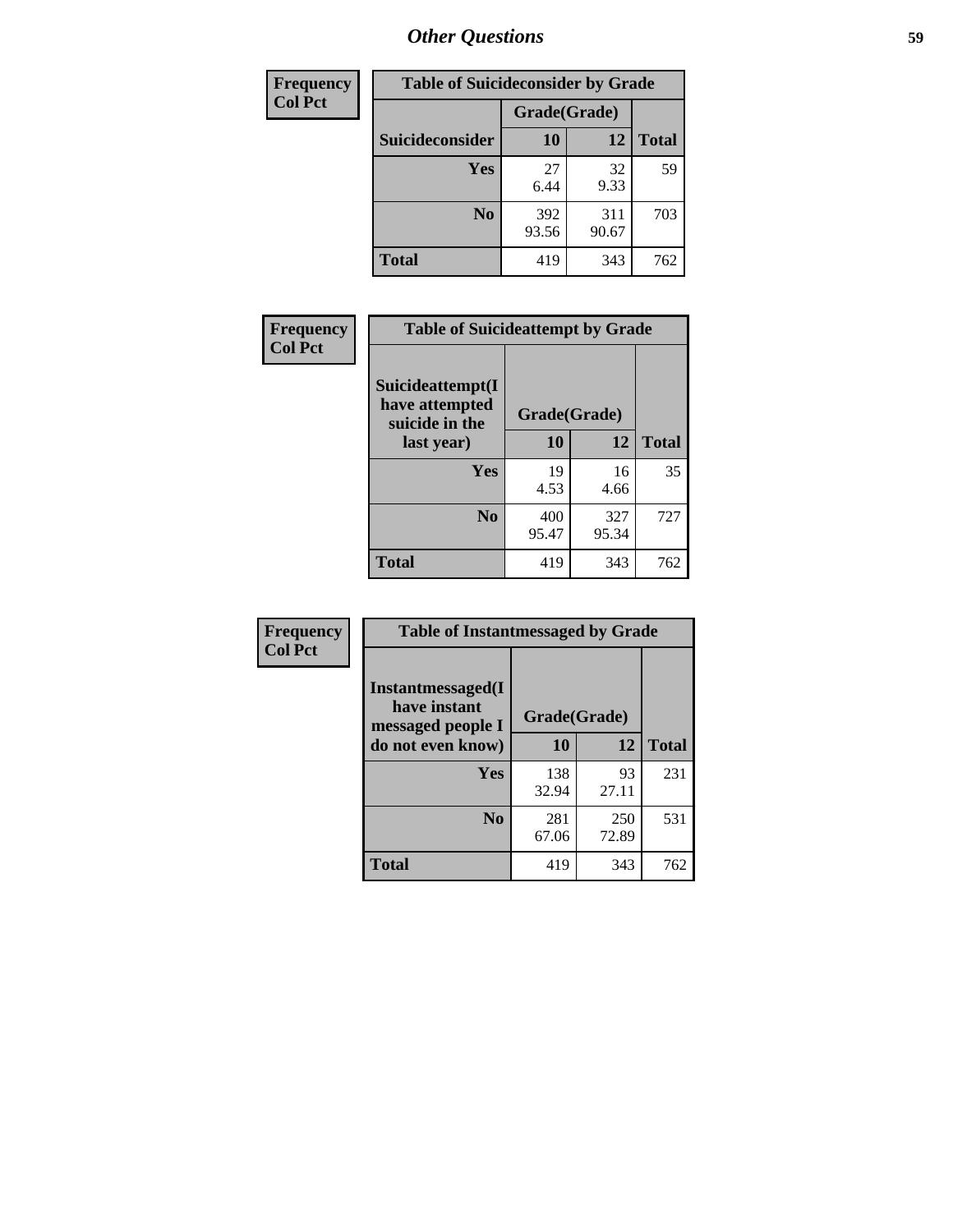| <b>Frequency</b> | <b>Table of Suicideconsider by Grade</b> |              |              |              |
|------------------|------------------------------------------|--------------|--------------|--------------|
| <b>Col Pct</b>   |                                          | Grade(Grade) |              |              |
|                  | Suicideconsider                          | 10           | 12           | <b>Total</b> |
|                  | Yes                                      | 27<br>6.44   | 32<br>9.33   | 59           |
|                  | N <sub>0</sub>                           | 392<br>93.56 | 311<br>90.67 | 703          |
|                  | <b>Total</b>                             | 419          | 343          | 762          |

| Frequency      | <b>Table of Suicideattempt by Grade</b>              |              |              |              |
|----------------|------------------------------------------------------|--------------|--------------|--------------|
| <b>Col Pct</b> | Suicideattempt(I<br>have attempted<br>suicide in the | Grade(Grade) |              |              |
|                | last year)                                           | 10           | 12           | <b>Total</b> |
|                | Yes                                                  | 19<br>4.53   | 16<br>4.66   | 35           |
|                | N <sub>0</sub>                                       | 400<br>95.47 | 327<br>95.34 | 727          |
|                | <b>Total</b>                                         | 419          | 343          | 762          |

| Frequency      | <b>Table of Instantmessaged by Grade</b>               |              |              |              |
|----------------|--------------------------------------------------------|--------------|--------------|--------------|
| <b>Col Pct</b> | Instantmessaged(I<br>have instant<br>messaged people I | Grade(Grade) |              |              |
|                | do not even know)                                      | 10           | 12           | <b>Total</b> |
|                | Yes                                                    | 138<br>32.94 | 93<br>27.11  | 231          |
|                | N <sub>0</sub>                                         | 281<br>67.06 | 250<br>72.89 | 531          |
|                | <b>Total</b>                                           | 419          | 343          | 762          |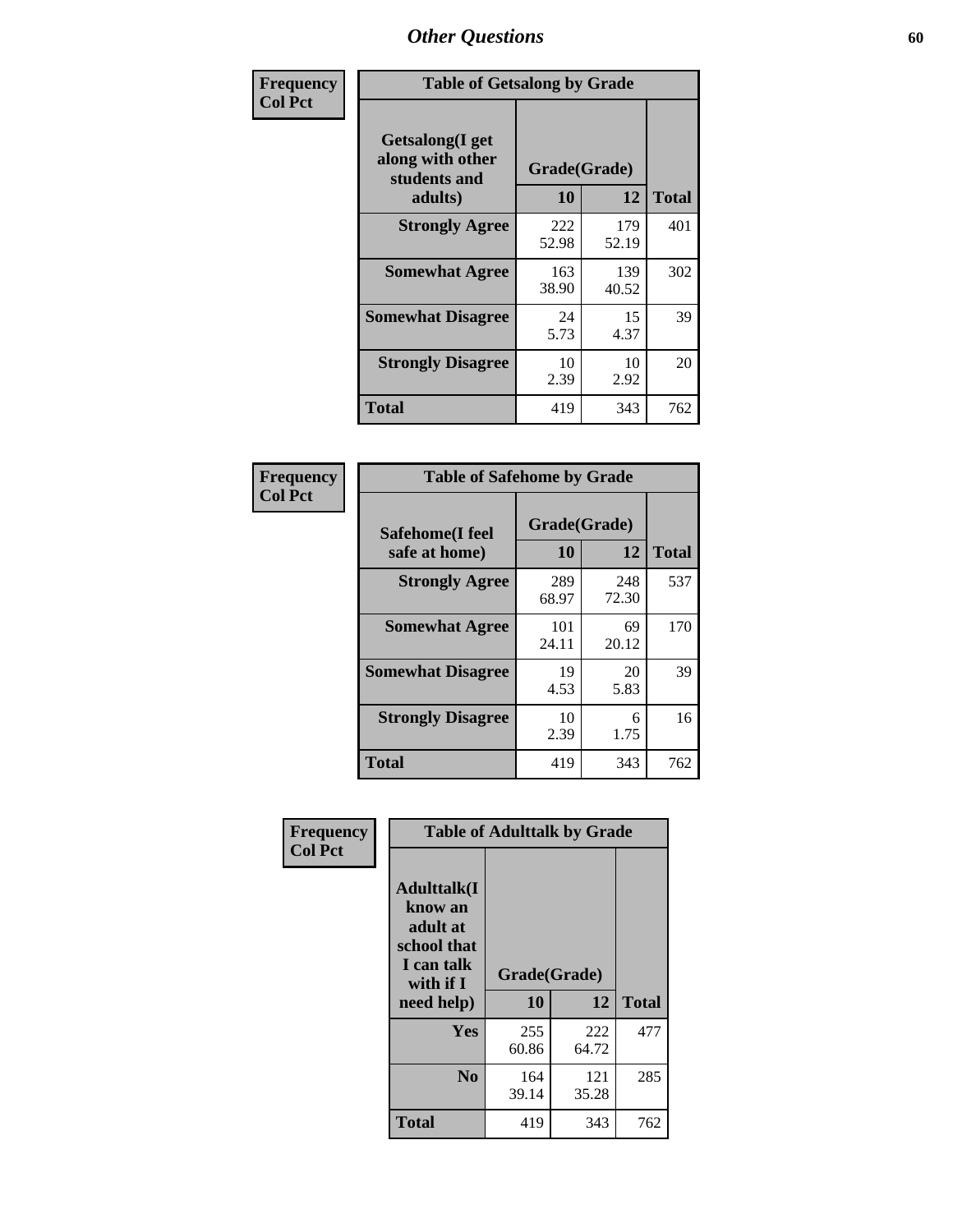| Frequency      | <b>Table of Getsalong by Grade</b>                          |              |              |              |  |  |  |
|----------------|-------------------------------------------------------------|--------------|--------------|--------------|--|--|--|
| <b>Col Pct</b> | <b>Getsalong</b> (I get<br>along with other<br>students and |              | Grade(Grade) |              |  |  |  |
|                | adults)                                                     | 10           | 12           | <b>Total</b> |  |  |  |
|                | <b>Strongly Agree</b>                                       | 222<br>52.98 | 179<br>52.19 | 401          |  |  |  |
|                | <b>Somewhat Agree</b>                                       | 163<br>38.90 | 139<br>40.52 | 302          |  |  |  |
|                | <b>Somewhat Disagree</b>                                    | 24<br>5.73   | 15<br>4.37   | 39           |  |  |  |
|                | <b>Strongly Disagree</b>                                    | 10<br>2.39   | 10<br>2.92   | 20           |  |  |  |
|                | Total                                                       | 419          | 343          | 762          |  |  |  |

| Frequency<br><b>Col Pct</b> | <b>Table of Safehome by Grade</b> |              |              |              |  |  |  |  |  |
|-----------------------------|-----------------------------------|--------------|--------------|--------------|--|--|--|--|--|
|                             | Safehome(I feel                   | Grade(Grade) |              |              |  |  |  |  |  |
|                             | safe at home)                     | 10           | 12           | <b>Total</b> |  |  |  |  |  |
|                             | <b>Strongly Agree</b>             | 289<br>68.97 | 248<br>72.30 | 537          |  |  |  |  |  |
|                             | <b>Somewhat Agree</b>             | 101<br>24.11 | 69<br>20.12  | 170          |  |  |  |  |  |
|                             | <b>Somewhat Disagree</b>          | 19<br>4.53   | 20<br>5.83   | 39           |  |  |  |  |  |
|                             | <b>Strongly Disagree</b>          | 10<br>2.39   | 6<br>1.75    | 16           |  |  |  |  |  |
|                             | <b>Total</b>                      | 419          | 343          | 762          |  |  |  |  |  |

| Frequency<br><b>Col Pct</b> | <b>Table of Adulttalk by Grade</b>                                                                 |                    |              |              |  |  |  |
|-----------------------------|----------------------------------------------------------------------------------------------------|--------------------|--------------|--------------|--|--|--|
|                             | <b>Adulttalk</b> (I<br>know an<br>adult at<br>school that<br>I can talk<br>with if I<br>need help) | Grade(Grade)<br>10 | 12           | <b>Total</b> |  |  |  |
|                             | Yes                                                                                                | 255<br>60.86       | 222<br>64.72 | 477          |  |  |  |
|                             | N <sub>0</sub>                                                                                     | 164<br>39.14       | 121<br>35.28 | 285          |  |  |  |
|                             | <b>Total</b>                                                                                       | 419                | 343          | 762          |  |  |  |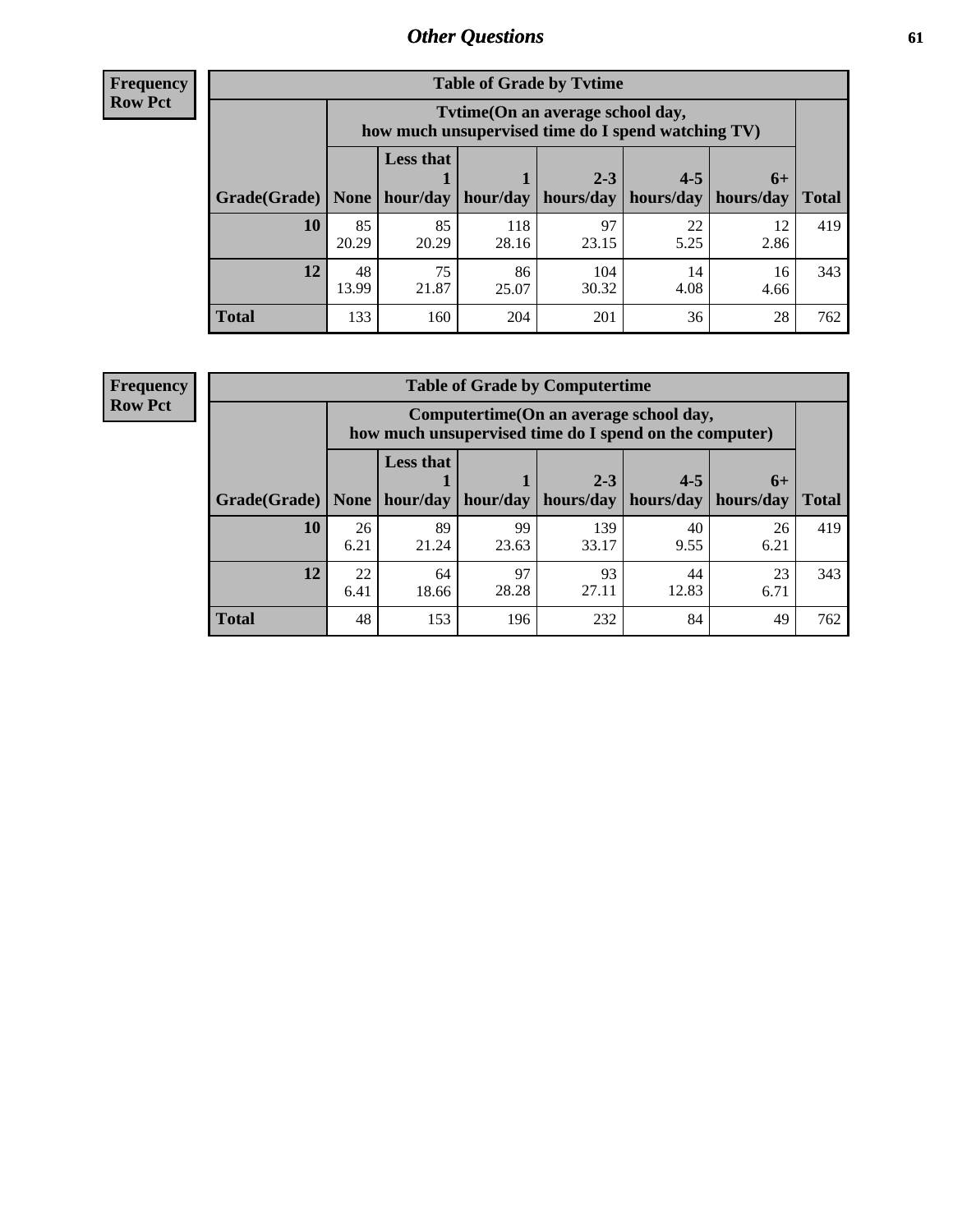**Frequency Row Pct**

| <b>Table of Grade by Tytime</b> |             |                                                                                         |              |             |            |            |              |  |  |
|---------------------------------|-------------|-----------------------------------------------------------------------------------------|--------------|-------------|------------|------------|--------------|--|--|
|                                 |             | Tvtime (On an average school day,<br>how much unsupervised time do I spend watching TV) |              |             |            |            |              |  |  |
|                                 |             | <b>Less that</b>                                                                        |              | $2 - 3$     | $4 - 5$    | $6+$       |              |  |  |
| Grade(Grade)   None             |             | hour/day                                                                                | hour/day     | hours/day   | hours/day  | hours/day  | <b>Total</b> |  |  |
| 10                              | 85<br>20.29 | 85<br>20.29                                                                             | 118<br>28.16 | 97<br>23.15 | 22<br>5.25 | 12<br>2.86 | 419          |  |  |
| 12                              | 48<br>13.99 | 86<br>75<br>104<br>14<br>16<br>21.87<br>25.07<br>30.32<br>4.08<br>4.66                  |              |             |            |            |              |  |  |
| <b>Total</b>                    | 133         | 160                                                                                     | 204          | 201         | 36         | 28         | 762          |  |  |

**Frequency Row Pct**

| <b>Table of Grade by Computertime</b> |            |                                                                                                                              |             |              |            |            |     |  |  |  |  |
|---------------------------------------|------------|------------------------------------------------------------------------------------------------------------------------------|-------------|--------------|------------|------------|-----|--|--|--|--|
|                                       |            | Computertime (On an average school day,<br>how much unsupervised time do I spend on the computer)                            |             |              |            |            |     |  |  |  |  |
| Grade(Grade)                          | None $ $   | <b>Less that</b><br>$2 - 3$<br>$4 - 5$<br>$6+$<br>hours/day<br>hours/day<br>hour/day   hour/day<br>hours/day<br><b>Total</b> |             |              |            |            |     |  |  |  |  |
| 10                                    | 26<br>6.21 | 89<br>21.24                                                                                                                  | 99<br>23.63 | 139<br>33.17 | 40<br>9.55 | 26<br>6.21 | 419 |  |  |  |  |
| 12                                    | 22<br>6.41 | 97<br>93<br>23<br>64<br>44<br>28.28<br>12.83<br>27.11<br>6.71<br>18.66                                                       |             |              |            |            |     |  |  |  |  |
| <b>Total</b>                          | 48         | 153                                                                                                                          | 196         | 232          | 84         | 49         | 762 |  |  |  |  |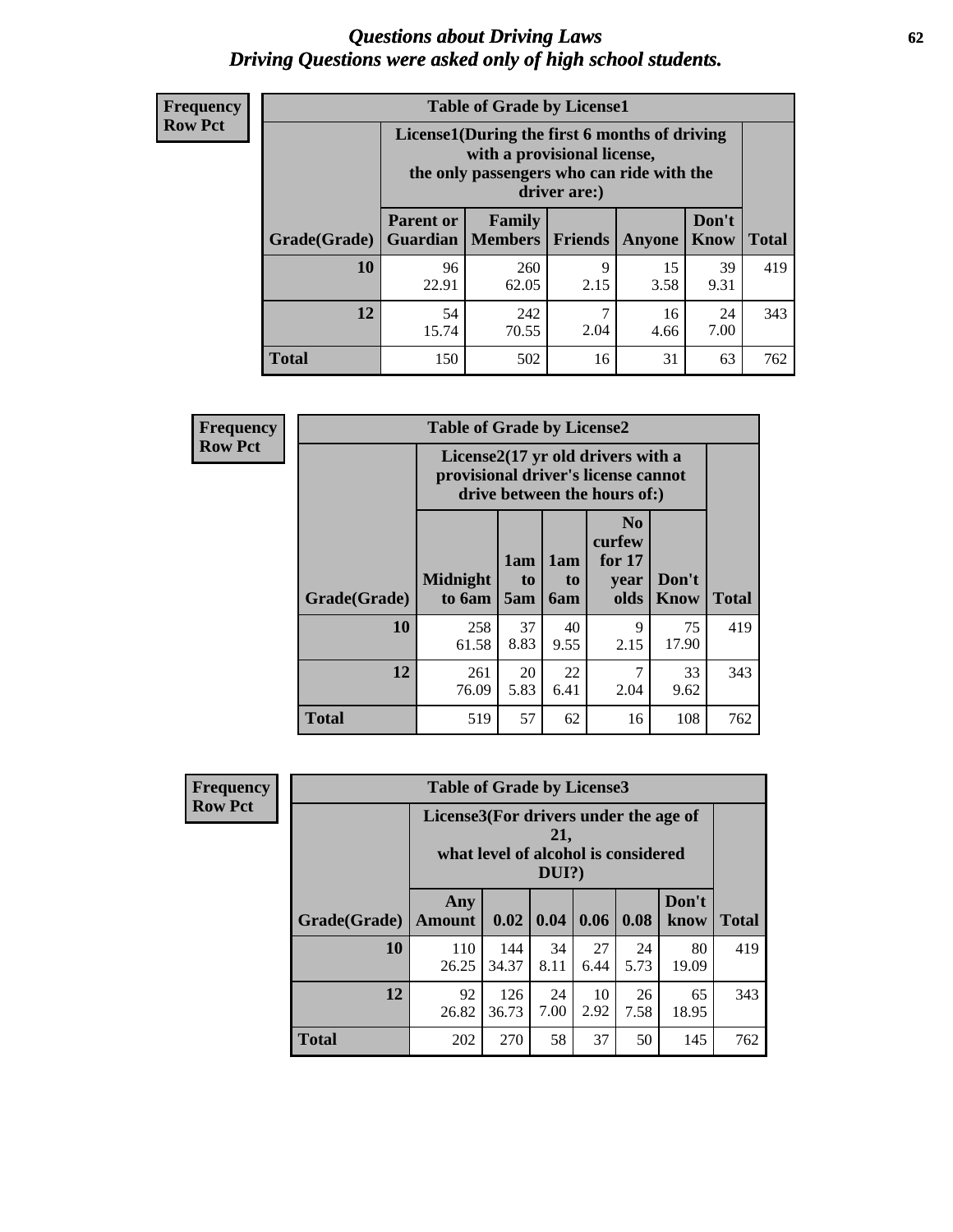#### *Questions about Driving Laws* **62** *Driving Questions were asked only of high school students.*

| <b>Frequency</b> |
|------------------|
| <b>Row Pct</b>   |

| <b>Table of Grade by License1</b> |                                     |                                                                                                                                           |                |               |               |              |  |  |  |  |
|-----------------------------------|-------------------------------------|-------------------------------------------------------------------------------------------------------------------------------------------|----------------|---------------|---------------|--------------|--|--|--|--|
|                                   |                                     | License1(During the first 6 months of driving<br>with a provisional license,<br>the only passengers who can ride with the<br>driver are:) |                |               |               |              |  |  |  |  |
| Grade(Grade)                      | <b>Parent or</b><br><b>Guardian</b> | Family<br><b>Members</b>                                                                                                                  | <b>Friends</b> | <b>Anyone</b> | Don't<br>Know | <b>Total</b> |  |  |  |  |
| 10                                | 96<br>22.91                         | 260<br>62.05                                                                                                                              | 9<br>2.15      | 15<br>3.58    | 39<br>9.31    | 419          |  |  |  |  |
| 12                                | 54<br>15.74                         | 7<br>242<br>16<br>24<br>7.00<br>70.55<br>2.04<br>4.66                                                                                     |                |               |               |              |  |  |  |  |
| <b>Total</b>                      | 150                                 | 502                                                                                                                                       | 16             | 31            | 63            | 762          |  |  |  |  |

| <b>Frequency</b> |              | <b>Table of Grade by License2</b> |                                                                                                          |                              |                                                      |               |              |  |  |
|------------------|--------------|-----------------------------------|----------------------------------------------------------------------------------------------------------|------------------------------|------------------------------------------------------|---------------|--------------|--|--|
| <b>Row Pct</b>   |              |                                   | License2(17 yr old drivers with a<br>provisional driver's license cannot<br>drive between the hours of:) |                              |                                                      |               |              |  |  |
|                  | Grade(Grade) | <b>Midnight</b><br>to 6am         | 1am<br>to<br>5am                                                                                         | 1am<br>t <sub>0</sub><br>6am | N <sub>0</sub><br>curfew<br>for $17$<br>vear<br>olds | Don't<br>Know | <b>Total</b> |  |  |
|                  | 10           | 258<br>61.58                      | 37<br>8.83                                                                                               | 40<br>9.55                   | 9<br>2.15                                            | 75<br>17.90   | 419          |  |  |
|                  | 12           | 261<br>76.09                      | 20<br>5.83                                                                                               | 22<br>6.41                   | 7<br>2.04                                            | 33<br>9.62    | 343          |  |  |
|                  | <b>Total</b> | 519                               | 57                                                                                                       | 62                           | 16                                                   | 108           | 762          |  |  |

| Frequency      |              |                                       |                                     |              |            |            | <b>Table of Grade by License3</b> |              |  |  |  |  |  |  |  |
|----------------|--------------|---------------------------------------|-------------------------------------|--------------|------------|------------|-----------------------------------|--------------|--|--|--|--|--|--|--|
| <b>Row Pct</b> |              | License3(For drivers under the age of | what level of alcohol is considered | 21,<br>DUI?) |            |            |                                   |              |  |  |  |  |  |  |  |
|                | Grade(Grade) | Any<br><b>Amount</b>                  | 0.02                                | $\vert$ 0.04 | 0.06       | 0.08       | Don't<br>know                     | <b>Total</b> |  |  |  |  |  |  |  |
|                | 10           | 110<br>26.25                          | 144<br>34.37                        | 34<br>8.11   | 27<br>6.44 | 24<br>5.73 | 80<br>19.09                       | 419          |  |  |  |  |  |  |  |
|                | 12           | 92<br>26.82                           | 126<br>36.73                        | 24<br>7.00   | 10<br>2.92 | 26<br>7.58 | 65<br>18.95                       | 343          |  |  |  |  |  |  |  |
|                | <b>Total</b> | 202                                   | 270                                 | 58           | 37         | 50         | 145                               | 762          |  |  |  |  |  |  |  |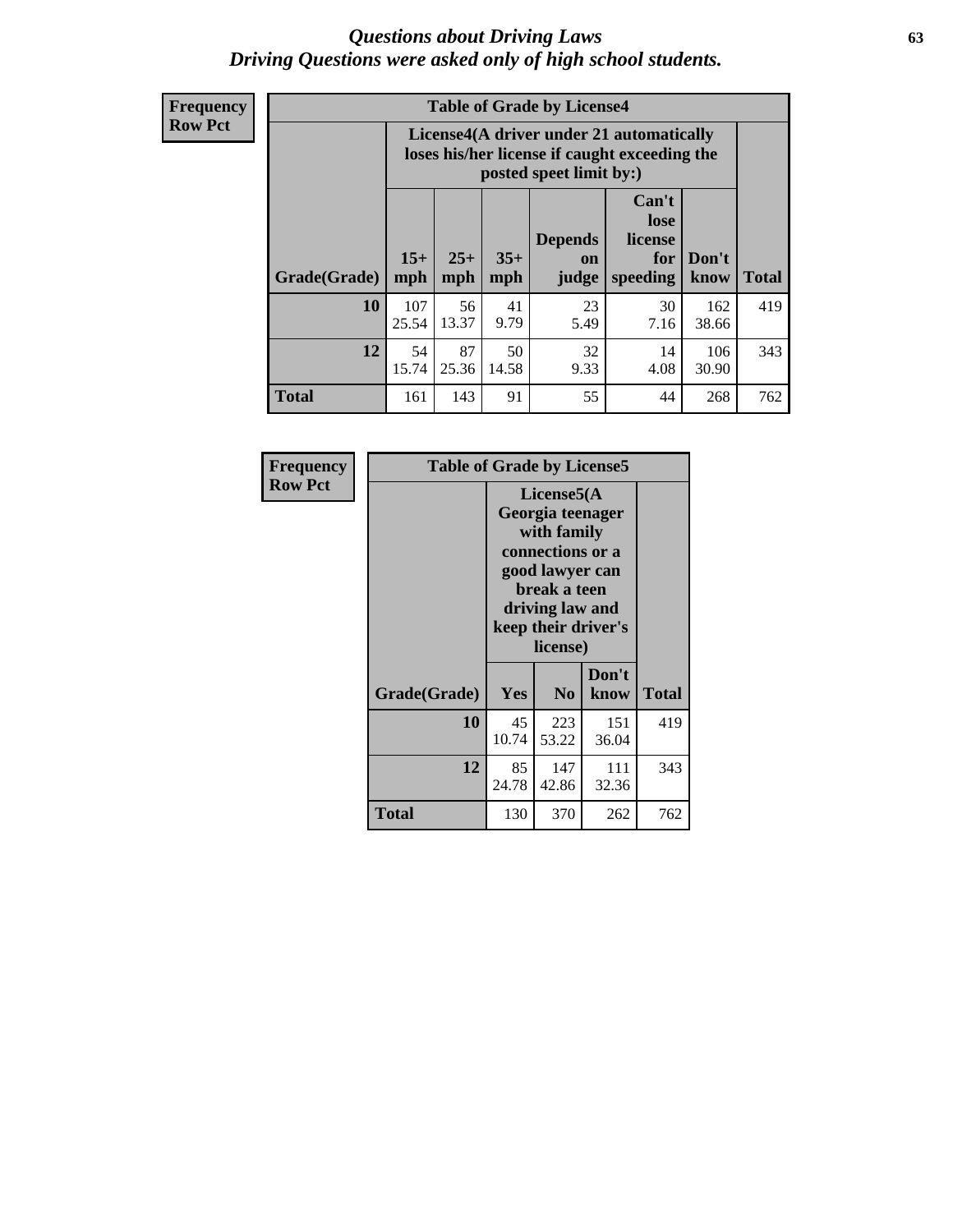#### *Questions about Driving Laws* **63** *Driving Questions were asked only of high school students.*

**Frequency Row Pct**

| <b>Table of Grade by License4</b> |              |                                                                                                                                                                                                                                                                                       |            |            |            |              |     |  |  |  |
|-----------------------------------|--------------|---------------------------------------------------------------------------------------------------------------------------------------------------------------------------------------------------------------------------------------------------------------------------------------|------------|------------|------------|--------------|-----|--|--|--|
|                                   |              | License4(A driver under 21 automatically<br>loses his/her license if caught exceeding the<br>posted speet limit by:)<br>Can't<br>lose<br><b>Depends</b><br>license<br>$15+$<br>$25+$<br>$35+$<br>Don't<br>for<br><b>on</b><br><b>Total</b><br>mph<br>speeding<br>mph<br>judge<br>know |            |            |            |              |     |  |  |  |
| Grade(Grade)                      | mph          |                                                                                                                                                                                                                                                                                       |            |            |            |              |     |  |  |  |
| 10                                | 107<br>25.54 | 56<br>13.37                                                                                                                                                                                                                                                                           | 41<br>9.79 | 23<br>5.49 | 30<br>7.16 | 162<br>38.66 | 419 |  |  |  |
| 12                                | 54<br>15.74  | 87<br>32<br>50<br>106<br>14<br>25.36<br>14.58<br>9.33<br>4.08<br>30.90                                                                                                                                                                                                                |            |            |            |              |     |  |  |  |
| <b>Total</b>                      | 161          | 143                                                                                                                                                                                                                                                                                   | 91         | 55         | 44         | 268          | 762 |  |  |  |

| Frequency      | <b>Table of Grade by License5</b> |             |                                                                                                                                                             |               |       |  |
|----------------|-----------------------------------|-------------|-------------------------------------------------------------------------------------------------------------------------------------------------------------|---------------|-------|--|
| <b>Row Pct</b> |                                   |             | License5(A)<br>Georgia teenager<br>with family<br>connections or a<br>good lawyer can<br>break a teen<br>driving law and<br>keep their driver's<br>license) |               |       |  |
|                | Grade(Grade)                      | Yes         | N <sub>0</sub>                                                                                                                                              | Don't<br>know | Total |  |
|                | 10                                | 45<br>10.74 | 223<br>53.22                                                                                                                                                | 151<br>36.04  | 419   |  |
|                | 12                                | 85<br>24.78 | 147<br>42.86                                                                                                                                                | 111<br>32.36  | 343   |  |
|                | Total                             | 130         | 370                                                                                                                                                         | 262           | 762   |  |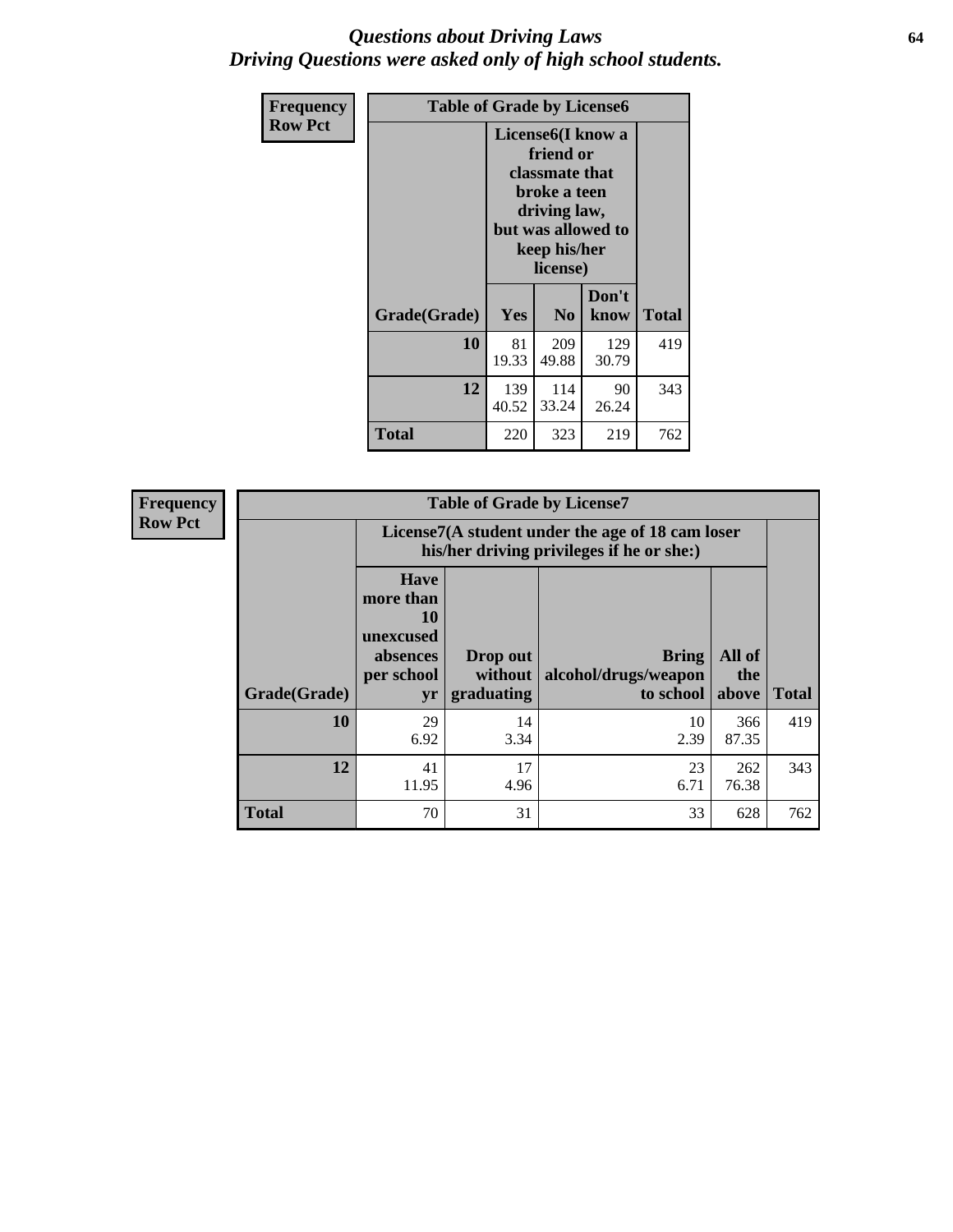#### *Questions about Driving Laws* **64** *Driving Questions were asked only of high school students.*

| <b>Frequency</b> | <b>Table of Grade by License6</b> |                                                                                                                                                 |                |               |       |
|------------------|-----------------------------------|-------------------------------------------------------------------------------------------------------------------------------------------------|----------------|---------------|-------|
| <b>Row Pct</b>   |                                   | License <sub>6</sub> (I know a<br>friend or<br>classmate that<br>broke a teen<br>driving law,<br>but was allowed to<br>keep his/her<br>license) |                |               |       |
|                  | Grade(Grade)                      | <b>Yes</b>                                                                                                                                      | N <sub>0</sub> | Don't<br>know | Total |
|                  | 10                                | 81<br>19.33                                                                                                                                     | 209<br>49.88   | 129<br>30.79  | 419   |
|                  | 12                                | 139<br>40.52                                                                                                                                    | 343            |               |       |
|                  | <b>Total</b>                      | 220                                                                                                                                             | 323            | 219           | 762   |

| <b>Frequency</b> | <b>Table of Grade by License7</b> |                                                                                               |                                     |                                                   |                        |              |  |
|------------------|-----------------------------------|-----------------------------------------------------------------------------------------------|-------------------------------------|---------------------------------------------------|------------------------|--------------|--|
| <b>Row Pct</b>   |                                   | License7(A student under the age of 18 cam loser<br>his/her driving privileges if he or she:) |                                     |                                                   |                        |              |  |
|                  | Grade(Grade)                      | <b>Have</b><br>more than<br>10<br>unexcused<br>absences<br>per school<br>yr                   | Drop out<br>without  <br>graduating | <b>Bring</b><br>alcohol/drugs/weapon<br>to school | All of<br>the<br>above | <b>Total</b> |  |
|                  | 10                                | 29<br>6.92                                                                                    | 14<br>3.34                          | 10<br>2.39                                        | 366<br>87.35           | 419          |  |
|                  | 12                                | 41<br>11.95                                                                                   | 17<br>4.96                          | 23<br>6.71                                        | 262<br>76.38           | 343          |  |
|                  | <b>Total</b>                      | 70                                                                                            | 31                                  | 33                                                | 628                    | 762          |  |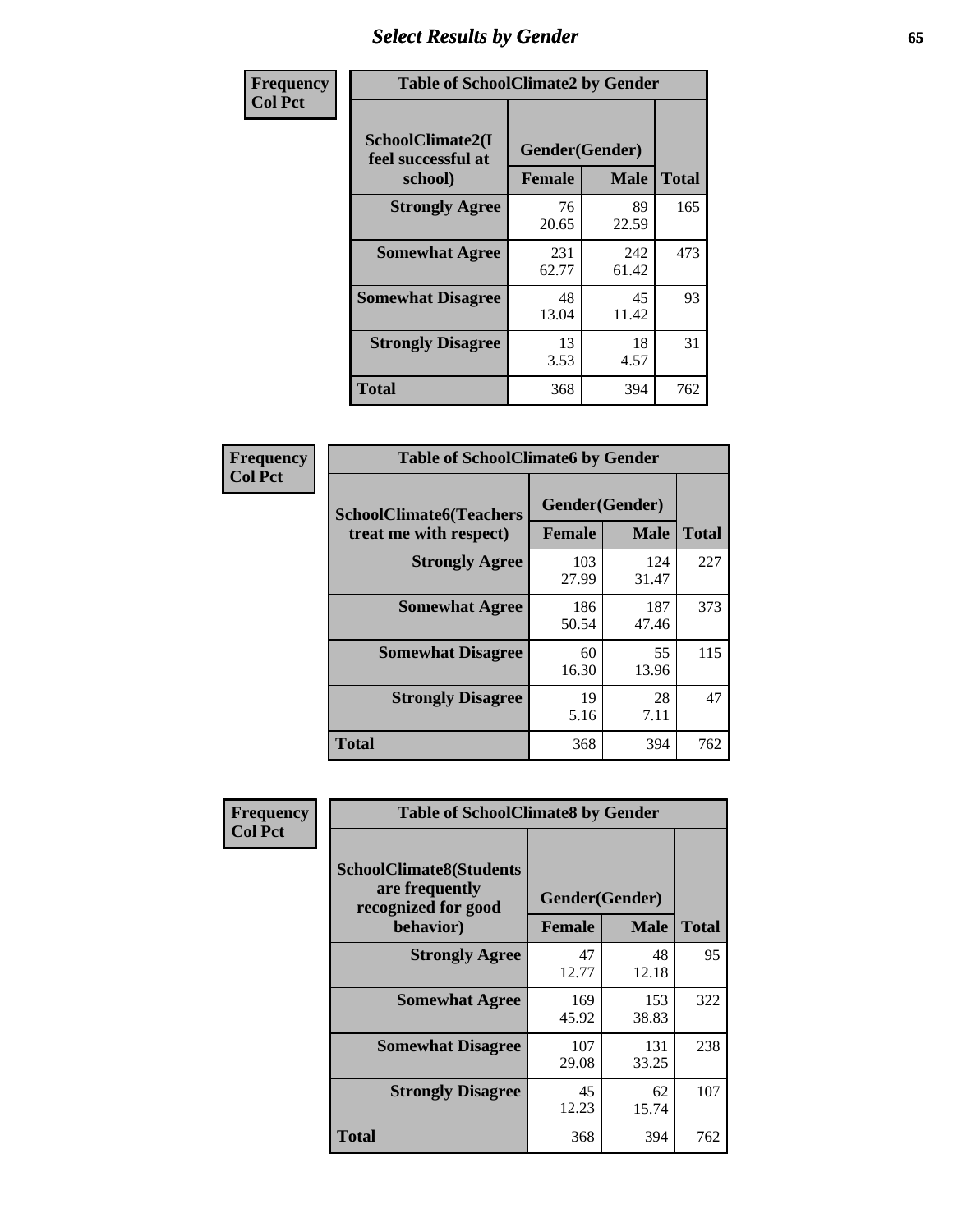# *Select Results by Gender* **65**

| Frequency      | <b>Table of SchoolClimate2 by Gender</b>          |                                 |              |              |
|----------------|---------------------------------------------------|---------------------------------|--------------|--------------|
| <b>Col Pct</b> | SchoolClimate2(I<br>feel successful at<br>school) | Gender(Gender)<br><b>Female</b> | <b>Male</b>  | <b>Total</b> |
|                | <b>Strongly Agree</b>                             | 76<br>20.65                     | 89<br>22.59  | 165          |
|                | <b>Somewhat Agree</b>                             | 231<br>62.77                    | 242<br>61.42 | 473          |
|                | <b>Somewhat Disagree</b>                          | 48<br>13.04                     | 45<br>11.42  | 93           |
|                | <b>Strongly Disagree</b>                          | 13<br>3.53                      | 18<br>4.57   | 31           |
|                | <b>Total</b>                                      | 368                             | 394          | 762          |

| Frequency      | <b>Table of SchoolClimate6 by Gender</b>                 |                                 |              |              |  |
|----------------|----------------------------------------------------------|---------------------------------|--------------|--------------|--|
| <b>Col Pct</b> | <b>SchoolClimate6(Teachers</b><br>treat me with respect) | Gender(Gender)<br><b>Female</b> | <b>Male</b>  | <b>Total</b> |  |
|                | <b>Strongly Agree</b>                                    | 103<br>27.99                    | 124<br>31.47 | 227          |  |
|                | <b>Somewhat Agree</b>                                    | 186<br>50.54                    | 187<br>47.46 | 373          |  |
|                | <b>Somewhat Disagree</b>                                 | 60<br>16.30                     | 55<br>13.96  | 115          |  |
|                | <b>Strongly Disagree</b>                                 | 19<br>5.16                      | 28<br>7.11   | 47           |  |
|                | Total                                                    | 368                             | 394          | 762          |  |

| Frequency      | <b>Table of SchoolClimate8 by Gender</b>                                |                |              |              |
|----------------|-------------------------------------------------------------------------|----------------|--------------|--------------|
| <b>Col Pct</b> | <b>SchoolClimate8(Students</b><br>are frequently<br>recognized for good | Gender(Gender) | <b>Male</b>  |              |
|                | behavior)                                                               | <b>Female</b>  |              | <b>Total</b> |
|                | <b>Strongly Agree</b>                                                   | 47<br>12.77    | 48<br>12.18  | 95           |
|                | <b>Somewhat Agree</b>                                                   | 169<br>45.92   | 153<br>38.83 | 322          |
|                | <b>Somewhat Disagree</b>                                                | 107<br>29.08   | 131<br>33.25 | 238          |
|                | <b>Strongly Disagree</b>                                                | 45<br>12.23    | 62<br>15.74  | 107          |
|                | Total                                                                   | 368            | 394          | 762          |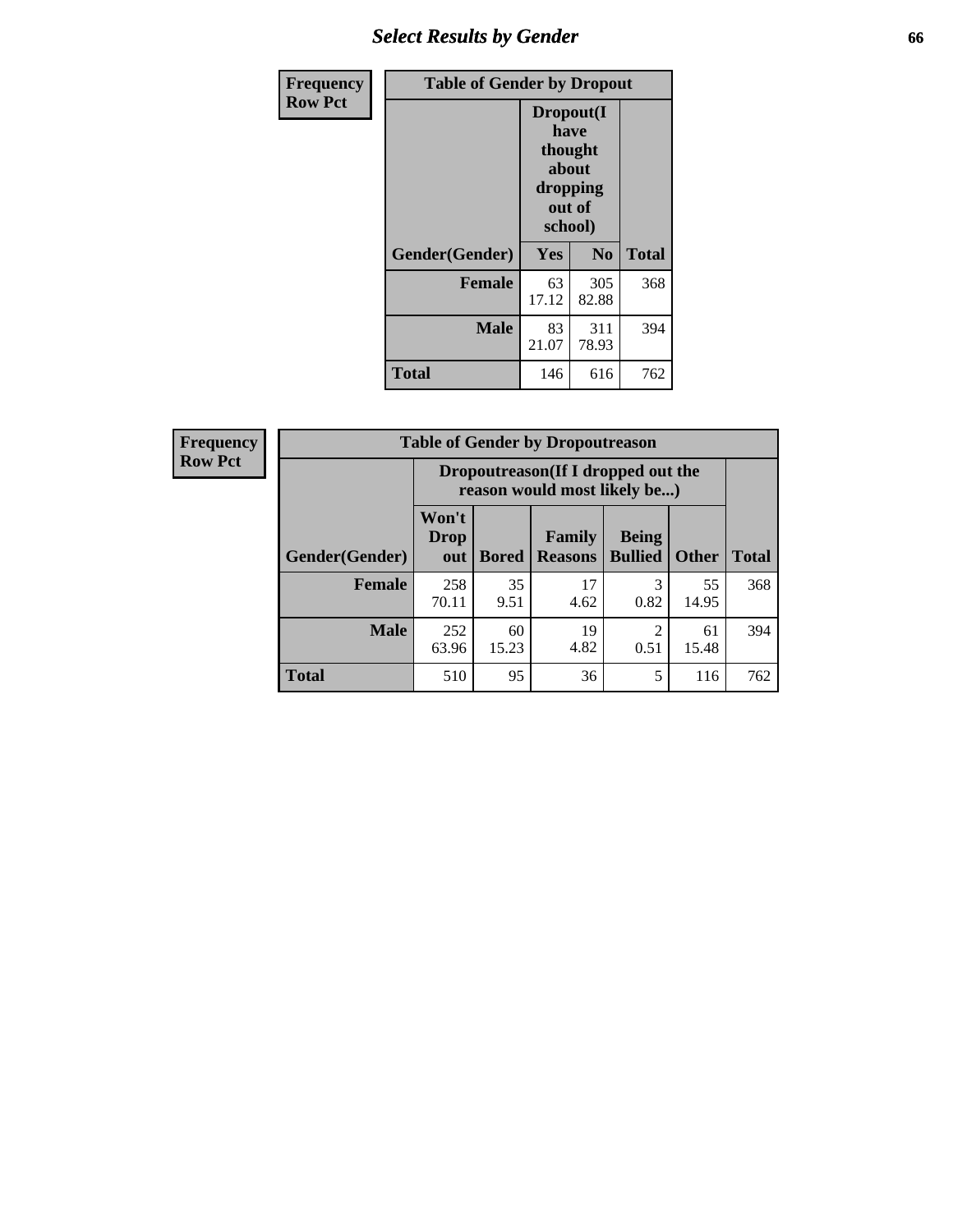## *Select Results by Gender* **66**

| Frequency      | <b>Table of Gender by Dropout</b> |                                                                        |              |              |
|----------------|-----------------------------------|------------------------------------------------------------------------|--------------|--------------|
| <b>Row Pct</b> |                                   | Dropout(I<br>have<br>thought<br>about<br>dropping<br>out of<br>school) |              |              |
|                | Gender(Gender)                    | <b>Yes</b>                                                             | No           | <b>Total</b> |
|                | <b>Female</b>                     | 63<br>17.12                                                            | 305<br>82.88 | 368          |
|                | <b>Male</b>                       | 83<br>21.07                                                            | 311<br>78.93 | 394          |
|                | <b>Total</b>                      | 146                                                                    | 616          | 762          |

| <b>Frequency</b> | <b>Table of Gender by Dropoutreason</b> |                                                                    |              |                          |                                |              |              |
|------------------|-----------------------------------------|--------------------------------------------------------------------|--------------|--------------------------|--------------------------------|--------------|--------------|
| <b>Row Pct</b>   |                                         | Dropoutreason(If I dropped out the<br>reason would most likely be) |              |                          |                                |              |              |
|                  | Gender(Gender)                          | Won't<br><b>Drop</b><br>out                                        | <b>Bored</b> | Family<br><b>Reasons</b> | <b>Being</b><br><b>Bullied</b> | <b>Other</b> | <b>Total</b> |
|                  | Female                                  | 258<br>70.11                                                       | 35<br>9.51   | 17<br>4.62               | 3<br>0.82                      | 55<br>14.95  | 368          |
|                  | <b>Male</b>                             | 252<br>63.96                                                       | 60<br>15.23  | 19<br>4.82               | ി<br>0.51                      | 61<br>15.48  | 394          |
|                  | <b>Total</b>                            | 510                                                                | 95           | 36                       | 5                              | 116          | 762          |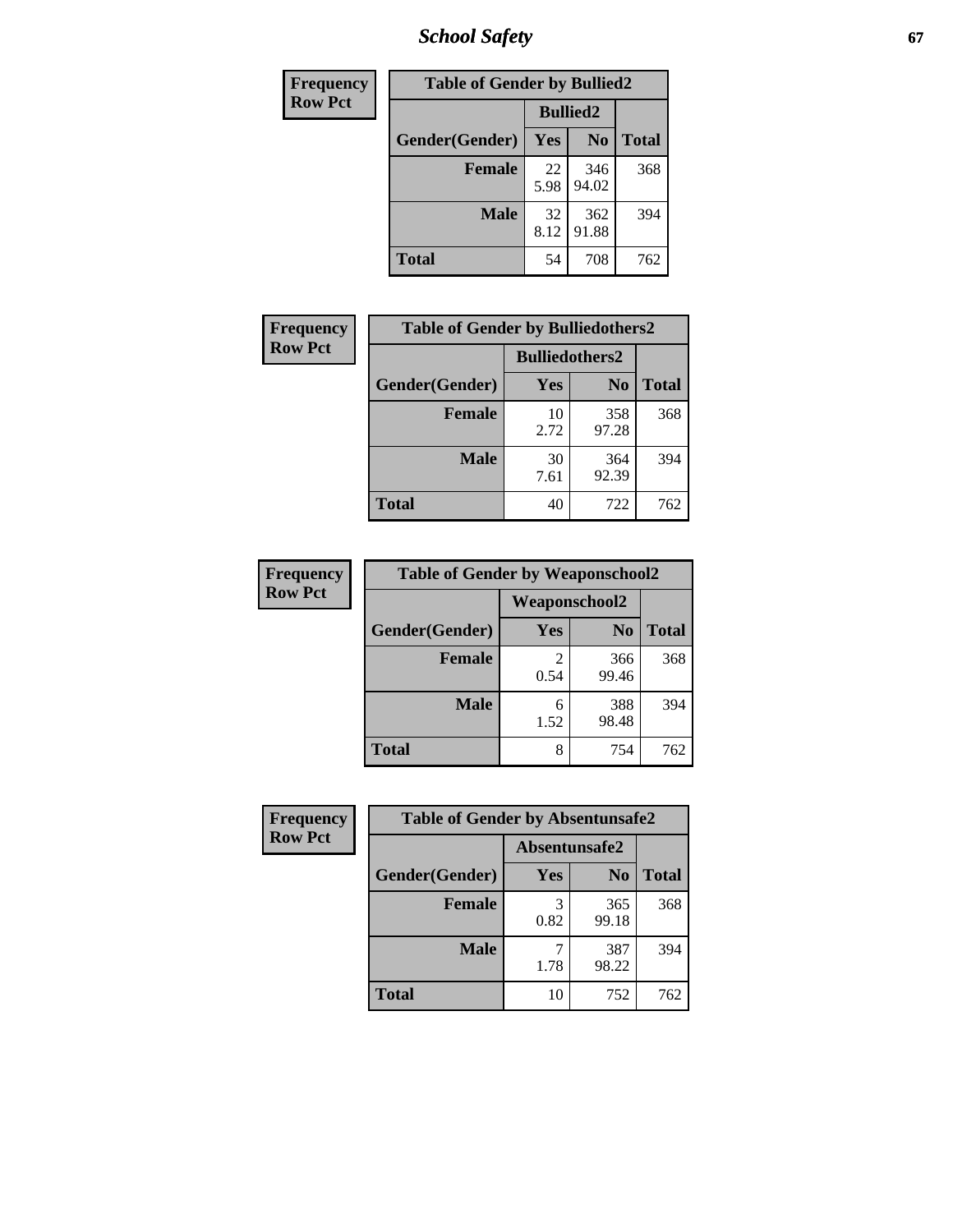*School Safety* **67**

| Frequency      |                | <b>Table of Gender by Bullied2</b> |                |              |
|----------------|----------------|------------------------------------|----------------|--------------|
| <b>Row Pct</b> |                | <b>Bullied2</b>                    |                |              |
|                | Gender(Gender) | Yes                                | N <sub>0</sub> | <b>Total</b> |
|                | <b>Female</b>  | 22<br>5.98                         | 346<br>94.02   | 368          |
|                | <b>Male</b>    | 32<br>8.12                         | 362<br>91.88   | 394          |
|                | <b>Total</b>   | 54                                 | 708            | 762          |

| Frequency      | <b>Table of Gender by Bulliedothers2</b> |                       |                |              |
|----------------|------------------------------------------|-----------------------|----------------|--------------|
| <b>Row Pct</b> |                                          | <b>Bulliedothers2</b> |                |              |
|                | Gender(Gender)                           | <b>Yes</b>            | N <sub>0</sub> | <b>Total</b> |
|                | <b>Female</b>                            | 10<br>2.72            | 358<br>97.28   | 368          |
|                | <b>Male</b>                              | 30<br>7.61            | 364<br>92.39   | 394          |
|                | <b>Total</b>                             | 40                    | 722            | 762          |

| <b>Frequency</b> | <b>Table of Gender by Weaponschool2</b> |           |                |              |  |
|------------------|-----------------------------------------|-----------|----------------|--------------|--|
| <b>Row Pct</b>   | Weaponschool2                           |           |                |              |  |
|                  | Gender(Gender)                          | Yes       | N <sub>0</sub> | <b>Total</b> |  |
|                  | Female                                  | 2<br>0.54 | 366<br>99.46   | 368          |  |
|                  | <b>Male</b>                             | 6<br>1.52 | 388<br>98.48   | 394          |  |
|                  | <b>Total</b>                            | 8         | 754            | 762          |  |

| Frequency      | <b>Table of Gender by Absentunsafe2</b> |               |                |              |
|----------------|-----------------------------------------|---------------|----------------|--------------|
| <b>Row Pct</b> |                                         | Absentunsafe2 |                |              |
|                | Gender(Gender)                          | Yes           | N <sub>0</sub> | <b>Total</b> |
|                | <b>Female</b>                           | 0.82          | 365<br>99.18   | 368          |
|                | <b>Male</b>                             | 1.78          | 387<br>98.22   | 394          |
|                | <b>Total</b>                            | 10            | 752            | 762          |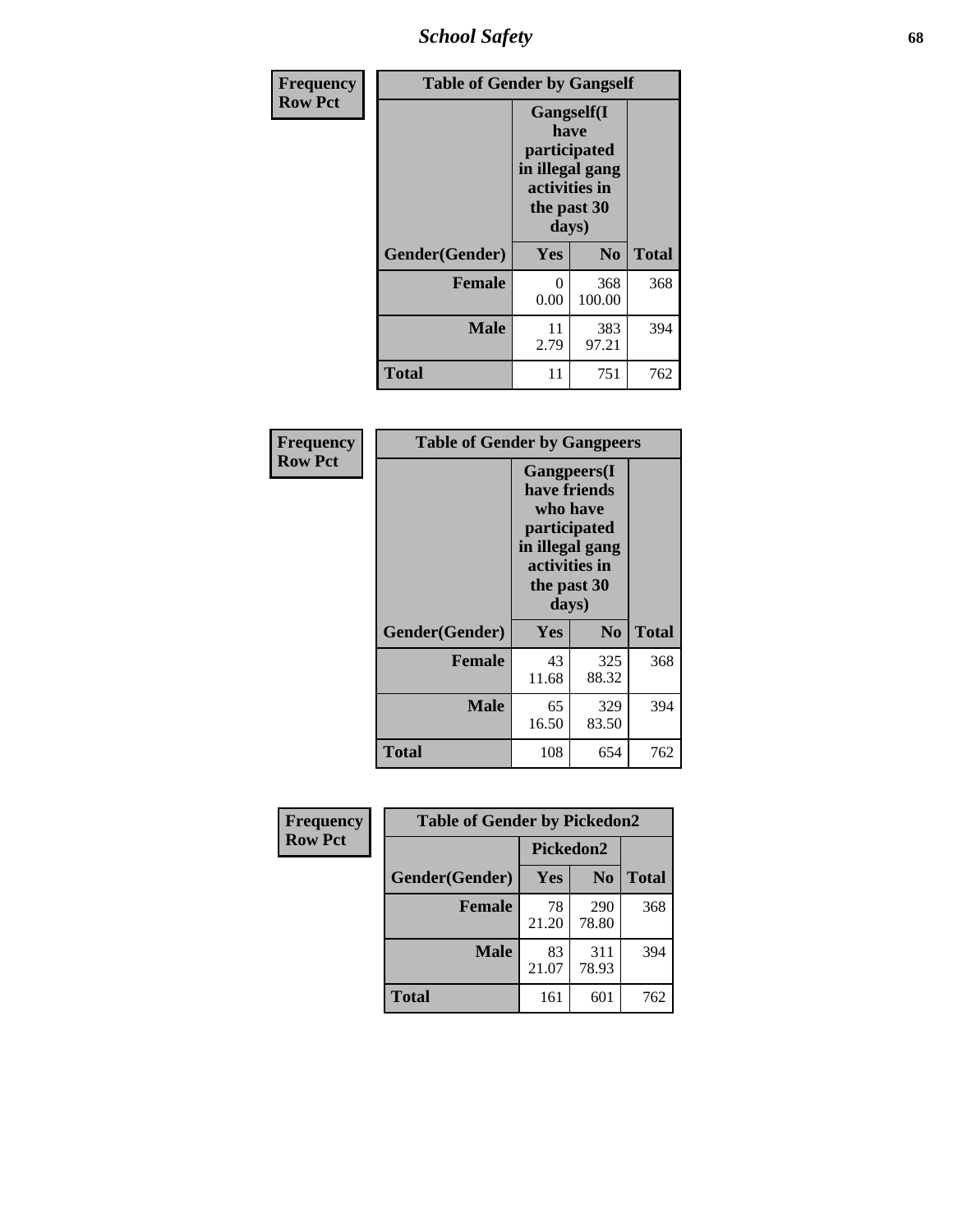*School Safety* **68**

| Frequency      | <b>Table of Gender by Gangself</b> |                                                                                                |                |              |
|----------------|------------------------------------|------------------------------------------------------------------------------------------------|----------------|--------------|
| <b>Row Pct</b> |                                    | Gangself(I<br>have<br>participated<br>in illegal gang<br>activities in<br>the past 30<br>days) |                |              |
|                | Gender(Gender)                     | Yes                                                                                            | N <sub>0</sub> | <b>Total</b> |
|                | <b>Female</b>                      | 0<br>0.00                                                                                      | 368<br>100.00  | 368          |
|                | <b>Male</b>                        | 11<br>2.79                                                                                     | 383<br>97.21   | 394          |
|                | <b>Total</b>                       | 11                                                                                             | 751            | 762          |

| Frequency      | <b>Table of Gender by Gangpeers</b>                                                                                         |             |                |              |
|----------------|-----------------------------------------------------------------------------------------------------------------------------|-------------|----------------|--------------|
| <b>Row Pct</b> | <b>Gangpeers</b> (I<br>have friends<br>who have<br>participated<br>in illegal gang<br>activities in<br>the past 30<br>days) |             |                |              |
|                | Gender(Gender)                                                                                                              | Yes         | N <sub>0</sub> | <b>Total</b> |
|                | <b>Female</b>                                                                                                               | 43<br>11.68 | 325<br>88.32   | 368          |
|                | <b>Male</b>                                                                                                                 | 65<br>16.50 | 329<br>83.50   | 394          |
|                | <b>Total</b>                                                                                                                | 108         | 654            | 762          |

| Frequency      | <b>Table of Gender by Pickedon2</b> |             |                |              |
|----------------|-------------------------------------|-------------|----------------|--------------|
| <b>Row Pct</b> |                                     | Pickedon2   |                |              |
|                | Gender(Gender)                      | Yes         | N <sub>0</sub> | <b>Total</b> |
|                | <b>Female</b>                       | 78<br>21.20 | 290<br>78.80   | 368          |
|                | <b>Male</b>                         | 83<br>21.07 | 311<br>78.93   | 394          |
|                | <b>Total</b>                        | 161         | 601            | 762          |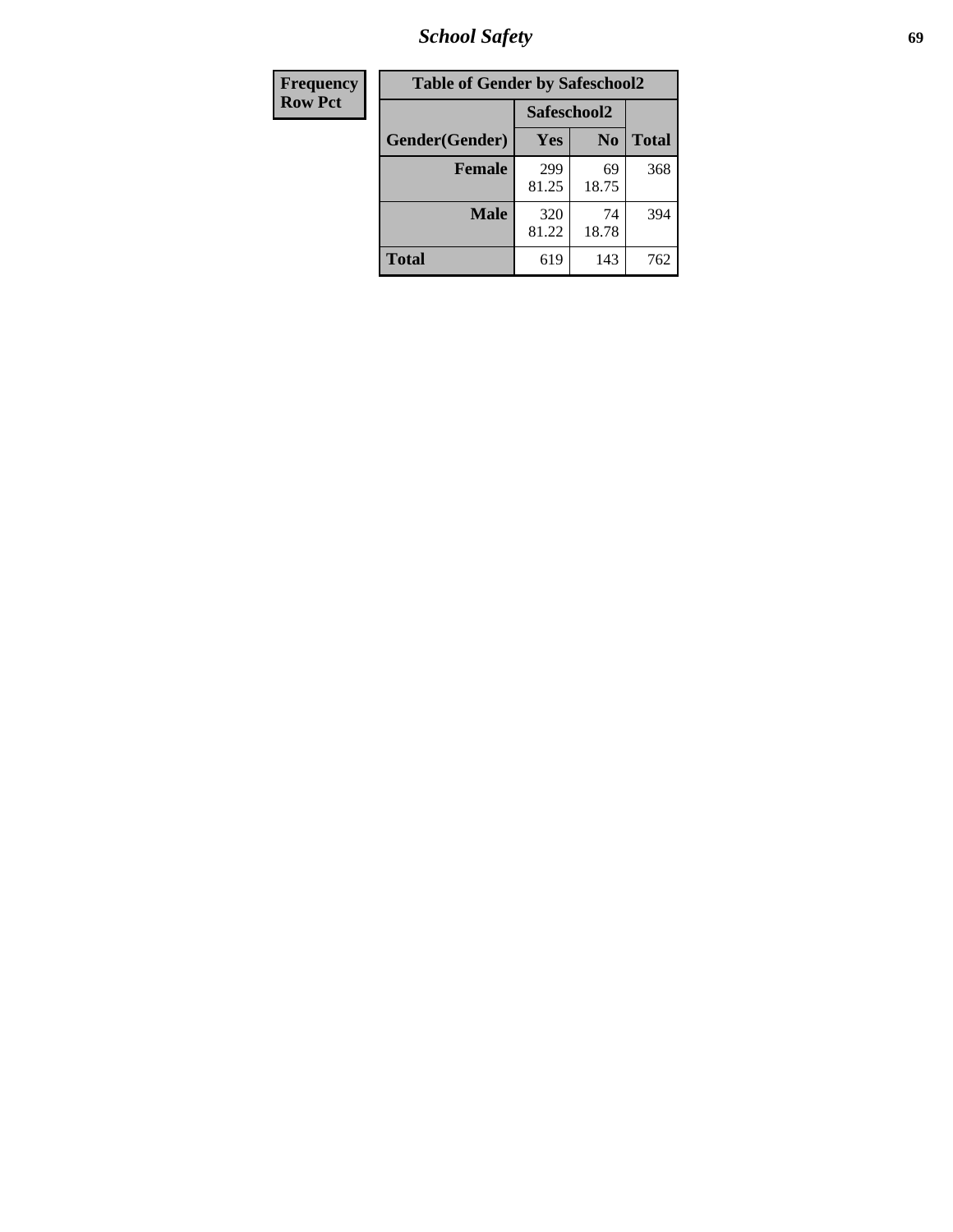*School Safety* **69**

| Frequency      | <b>Table of Gender by Safeschool2</b> |              |                |              |
|----------------|---------------------------------------|--------------|----------------|--------------|
| <b>Row Pct</b> |                                       | Safeschool2  |                |              |
|                | Gender(Gender)                        | Yes          | N <sub>0</sub> | <b>Total</b> |
|                | <b>Female</b>                         | 299<br>81.25 | 69<br>18.75    | 368          |
|                | Male                                  | 320<br>81.22 | 74<br>18.78    | 394          |
|                | <b>Total</b>                          | 619          | 143            | 762          |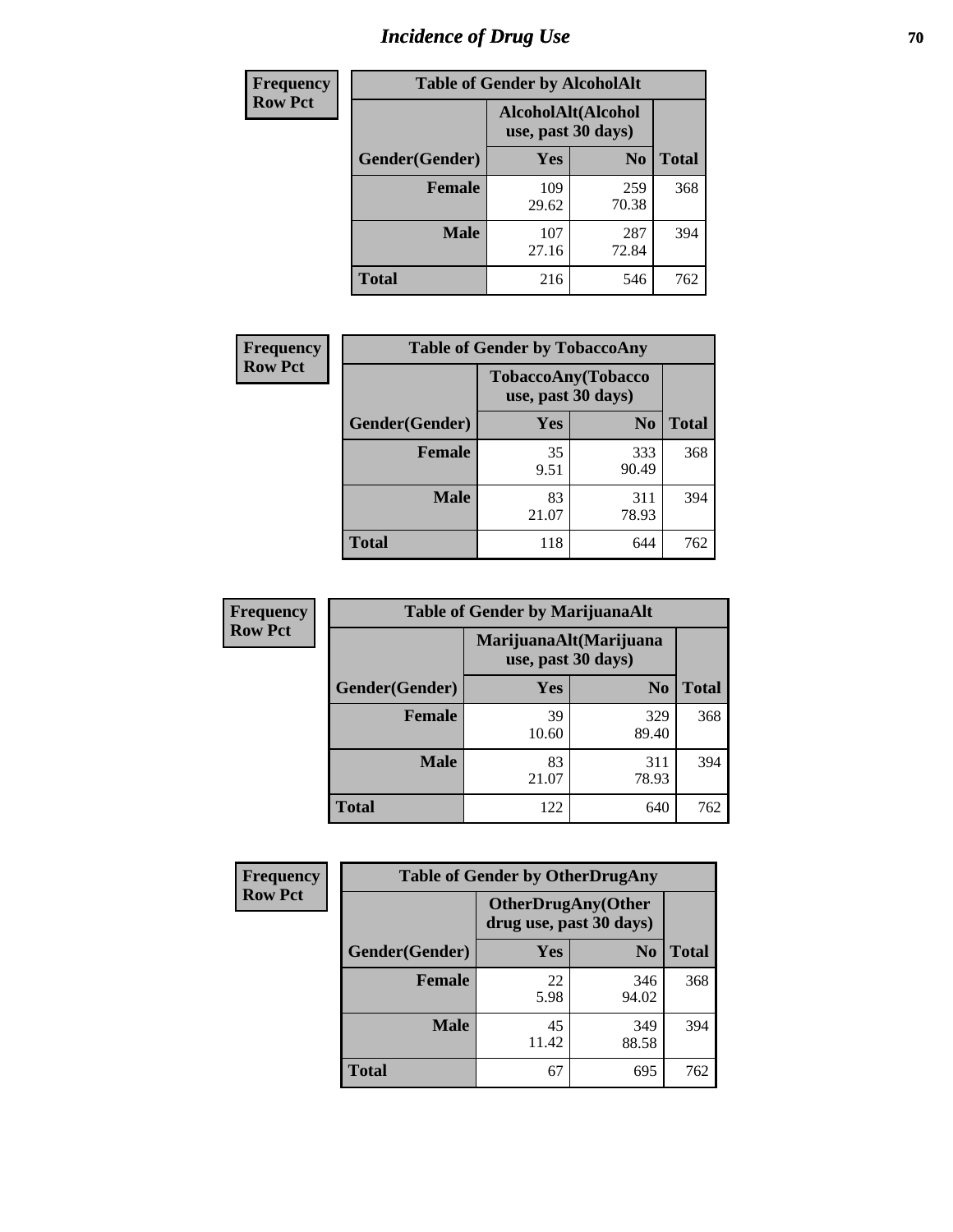# *Incidence of Drug Use* **70**

| <b>Frequency</b> |                                          | <b>Table of Gender by AlcoholAlt</b> |                |              |
|------------------|------------------------------------------|--------------------------------------|----------------|--------------|
| <b>Row Pct</b>   | AlcoholAlt(Alcohol<br>use, past 30 days) |                                      |                |              |
|                  | Gender(Gender)                           | <b>Yes</b>                           | N <sub>0</sub> | <b>Total</b> |
|                  | <b>Female</b>                            | 109<br>29.62                         | 259<br>70.38   | 368          |
|                  | <b>Male</b>                              | 107<br>27.16                         | 287<br>72.84   | 394          |
|                  | <b>Total</b>                             | 216                                  | 546            | 762          |

| Frequency      | <b>Table of Gender by TobaccoAny</b> |                    |                    |              |
|----------------|--------------------------------------|--------------------|--------------------|--------------|
| <b>Row Pct</b> |                                      | use, past 30 days) | TobaccoAny(Tobacco |              |
|                | Gender(Gender)                       | Yes                | N <sub>0</sub>     | <b>Total</b> |
|                | <b>Female</b>                        | 35<br>9.51         | 333<br>90.49       | 368          |
|                | <b>Male</b>                          | 83<br>21.07        | 311<br>78.93       | 394          |
|                | <b>Total</b>                         | 118                | 644                | 762          |

| <b>Frequency</b> | <b>Table of Gender by MarijuanaAlt</b> |                                              |                |              |
|------------------|----------------------------------------|----------------------------------------------|----------------|--------------|
| <b>Row Pct</b>   |                                        | MarijuanaAlt(Marijuana<br>use, past 30 days) |                |              |
|                  | Gender(Gender)                         | <b>Yes</b>                                   | N <sub>0</sub> | <b>Total</b> |
|                  | <b>Female</b>                          | 39<br>10.60                                  | 329<br>89.40   | 368          |
|                  | <b>Male</b>                            | 83<br>21.07                                  | 311<br>78.93   | 394          |
|                  | <b>Total</b>                           | 122                                          | 640            | 762          |

| <b>Frequency</b> | <b>Table of Gender by OtherDrugAny</b> |                                                      |                |              |
|------------------|----------------------------------------|------------------------------------------------------|----------------|--------------|
| <b>Row Pct</b>   |                                        | <b>OtherDrugAny(Other</b><br>drug use, past 30 days) |                |              |
|                  | Gender(Gender)                         | <b>Yes</b>                                           | N <sub>0</sub> | <b>Total</b> |
|                  | <b>Female</b>                          | 22<br>5.98                                           | 346<br>94.02   | 368          |
|                  | <b>Male</b>                            | 45<br>11.42                                          | 349<br>88.58   | 394          |
|                  | <b>Total</b>                           | 67                                                   | 695            | 762          |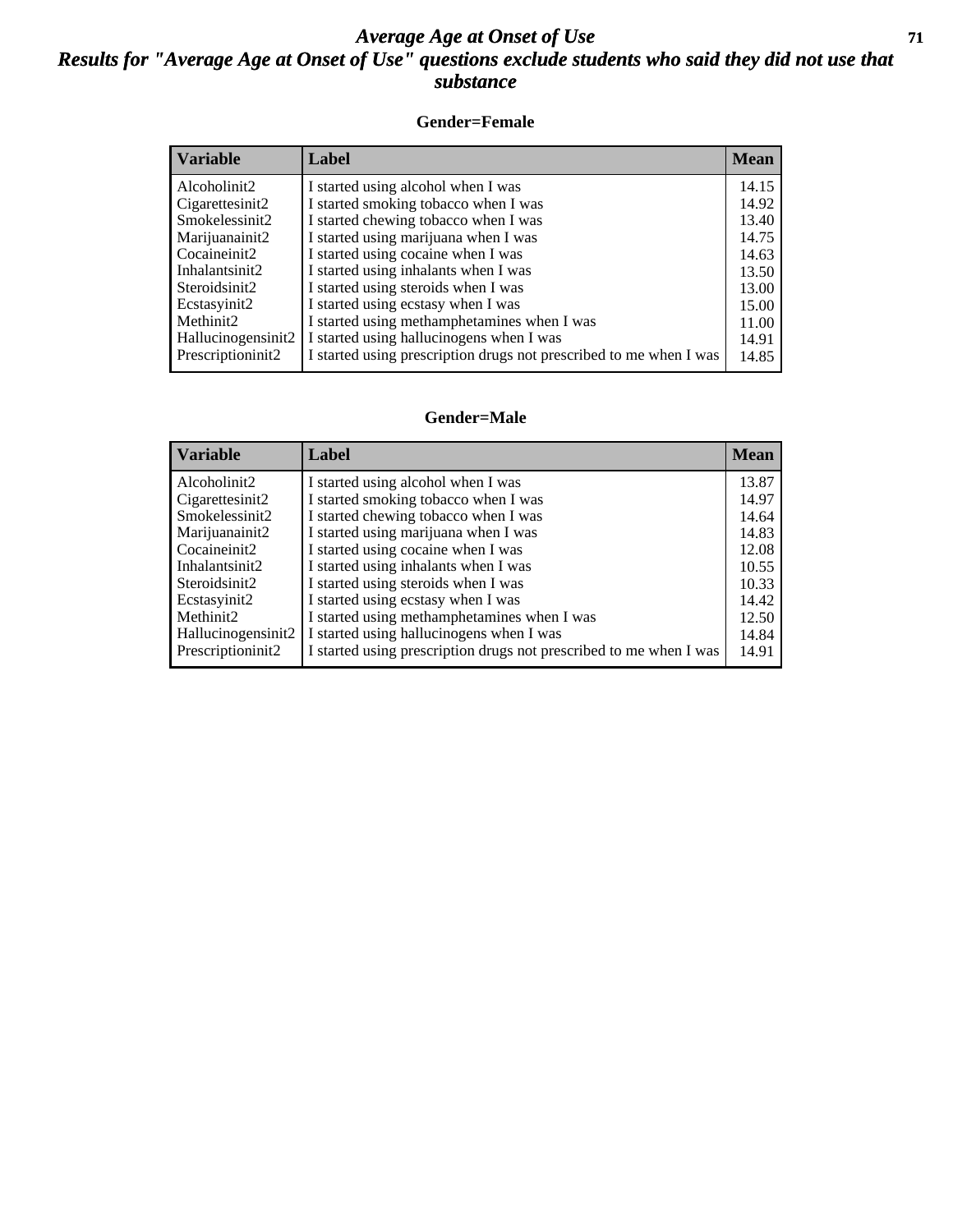#### *Average Age at Onset of Use* **71** *Results for "Average Age at Onset of Use" questions exclude students who said they did not use that substance*

#### **Gender=Female**

| <b>Variable</b>    | <b>Label</b>                                                       | <b>Mean</b> |
|--------------------|--------------------------------------------------------------------|-------------|
| Alcoholinit2       | I started using alcohol when I was                                 | 14.15       |
| Cigarettesinit2    | I started smoking tobacco when I was                               | 14.92       |
| Smokelessinit2     | I started chewing tobacco when I was                               | 13.40       |
| Marijuanainit2     | I started using marijuana when I was                               | 14.75       |
| Cocaineinit2       | I started using cocaine when I was                                 | 14.63       |
| Inhalantsinit2     | I started using inhalants when I was                               | 13.50       |
| Steroidsinit2      | I started using steroids when I was                                | 13.00       |
| Ecstasyinit2       | I started using ecstasy when I was                                 | 15.00       |
| Methinit2          | I started using methamphetamines when I was                        | 11.00       |
| Hallucinogensinit2 | I started using hallucinogens when I was                           | 14.91       |
| Prescription in t2 | I started using prescription drugs not prescribed to me when I was | 14.85       |

#### **Gender=Male**

| <b>Variable</b>     | Label                                                              | <b>Mean</b> |
|---------------------|--------------------------------------------------------------------|-------------|
| Alcoholinit2        | I started using alcohol when I was                                 | 13.87       |
| Cigarettesinit2     | I started smoking tobacco when I was                               | 14.97       |
| Smokelessinit2      | I started chewing tobacco when I was                               | 14.64       |
| Marijuanainit2      | I started using marijuana when I was                               | 14.83       |
| Cocaineinit2        | I started using cocaine when I was                                 | 12.08       |
| Inhalantsinit2      | I started using inhalants when I was                               | 10.55       |
| Steroidsinit2       | I started using steroids when I was                                | 10.33       |
| Ecstasyinit2        | I started using ecstasy when I was                                 | 14.42       |
| Methinit2           | I started using methamphetamines when I was                        | 12.50       |
| Hallucinogensinit2  | I started using hallucinogens when I was                           | 14.84       |
| Prescription in it2 | I started using prescription drugs not prescribed to me when I was | 14.91       |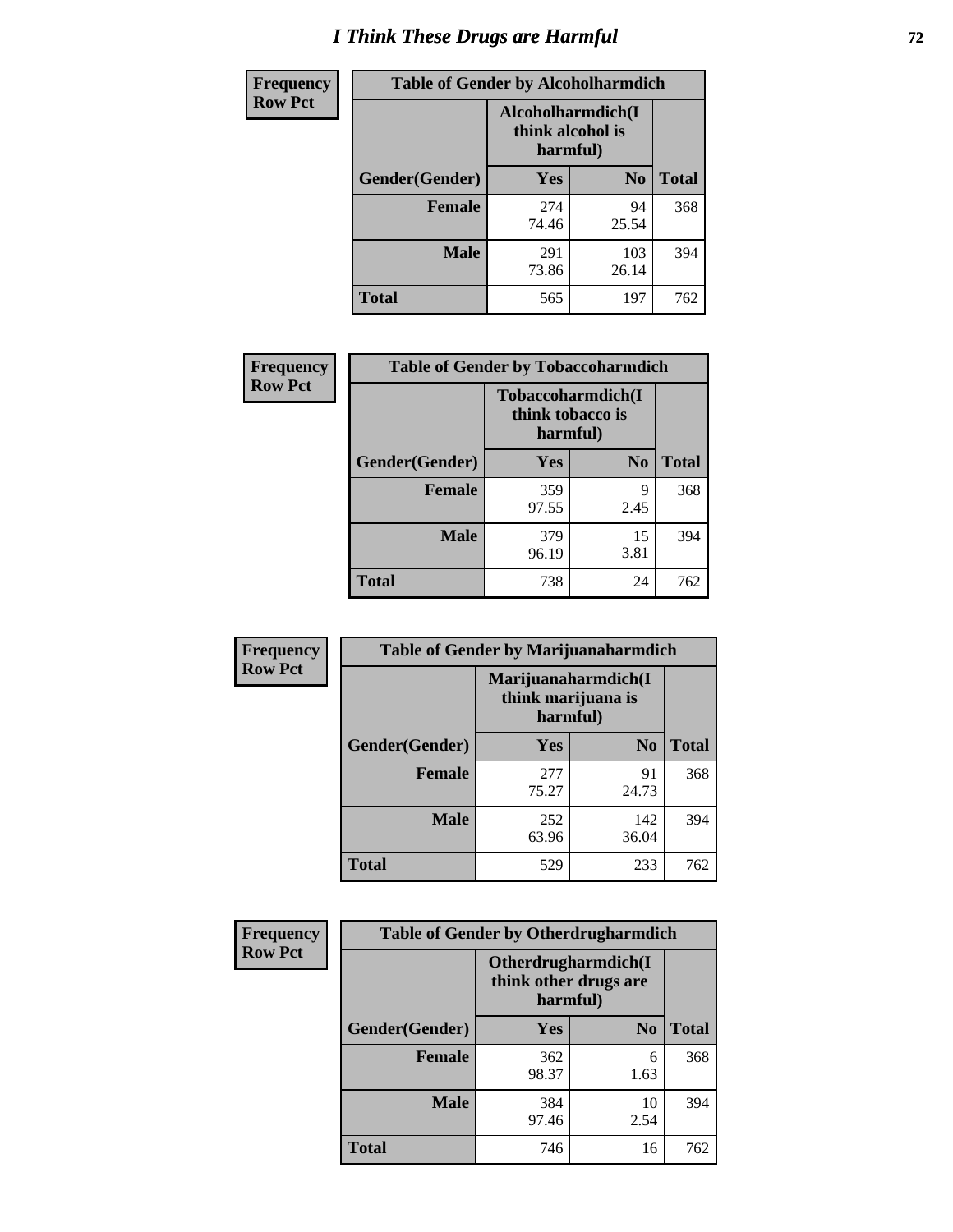# *I Think These Drugs are Harmful* **72**

| <b>Frequency</b> | <b>Table of Gender by Alcoholharmdich</b> |                                                   |                |              |
|------------------|-------------------------------------------|---------------------------------------------------|----------------|--------------|
| <b>Row Pct</b>   |                                           | Alcoholharmdich(I<br>think alcohol is<br>harmful) |                |              |
|                  | Gender(Gender)                            | Yes                                               | N <sub>0</sub> | <b>Total</b> |
|                  | <b>Female</b>                             | 274<br>74.46                                      | 94<br>25.54    | 368          |
|                  | <b>Male</b>                               | 291<br>73.86                                      | 103<br>26.14   | 394          |
|                  | <b>Total</b>                              | 565                                               | 197            | 762          |

| Frequency      | <b>Table of Gender by Tobaccoharmdich</b> |                                                   |            |              |
|----------------|-------------------------------------------|---------------------------------------------------|------------|--------------|
| <b>Row Pct</b> |                                           | Tobaccoharmdich(I<br>think tobacco is<br>harmful) |            |              |
|                | Gender(Gender)                            | Yes                                               | $\bf N_0$  | <b>Total</b> |
|                | <b>Female</b>                             | 359<br>97.55                                      | 9<br>2.45  | 368          |
|                | <b>Male</b>                               | 379<br>96.19                                      | 15<br>3.81 | 394          |
|                | <b>Total</b>                              | 738                                               | 24         | 762          |

| Frequency      | <b>Table of Gender by Marijuanaharmdich</b> |                                                       |                |              |  |
|----------------|---------------------------------------------|-------------------------------------------------------|----------------|--------------|--|
| <b>Row Pct</b> |                                             | Marijuanaharmdich(I<br>think marijuana is<br>harmful) |                |              |  |
|                | Gender(Gender)                              | <b>Yes</b>                                            | N <sub>0</sub> | <b>Total</b> |  |
|                | <b>Female</b>                               | 277<br>75.27                                          | 91<br>24.73    | 368          |  |
|                | <b>Male</b>                                 | 252<br>63.96                                          | 142<br>36.04   | 394          |  |
|                | <b>Total</b>                                | 529                                                   | 233            | 762          |  |

| Frequency      | <b>Table of Gender by Otherdrugharmdich</b> |                                                          |                |              |  |
|----------------|---------------------------------------------|----------------------------------------------------------|----------------|--------------|--|
| <b>Row Pct</b> |                                             | Otherdrugharmdich(I<br>think other drugs are<br>harmful) |                |              |  |
|                | Gender(Gender)                              | <b>Yes</b>                                               | N <sub>0</sub> | <b>Total</b> |  |
|                | <b>Female</b>                               | 362<br>98.37                                             | 6<br>1.63      | 368          |  |
|                | <b>Male</b>                                 | 384<br>97.46                                             | 10<br>2.54     | 394          |  |
|                | <b>Total</b>                                | 746                                                      | 16             | 762          |  |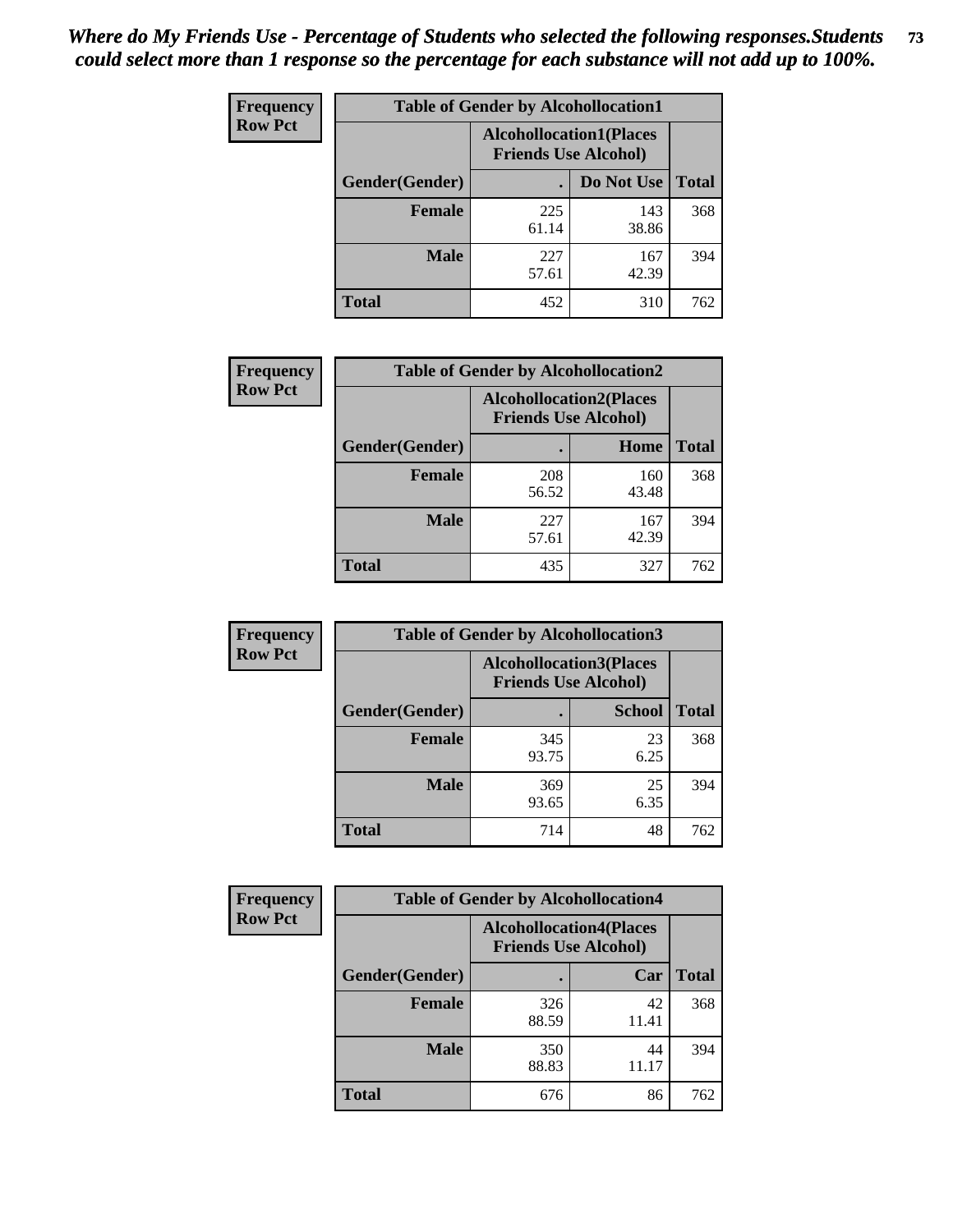| <b>Frequency</b> | <b>Table of Gender by Alcohollocation1</b> |                                                               |              |              |  |
|------------------|--------------------------------------------|---------------------------------------------------------------|--------------|--------------|--|
| <b>Row Pct</b>   |                                            | <b>Alcohollocation1(Places</b><br><b>Friends Use Alcohol)</b> |              |              |  |
|                  | Gender(Gender)                             |                                                               | Do Not Use   | <b>Total</b> |  |
|                  | <b>Female</b>                              | 225<br>61.14                                                  | 143<br>38.86 | 368          |  |
|                  | <b>Male</b>                                | 227<br>57.61                                                  | 167<br>42.39 | 394          |  |
|                  | <b>Total</b>                               | 452                                                           | 310          | 762          |  |

| <b>Frequency</b> | <b>Table of Gender by Alcohollocation2</b> |                                                               |              |              |
|------------------|--------------------------------------------|---------------------------------------------------------------|--------------|--------------|
| <b>Row Pct</b>   |                                            | <b>Alcohollocation2(Places</b><br><b>Friends Use Alcohol)</b> |              |              |
|                  | Gender(Gender)                             |                                                               | Home         | <b>Total</b> |
|                  | <b>Female</b>                              | 208<br>56.52                                                  | 160<br>43.48 | 368          |
|                  | <b>Male</b>                                | 227<br>57.61                                                  | 167<br>42.39 | 394          |
|                  | <b>Total</b>                               | 435                                                           | 327          | 762          |

| Frequency      | <b>Table of Gender by Alcohollocation3</b> |                             |                                |              |
|----------------|--------------------------------------------|-----------------------------|--------------------------------|--------------|
| <b>Row Pct</b> |                                            | <b>Friends Use Alcohol)</b> | <b>Alcohollocation3(Places</b> |              |
|                | Gender(Gender)                             |                             | <b>School</b>                  | <b>Total</b> |
|                | <b>Female</b>                              | 345<br>93.75                | 23<br>6.25                     | 368          |
|                | <b>Male</b>                                | 369<br>93.65                | 25<br>6.35                     | 394          |
|                | <b>Total</b>                               | 714                         | 48                             | 762          |

| Frequency      | <b>Table of Gender by Alcohollocation4</b> |              |                                                               |              |
|----------------|--------------------------------------------|--------------|---------------------------------------------------------------|--------------|
| <b>Row Pct</b> |                                            |              | <b>Alcohollocation4(Places</b><br><b>Friends Use Alcohol)</b> |              |
|                | Gender(Gender)                             |              | Car                                                           | <b>Total</b> |
|                | <b>Female</b>                              | 326<br>88.59 | 42<br>11.41                                                   | 368          |
|                | <b>Male</b>                                | 350<br>88.83 | 44<br>11.17                                                   | 394          |
|                | <b>Total</b>                               | 676          | 86                                                            | 762          |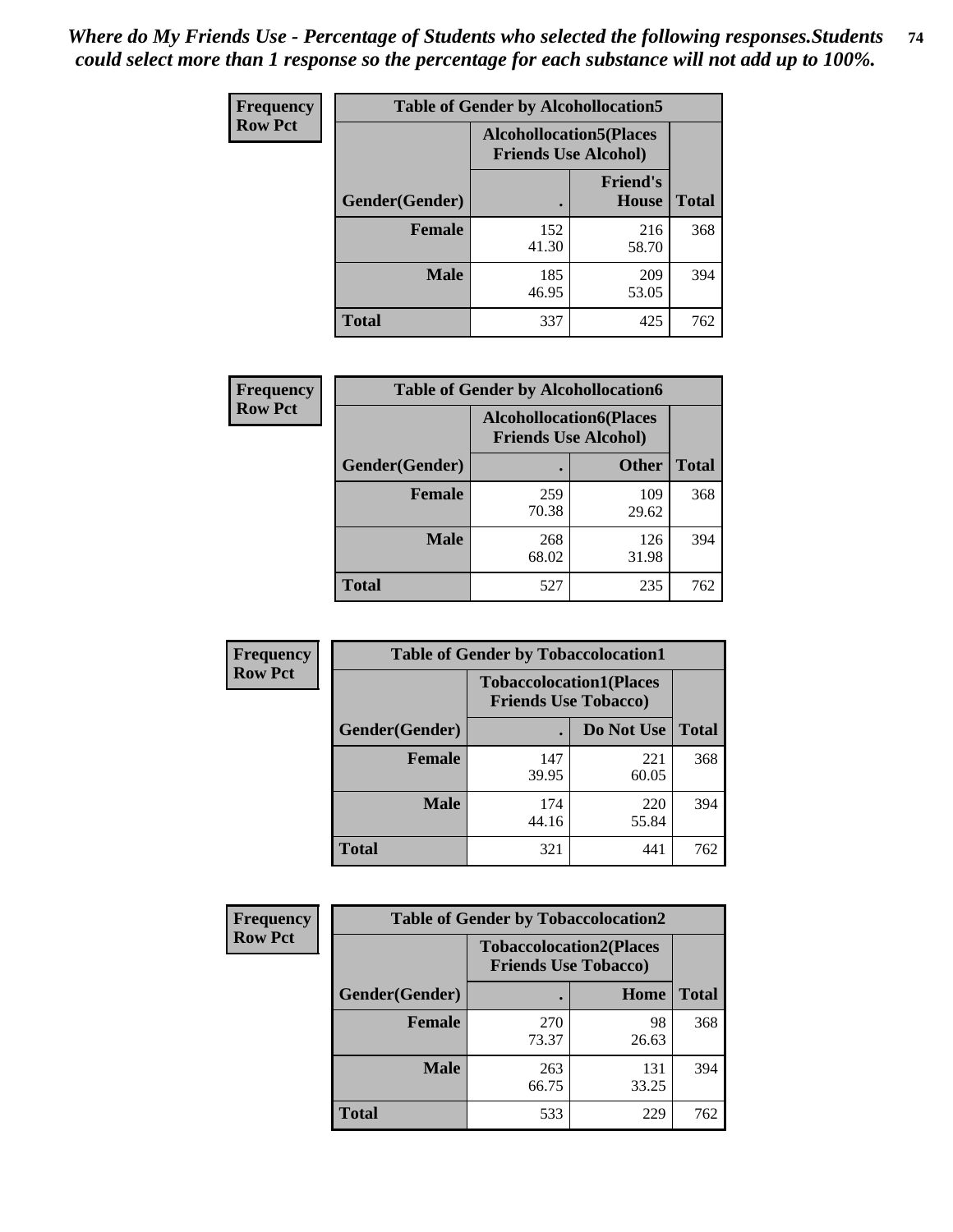| <b>Frequency</b> | <b>Table of Gender by Alcohollocation5</b> |                                                                |                                 |              |
|------------------|--------------------------------------------|----------------------------------------------------------------|---------------------------------|--------------|
| <b>Row Pct</b>   |                                            | <b>Alcohollocation5</b> (Places<br><b>Friends Use Alcohol)</b> |                                 |              |
|                  | Gender(Gender)                             |                                                                | <b>Friend's</b><br><b>House</b> | <b>Total</b> |
|                  | <b>Female</b>                              | 152<br>41.30                                                   | 216<br>58.70                    | 368          |
|                  | <b>Male</b>                                | 185<br>46.95                                                   | 209<br>53.05                    | 394          |
|                  | <b>Total</b>                               | 337                                                            | 425                             | 762          |

| Frequency      | <b>Table of Gender by Alcohollocation6</b> |                                                               |              |              |  |
|----------------|--------------------------------------------|---------------------------------------------------------------|--------------|--------------|--|
| <b>Row Pct</b> |                                            | <b>Alcohollocation6(Places</b><br><b>Friends Use Alcohol)</b> |              |              |  |
|                | <b>Gender</b> (Gender)                     |                                                               | <b>Other</b> | <b>Total</b> |  |
|                | <b>Female</b>                              | 259<br>70.38                                                  | 109<br>29.62 | 368          |  |
|                | <b>Male</b>                                | 268<br>68.02                                                  | 126<br>31.98 | 394          |  |
|                | <b>Total</b>                               | 527                                                           | 235          | 762          |  |

| Frequency      | <b>Table of Gender by Tobaccolocation1</b> |                                                               |              |              |  |
|----------------|--------------------------------------------|---------------------------------------------------------------|--------------|--------------|--|
| <b>Row Pct</b> |                                            | <b>Tobaccolocation1(Places</b><br><b>Friends Use Tobacco)</b> |              |              |  |
|                | Gender(Gender)                             |                                                               | Do Not Use   | <b>Total</b> |  |
|                | Female                                     | 147<br>39.95                                                  | 221<br>60.05 | 368          |  |
|                | <b>Male</b>                                | 174<br>44.16                                                  | 220<br>55.84 | 394          |  |
|                | <b>Total</b>                               | 321                                                           | 441          | 762          |  |

| <b>Frequency</b> | <b>Table of Gender by Tobaccolocation2</b> |                                                               |              |              |
|------------------|--------------------------------------------|---------------------------------------------------------------|--------------|--------------|
| <b>Row Pct</b>   |                                            | <b>Tobaccolocation2(Places</b><br><b>Friends Use Tobacco)</b> |              |              |
|                  | Gender(Gender)                             |                                                               | Home         | <b>Total</b> |
|                  | Female                                     | 270<br>73.37                                                  | 98<br>26.63  | 368          |
|                  | <b>Male</b>                                | 263<br>66.75                                                  | 131<br>33.25 | 394          |
|                  | <b>Total</b>                               | 533                                                           | 229          | 762          |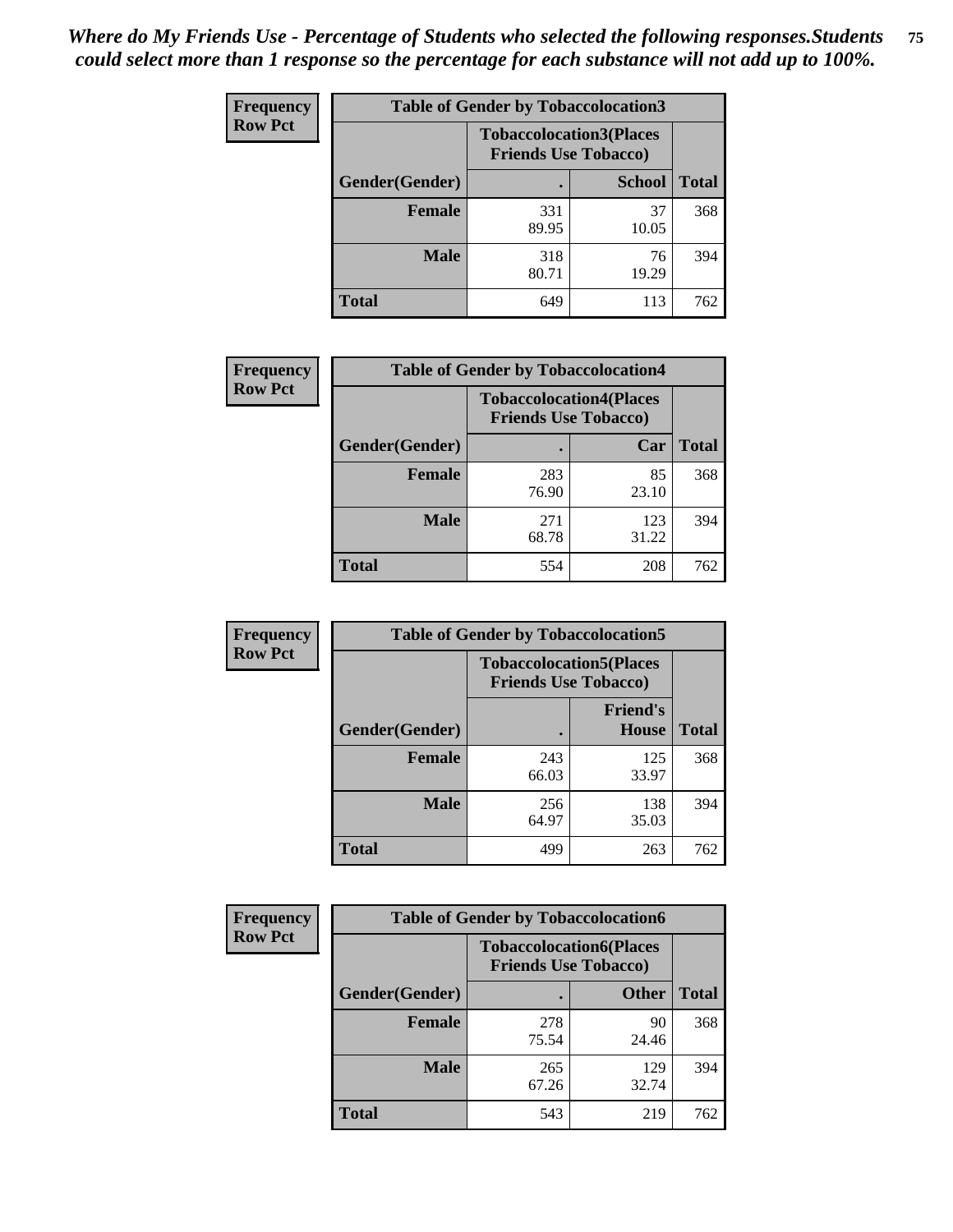| <b>Frequency</b> | <b>Table of Gender by Tobaccolocation3</b> |                             |                                |              |  |
|------------------|--------------------------------------------|-----------------------------|--------------------------------|--------------|--|
| <b>Row Pct</b>   |                                            | <b>Friends Use Tobacco)</b> | <b>Tobaccolocation3(Places</b> |              |  |
|                  | Gender(Gender)                             |                             | <b>School</b>                  | <b>Total</b> |  |
|                  | <b>Female</b>                              | 331<br>89.95                | 37<br>10.05                    | 368          |  |
|                  | <b>Male</b>                                | 318<br>80.71                | 76<br>19.29                    | 394          |  |
|                  | <b>Total</b>                               | 649                         | 113                            | 762          |  |

| <b>Frequency</b> | <b>Table of Gender by Tobaccolocation4</b> |                                                               |              |              |
|------------------|--------------------------------------------|---------------------------------------------------------------|--------------|--------------|
| <b>Row Pct</b>   |                                            | <b>Tobaccolocation4(Places</b><br><b>Friends Use Tobacco)</b> |              |              |
|                  | <b>Gender</b> (Gender)                     |                                                               | Car          | <b>Total</b> |
|                  | <b>Female</b>                              | 283<br>76.90                                                  | 85<br>23.10  | 368          |
|                  | <b>Male</b>                                | 271<br>68.78                                                  | 123<br>31.22 | 394          |
|                  | <b>Total</b>                               | 554                                                           | 208          | 762          |

| <b>Frequency</b> | <b>Table of Gender by Tobaccolocation5</b> |                                                               |                                 |              |
|------------------|--------------------------------------------|---------------------------------------------------------------|---------------------------------|--------------|
| <b>Row Pct</b>   |                                            | <b>Tobaccolocation5(Places</b><br><b>Friends Use Tobacco)</b> |                                 |              |
|                  | Gender(Gender)                             |                                                               | <b>Friend's</b><br><b>House</b> | <b>Total</b> |
|                  | <b>Female</b>                              | 243<br>66.03                                                  | 125<br>33.97                    | 368          |
|                  | <b>Male</b>                                | 256<br>64.97                                                  | 138<br>35.03                    | 394          |
|                  | <b>Total</b>                               | 499                                                           | 263                             | 762          |

| <b>Frequency</b> |                | <b>Table of Gender by Tobaccolocation6</b>                    |              |              |
|------------------|----------------|---------------------------------------------------------------|--------------|--------------|
| <b>Row Pct</b>   |                | <b>Tobaccolocation6(Places</b><br><b>Friends Use Tobacco)</b> |              |              |
|                  | Gender(Gender) |                                                               | <b>Other</b> | <b>Total</b> |
|                  | Female         | 278<br>75.54                                                  | 90<br>24.46  | 368          |
|                  | <b>Male</b>    | 265<br>67.26                                                  | 129<br>32.74 | 394          |
|                  | <b>Total</b>   | 543                                                           | 219          | 762          |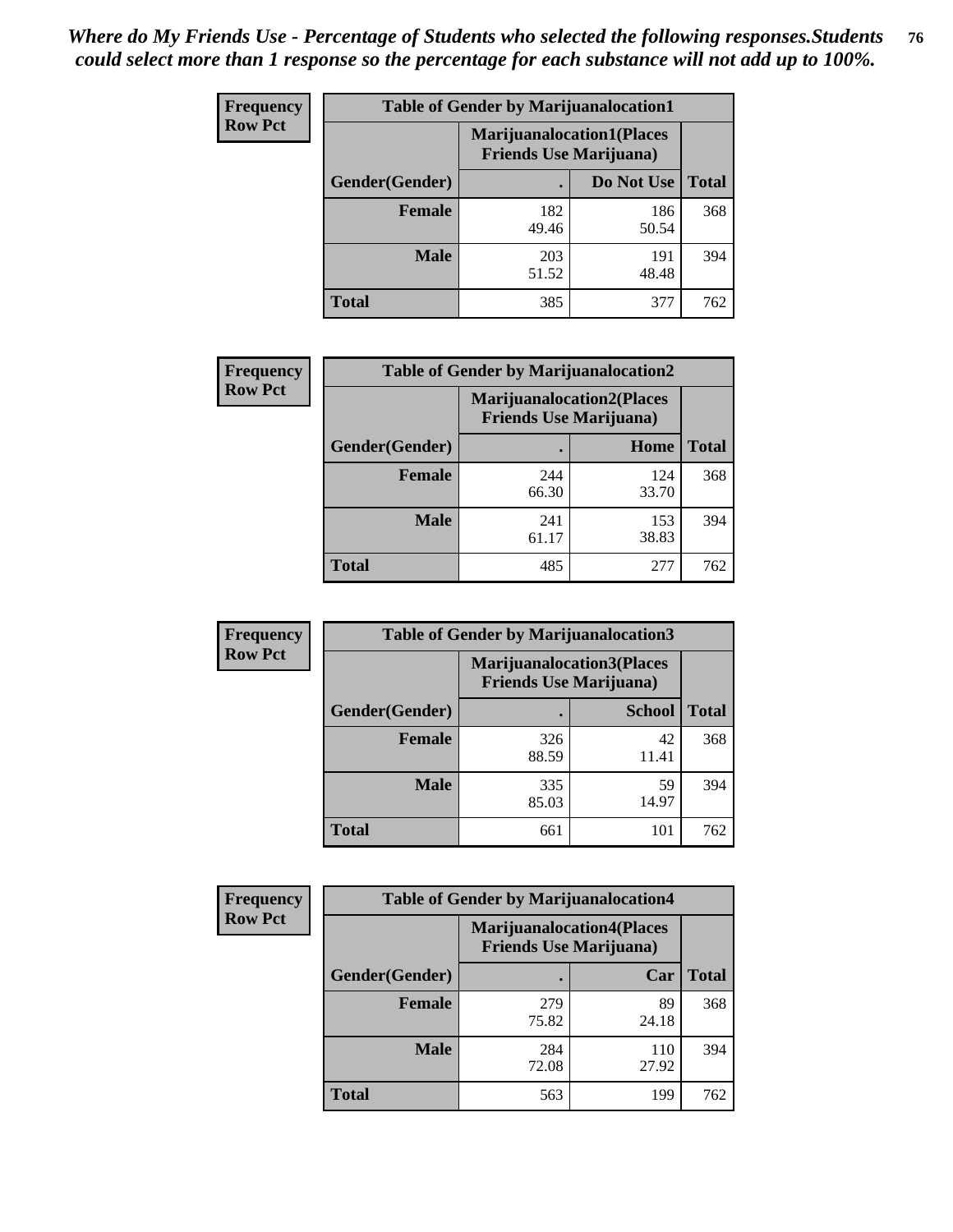| <b>Frequency</b> | <b>Table of Gender by Marijuanalocation1</b> |                                                                    |              |              |  |
|------------------|----------------------------------------------|--------------------------------------------------------------------|--------------|--------------|--|
| <b>Row Pct</b>   |                                              | <b>Marijuanalocation1(Places</b><br><b>Friends Use Marijuana</b> ) |              |              |  |
|                  | Gender(Gender)                               |                                                                    | Do Not Use   | <b>Total</b> |  |
|                  | <b>Female</b>                                | 182<br>49.46                                                       | 186<br>50.54 | 368          |  |
|                  | <b>Male</b>                                  | 203<br>51.52                                                       | 191<br>48.48 | 394          |  |
|                  | <b>Total</b>                                 | 385                                                                | 377          | 762          |  |

| <b>Frequency</b> | <b>Table of Gender by Marijuanalocation2</b> |                                                                    |              |              |  |
|------------------|----------------------------------------------|--------------------------------------------------------------------|--------------|--------------|--|
| <b>Row Pct</b>   |                                              | <b>Marijuanalocation2(Places</b><br><b>Friends Use Marijuana</b> ) |              |              |  |
|                  | Gender(Gender)                               |                                                                    | Home         | <b>Total</b> |  |
|                  | Female                                       | 244<br>66.30                                                       | 124<br>33.70 | 368          |  |
|                  | <b>Male</b>                                  | 241<br>61.17                                                       | 153<br>38.83 | 394          |  |
|                  | <b>Total</b>                                 | 485                                                                | 277          | 762          |  |

| Frequency      | <b>Table of Gender by Marijuanalocation3</b> |                                                                     |               |              |
|----------------|----------------------------------------------|---------------------------------------------------------------------|---------------|--------------|
| <b>Row Pct</b> |                                              | <b>Marijuanalocation3(Places)</b><br><b>Friends Use Marijuana</b> ) |               |              |
|                | Gender(Gender)                               |                                                                     | <b>School</b> | <b>Total</b> |
|                | Female                                       | 326<br>88.59                                                        | 42<br>11.41   | 368          |
|                | <b>Male</b>                                  | 335<br>85.03                                                        | 59<br>14.97   | 394          |
|                | <b>Total</b>                                 | 661                                                                 | 101           | 762          |

| <b>Frequency</b> | <b>Table of Gender by Marijuanalocation4</b> |                                |                                  |              |
|------------------|----------------------------------------------|--------------------------------|----------------------------------|--------------|
| <b>Row Pct</b>   |                                              | <b>Friends Use Marijuana</b> ) | <b>Marijuanalocation4(Places</b> |              |
|                  | Gender(Gender)                               |                                | Car                              | <b>Total</b> |
|                  | <b>Female</b>                                | 279<br>75.82                   | 89<br>24.18                      | 368          |
|                  | <b>Male</b>                                  | 284<br>72.08                   | 110<br>27.92                     | 394          |
|                  | <b>Total</b>                                 | 563                            | 199                              | 762          |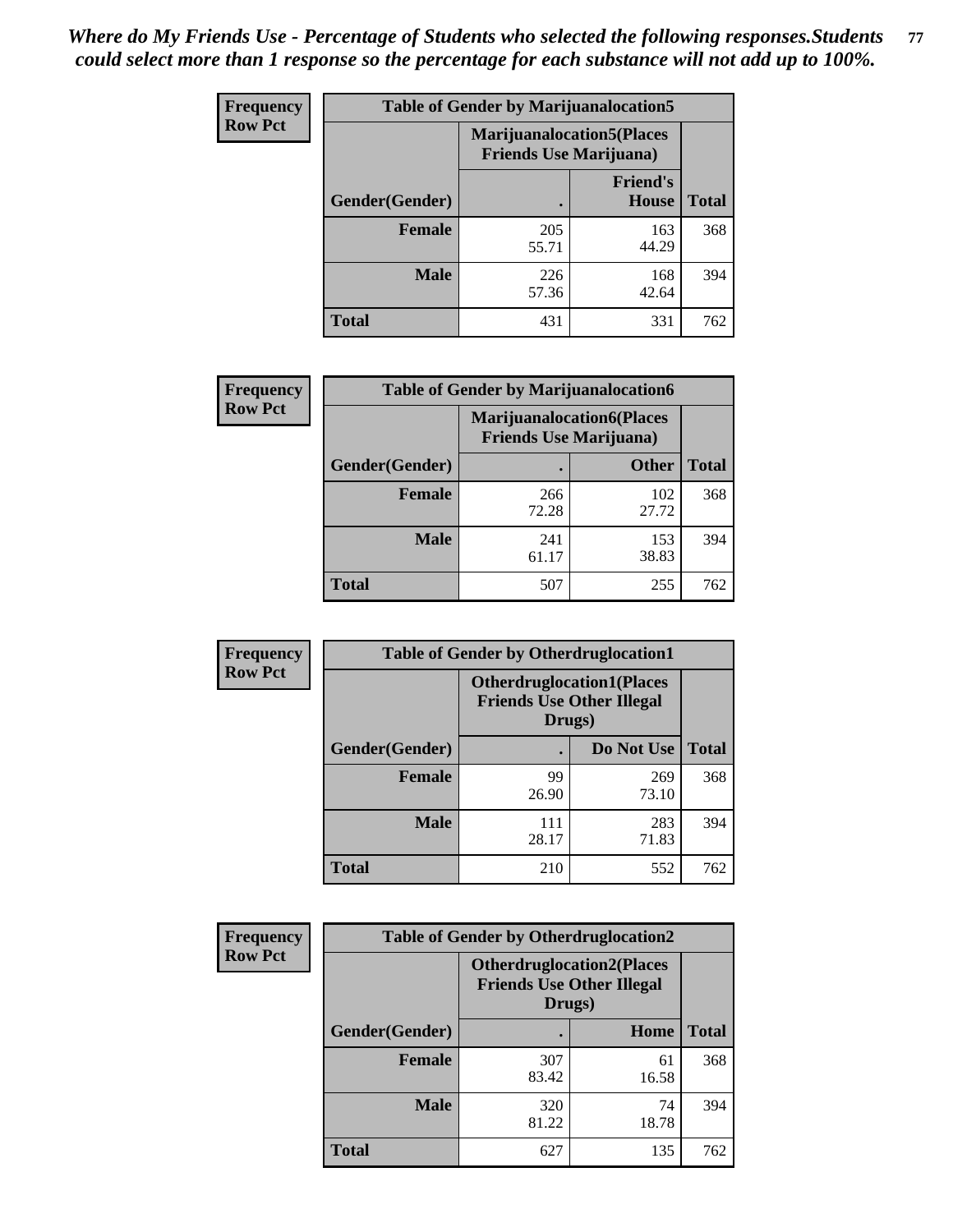| <b>Frequency</b> | <b>Table of Gender by Marijuanalocation5</b> |                                                                    |                                 |              |
|------------------|----------------------------------------------|--------------------------------------------------------------------|---------------------------------|--------------|
| <b>Row Pct</b>   |                                              | <b>Marijuanalocation5(Places</b><br><b>Friends Use Marijuana</b> ) |                                 |              |
|                  | Gender(Gender)                               |                                                                    | <b>Friend's</b><br><b>House</b> | <b>Total</b> |
|                  | <b>Female</b>                                | 205<br>55.71                                                       | 163<br>44.29                    | 368          |
|                  | <b>Male</b>                                  | 226<br>57.36                                                       | 168<br>42.64                    | 394          |
|                  | <b>Total</b>                                 | 431                                                                | 331                             | 762          |

| <b>Frequency</b> | <b>Table of Gender by Marijuanalocation6</b> |                                |                                   |              |  |
|------------------|----------------------------------------------|--------------------------------|-----------------------------------|--------------|--|
| <b>Row Pct</b>   |                                              | <b>Friends Use Marijuana</b> ) | <b>Marijuanalocation6(Places)</b> |              |  |
|                  | <b>Gender</b> (Gender)                       |                                | <b>Other</b>                      | <b>Total</b> |  |
|                  | <b>Female</b>                                | 266<br>72.28                   | 102<br>27.72                      | 368          |  |
|                  | <b>Male</b>                                  | 241<br>61.17                   | 153<br>38.83                      | 394          |  |
|                  | <b>Total</b>                                 | 507                            | 255                               | 762          |  |

| Frequency      | <b>Table of Gender by Otherdruglocation1</b> |                                                                                |              |              |
|----------------|----------------------------------------------|--------------------------------------------------------------------------------|--------------|--------------|
| <b>Row Pct</b> |                                              | <b>Otherdruglocation1(Places</b><br><b>Friends Use Other Illegal</b><br>Drugs) |              |              |
|                | Gender(Gender)                               |                                                                                | Do Not Use   | <b>Total</b> |
|                | <b>Female</b>                                | 99<br>26.90                                                                    | 269<br>73.10 | 368          |
|                | <b>Male</b>                                  | 111<br>28.17                                                                   | 283<br>71.83 | 394          |
|                | <b>Total</b>                                 | 210                                                                            | 552          | 762          |

| <b>Frequency</b> | <b>Table of Gender by Otherdruglocation2</b>                                   |              |             |              |
|------------------|--------------------------------------------------------------------------------|--------------|-------------|--------------|
| <b>Row Pct</b>   | <b>Otherdruglocation2(Places</b><br><b>Friends Use Other Illegal</b><br>Drugs) |              |             |              |
|                  | Gender(Gender)                                                                 |              | Home        | <b>Total</b> |
|                  | Female                                                                         | 307<br>83.42 | 61<br>16.58 | 368          |
|                  | <b>Male</b>                                                                    | 320<br>81.22 | 74<br>18.78 | 394          |
|                  | <b>Total</b>                                                                   | 627          | 135         | 762          |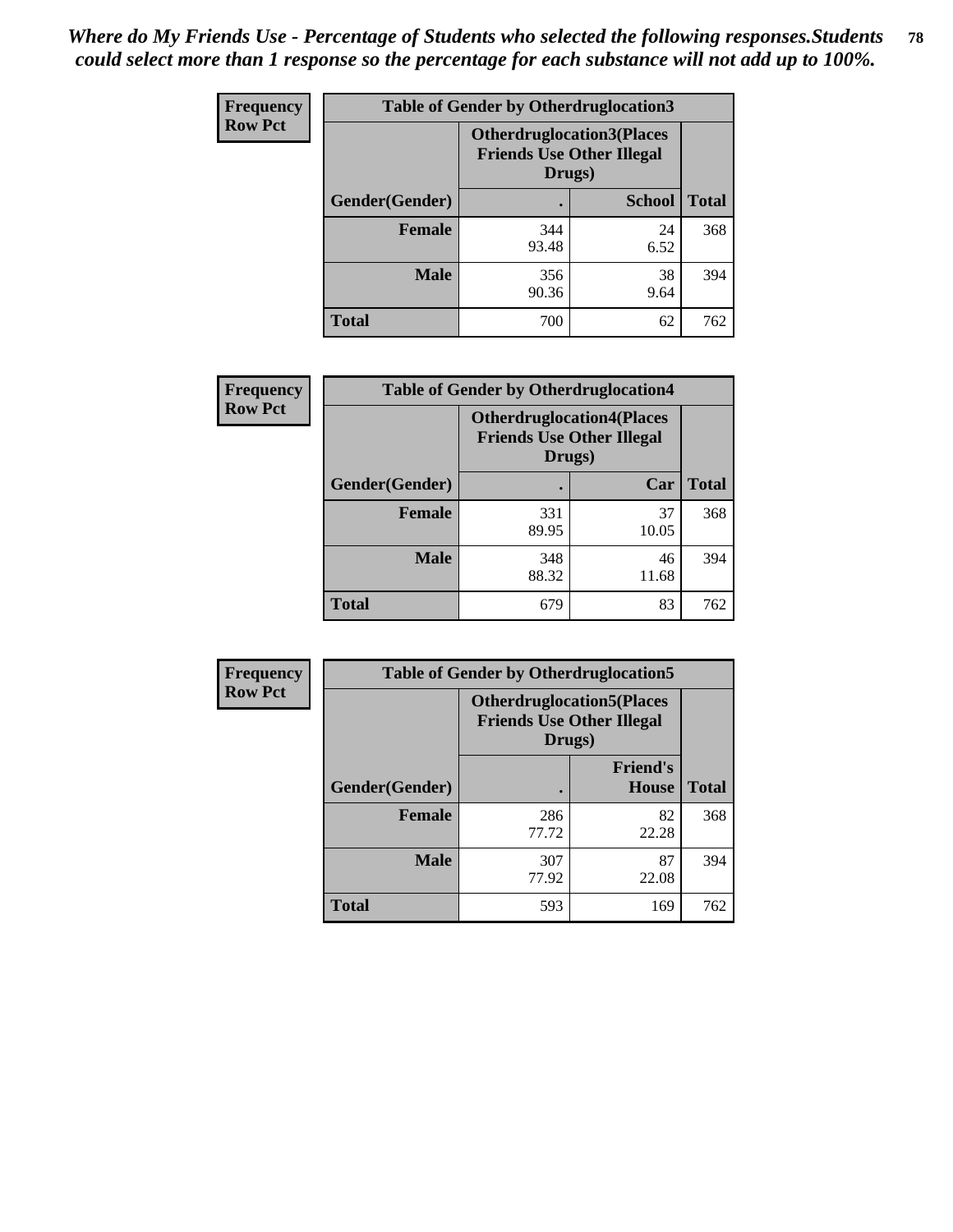| Frequency      | <b>Table of Gender by Otherdruglocation3</b> |                                                                                |               |              |
|----------------|----------------------------------------------|--------------------------------------------------------------------------------|---------------|--------------|
| <b>Row Pct</b> |                                              | <b>Otherdruglocation3(Places</b><br><b>Friends Use Other Illegal</b><br>Drugs) |               |              |
|                | Gender(Gender)                               |                                                                                | <b>School</b> | <b>Total</b> |
|                | Female                                       | 344<br>93.48                                                                   | 24<br>6.52    | 368          |
|                | <b>Male</b>                                  | 356<br>90.36                                                                   | 38<br>9.64    | 394          |
|                | <b>Total</b>                                 | 700                                                                            | 62            | 762          |

| Frequency      |                | <b>Table of Gender by Otherdruglocation4</b>                                   |             |              |
|----------------|----------------|--------------------------------------------------------------------------------|-------------|--------------|
| <b>Row Pct</b> |                | <b>Otherdruglocation4(Places</b><br><b>Friends Use Other Illegal</b><br>Drugs) |             |              |
|                | Gender(Gender) |                                                                                | Car         | <b>Total</b> |
|                | <b>Female</b>  | 331<br>89.95                                                                   | 37<br>10.05 | 368          |
|                | <b>Male</b>    | 348<br>88.32                                                                   | 46<br>11.68 | 394          |
|                | <b>Total</b>   | 679                                                                            | 83          | 762          |

| Frequency      | <b>Table of Gender by Otherdruglocation5</b> |                                                                                |                                 |              |
|----------------|----------------------------------------------|--------------------------------------------------------------------------------|---------------------------------|--------------|
| <b>Row Pct</b> |                                              | <b>Otherdruglocation5(Places</b><br><b>Friends Use Other Illegal</b><br>Drugs) |                                 |              |
|                | Gender(Gender)                               |                                                                                | <b>Friend's</b><br><b>House</b> | <b>Total</b> |
|                | <b>Female</b>                                | 286<br>77.72                                                                   | 82<br>22.28                     | 368          |
|                | <b>Male</b>                                  | 307<br>77.92                                                                   | 87<br>22.08                     | 394          |
|                | <b>Total</b>                                 | 593                                                                            | 169                             | 762          |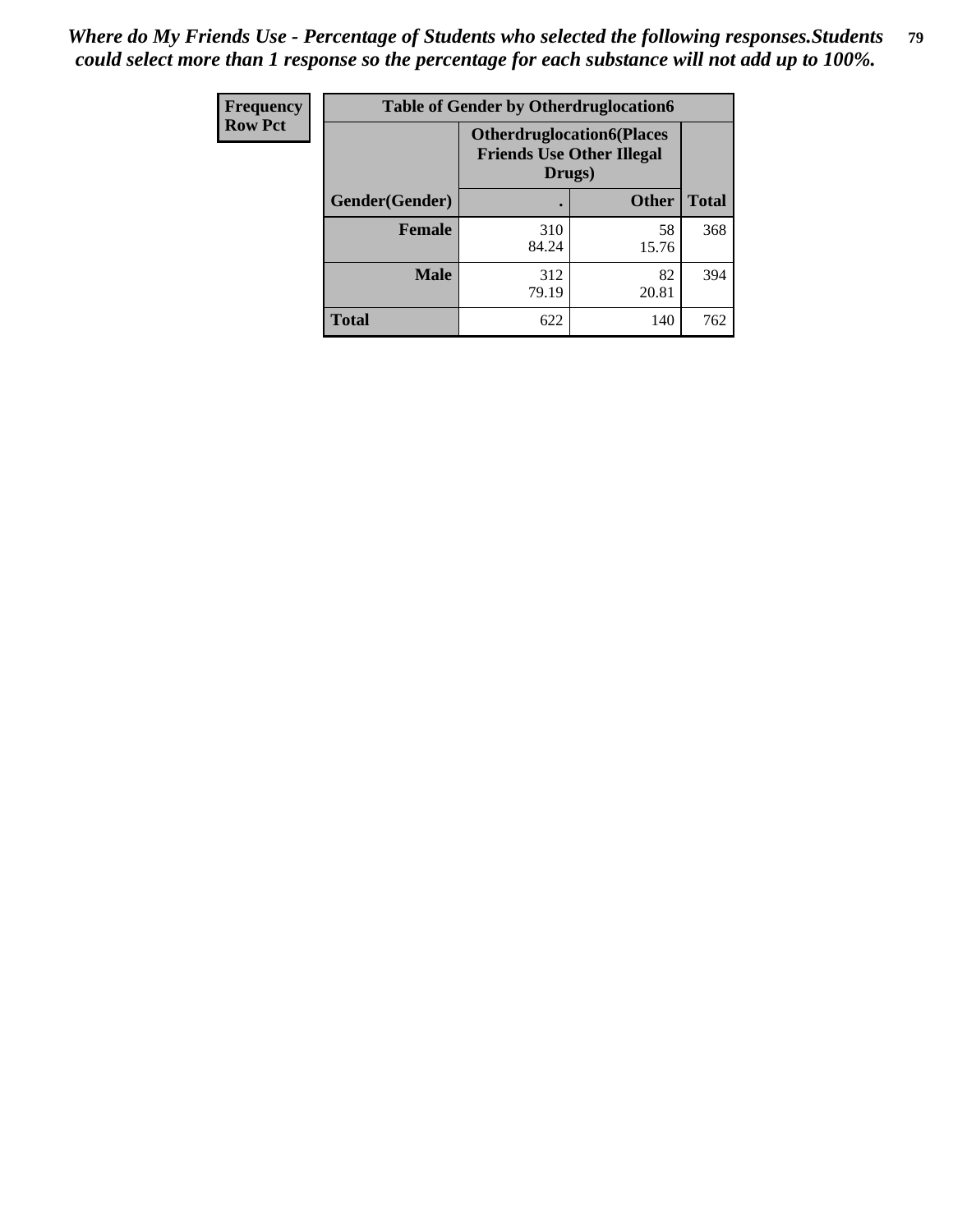| Frequency      | <b>Table of Gender by Otherdruglocation6</b> |                                            |                                  |              |
|----------------|----------------------------------------------|--------------------------------------------|----------------------------------|--------------|
| <b>Row Pct</b> |                                              | <b>Friends Use Other Illegal</b><br>Drugs) | <b>Otherdruglocation6(Places</b> |              |
|                | Gender(Gender)                               |                                            | <b>Other</b>                     | <b>Total</b> |
|                | <b>Female</b>                                | 310<br>84.24                               | 58<br>15.76                      | 368          |
|                | <b>Male</b>                                  | 312<br>79.19                               | 82<br>20.81                      | 394          |
|                | <b>Total</b>                                 | 622                                        | 140                              | 762          |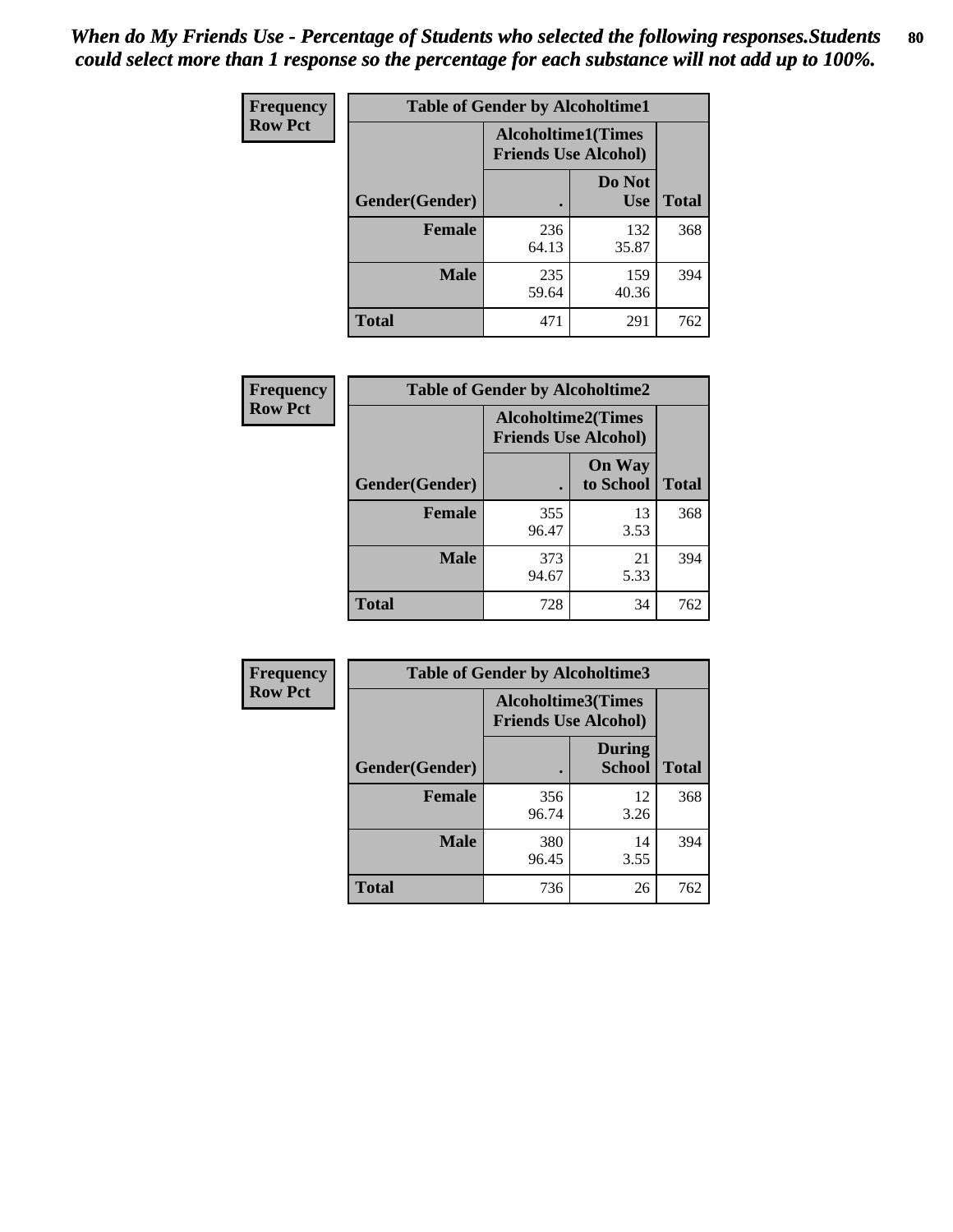| <b>Frequency</b> | <b>Table of Gender by Alcoholtime1</b> |                                                          |                      |              |
|------------------|----------------------------------------|----------------------------------------------------------|----------------------|--------------|
| <b>Row Pct</b>   |                                        | <b>Alcoholtime1(Times</b><br><b>Friends Use Alcohol)</b> |                      |              |
|                  | Gender(Gender)                         | $\bullet$                                                | Do Not<br><b>Use</b> | <b>Total</b> |
|                  | <b>Female</b>                          | 236<br>64.13                                             | 132<br>35.87         | 368          |
|                  | <b>Male</b>                            | 235<br>59.64                                             | 159<br>40.36         | 394          |
|                  | <b>Total</b>                           | 471                                                      | 291                  | 762          |

| <b>Frequency</b> | <b>Table of Gender by Alcoholtime2</b> |                                                          |                            |              |
|------------------|----------------------------------------|----------------------------------------------------------|----------------------------|--------------|
| <b>Row Pct</b>   |                                        | <b>Alcoholtime2(Times</b><br><b>Friends Use Alcohol)</b> |                            |              |
|                  | Gender(Gender)                         |                                                          | <b>On Way</b><br>to School | <b>Total</b> |
|                  | <b>Female</b>                          | 355<br>96.47                                             | 13<br>3.53                 | 368          |
|                  | <b>Male</b>                            | 373<br>94.67                                             | 21<br>5.33                 | 394          |
|                  | <b>Total</b>                           | 728                                                      | 34                         | 762          |

| <b>Frequency</b> | <b>Table of Gender by Alcoholtime3</b> |                                                          |                                |              |
|------------------|----------------------------------------|----------------------------------------------------------|--------------------------------|--------------|
| <b>Row Pct</b>   |                                        | <b>Alcoholtime3(Times</b><br><b>Friends Use Alcohol)</b> |                                |              |
|                  | Gender(Gender)                         |                                                          | <b>During</b><br><b>School</b> | <b>Total</b> |
|                  | Female                                 | 356<br>96.74                                             | 12<br>3.26                     | 368          |
|                  | <b>Male</b>                            | 380<br>96.45                                             | 14<br>3.55                     | 394          |
|                  | <b>Total</b>                           | 736                                                      | 26                             | 762          |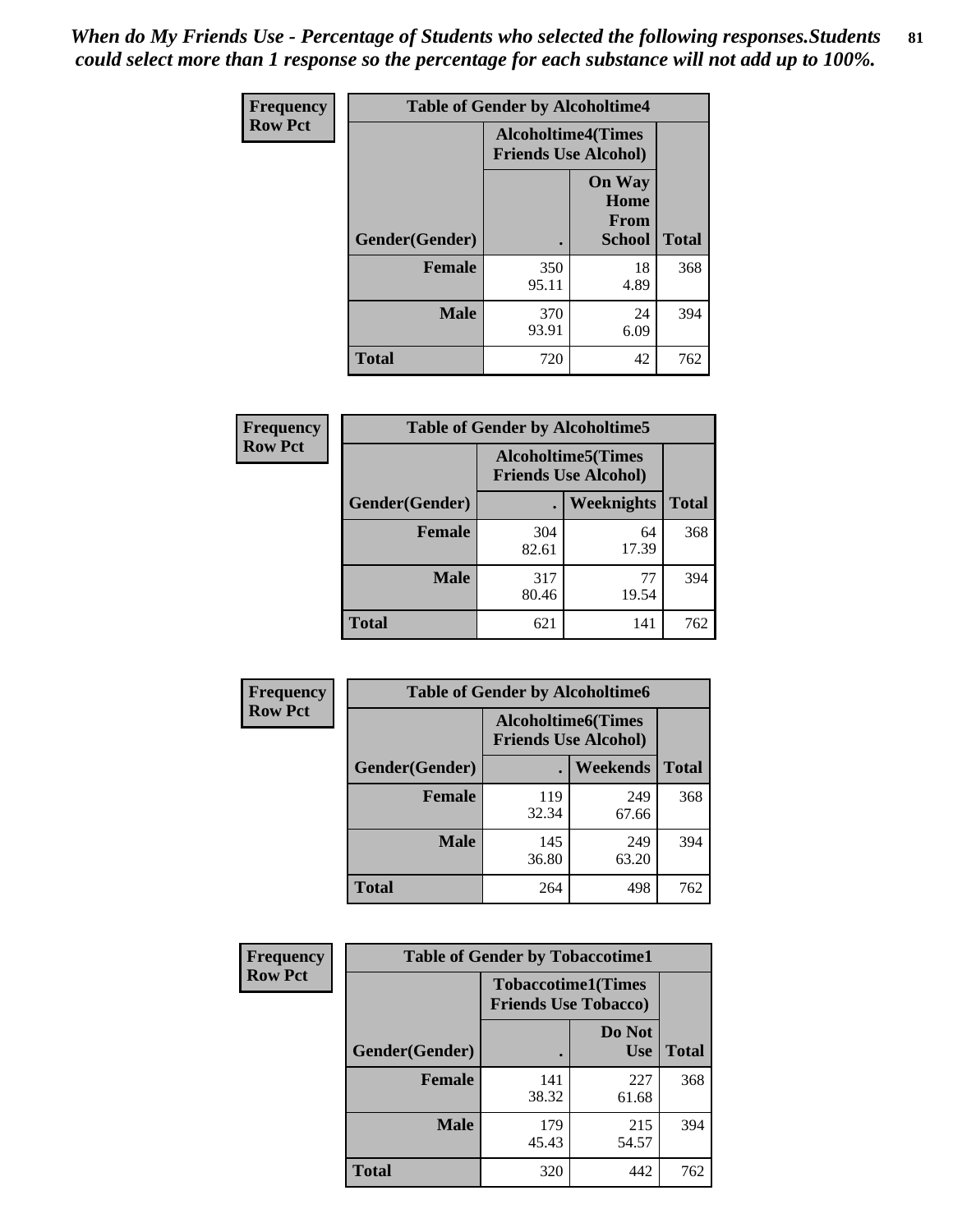*When do My Friends Use - Percentage of Students who selected the following responses.Students could select more than 1 response so the percentage for each substance will not add up to 100%.* **81**

| <b>Frequency</b> | <b>Table of Gender by Alcoholtime4</b> |                                                          |                                                |              |
|------------------|----------------------------------------|----------------------------------------------------------|------------------------------------------------|--------------|
| <b>Row Pct</b>   |                                        | <b>Alcoholtime4(Times</b><br><b>Friends Use Alcohol)</b> |                                                |              |
|                  | Gender(Gender)                         |                                                          | <b>On Way</b><br>Home<br>From<br><b>School</b> | <b>Total</b> |
|                  | <b>Female</b>                          | 350<br>95.11                                             | 18<br>4.89                                     | 368          |
|                  | <b>Male</b>                            | 370<br>93.91                                             | 24<br>6.09                                     | 394          |
|                  | <b>Total</b>                           | 720                                                      | 42                                             | 762          |

| <b>Frequency</b> | <b>Table of Gender by Alcoholtime5</b> |                                                           |                   |              |
|------------------|----------------------------------------|-----------------------------------------------------------|-------------------|--------------|
| <b>Row Pct</b>   |                                        | <b>Alcoholtime5</b> (Times<br><b>Friends Use Alcohol)</b> |                   |              |
|                  | Gender(Gender)                         |                                                           | <b>Weeknights</b> | <b>Total</b> |
|                  | <b>Female</b>                          | 304<br>82.61                                              | 64<br>17.39       | 368          |
|                  | <b>Male</b>                            | 317<br>80.46                                              | 77<br>19.54       | 394          |
|                  | <b>Total</b>                           | 621                                                       | 141               | 762          |

| Frequency      | <b>Table of Gender by Alcoholtime6</b> |              |                                                           |              |
|----------------|----------------------------------------|--------------|-----------------------------------------------------------|--------------|
| <b>Row Pct</b> |                                        |              | <b>Alcoholtime6</b> (Times<br><b>Friends Use Alcohol)</b> |              |
|                | Gender(Gender)                         |              | Weekends                                                  | <b>Total</b> |
|                | Female                                 | 119<br>32.34 | 249<br>67.66                                              | 368          |
|                | <b>Male</b>                            | 145<br>36.80 | 249<br>63.20                                              | 394          |
|                | <b>Total</b>                           | 264          | 498                                                       | 762          |

| Frequency      | <b>Table of Gender by Tobaccotime1</b> |                                                          |                      |              |
|----------------|----------------------------------------|----------------------------------------------------------|----------------------|--------------|
| <b>Row Pct</b> |                                        | <b>Tobaccotime1(Times</b><br><b>Friends Use Tobacco)</b> |                      |              |
|                | Gender(Gender)                         |                                                          | Do Not<br><b>Use</b> | <b>Total</b> |
|                | <b>Female</b>                          | 141<br>38.32                                             | 227<br>61.68         | 368          |
|                | <b>Male</b>                            | 179<br>45.43                                             | 215<br>54.57         | 394          |
|                | <b>Total</b>                           | 320                                                      | 442                  | 762          |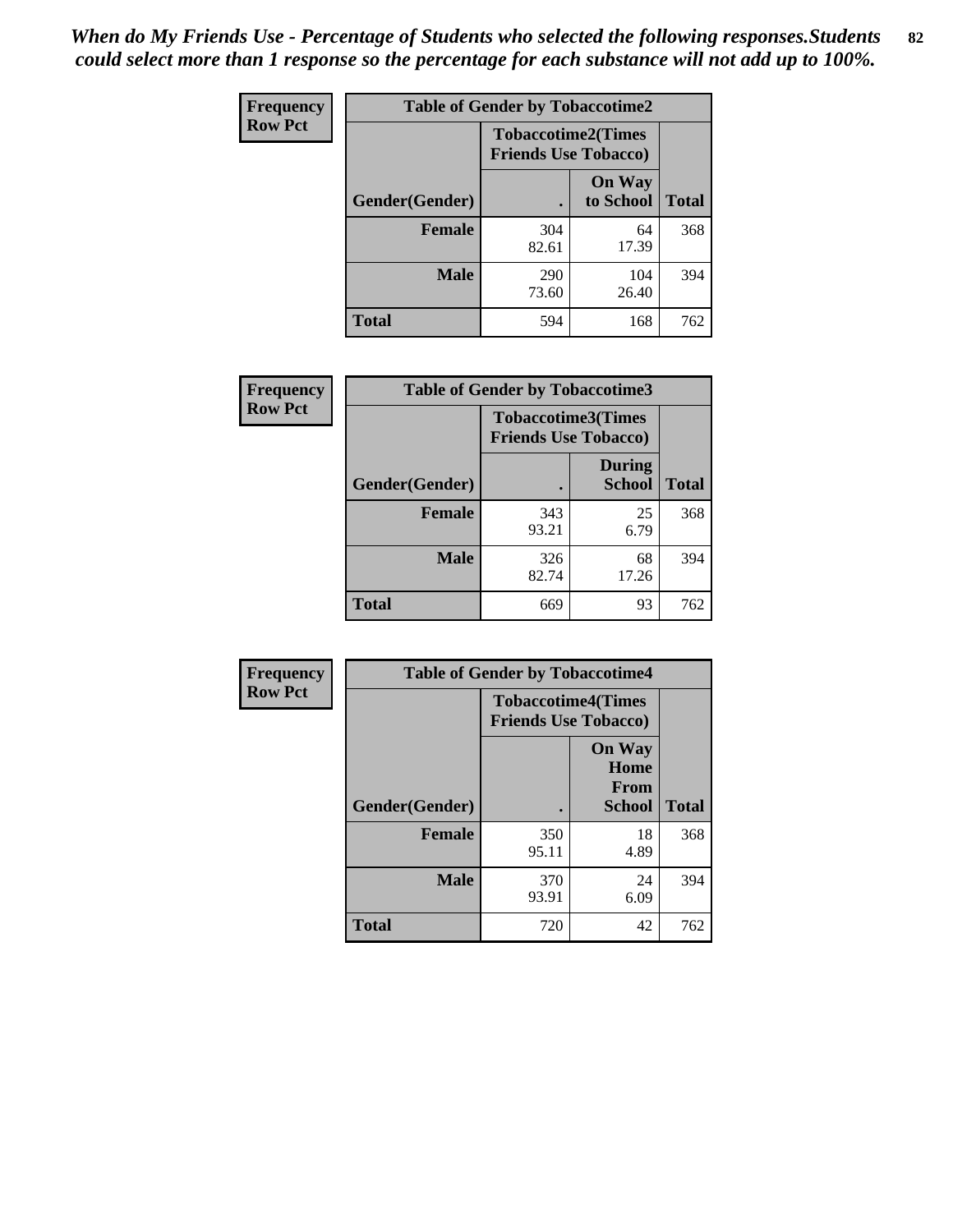| <b>Frequency</b> | <b>Table of Gender by Tobaccotime2</b> |                             |                            |              |
|------------------|----------------------------------------|-----------------------------|----------------------------|--------------|
| <b>Row Pct</b>   |                                        | <b>Friends Use Tobacco)</b> | <b>Tobaccotime2(Times</b>  |              |
|                  | Gender(Gender)                         |                             | <b>On Way</b><br>to School | <b>Total</b> |
|                  | <b>Female</b>                          | 304<br>82.61                | 64<br>17.39                | 368          |
|                  | <b>Male</b>                            | 290<br>73.60                | 104<br>26.40               | 394          |
|                  | <b>Total</b>                           | 594                         | 168                        | 762          |

| <b>Frequency</b> | <b>Table of Gender by Tobaccotime3</b> |                                                          |                                |              |
|------------------|----------------------------------------|----------------------------------------------------------|--------------------------------|--------------|
| <b>Row Pct</b>   |                                        | <b>Tobaccotime3(Times</b><br><b>Friends Use Tobacco)</b> |                                |              |
|                  | Gender(Gender)                         |                                                          | <b>During</b><br><b>School</b> | <b>Total</b> |
|                  | <b>Female</b>                          | 343<br>93.21                                             | 25<br>6.79                     | 368          |
|                  | <b>Male</b>                            | 326<br>82.74                                             | 68<br>17.26                    | 394          |
|                  | <b>Total</b>                           | 669                                                      | 93                             | 762          |

| Frequency      | <b>Table of Gender by Tobaccotime4</b> |                                                          |                                                |              |
|----------------|----------------------------------------|----------------------------------------------------------|------------------------------------------------|--------------|
| <b>Row Pct</b> |                                        | <b>Tobaccotime4(Times</b><br><b>Friends Use Tobacco)</b> |                                                |              |
|                | Gender(Gender)                         |                                                          | <b>On Way</b><br>Home<br><b>From</b><br>School | <b>Total</b> |
|                | <b>Female</b>                          | 350<br>95.11                                             | 18<br>4.89                                     | 368          |
|                | <b>Male</b>                            | 370<br>93.91                                             | 24<br>6.09                                     | 394          |
|                | <b>Total</b>                           | 720                                                      | 42                                             | 762          |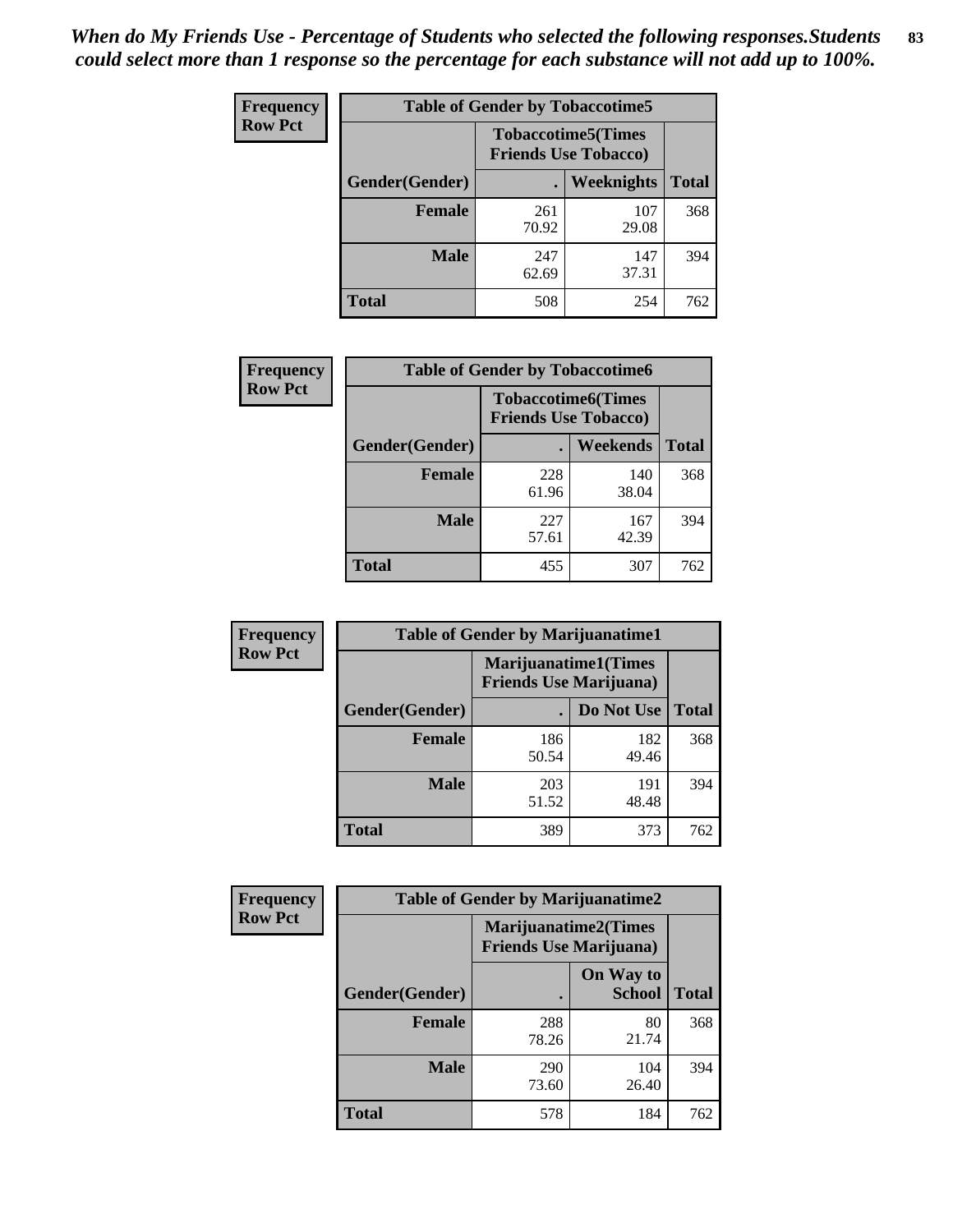| <b>Frequency</b> | <b>Table of Gender by Tobaccotime5</b> |              |                                                          |              |  |
|------------------|----------------------------------------|--------------|----------------------------------------------------------|--------------|--|
| <b>Row Pct</b>   |                                        |              | <b>Tobaccotime5(Times</b><br><b>Friends Use Tobacco)</b> |              |  |
|                  | <b>Gender</b> (Gender)                 |              | <b>Weeknights</b>                                        | <b>Total</b> |  |
|                  | Female                                 | 261<br>70.92 | 107<br>29.08                                             | 368          |  |
|                  | <b>Male</b>                            | 247<br>62.69 | 147<br>37.31                                             | 394          |  |
|                  | Total                                  | 508          | 254                                                      | 762          |  |

| <b>Frequency</b> | <b>Table of Gender by Tobaccotime6</b> |                                                          |              |              |
|------------------|----------------------------------------|----------------------------------------------------------|--------------|--------------|
| <b>Row Pct</b>   |                                        | <b>Tobaccotime6(Times</b><br><b>Friends Use Tobacco)</b> |              |              |
|                  | Gender(Gender)                         |                                                          | Weekends     | <b>Total</b> |
|                  | Female                                 | 228<br>61.96                                             | 140<br>38.04 | 368          |
|                  | <b>Male</b>                            | 227<br>57.61                                             | 167<br>42.39 | 394          |
|                  | <b>Total</b>                           | 455                                                      | 307          | 762          |

| <b>Frequency</b> | <b>Table of Gender by Marijuanatime1</b> |              |                                                               |              |  |
|------------------|------------------------------------------|--------------|---------------------------------------------------------------|--------------|--|
| <b>Row Pct</b>   |                                          |              | <b>Marijuanatime1(Times</b><br><b>Friends Use Marijuana</b> ) |              |  |
|                  | Gender(Gender)                           |              | Do Not Use                                                    | <b>Total</b> |  |
|                  | <b>Female</b>                            | 186<br>50.54 | 182<br>49.46                                                  | 368          |  |
|                  | <b>Male</b>                              | 203<br>51.52 | 191<br>48.48                                                  | 394          |  |
|                  | <b>Total</b>                             | 389          | 373                                                           | 762          |  |

| Frequency      | <b>Table of Gender by Marijuanatime2</b> |                                                               |                            |              |  |
|----------------|------------------------------------------|---------------------------------------------------------------|----------------------------|--------------|--|
| <b>Row Pct</b> |                                          | <b>Marijuanatime2(Times</b><br><b>Friends Use Marijuana</b> ) |                            |              |  |
|                | Gender(Gender)                           |                                                               | On Way to<br><b>School</b> | <b>Total</b> |  |
|                | <b>Female</b>                            | 288<br>78.26                                                  | 80<br>21.74                | 368          |  |
|                | <b>Male</b>                              | 290<br>73.60                                                  | 104<br>26.40               | 394          |  |
|                | <b>Total</b>                             | 578                                                           | 184                        | 762          |  |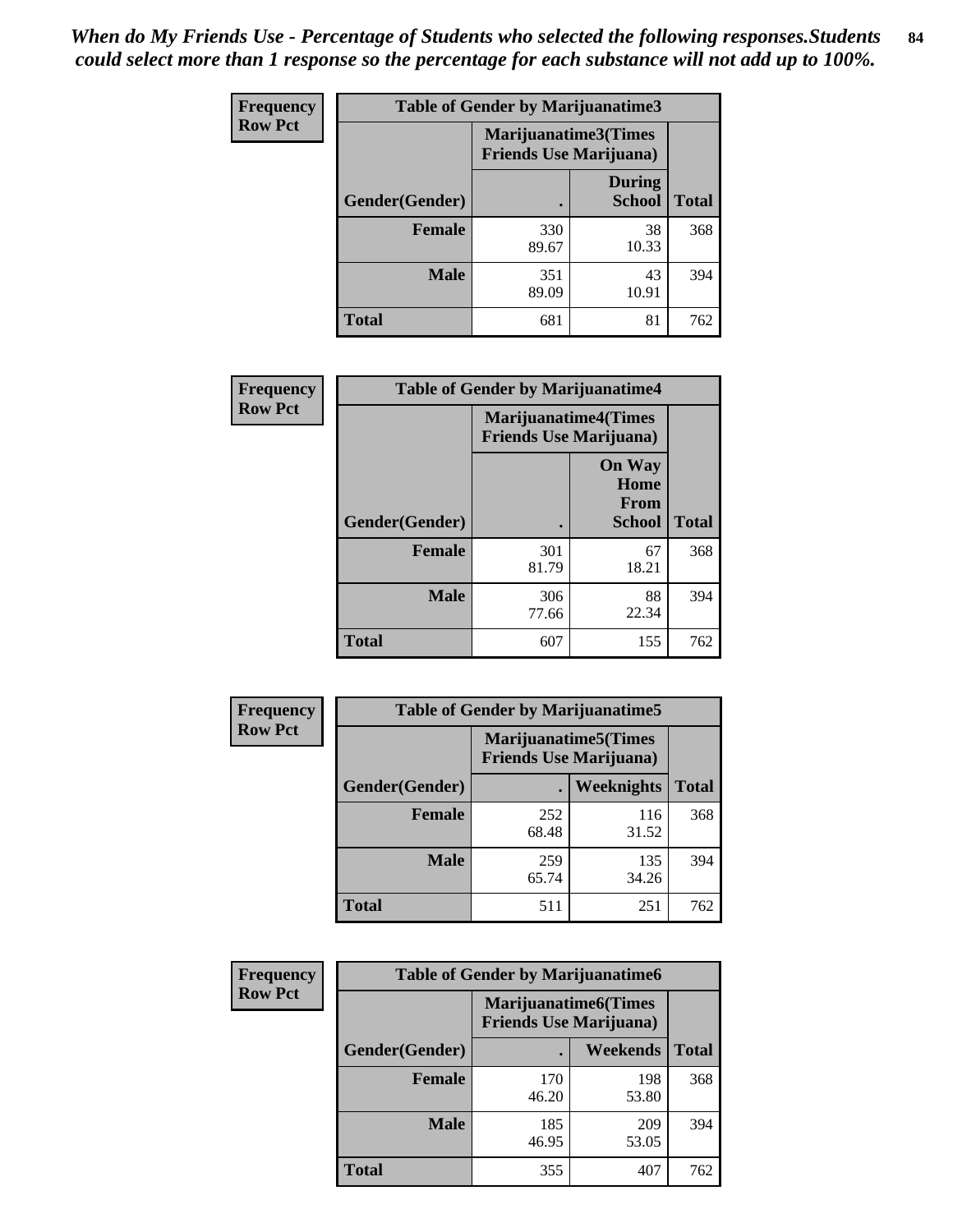| Frequency      | Table of Gender by Marijuanatime3 |                                                        |                                |              |  |
|----------------|-----------------------------------|--------------------------------------------------------|--------------------------------|--------------|--|
| <b>Row Pct</b> |                                   | Marijuanatime3(Times<br><b>Friends Use Marijuana</b> ) |                                |              |  |
|                | Gender(Gender)                    |                                                        | <b>During</b><br><b>School</b> | <b>Total</b> |  |
|                | <b>Female</b>                     | 330<br>89.67                                           | 38<br>10.33                    | 368          |  |
|                | <b>Male</b>                       | 351<br>89.09                                           | 43<br>10.91                    | 394          |  |
|                | <b>Total</b>                      | 681                                                    | 81                             | 762          |  |

| Frequency      | <b>Table of Gender by Marijuanatime4</b> |                                |                                                       |              |
|----------------|------------------------------------------|--------------------------------|-------------------------------------------------------|--------------|
| <b>Row Pct</b> |                                          | <b>Friends Use Marijuana</b> ) | <b>Marijuanatime4</b> (Times                          |              |
|                | Gender(Gender)                           |                                | <b>On Way</b><br>Home<br><b>From</b><br><b>School</b> | <b>Total</b> |
|                | <b>Female</b>                            | 301<br>81.79                   | 67<br>18.21                                           | 368          |
|                | <b>Male</b>                              | 306<br>77.66                   | 88<br>22.34                                           | 394          |
|                | <b>Total</b>                             | 607                            | 155                                                   | 762          |

| <b>Frequency</b> | <b>Table of Gender by Marijuanatime5</b> |                                                                |              |              |  |
|------------------|------------------------------------------|----------------------------------------------------------------|--------------|--------------|--|
| <b>Row Pct</b>   |                                          | <b>Marijuanatime5</b> (Times<br><b>Friends Use Marijuana</b> ) |              |              |  |
|                  | Gender(Gender)                           | ٠                                                              | Weeknights   | <b>Total</b> |  |
|                  | <b>Female</b>                            | 252<br>68.48                                                   | 116<br>31.52 | 368          |  |
|                  | <b>Male</b>                              | 259<br>65.74                                                   | 135<br>34.26 | 394          |  |
|                  | <b>Total</b>                             | 511                                                            | 251          | 762          |  |

| <b>Frequency</b> | <b>Table of Gender by Marijuanatime6</b> |                                                               |                 |              |  |
|------------------|------------------------------------------|---------------------------------------------------------------|-----------------|--------------|--|
| <b>Row Pct</b>   |                                          | <b>Marijuanatime6(Times</b><br><b>Friends Use Marijuana</b> ) |                 |              |  |
|                  | Gender(Gender)                           |                                                               | <b>Weekends</b> | <b>Total</b> |  |
|                  | <b>Female</b>                            | 170<br>46.20                                                  | 198<br>53.80    | 368          |  |
|                  | <b>Male</b>                              | 185<br>46.95                                                  | 209<br>53.05    | 394          |  |
|                  | <b>Total</b>                             | 355                                                           | 407             | 762          |  |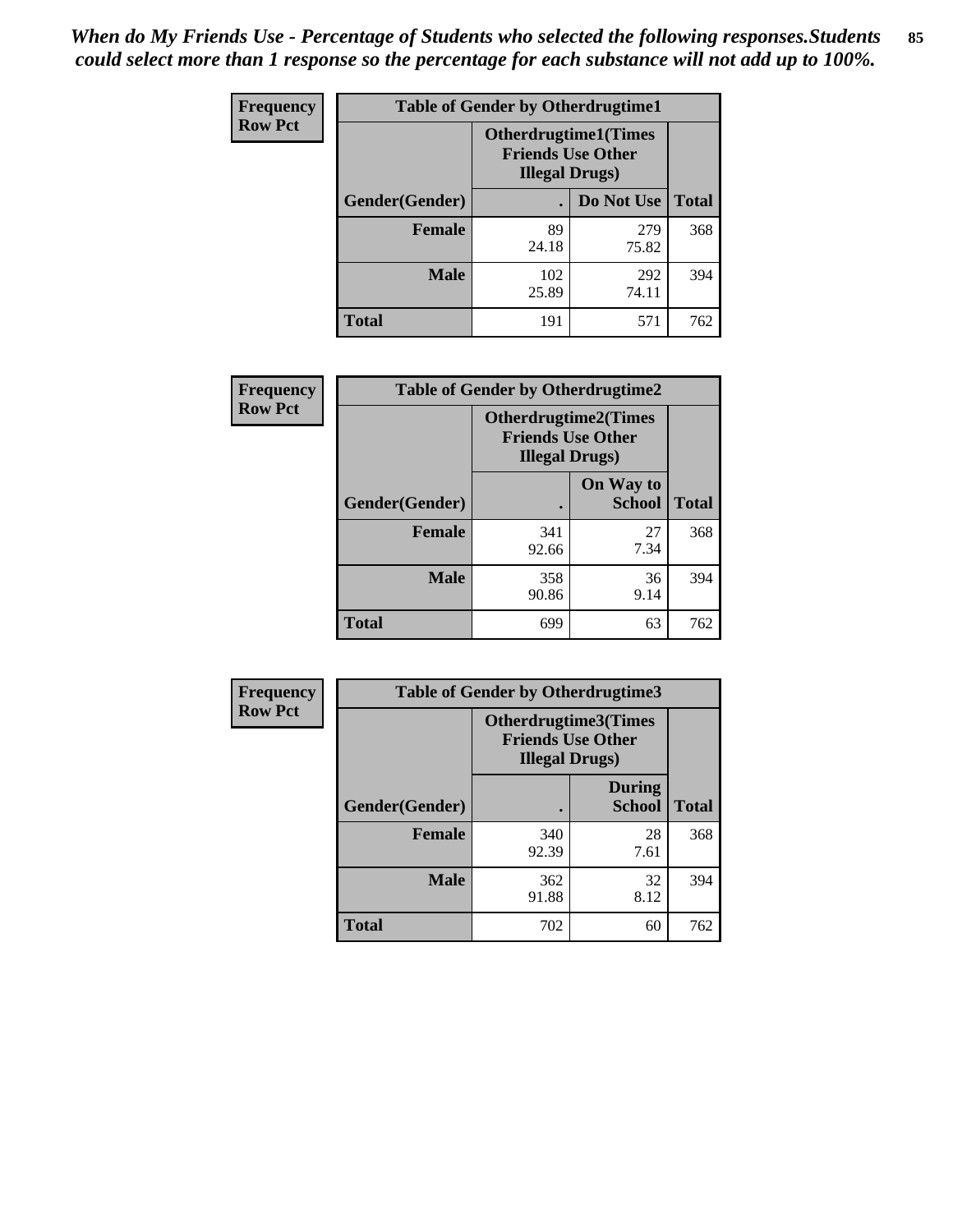*When do My Friends Use - Percentage of Students who selected the following responses.Students could select more than 1 response so the percentage for each substance will not add up to 100%.* **85**

| <b>Frequency</b> | <b>Table of Gender by Otherdrugtime1</b> |                                                    |                             |              |  |
|------------------|------------------------------------------|----------------------------------------------------|-----------------------------|--------------|--|
| <b>Row Pct</b>   |                                          | <b>Friends Use Other</b><br><b>Illegal Drugs</b> ) | <b>Otherdrugtime1(Times</b> |              |  |
|                  | Gender(Gender)                           |                                                    | Do Not Use                  | <b>Total</b> |  |
|                  | <b>Female</b>                            | 89<br>24.18                                        | 279<br>75.82                | 368          |  |
|                  | <b>Male</b>                              | 102<br>25.89                                       | 292<br>74.11                | 394          |  |
|                  | <b>Total</b>                             | 191                                                | 571                         | 762          |  |

| Frequency      | <b>Table of Gender by Otherdrugtime2</b> |                                                                                   |                            |              |
|----------------|------------------------------------------|-----------------------------------------------------------------------------------|----------------------------|--------------|
| <b>Row Pct</b> |                                          | <b>Otherdrugtime2(Times</b><br><b>Friends Use Other</b><br><b>Illegal Drugs</b> ) |                            |              |
|                | Gender(Gender)                           |                                                                                   | On Way to<br><b>School</b> | <b>Total</b> |
|                | <b>Female</b>                            | 341<br>92.66                                                                      | 27<br>7.34                 | 368          |
|                | <b>Male</b>                              | 358<br>90.86                                                                      | 36<br>9.14                 | 394          |
|                | <b>Total</b>                             | 699                                                                               | 63                         | 762          |

| Frequency      | <b>Table of Gender by Otherdrugtime3</b> |                        |                                                         |              |
|----------------|------------------------------------------|------------------------|---------------------------------------------------------|--------------|
| <b>Row Pct</b> |                                          | <b>Illegal Drugs</b> ) | <b>Otherdrugtime3(Times</b><br><b>Friends Use Other</b> |              |
|                | Gender(Gender)                           |                        | <b>During</b><br><b>School</b>                          | <b>Total</b> |
|                | <b>Female</b>                            | 340<br>92.39           | 28<br>7.61                                              | 368          |
|                | <b>Male</b>                              | 362<br>91.88           | 32<br>8.12                                              | 394          |
|                | <b>Total</b>                             | 702                    | 60                                                      | 762          |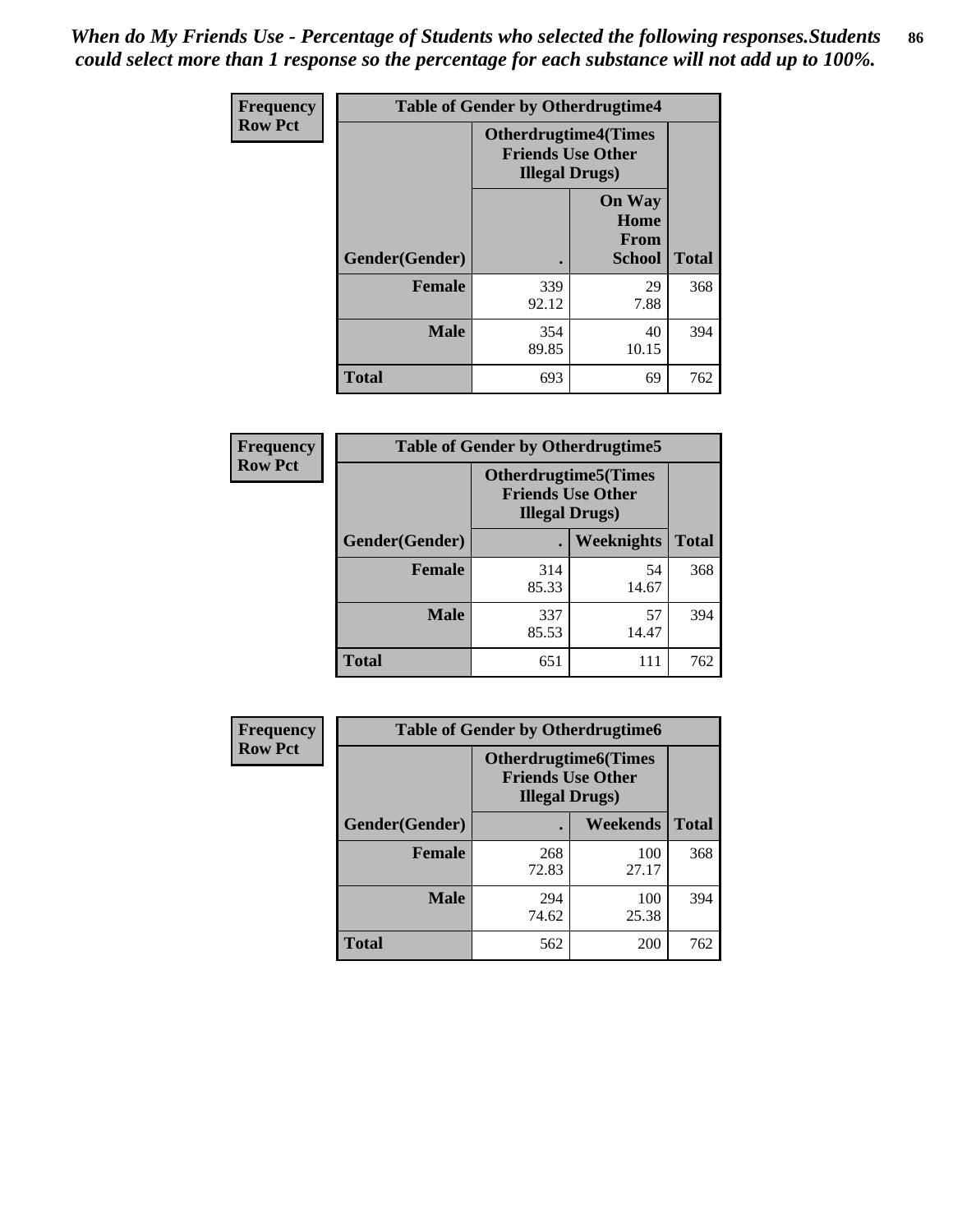*When do My Friends Use - Percentage of Students who selected the following responses.Students could select more than 1 response so the percentage for each substance will not add up to 100%.* **86**

| <b>Frequency</b> | <b>Table of Gender by Otherdrugtime4</b> |                        |                                                         |              |
|------------------|------------------------------------------|------------------------|---------------------------------------------------------|--------------|
| <b>Row Pct</b>   |                                          | <b>Illegal Drugs</b> ) | <b>Otherdrugtime4(Times</b><br><b>Friends Use Other</b> |              |
|                  | Gender(Gender)                           |                        | <b>On Way</b><br>Home<br><b>From</b><br><b>School</b>   | <b>Total</b> |
|                  | <b>Female</b>                            | 339<br>92.12           | 29<br>7.88                                              | 368          |
|                  | <b>Male</b>                              | 354<br>89.85           | 40<br>10.15                                             | 394          |
|                  | <b>Total</b>                             | 693                    | 69                                                      | 762          |

| Frequency      | <b>Table of Gender by Otherdrugtime5</b> |                                                                                    |             |              |
|----------------|------------------------------------------|------------------------------------------------------------------------------------|-------------|--------------|
| <b>Row Pct</b> |                                          | <b>Otherdrugtime5</b> (Times<br><b>Friends Use Other</b><br><b>Illegal Drugs</b> ) |             |              |
|                | Gender(Gender)                           |                                                                                    | Weeknights  | <b>Total</b> |
|                | <b>Female</b>                            | 314<br>85.33                                                                       | 54<br>14.67 | 368          |
|                | <b>Male</b>                              | 337<br>85.53                                                                       | 57<br>14.47 | 394          |
|                | <b>Total</b>                             | 651                                                                                | 111         | 762          |

| <b>Frequency</b> | <b>Table of Gender by Otherdrugtime6</b> |                                                                                   |              |              |  |
|------------------|------------------------------------------|-----------------------------------------------------------------------------------|--------------|--------------|--|
| <b>Row Pct</b>   |                                          | <b>Otherdrugtime6(Times</b><br><b>Friends Use Other</b><br><b>Illegal Drugs</b> ) |              |              |  |
|                  | Gender(Gender)                           |                                                                                   | Weekends     | <b>Total</b> |  |
|                  | <b>Female</b>                            | 268<br>72.83                                                                      | 100<br>27.17 | 368          |  |
|                  | <b>Male</b>                              | 294<br>74.62                                                                      | 100<br>25.38 | 394          |  |
|                  | <b>Total</b>                             | 562                                                                               | 200          | 762          |  |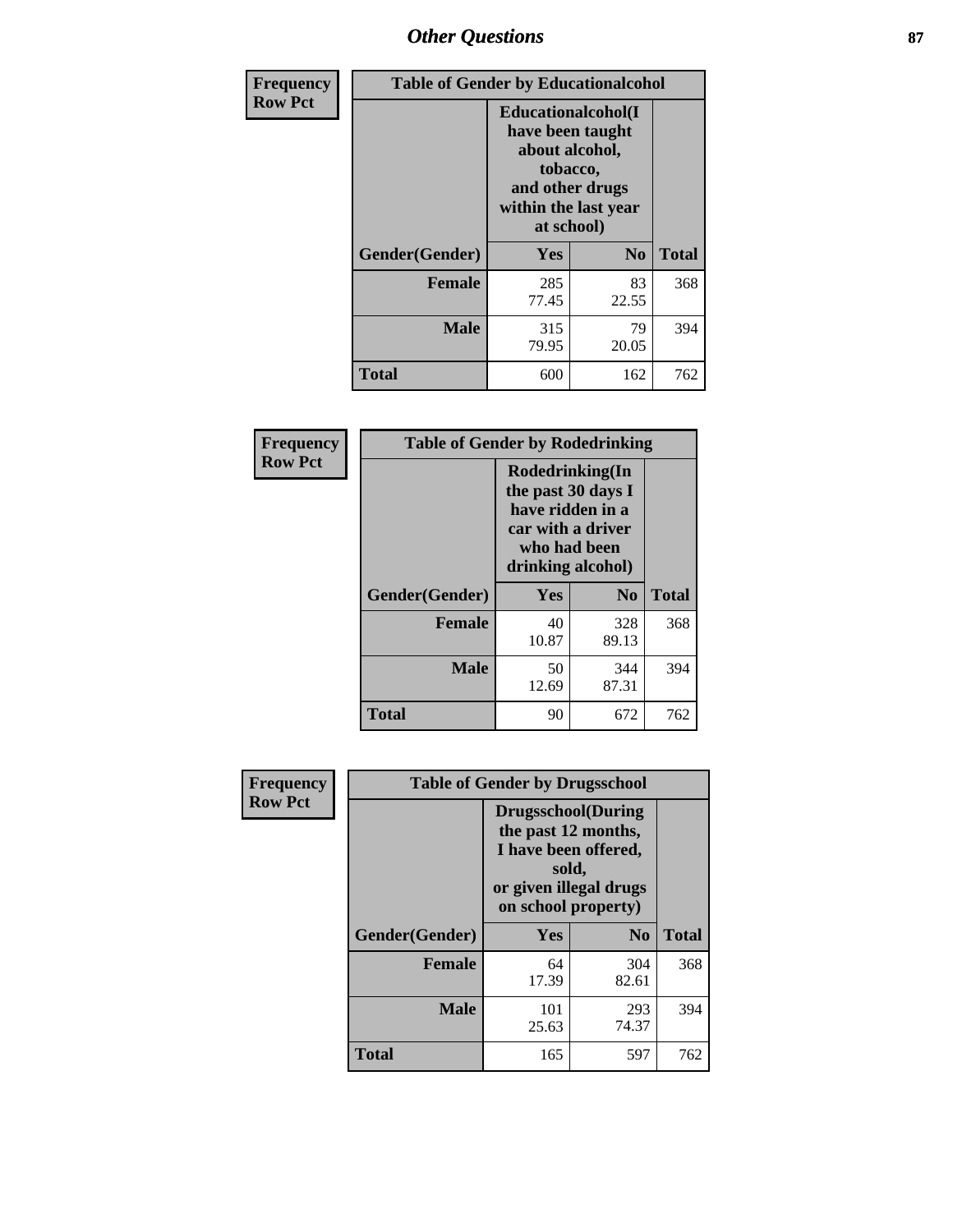# *Other Questions* **87**

| <b>Frequency</b> | <b>Table of Gender by Educationalcohol</b> |                                                                                                                                       |                |              |  |
|------------------|--------------------------------------------|---------------------------------------------------------------------------------------------------------------------------------------|----------------|--------------|--|
| <b>Row Pct</b>   |                                            | <b>Educationalcohol</b> (I<br>have been taught<br>about alcohol,<br>tobacco,<br>and other drugs<br>within the last year<br>at school) |                |              |  |
|                  | Gender(Gender)                             | <b>Yes</b>                                                                                                                            | N <sub>0</sub> | <b>Total</b> |  |
|                  | <b>Female</b>                              | 285<br>77.45                                                                                                                          | 83<br>22.55    | 368          |  |
|                  | <b>Male</b>                                | 315<br>79.95                                                                                                                          | 79<br>20.05    | 394          |  |
|                  | <b>Total</b>                               | 600                                                                                                                                   | 162            | 762          |  |

| Frequency      | <b>Table of Gender by Rodedrinking</b> |                                                                                                                     |                |              |  |
|----------------|----------------------------------------|---------------------------------------------------------------------------------------------------------------------|----------------|--------------|--|
| <b>Row Pct</b> |                                        | Rodedrinking(In<br>the past 30 days I<br>have ridden in a<br>car with a driver<br>who had been<br>drinking alcohol) |                |              |  |
|                | Gender(Gender)                         | Yes                                                                                                                 | N <sub>0</sub> | <b>Total</b> |  |
|                | <b>Female</b>                          | 40<br>10.87                                                                                                         | 328<br>89.13   | 368          |  |
|                | <b>Male</b>                            | 50<br>12.69                                                                                                         | 344<br>87.31   | 394          |  |
|                | <b>Total</b>                           | 90                                                                                                                  | 672            | 762          |  |

| Frequency      | <b>Table of Gender by Drugsschool</b> |                                                                                                                                     |                |              |  |
|----------------|---------------------------------------|-------------------------------------------------------------------------------------------------------------------------------------|----------------|--------------|--|
| <b>Row Pct</b> |                                       | <b>Drugsschool</b> (During<br>the past 12 months,<br>I have been offered,<br>sold,<br>or given illegal drugs<br>on school property) |                |              |  |
|                | Gender(Gender)                        | Yes                                                                                                                                 | N <sub>0</sub> | <b>Total</b> |  |
|                | <b>Female</b>                         | 64<br>17.39                                                                                                                         | 304<br>82.61   | 368          |  |
|                | <b>Male</b>                           | 101<br>25.63                                                                                                                        | 293<br>74.37   | 394          |  |
|                | <b>Total</b>                          | 165                                                                                                                                 | 597            | 762          |  |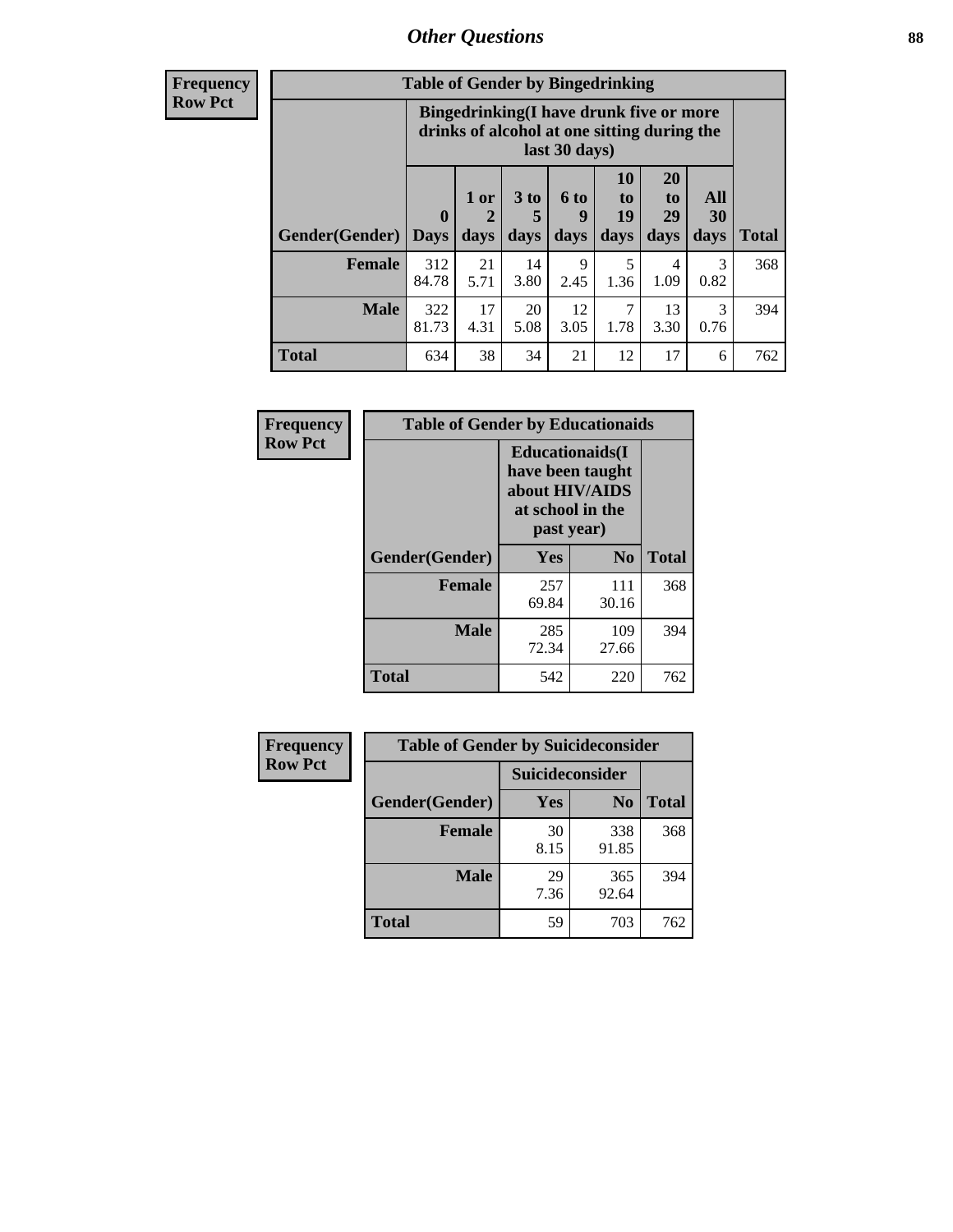# *Other Questions* **88**

**Frequency Row Pct**

| <b>Table of Gender by Bingedrinking</b> |                             |                                                                                                         |                   |                   |                        |                               |                   |              |
|-----------------------------------------|-----------------------------|---------------------------------------------------------------------------------------------------------|-------------------|-------------------|------------------------|-------------------------------|-------------------|--------------|
|                                         |                             | Bingedrinking(I have drunk five or more<br>drinks of alcohol at one sitting during the<br>last 30 days) |                   |                   |                        |                               |                   |              |
| Gender(Gender)                          | $\mathbf{0}$<br><b>Days</b> | 1 or<br>2<br>days                                                                                       | 3 to<br>5<br>days | 6 to<br>q<br>days | 10<br>to<br>19<br>days | <b>20</b><br>to<br>29<br>days | All<br>30<br>days | <b>Total</b> |
| <b>Female</b>                           | 312<br>84.78                | 21<br>5.71                                                                                              | 14<br>3.80        | 9<br>2.45         | 5<br>1.36              | 4<br>1.09                     | 3<br>0.82         | 368          |
| <b>Male</b>                             | 322<br>81.73                | 17<br>4.31                                                                                              | 20<br>5.08        | 12<br>3.05        | 7<br>1.78              | 13<br>3.30                    | 3<br>0.76         | 394          |
|                                         |                             |                                                                                                         |                   |                   |                        |                               |                   |              |

| Frequency      | <b>Table of Gender by Educationaids</b> |                                                                                                 |                |              |  |
|----------------|-----------------------------------------|-------------------------------------------------------------------------------------------------|----------------|--------------|--|
| <b>Row Pct</b> |                                         | <b>Educationaids</b> (I<br>have been taught<br>about HIV/AIDS<br>at school in the<br>past year) |                |              |  |
|                | Gender(Gender)                          | Yes                                                                                             | N <sub>0</sub> | <b>Total</b> |  |
|                | <b>Female</b>                           | 257<br>69.84                                                                                    | 111<br>30.16   | 368          |  |
|                | <b>Male</b>                             | 285<br>72.34                                                                                    | 109<br>27.66   | 394          |  |
|                | <b>Total</b>                            | 542                                                                                             | 220            | 762          |  |

| <b>Frequency</b> | <b>Table of Gender by Suicideconsider</b> |                 |                |              |  |
|------------------|-------------------------------------------|-----------------|----------------|--------------|--|
| <b>Row Pct</b>   |                                           | Suicideconsider |                |              |  |
|                  | Gender(Gender)                            | <b>Yes</b>      | N <sub>0</sub> | <b>Total</b> |  |
|                  | <b>Female</b>                             | 30<br>8.15      | 338<br>91.85   | 368          |  |
|                  | <b>Male</b>                               | 29<br>7.36      | 365<br>92.64   | 394          |  |
|                  | <b>Total</b>                              | 59              | 703            | 762          |  |